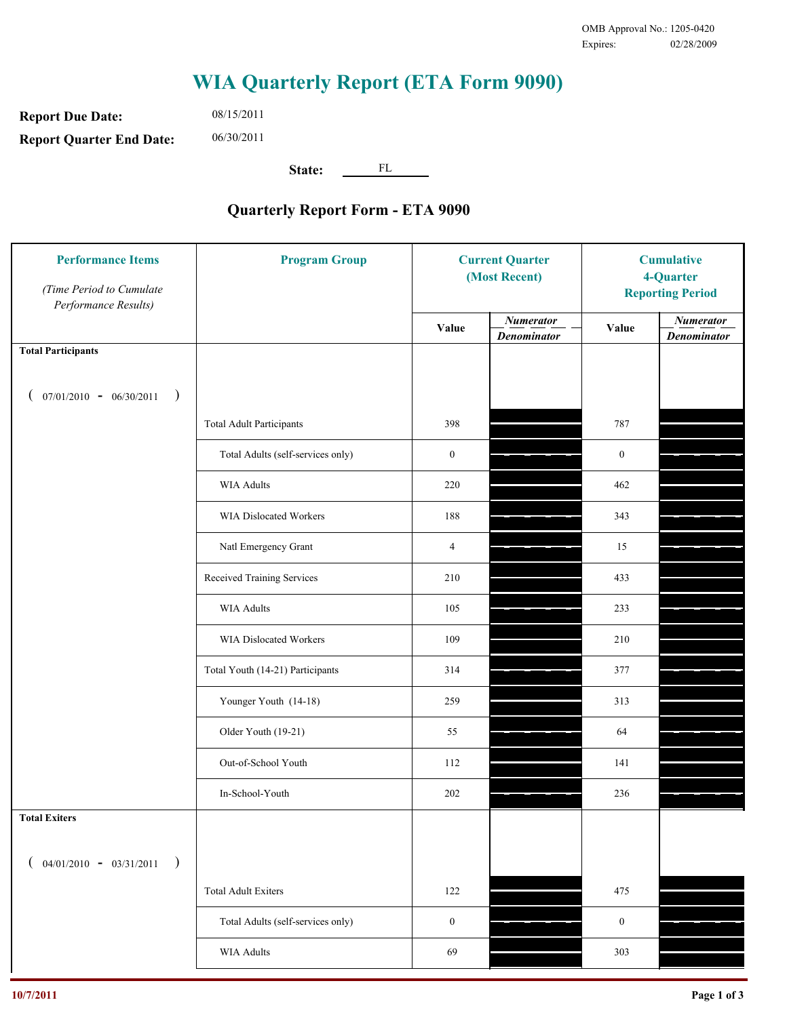**Report Due Date: Report Quarter End Date:** 08/15/2011 06/30/2011

**State:** FL

| <b>Performance Items</b><br>(Time Period to Cumulate<br>Performance Results) | <b>Program Group</b>              | <b>Current Quarter</b><br>(Most Recent) |                                        | <b>Cumulative</b><br>4-Quarter<br><b>Reporting Period</b> |                                        |
|------------------------------------------------------------------------------|-----------------------------------|-----------------------------------------|----------------------------------------|-----------------------------------------------------------|----------------------------------------|
|                                                                              |                                   | Value                                   | <b>Numerator</b><br><b>Denominator</b> | Value                                                     | <b>Numerator</b><br><b>Denominator</b> |
| <b>Total Participants</b>                                                    |                                   |                                         |                                        |                                                           |                                        |
| $07/01/2010 - 06/30/2011$ )                                                  |                                   |                                         |                                        |                                                           |                                        |
|                                                                              | <b>Total Adult Participants</b>   | 398                                     |                                        | 787                                                       |                                        |
|                                                                              | Total Adults (self-services only) | $\boldsymbol{0}$                        |                                        | $\boldsymbol{0}$                                          |                                        |
|                                                                              | WIA Adults                        | 220                                     |                                        | 462                                                       |                                        |
|                                                                              | <b>WIA Dislocated Workers</b>     | 188                                     |                                        | 343                                                       |                                        |
|                                                                              | Natl Emergency Grant              | $\overline{4}$                          |                                        | 15                                                        |                                        |
|                                                                              | Received Training Services        | 210                                     |                                        | 433                                                       |                                        |
|                                                                              | WIA Adults                        | 105                                     |                                        | 233                                                       |                                        |
|                                                                              | WIA Dislocated Workers            | 109                                     |                                        | 210                                                       |                                        |
|                                                                              | Total Youth (14-21) Participants  | 314                                     |                                        | 377                                                       |                                        |
|                                                                              | Younger Youth (14-18)             | 259                                     |                                        | 313                                                       |                                        |
|                                                                              | Older Youth (19-21)               | 55                                      |                                        | 64                                                        |                                        |
|                                                                              | Out-of-School Youth               | 112                                     |                                        | 141                                                       |                                        |
|                                                                              | In-School-Youth                   | $202\,$                                 |                                        | 236                                                       |                                        |
| <b>Total Exiters</b>                                                         |                                   |                                         |                                        |                                                           |                                        |
| $($ 04/01/2010 - 03/31/2011<br>$\rightarrow$                                 |                                   |                                         |                                        |                                                           |                                        |
|                                                                              | <b>Total Adult Exiters</b>        | 122                                     |                                        | 475                                                       |                                        |
|                                                                              | Total Adults (self-services only) | $\boldsymbol{0}$                        |                                        | $\boldsymbol{0}$                                          |                                        |
|                                                                              | <b>WIA Adults</b>                 | 69                                      |                                        | 303                                                       |                                        |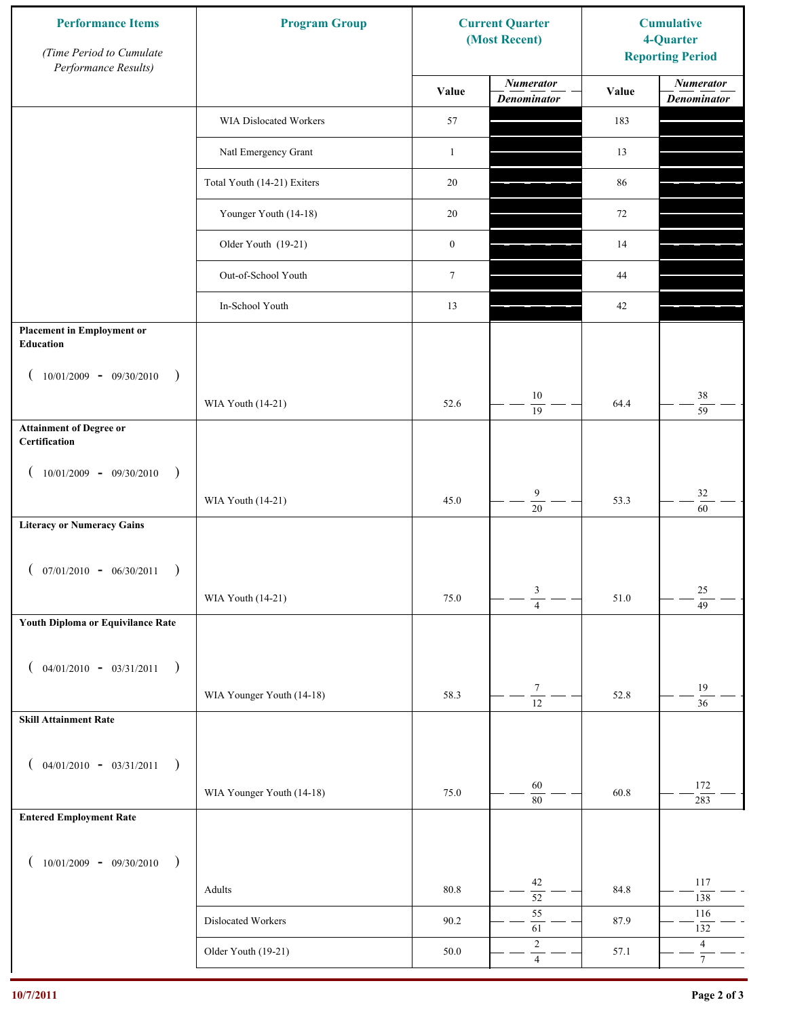| <b>Performance Items</b><br>(Time Period to Cumulate<br>Performance Results) | <b>Program Group</b>        |                  | <b>Current Quarter</b><br>(Most Recent) | <b>Cumulative</b><br>4-Quarter<br><b>Reporting Period</b> |                                        |
|------------------------------------------------------------------------------|-----------------------------|------------------|-----------------------------------------|-----------------------------------------------------------|----------------------------------------|
|                                                                              |                             | Value            | <b>Numerator</b><br><b>Denominator</b>  | Value                                                     | <b>Numerator</b><br><b>Denominator</b> |
|                                                                              | WIA Dislocated Workers      | 57               |                                         | 183                                                       |                                        |
|                                                                              | Natl Emergency Grant        | $\mathbf{1}$     |                                         | 13                                                        |                                        |
|                                                                              | Total Youth (14-21) Exiters | 20               |                                         | 86                                                        |                                        |
|                                                                              | Younger Youth (14-18)       | 20               |                                         | 72                                                        |                                        |
|                                                                              | Older Youth (19-21)         | $\boldsymbol{0}$ |                                         | 14                                                        |                                        |
|                                                                              | Out-of-School Youth         | $\boldsymbol{7}$ |                                         | 44                                                        |                                        |
|                                                                              | In-School Youth             | 13               |                                         | 42                                                        |                                        |
| <b>Placement in Employment or</b><br>Education                               |                             |                  |                                         |                                                           |                                        |
| $10/01/2009 - 09/30/2010$<br>$\rightarrow$                                   |                             |                  |                                         |                                                           |                                        |
|                                                                              | WIA Youth (14-21)           | 52.6             | 10<br>19                                | 64.4                                                      | 38<br>$\overline{59}$                  |
| <b>Attainment of Degree or</b><br>Certification                              |                             |                  |                                         |                                                           |                                        |
| $10/01/2009 - 09/30/2010$<br>$\big)$<br>$\overline{ }$                       |                             |                  |                                         |                                                           |                                        |
|                                                                              | WIA Youth (14-21)           | 45.0             | $\overline{9}$<br>$\overline{20}$       | 53.3                                                      | $32\,$<br>$\overline{60}$              |
| <b>Literacy or Numeracy Gains</b>                                            |                             |                  |                                         |                                                           |                                        |
| $($ 07/01/2010 - 06/30/2011                                                  |                             |                  |                                         |                                                           |                                        |
|                                                                              | WIA Youth (14-21)           | 75.0             | 3<br>$\overline{4}$                     | 51.0                                                      | $25\,$<br>$\overline{49}$              |
| Youth Diploma or Equivilance Rate                                            |                             |                  |                                         |                                                           |                                        |
| $04/01/2010 - 03/31/2011$<br>$\rightarrow$<br>€                              |                             |                  |                                         |                                                           |                                        |
|                                                                              | WIA Younger Youth (14-18)   | 58.3             | $\tau$                                  | 52.8                                                      | $19\,$                                 |
| <b>Skill Attainment Rate</b>                                                 |                             |                  | $\overline{12}$                         |                                                           | $\overline{36}$                        |
|                                                                              |                             |                  |                                         |                                                           |                                        |
| $04/01/2010 - 03/31/2011$<br>$\rightarrow$<br>$\overline{ }$                 | WIA Younger Youth (14-18)   | 75.0             | 60                                      | 60.8                                                      | 172                                    |
| <b>Entered Employment Rate</b>                                               |                             |                  | $\overline{80}$                         |                                                           | 283                                    |
|                                                                              |                             |                  |                                         |                                                           |                                        |
| $10/01/2009 - 09/30/2010$<br>$\rightarrow$                                   |                             |                  | 42                                      |                                                           | 117                                    |
|                                                                              | Adults                      | 80.8             | $\overline{52}$                         | 84.8                                                      | 138                                    |
|                                                                              | Dislocated Workers          | 90.2             | 55<br>61                                | 87.9                                                      | 116<br>132                             |
|                                                                              | Older Youth (19-21)         | 50.0             | $\sqrt{2}$<br>$\overline{4}$            | 57.1                                                      | $\overline{4}$<br>$\overline{7}$       |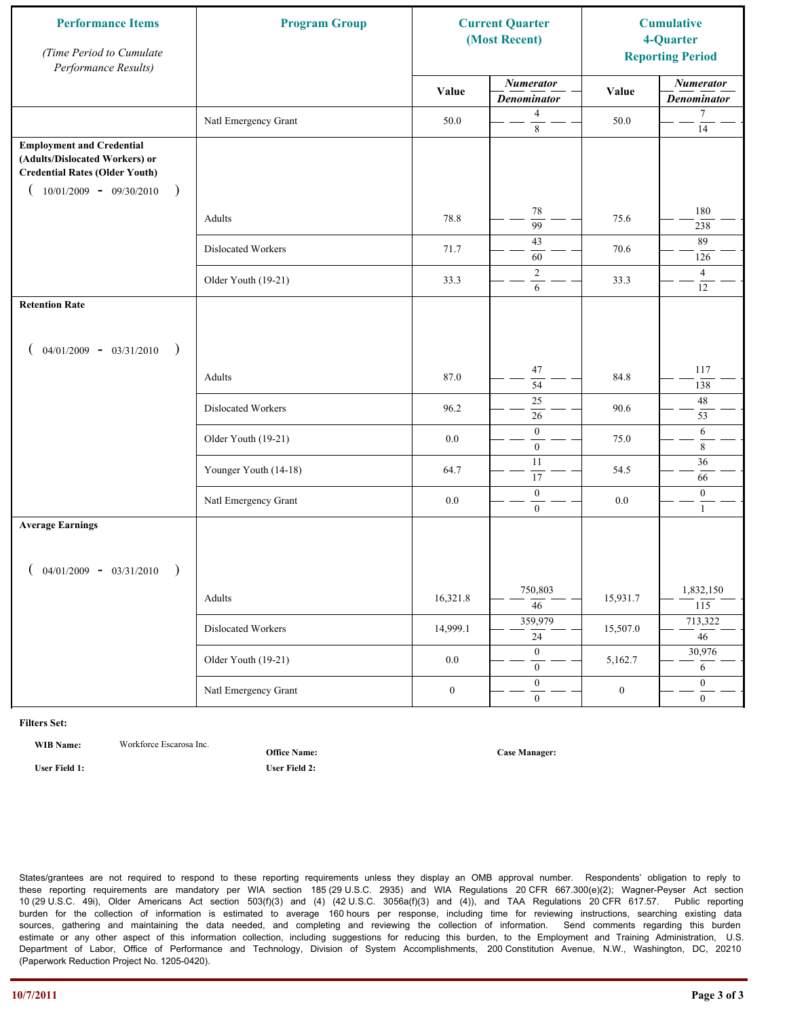| <b>Performance Items</b><br>(Time Period to Cumulate<br>Performance Results)                                                                                         | <b>Program Group</b>  | <b>Current Quarter</b><br>(Most Recent) |                                        | <b>Cumulative</b><br>4-Quarter<br><b>Reporting Period</b> |                                        |
|----------------------------------------------------------------------------------------------------------------------------------------------------------------------|-----------------------|-----------------------------------------|----------------------------------------|-----------------------------------------------------------|----------------------------------------|
|                                                                                                                                                                      |                       | Value                                   | <b>Numerator</b><br><b>Denominator</b> | Value                                                     | <b>Numerator</b><br><b>Denominator</b> |
|                                                                                                                                                                      | Natl Emergency Grant  | 50.0                                    | $\overline{4}$<br>$\,8\,$              | 50.0                                                      | $\tau$<br>$\overline{14}$              |
| <b>Employment and Credential</b><br>(Adults/Dislocated Workers) or<br><b>Credential Rates (Older Youth)</b><br>$10/01/2009$ - 09/30/2010<br>$\overline{\phantom{a}}$ |                       |                                         |                                        |                                                           |                                        |
|                                                                                                                                                                      | Adults                | 78.8                                    | $78\,$<br>$\overline{99}$              | 75.6                                                      | 180<br>238                             |
|                                                                                                                                                                      | Dislocated Workers    | 71.7                                    | 43<br>60                               | 70.6                                                      | 89<br>126                              |
|                                                                                                                                                                      | Older Youth (19-21)   | 33.3                                    | $\overline{2}$<br>6                    | 33.3                                                      | $\overline{4}$<br>12                   |
| <b>Retention Rate</b>                                                                                                                                                |                       |                                         |                                        |                                                           |                                        |
| $04/01/2009 - 03/31/2010$<br>$\rightarrow$                                                                                                                           |                       |                                         |                                        |                                                           |                                        |
|                                                                                                                                                                      | Adults                | 87.0                                    | 47<br>54                               | 84.8                                                      | 117<br>138                             |
|                                                                                                                                                                      | Dislocated Workers    | 96.2                                    | $\overline{25}$<br>$\overline{26}$     | 90.6                                                      | 48<br>53                               |
|                                                                                                                                                                      | Older Youth (19-21)   | 0.0                                     | $\boldsymbol{0}$<br>$\overline{0}$     | 75.0                                                      | 6<br>$\,8\,$                           |
|                                                                                                                                                                      | Younger Youth (14-18) | 64.7                                    | 11<br>17                               | 54.5                                                      | 36<br>66                               |
|                                                                                                                                                                      | Natl Emergency Grant  | 0.0                                     | $\boldsymbol{0}$<br>$\overline{0}$     | 0.0                                                       | $\boldsymbol{0}$<br>$\mathbf{1}$       |
| <b>Average Earnings</b>                                                                                                                                              |                       |                                         |                                        |                                                           |                                        |
| $04/01/2009 - 03/31/2010$                                                                                                                                            |                       |                                         |                                        |                                                           |                                        |
|                                                                                                                                                                      | Adults                | 16,321.8                                | 750,803<br>$\overline{46}$             | 15,931.7                                                  | 1,832,150<br>115                       |
|                                                                                                                                                                      | Dislocated Workers    | 14,999.1                                | 359,979<br>$\overline{24}$             | 15,507.0                                                  | 713,322<br>$\overline{46}$             |
|                                                                                                                                                                      | Older Youth (19-21)   | $0.0\,$                                 | $\overline{0}$<br>$\mathbf{0}$         | 5,162.7                                                   | 30,976<br>6                            |
|                                                                                                                                                                      | Natl Emergency Grant  | $\boldsymbol{0}$                        | $\overline{0}$<br>$\boldsymbol{0}$     | $\boldsymbol{0}$                                          | $\boldsymbol{0}$<br>$\overline{0}$     |

**WIB Name:** Workforce Escarosa Inc.

**Office Name:**

**User Field 1: User Field 2:**

**Case Manager:**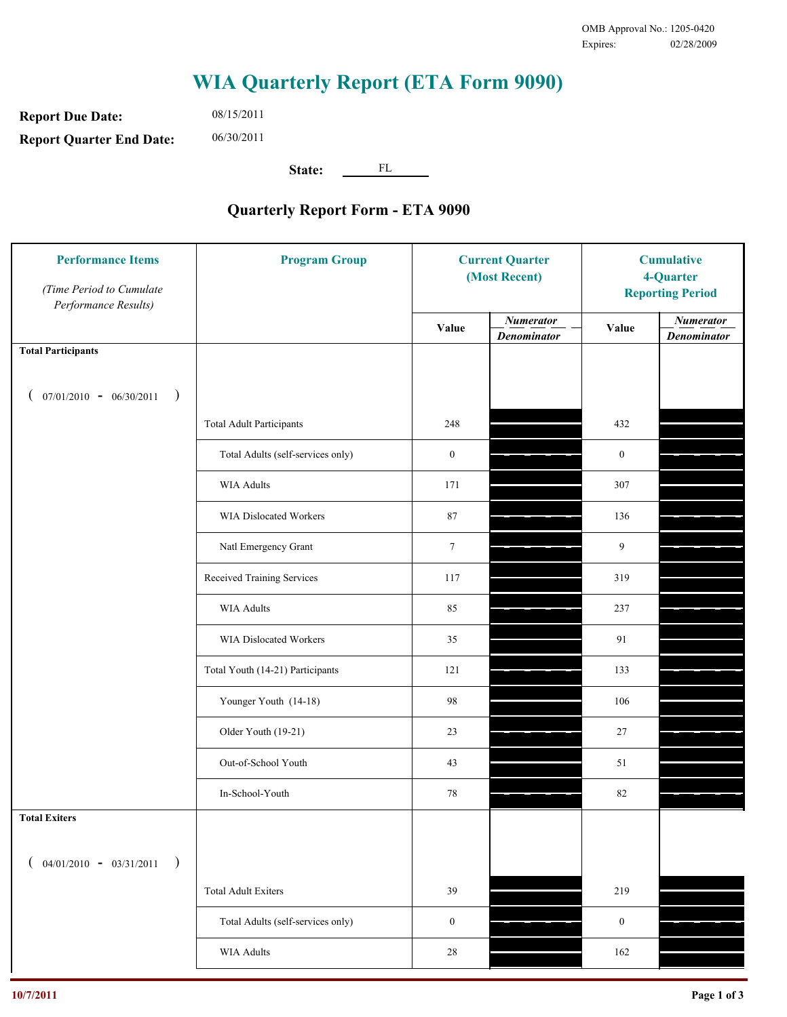**Report Due Date: Report Quarter End Date:** 08/15/2011 06/30/2011

**State:** FL

| <b>Performance Items</b><br>(Time Period to Cumulate<br>Performance Results) | <b>Program Group</b>              | <b>Current Quarter</b><br>(Most Recent) |                                        | <b>Cumulative</b><br>4-Quarter<br><b>Reporting Period</b> |                                        |
|------------------------------------------------------------------------------|-----------------------------------|-----------------------------------------|----------------------------------------|-----------------------------------------------------------|----------------------------------------|
|                                                                              |                                   | Value                                   | <b>Numerator</b><br><b>Denominator</b> | Value                                                     | <b>Numerator</b><br><b>Denominator</b> |
| <b>Total Participants</b>                                                    |                                   |                                         |                                        |                                                           |                                        |
| $07/01/2010 - 06/30/2011$<br>$\rightarrow$                                   |                                   |                                         |                                        |                                                           |                                        |
|                                                                              | <b>Total Adult Participants</b>   | 248                                     |                                        | 432                                                       |                                        |
|                                                                              | Total Adults (self-services only) | $\boldsymbol{0}$                        |                                        | $\boldsymbol{0}$                                          |                                        |
|                                                                              | <b>WIA Adults</b>                 | 171                                     |                                        | 307                                                       |                                        |
|                                                                              | WIA Dislocated Workers            | 87                                      |                                        | 136                                                       |                                        |
|                                                                              | Natl Emergency Grant              | $7\phantom{.0}$                         |                                        | 9                                                         |                                        |
|                                                                              | Received Training Services        | 117                                     |                                        | 319                                                       |                                        |
|                                                                              | <b>WIA Adults</b>                 | 85                                      |                                        | 237                                                       |                                        |
|                                                                              | WIA Dislocated Workers            | 35                                      |                                        | 91                                                        |                                        |
|                                                                              | Total Youth (14-21) Participants  | 121                                     |                                        | 133                                                       |                                        |
|                                                                              | Younger Youth (14-18)             | 98                                      |                                        | 106                                                       |                                        |
|                                                                              | Older Youth (19-21)               | 23                                      |                                        | 27                                                        |                                        |
|                                                                              | Out-of-School Youth               | 43                                      |                                        | 51                                                        |                                        |
|                                                                              | In-School-Youth                   | $78\,$                                  |                                        | 82                                                        |                                        |
| <b>Total Exiters</b>                                                         |                                   |                                         |                                        |                                                           |                                        |
| $04/01/2010 - 03/31/2011$<br>$\rightarrow$                                   |                                   |                                         |                                        |                                                           |                                        |
|                                                                              | <b>Total Adult Exiters</b>        | 39                                      |                                        | 219                                                       |                                        |
|                                                                              | Total Adults (self-services only) | $\boldsymbol{0}$                        |                                        | $\boldsymbol{0}$                                          |                                        |
|                                                                              | <b>WIA Adults</b>                 | $28\,$                                  |                                        | 162                                                       |                                        |
|                                                                              |                                   |                                         |                                        |                                                           |                                        |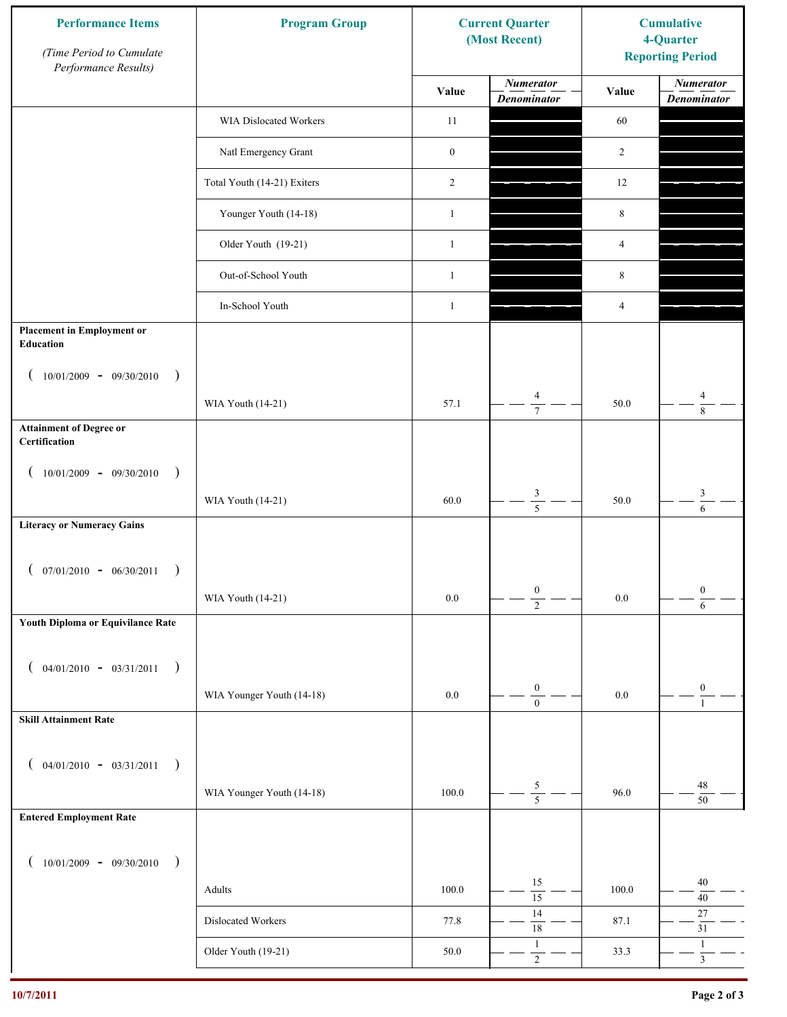| <b>Performance Items</b><br>(Time Period to Cumulate<br>Performance Results) | <b>Program Group</b>        |                  | <b>Current Quarter</b><br>(Most Recent) | <b>Cumulative</b><br>4-Quarter<br><b>Reporting Period</b> |                                        |
|------------------------------------------------------------------------------|-----------------------------|------------------|-----------------------------------------|-----------------------------------------------------------|----------------------------------------|
|                                                                              |                             | Value            | <b>Numerator</b><br><b>Denominator</b>  | Value                                                     | <b>Numerator</b><br><b>Denominator</b> |
|                                                                              | WIA Dislocated Workers      | 11               |                                         | 60                                                        |                                        |
|                                                                              | Natl Emergency Grant        | $\boldsymbol{0}$ |                                         | $\overline{2}$                                            |                                        |
|                                                                              | Total Youth (14-21) Exiters | $\overline{2}$   |                                         | 12                                                        |                                        |
|                                                                              | Younger Youth (14-18)       | $\mathbf{1}$     |                                         | 8                                                         |                                        |
|                                                                              | Older Youth (19-21)         | $\mathbf{1}$     |                                         | 4                                                         |                                        |
|                                                                              | Out-of-School Youth         | $\mathbf{1}$     |                                         | 8                                                         |                                        |
|                                                                              | In-School Youth             | $\mathbf{1}$     |                                         | $\overline{4}$                                            |                                        |
| <b>Placement in Employment or</b><br><b>Education</b>                        |                             |                  |                                         |                                                           |                                        |
| $10/01/2009 - 09/30/2010$<br>$\rightarrow$                                   |                             |                  |                                         |                                                           |                                        |
|                                                                              | WIA Youth (14-21)           | 57.1             | $\overline{4}$<br>$\overline{7}$        | 50.0                                                      | $\overline{4}$<br>$\,8\,$              |
| <b>Attainment of Degree or</b><br>Certification                              |                             |                  |                                         |                                                           |                                        |
| $(10/01/2009 - 09/30/2010)$<br>$\rightarrow$                                 |                             |                  |                                         |                                                           |                                        |
|                                                                              | WIA Youth (14-21)           | 60.0             | $\frac{3}{5}$                           | 50.0                                                      | $\ensuremath{\mathfrak{Z}}$<br>6       |
| <b>Literacy or Numeracy Gains</b>                                            |                             |                  |                                         |                                                           |                                        |
| $($ 07/01/2010 - 06/30/2011                                                  |                             |                  |                                         |                                                           |                                        |
|                                                                              | WIA Youth (14-21)           | $0.0\,$          | $\boldsymbol{0}$<br>$\overline{2}$      | $0.0\,$                                                   | $\boldsymbol{0}$<br>$\overline{6}$     |
| Youth Diploma or Equivilance Rate                                            |                             |                  |                                         |                                                           |                                        |
| $04/01/2010 - 03/31/2011$<br>$\rightarrow$                                   |                             |                  |                                         |                                                           |                                        |
|                                                                              | WIA Younger Youth (14-18)   | $0.0\,$          | $\boldsymbol{0}$                        | $0.0\,$                                                   | $\boldsymbol{0}$                       |
| <b>Skill Attainment Rate</b>                                                 |                             |                  | $\mathbf{0}$                            |                                                           | $\mathbf{1}$                           |
| $04/01/2010 - 03/31/2011$                                                    |                             |                  |                                         |                                                           |                                        |
| $\rightarrow$                                                                | WIA Younger Youth (14-18)   | 100.0            | $\sqrt{5}$                              | 96.0                                                      | 48                                     |
| <b>Entered Employment Rate</b>                                               |                             |                  | $\overline{5}$                          |                                                           | $50\,$                                 |
|                                                                              |                             |                  |                                         |                                                           |                                        |
| $10/01/2009 - 09/30/2010$<br>$\big)$                                         |                             |                  | 15                                      |                                                           | 40                                     |
|                                                                              | Adults                      | 100.0            | $\overline{15}$<br>14                   | 100.0                                                     | $40\,$<br>$27\,$                       |
|                                                                              | Dislocated Workers          | 77.8             | $\overline{18}$<br>$\mathbf{1}$         | 87.1                                                      | $31\,$<br>$\mathbf{1}$                 |
|                                                                              | Older Youth (19-21)         | 50.0             | $\overline{2}$                          | 33.3                                                      | $\overline{3}$                         |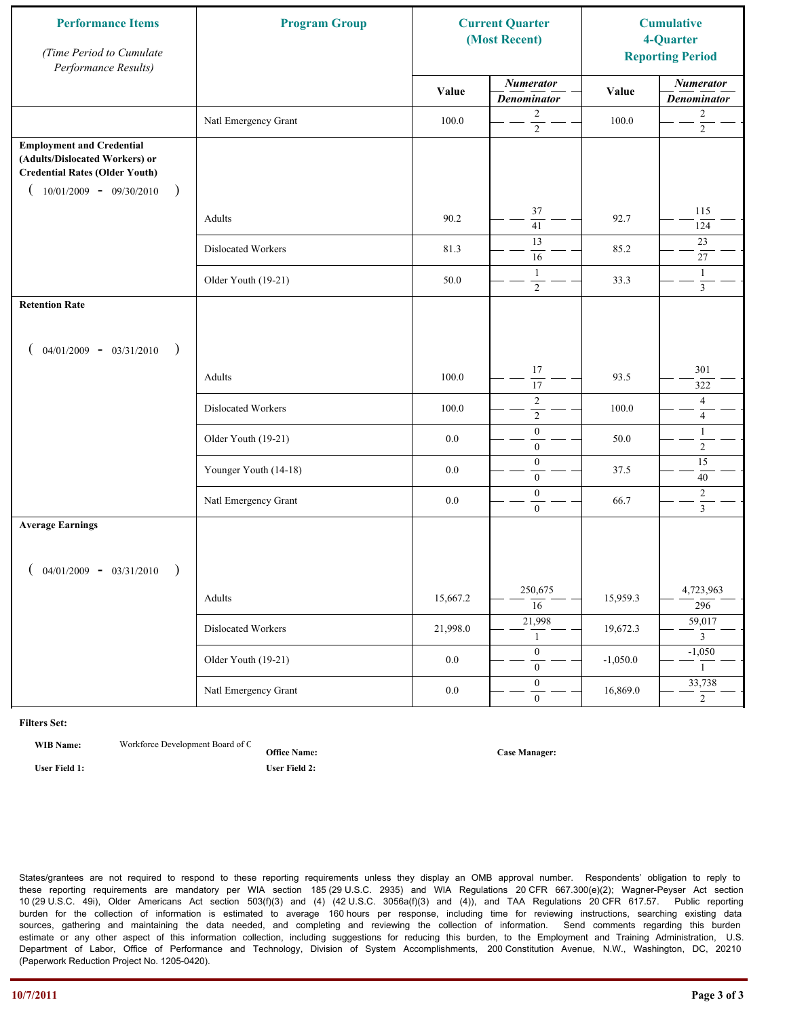| <b>Performance Items</b><br>(Time Period to Cumulate<br>Performance Results)                                                                              | <b>Program Group</b>  | <b>Current Quarter</b><br>(Most Recent) |                                        | <b>Cumulative</b><br>4-Quarter<br><b>Reporting Period</b> |                                        |
|-----------------------------------------------------------------------------------------------------------------------------------------------------------|-----------------------|-----------------------------------------|----------------------------------------|-----------------------------------------------------------|----------------------------------------|
|                                                                                                                                                           |                       | Value                                   | <b>Numerator</b><br><b>Denominator</b> | Value                                                     | <b>Numerator</b><br><b>Denominator</b> |
|                                                                                                                                                           | Natl Emergency Grant  | 100.0                                   | 2<br>$\overline{2}$                    | 100.0                                                     | $\overline{c}$<br>$\overline{2}$       |
| <b>Employment and Credential</b><br>(Adults/Dislocated Workers) or<br><b>Credential Rates (Older Youth)</b><br>$10/01/2009 - 09/30/2010$<br>$\rightarrow$ |                       |                                         |                                        |                                                           |                                        |
|                                                                                                                                                           | Adults                | 90.2                                    | 37<br>$\overline{41}$                  | 92.7                                                      | 115<br>124                             |
|                                                                                                                                                           | Dislocated Workers    | 81.3                                    | 13<br>16                               | 85.2                                                      | 23<br>27                               |
|                                                                                                                                                           | Older Youth (19-21)   | 50.0                                    | $\mathbf{1}$<br>$\overline{2}$         | 33.3                                                      | $\mathbf{1}$<br>$\overline{3}$         |
| <b>Retention Rate</b>                                                                                                                                     |                       |                                         |                                        |                                                           |                                        |
| $04/01/2009 - 03/31/2010$<br>$\rightarrow$                                                                                                                |                       |                                         |                                        |                                                           |                                        |
|                                                                                                                                                           | Adults                | 100.0                                   | 17<br>17                               | 93.5                                                      | 301<br>322                             |
|                                                                                                                                                           | Dislocated Workers    | 100.0                                   | $\sqrt{2}$<br>$\sqrt{2}$               | 100.0                                                     | $\overline{4}$<br>$\overline{4}$       |
|                                                                                                                                                           | Older Youth (19-21)   | 0.0                                     | $\boldsymbol{0}$<br>$\mathbf{0}$       | 50.0                                                      | $\mathbf{1}$<br>$\overline{2}$         |
|                                                                                                                                                           | Younger Youth (14-18) | 0.0                                     | $\boldsymbol{0}$<br>$\mathbf{0}$       | 37.5                                                      | $\overline{15}$<br>40                  |
|                                                                                                                                                           | Natl Emergency Grant  | 0.0                                     | $\boldsymbol{0}$<br>$\mathbf{0}$       | 66.7                                                      | $\overline{c}$<br>$\overline{3}$       |
| <b>Average Earnings</b>                                                                                                                                   |                       |                                         |                                        |                                                           |                                        |
| $04/01/2009 - 03/31/2010$<br>$\rightarrow$                                                                                                                |                       |                                         |                                        |                                                           |                                        |
|                                                                                                                                                           | Adults                | 15,667.2                                | 250,675<br>$\overline{16}$             | 15,959.3                                                  | 4,723,963<br>296                       |
|                                                                                                                                                           | Dislocated Workers    | 21,998.0                                | 21,998<br>1                            | 19,672.3                                                  | 59,017<br>$\overline{3}$               |
|                                                                                                                                                           | Older Youth (19-21)   | $0.0\,$                                 | $\overline{0}$<br>$\mathbf{0}$         | $-1,050.0$                                                | $-1,050$<br>$\mathbf{1}$               |
|                                                                                                                                                           | Natl Emergency Grant  | $0.0\,$                                 | $\overline{0}$<br>$\mathbf{0}$         | 16,869.0                                                  | 33,738<br>$\overline{2}$               |

**WIB Name:** Workforce Development Board of C

**Office Name: User Field 1: User Field 2:**

**Case Manager:**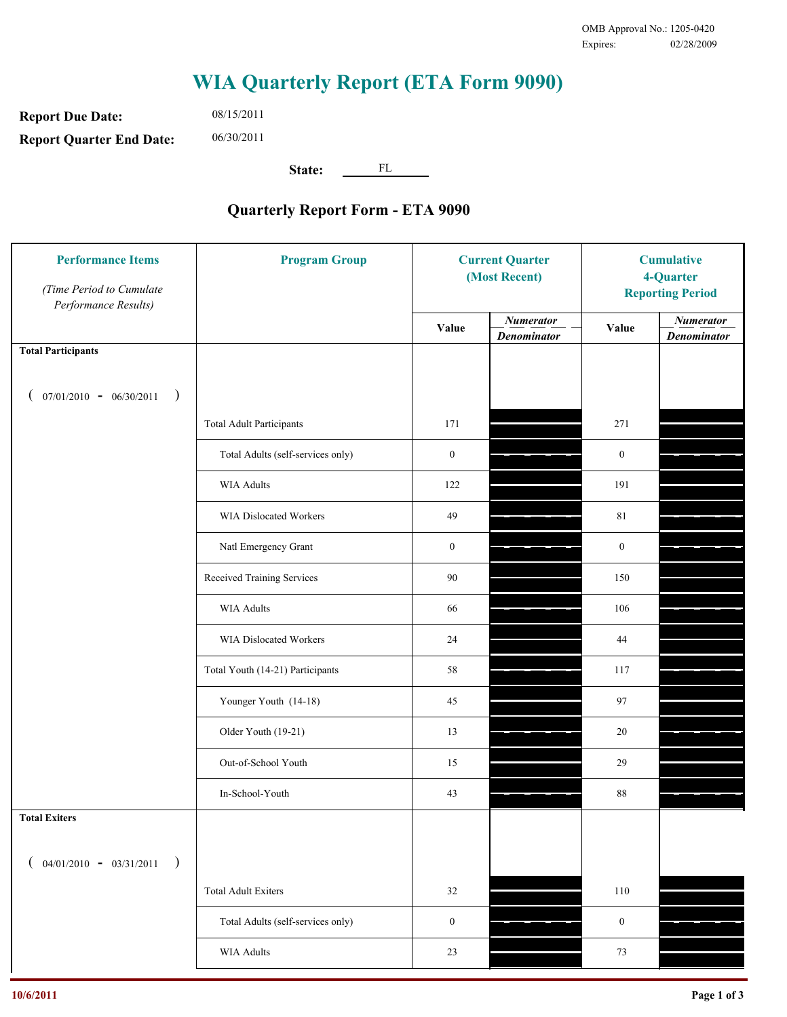**Report Due Date: Report Quarter End Date:** 08/15/2011 06/30/2011

**State:** FL

| <b>Performance Items</b><br>(Time Period to Cumulate<br>Performance Results) | <b>Program Group</b>              | <b>Current Quarter</b><br>(Most Recent) |                                        | <b>Cumulative</b><br>4-Quarter<br><b>Reporting Period</b> |                                        |
|------------------------------------------------------------------------------|-----------------------------------|-----------------------------------------|----------------------------------------|-----------------------------------------------------------|----------------------------------------|
|                                                                              |                                   | Value                                   | <b>Numerator</b><br><b>Denominator</b> | Value                                                     | <b>Numerator</b><br><b>Denominator</b> |
| <b>Total Participants</b>                                                    |                                   |                                         |                                        |                                                           |                                        |
| $07/01/2010 - 06/30/2011$ )                                                  |                                   |                                         |                                        |                                                           |                                        |
|                                                                              | <b>Total Adult Participants</b>   | 171                                     |                                        | 271                                                       |                                        |
|                                                                              | Total Adults (self-services only) | $\boldsymbol{0}$                        |                                        | $\boldsymbol{0}$                                          |                                        |
|                                                                              | WIA Adults                        | 122                                     |                                        | 191                                                       |                                        |
|                                                                              | WIA Dislocated Workers            | 49                                      |                                        | 81                                                        |                                        |
|                                                                              | Natl Emergency Grant              | $\boldsymbol{0}$                        |                                        | $\boldsymbol{0}$                                          |                                        |
|                                                                              | Received Training Services        | 90                                      |                                        | 150                                                       |                                        |
|                                                                              | <b>WIA Adults</b>                 | 66                                      |                                        | 106                                                       |                                        |
|                                                                              | WIA Dislocated Workers            | 24                                      |                                        | 44                                                        |                                        |
|                                                                              | Total Youth (14-21) Participants  | 58                                      |                                        | 117                                                       |                                        |
|                                                                              | Younger Youth (14-18)             | 45                                      |                                        | 97                                                        |                                        |
|                                                                              | Older Youth (19-21)               | 13                                      |                                        | 20                                                        |                                        |
|                                                                              | Out-of-School Youth               | 15                                      |                                        | 29                                                        |                                        |
|                                                                              | In-School-Youth                   | 43                                      |                                        | $88\,$                                                    |                                        |
| <b>Total Exiters</b>                                                         |                                   |                                         |                                        |                                                           |                                        |
| $($ 04/01/2010 - 03/31/2011<br>$\rightarrow$                                 |                                   |                                         |                                        |                                                           |                                        |
|                                                                              | <b>Total Adult Exiters</b>        | 32                                      |                                        | 110                                                       |                                        |
|                                                                              | Total Adults (self-services only) | $\boldsymbol{0}$                        |                                        | $\boldsymbol{0}$                                          |                                        |
|                                                                              | <b>WIA Adults</b>                 | $23\,$                                  |                                        | $73\,$                                                    |                                        |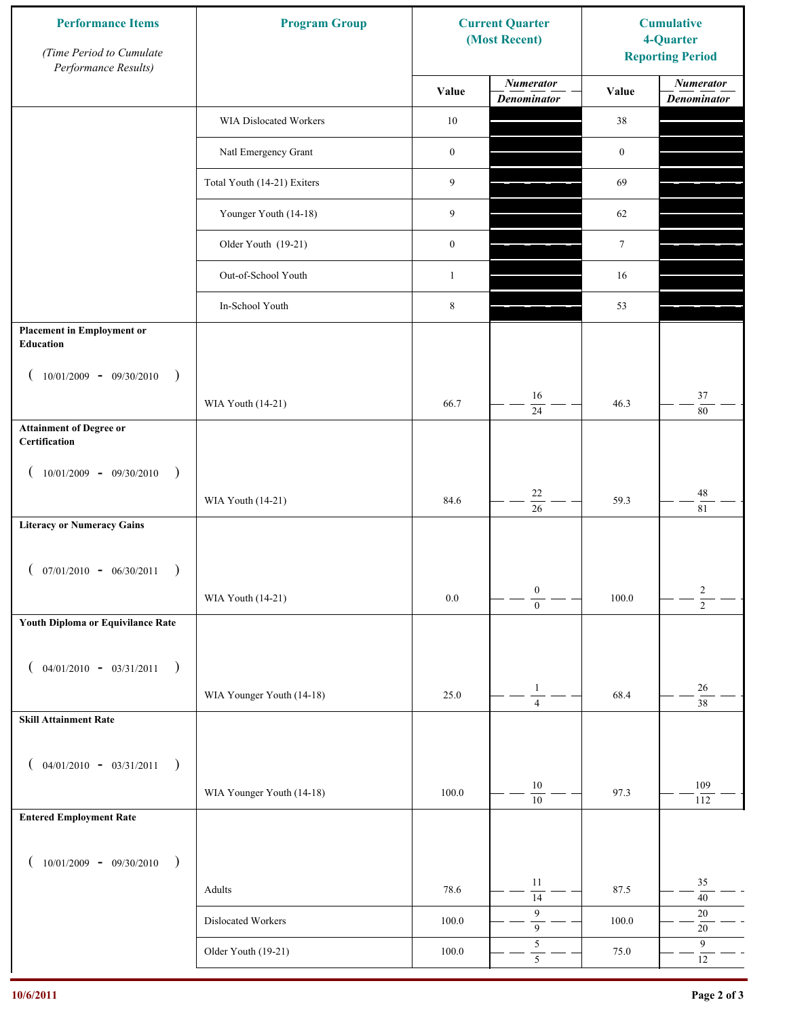| <b>Performance Items</b><br>(Time Period to Cumulate<br>Performance Results) | <b>Program Group</b>        |                  | <b>Current Quarter</b><br>(Most Recent) | <b>Cumulative</b><br>4-Quarter<br><b>Reporting Period</b> |                                        |
|------------------------------------------------------------------------------|-----------------------------|------------------|-----------------------------------------|-----------------------------------------------------------|----------------------------------------|
|                                                                              |                             | Value            | <b>Numerator</b><br><b>Denominator</b>  | Value                                                     | <b>Numerator</b><br><b>Denominator</b> |
|                                                                              | WIA Dislocated Workers      | $10\,$           |                                         | 38                                                        |                                        |
|                                                                              | Natl Emergency Grant        | $\boldsymbol{0}$ |                                         | $\boldsymbol{0}$                                          |                                        |
|                                                                              | Total Youth (14-21) Exiters | 9                |                                         | 69                                                        |                                        |
|                                                                              | Younger Youth (14-18)       | 9                |                                         | 62                                                        |                                        |
|                                                                              | Older Youth (19-21)         | $\boldsymbol{0}$ |                                         | $\tau$                                                    |                                        |
|                                                                              | Out-of-School Youth         | $\mathbf{1}$     |                                         | 16                                                        |                                        |
|                                                                              | In-School Youth             | $\,$ 8 $\,$      |                                         | 53                                                        |                                        |
| <b>Placement in Employment or</b><br><b>Education</b>                        |                             |                  |                                         |                                                           |                                        |
| $10/01/2009 - 09/30/2010$<br>$\rightarrow$                                   |                             |                  |                                         |                                                           |                                        |
|                                                                              | WIA Youth (14-21)           | 66.7             | 16<br>24                                | 46.3                                                      | 37<br>$80\,$                           |
| <b>Attainment of Degree or</b><br>Certification                              |                             |                  |                                         |                                                           |                                        |
| $(10/01/2009 - 09/30/2010$<br>$\rightarrow$                                  |                             |                  |                                         |                                                           |                                        |
|                                                                              | WIA Youth (14-21)           | 84.6             | $22\,$<br>$\overline{26}$               | 59.3                                                      | $48\,$<br>81                           |
| <b>Literacy or Numeracy Gains</b>                                            |                             |                  |                                         |                                                           |                                        |
| $07/01/2010 - 06/30/2011$                                                    |                             |                  |                                         |                                                           |                                        |
|                                                                              | WIA Youth (14-21)           | $0.0\,$          | $\boldsymbol{0}$<br>$\overline{0}$      | 100.0                                                     | $\overline{c}$<br>$\overline{2}$       |
| Youth Diploma or Equivilance Rate                                            |                             |                  |                                         |                                                           |                                        |
| $04/01/2010 - 03/31/2011$<br>$\rightarrow$                                   |                             |                  |                                         |                                                           |                                        |
|                                                                              | WIA Younger Youth (14-18)   | 25.0             | $\mathbf{1}$                            | 68.4                                                      | $26\,$                                 |
| <b>Skill Attainment Rate</b>                                                 |                             |                  | $\overline{4}$                          |                                                           | $\overline{38}$                        |
|                                                                              |                             |                  |                                         |                                                           |                                        |
| $04/01/2010 - 03/31/2011$<br>$\rightarrow$                                   | WIA Younger Youth (14-18)   | 100.0            | $10\,$                                  | 97.3                                                      | 109                                    |
| <b>Entered Employment Rate</b>                                               |                             |                  | $\overline{10}$                         |                                                           | 112                                    |
|                                                                              |                             |                  |                                         |                                                           |                                        |
| $10/01/2009 - 09/30/2010$<br>$\rightarrow$                                   |                             |                  | 11                                      |                                                           | 35                                     |
|                                                                              | Adults                      | 78.6             | $\overline{14}$<br>9                    | 87.5                                                      | $40\,$<br>$20\,$                       |
|                                                                              | Dislocated Workers          | 100.0            | $\overline{9}$                          | 100.0                                                     | $20\,$                                 |
|                                                                              | Older Youth (19-21)         | $100.0\,$        | $\sqrt{5}$<br>$\overline{5}$            | 75.0                                                      | $\overline{9}$<br>$12\,$               |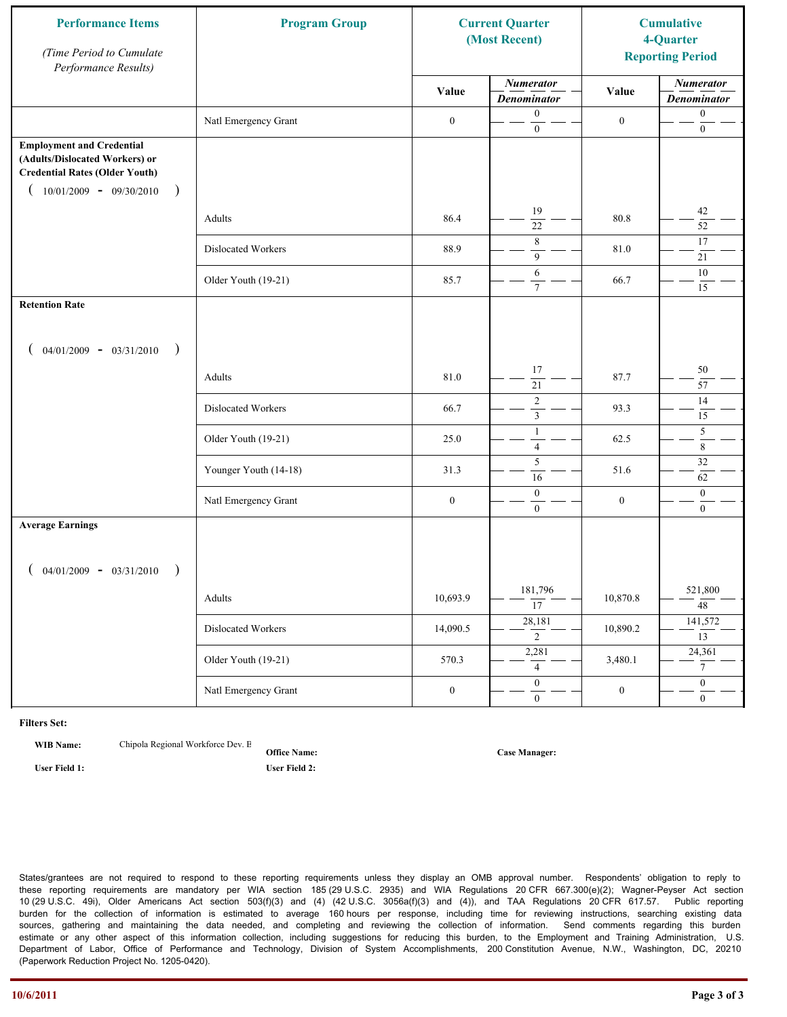| <b>Performance Items</b><br>(Time Period to Cumulate<br>Performance Results)                                                                              | <b>Program Group</b>  | <b>Current Quarter</b><br>(Most Recent) |                                        | <b>Cumulative</b><br>4-Quarter<br><b>Reporting Period</b> |                                        |
|-----------------------------------------------------------------------------------------------------------------------------------------------------------|-----------------------|-----------------------------------------|----------------------------------------|-----------------------------------------------------------|----------------------------------------|
|                                                                                                                                                           |                       | Value                                   | <b>Numerator</b><br><b>Denominator</b> | Value                                                     | <b>Numerator</b><br><b>Denominator</b> |
|                                                                                                                                                           | Natl Emergency Grant  | $\boldsymbol{0}$                        | $\mathbf{0}$<br>$\boldsymbol{0}$       | $\boldsymbol{0}$                                          | $\boldsymbol{0}$<br>$\boldsymbol{0}$   |
| <b>Employment and Credential</b><br>(Adults/Dislocated Workers) or<br><b>Credential Rates (Older Youth)</b><br>$10/01/2009$ - 09/30/2010<br>$\rightarrow$ |                       |                                         |                                        |                                                           |                                        |
|                                                                                                                                                           | Adults                | 86.4                                    | 19<br>$\overline{22}$                  | 80.8                                                      | 42<br>52                               |
|                                                                                                                                                           | Dislocated Workers    | 88.9                                    | $\,8\,$<br>9                           | 81.0                                                      | 17<br>21                               |
|                                                                                                                                                           | Older Youth (19-21)   | 85.7                                    | 6<br>$\overline{7}$                    | 66.7                                                      | $10\,$<br>15                           |
| <b>Retention Rate</b>                                                                                                                                     |                       |                                         |                                        |                                                           |                                        |
| $04/01/2009 - 03/31/2010$<br>$\big)$                                                                                                                      |                       |                                         |                                        |                                                           |                                        |
|                                                                                                                                                           | Adults                | 81.0                                    | 17<br>$\overline{21}$                  | 87.7                                                      | 50<br>57                               |
|                                                                                                                                                           | Dislocated Workers    | 66.7                                    | $\overline{2}$<br>$\mathfrak{Z}$       | 93.3                                                      | 14<br>15                               |
|                                                                                                                                                           | Older Youth (19-21)   | 25.0                                    | $\mathbf{1}$<br>$\overline{4}$         | 62.5                                                      | 5<br>$\overline{\bf 8}$                |
|                                                                                                                                                           | Younger Youth (14-18) | 31.3                                    | 5<br>16                                | 51.6                                                      | $32\,$<br>62                           |
|                                                                                                                                                           | Natl Emergency Grant  | $\boldsymbol{0}$                        | $\boldsymbol{0}$<br>$\mathbf{0}$       | $\boldsymbol{0}$                                          | $\mathbf{0}$<br>$\overline{0}$         |
| <b>Average Earnings</b>                                                                                                                                   |                       |                                         |                                        |                                                           |                                        |
| $04/01/2009 - 03/31/2010$<br>$\rightarrow$                                                                                                                |                       |                                         |                                        |                                                           |                                        |
|                                                                                                                                                           | Adults                | 10,693.9                                | 181,796<br>$\overline{17}$             | 10,870.8                                                  | 521,800<br>$\overline{48}$             |
|                                                                                                                                                           | Dislocated Workers    | 14,090.5                                | 28,181<br>$\overline{2}$               | 10,890.2                                                  | 141,572<br>$\overline{13}$             |
|                                                                                                                                                           | Older Youth (19-21)   | 570.3                                   | 2,281<br>$\overline{4}$                | 3,480.1                                                   | 24,361<br>$\overline{7}$               |
|                                                                                                                                                           | Natl Emergency Grant  | $\boldsymbol{0}$                        | $\overline{0}$<br>$\mathbf{0}$         | $\boldsymbol{0}$                                          | $\overline{0}$<br>$\overline{0}$       |

**WIB Name:** Chipola Regional Workforce Dev. E

**Office Name: User Field 1: User Field 2:**

**Case Manager:**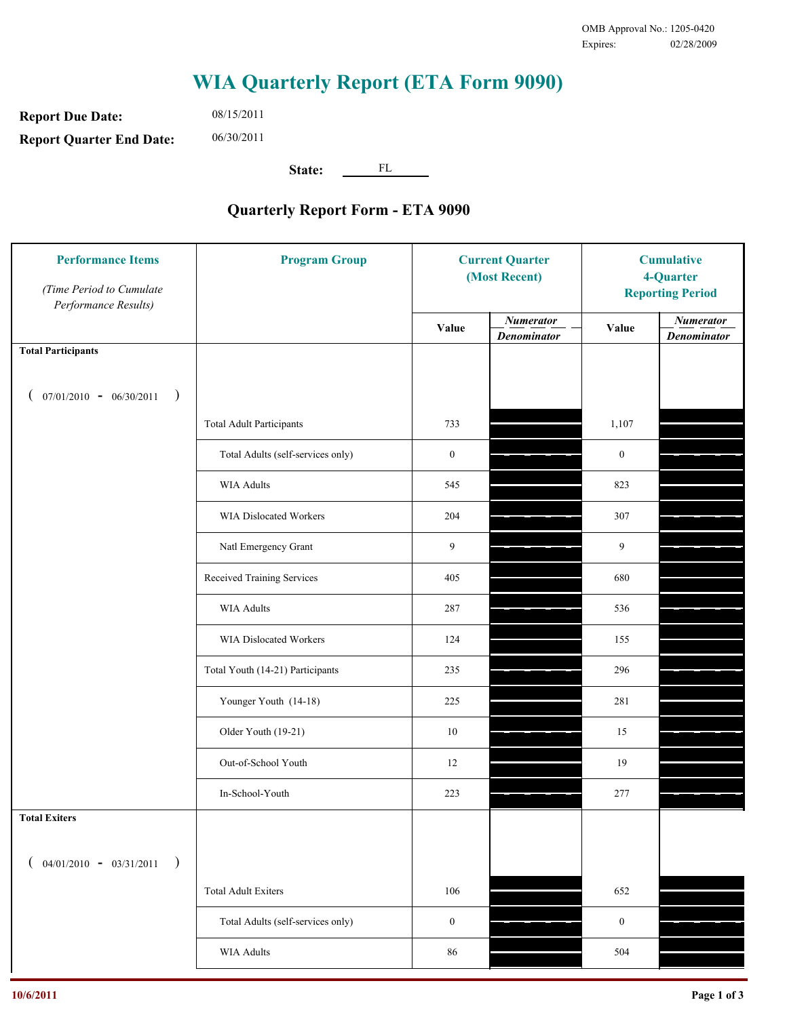**Report Due Date: Report Quarter End Date:** 08/15/2011 06/30/2011

**State:** FL

| <b>Performance Items</b><br>(Time Period to Cumulate<br>Performance Results) | <b>Program Group</b>              | <b>Current Quarter</b><br>(Most Recent) |                                        | <b>Cumulative</b><br>4-Quarter<br><b>Reporting Period</b> |                                        |
|------------------------------------------------------------------------------|-----------------------------------|-----------------------------------------|----------------------------------------|-----------------------------------------------------------|----------------------------------------|
|                                                                              |                                   | Value                                   | <b>Numerator</b><br><b>Denominator</b> | Value                                                     | <b>Numerator</b><br><b>Denominator</b> |
| <b>Total Participants</b>                                                    |                                   |                                         |                                        |                                                           |                                        |
| $07/01/2010 - 06/30/2011$<br>$\rightarrow$                                   |                                   |                                         |                                        |                                                           |                                        |
|                                                                              | <b>Total Adult Participants</b>   | 733                                     |                                        | 1,107                                                     |                                        |
|                                                                              | Total Adults (self-services only) | $\boldsymbol{0}$                        |                                        | $\boldsymbol{0}$                                          |                                        |
|                                                                              | <b>WIA Adults</b>                 | 545                                     |                                        | 823                                                       |                                        |
|                                                                              | WIA Dislocated Workers            | 204                                     |                                        | 307                                                       |                                        |
|                                                                              | Natl Emergency Grant              | 9                                       |                                        | 9                                                         |                                        |
|                                                                              | Received Training Services        | 405                                     |                                        | 680                                                       |                                        |
|                                                                              | <b>WIA Adults</b>                 | 287                                     |                                        | 536                                                       |                                        |
|                                                                              | WIA Dislocated Workers            | 124                                     |                                        | 155                                                       |                                        |
|                                                                              | Total Youth (14-21) Participants  | 235                                     |                                        | 296                                                       |                                        |
|                                                                              | Younger Youth (14-18)             | 225                                     |                                        | 281                                                       |                                        |
|                                                                              | Older Youth (19-21)               | 10                                      |                                        | 15                                                        |                                        |
|                                                                              | Out-of-School Youth               | 12                                      |                                        | 19                                                        |                                        |
|                                                                              | In-School-Youth                   | 223                                     |                                        | 277                                                       |                                        |
| <b>Total Exiters</b>                                                         |                                   |                                         |                                        |                                                           |                                        |
| $04/01/2010 - 03/31/2011$<br>$\rightarrow$                                   |                                   |                                         |                                        |                                                           |                                        |
|                                                                              | <b>Total Adult Exiters</b>        | 106                                     |                                        | 652                                                       |                                        |
|                                                                              | Total Adults (self-services only) | $\boldsymbol{0}$                        |                                        | $\boldsymbol{0}$                                          |                                        |
|                                                                              | WIA Adults                        | $86\,$                                  |                                        | 504                                                       |                                        |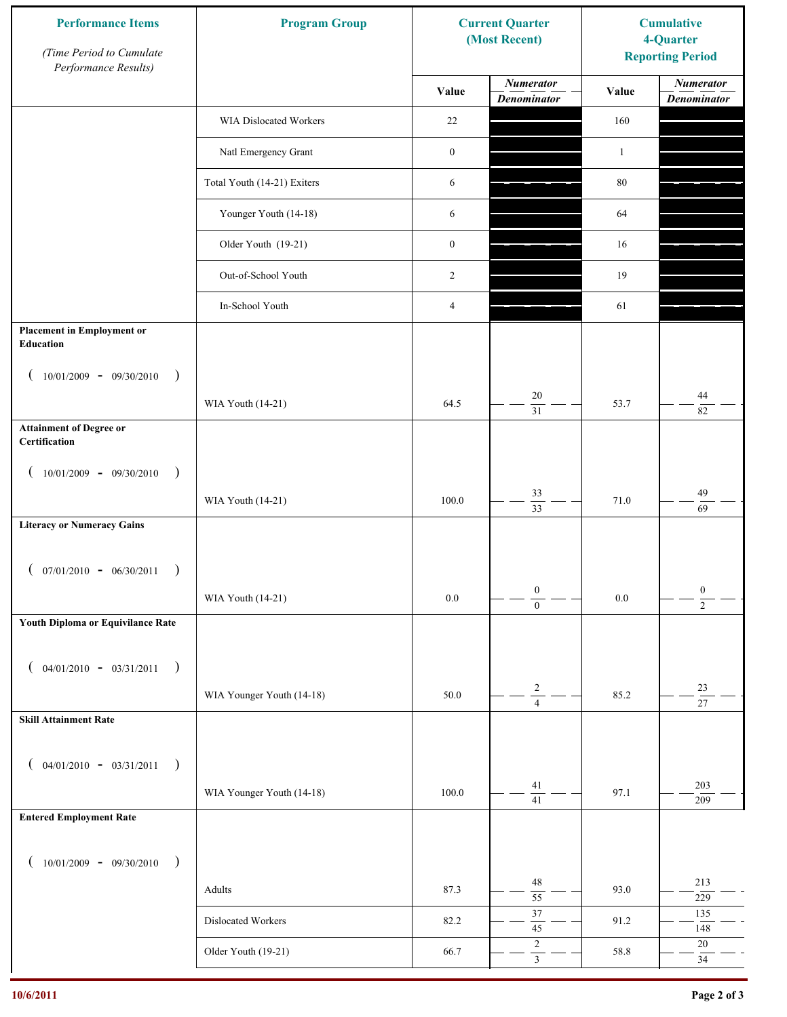| <b>Performance Items</b><br>(Time Period to Cumulate<br>Performance Results) | <b>Program Group</b>        |                  | <b>Current Quarter</b><br>(Most Recent) | <b>Cumulative</b><br>4-Quarter<br><b>Reporting Period</b> |                                        |
|------------------------------------------------------------------------------|-----------------------------|------------------|-----------------------------------------|-----------------------------------------------------------|----------------------------------------|
|                                                                              |                             | Value            | <b>Numerator</b><br><b>Denominator</b>  | Value                                                     | <b>Numerator</b><br><b>Denominator</b> |
|                                                                              | WIA Dislocated Workers      | 22               |                                         | 160                                                       |                                        |
|                                                                              | Natl Emergency Grant        | $\boldsymbol{0}$ |                                         | $\mathbf{1}$                                              |                                        |
|                                                                              | Total Youth (14-21) Exiters | 6                |                                         | $80\,$                                                    |                                        |
|                                                                              | Younger Youth (14-18)       | 6                |                                         | 64                                                        |                                        |
|                                                                              | Older Youth (19-21)         | $\boldsymbol{0}$ |                                         | 16                                                        |                                        |
|                                                                              | Out-of-School Youth         | 2                |                                         | 19                                                        |                                        |
|                                                                              | In-School Youth             | 4                |                                         | 61                                                        |                                        |
| <b>Placement in Employment or</b><br>Education                               |                             |                  |                                         |                                                           |                                        |
| $10/01/2009 - 09/30/2010$<br>$\rightarrow$                                   |                             |                  |                                         |                                                           |                                        |
|                                                                              | WIA Youth (14-21)           | 64.5             | 20<br>$\overline{31}$                   | 53.7                                                      | 44<br>82                               |
| <b>Attainment of Degree or</b><br>Certification                              |                             |                  |                                         |                                                           |                                        |
| $10/01/2009 - 09/30/2010$<br>$\rightarrow$<br>$\left($                       |                             |                  |                                         |                                                           |                                        |
|                                                                              | WIA Youth (14-21)           | 100.0            | 33<br>$\overline{33}$                   | 71.0                                                      | 49<br>69                               |
| <b>Literacy or Numeracy Gains</b>                                            |                             |                  |                                         |                                                           |                                        |
| $($ 07/01/2010 - 06/30/2011                                                  |                             |                  |                                         |                                                           |                                        |
|                                                                              | WIA Youth (14-21)           | 0.0              | $\boldsymbol{0}$<br>$\overline{0}$      | $0.0\,$                                                   | $\boldsymbol{0}$<br>$\overline{2}$     |
| Youth Diploma or Equivilance Rate                                            |                             |                  |                                         |                                                           |                                        |
| $04/01/2010 - 03/31/2011$<br>$\rightarrow$<br>€                              |                             |                  |                                         |                                                           |                                        |
|                                                                              | WIA Younger Youth (14-18)   | 50.0             | $\sqrt{2}$                              | 85.2                                                      | 23                                     |
| <b>Skill Attainment Rate</b>                                                 |                             |                  | $\overline{4}$                          |                                                           | $\overline{27}$                        |
|                                                                              |                             |                  |                                         |                                                           |                                        |
| $04/01/2010 - 03/31/2011$<br>$\rightarrow$<br>$\overline{ }$                 | WIA Younger Youth (14-18)   | 100.0            | 41                                      | 97.1                                                      | 203                                    |
| <b>Entered Employment Rate</b>                                               |                             |                  | $\overline{41}$                         |                                                           | 209                                    |
|                                                                              |                             |                  |                                         |                                                           |                                        |
| $10/01/2009 - 09/30/2010$<br>$\rightarrow$                                   |                             |                  | 48                                      |                                                           | 213                                    |
|                                                                              | Adults                      | 87.3             | $\overline{55}$                         | 93.0                                                      | 229                                    |
|                                                                              | Dislocated Workers          | 82.2             | 37<br>$45\,$                            | 91.2                                                      | 135<br>148                             |
|                                                                              | Older Youth (19-21)         | 66.7             | $\sqrt{2}$<br>$\overline{\mathbf{3}}$   | 58.8                                                      | 20<br>$34\,$                           |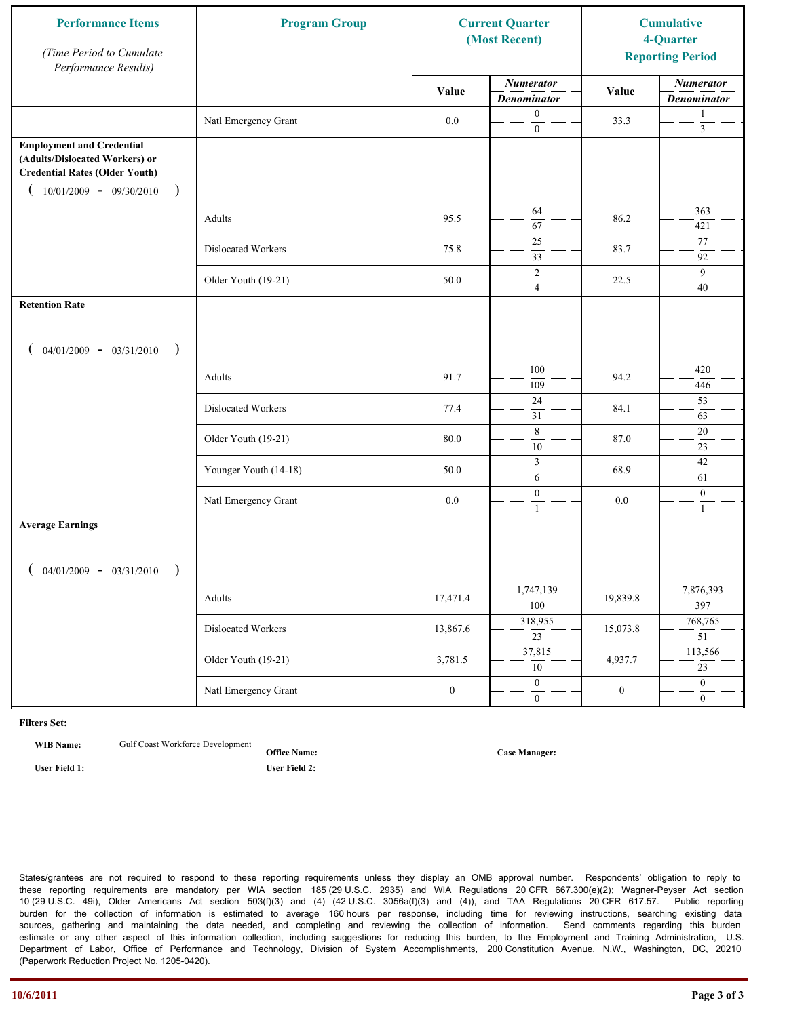| <b>Performance Items</b><br>(Time Period to Cumulate<br>Performance Results)                                                                          | <b>Program Group</b>  | <b>Current Quarter</b><br>(Most Recent) |                                        | <b>Cumulative</b><br>4-Quarter<br><b>Reporting Period</b> |                                        |
|-------------------------------------------------------------------------------------------------------------------------------------------------------|-----------------------|-----------------------------------------|----------------------------------------|-----------------------------------------------------------|----------------------------------------|
|                                                                                                                                                       |                       | Value                                   | <b>Numerator</b><br><b>Denominator</b> | Value                                                     | <b>Numerator</b><br><b>Denominator</b> |
|                                                                                                                                                       | Natl Emergency Grant  | 0.0                                     | $\mathbf{0}$<br>$\mathbf{0}$           | 33.3                                                      | 1<br>$\mathfrak{Z}$                    |
| <b>Employment and Credential</b><br>(Adults/Dislocated Workers) or<br><b>Credential Rates (Older Youth)</b><br>$10/01/2009$ - 09/30/2010<br>$\lambda$ |                       |                                         |                                        |                                                           |                                        |
|                                                                                                                                                       | Adults                | 95.5                                    | 64<br>67                               | 86.2                                                      | 363<br>421                             |
|                                                                                                                                                       | Dislocated Workers    | 75.8                                    | 25<br>33                               | 83.7                                                      | 77<br>92                               |
|                                                                                                                                                       | Older Youth (19-21)   | 50.0                                    | $\overline{2}$<br>$\overline{4}$       | 22.5                                                      | 9<br>40                                |
| <b>Retention Rate</b>                                                                                                                                 |                       |                                         |                                        |                                                           |                                        |
| $04/01/2009 - 03/31/2010$<br>$\rightarrow$                                                                                                            |                       |                                         |                                        |                                                           |                                        |
|                                                                                                                                                       | Adults                | 91.7                                    | 100<br>109                             | 94.2                                                      | 420<br>446                             |
|                                                                                                                                                       | Dislocated Workers    | 77.4                                    | $24\,$<br>31                           | 84.1                                                      | 53<br>63                               |
|                                                                                                                                                       | Older Youth (19-21)   | 80.0                                    | $\,8\,$<br>$10\,$                      | 87.0                                                      | 20<br>23                               |
|                                                                                                                                                       | Younger Youth (14-18) | 50.0                                    | $\mathfrak{Z}$<br>6                    | 68.9                                                      | $42\,$<br>61                           |
|                                                                                                                                                       | Natl Emergency Grant  | $0.0\,$                                 | $\boldsymbol{0}$<br>$\mathbf{1}$       | 0.0                                                       | $\boldsymbol{0}$<br>1                  |
| <b>Average Earnings</b>                                                                                                                               |                       |                                         |                                        |                                                           |                                        |
| $04/01/2009 - 03/31/2010$                                                                                                                             |                       |                                         |                                        |                                                           |                                        |
|                                                                                                                                                       | Adults                | 17,471.4                                | 1,747,139<br>$\overline{100}$          | 19,839.8                                                  | 7,876,393<br>397                       |
|                                                                                                                                                       | Dislocated Workers    | 13,867.6                                | 318,955<br>$\overline{23}$             | 15,073.8                                                  | 768,765<br>51                          |
|                                                                                                                                                       | Older Youth (19-21)   | 3,781.5                                 | 37,815<br>$\overline{10}$              | 4,937.7                                                   | 113,566<br>$\overline{23}$             |
|                                                                                                                                                       | Natl Emergency Grant  | $\boldsymbol{0}$                        | $\mathbf{0}$<br>$\overline{0}$         | $\boldsymbol{0}$                                          | $\overline{0}$<br>$\overline{0}$       |

**WIB Name:** Gulf Coast Workforce Development

**Office Name: User Field 1: User Field 2:**

**Case Manager:**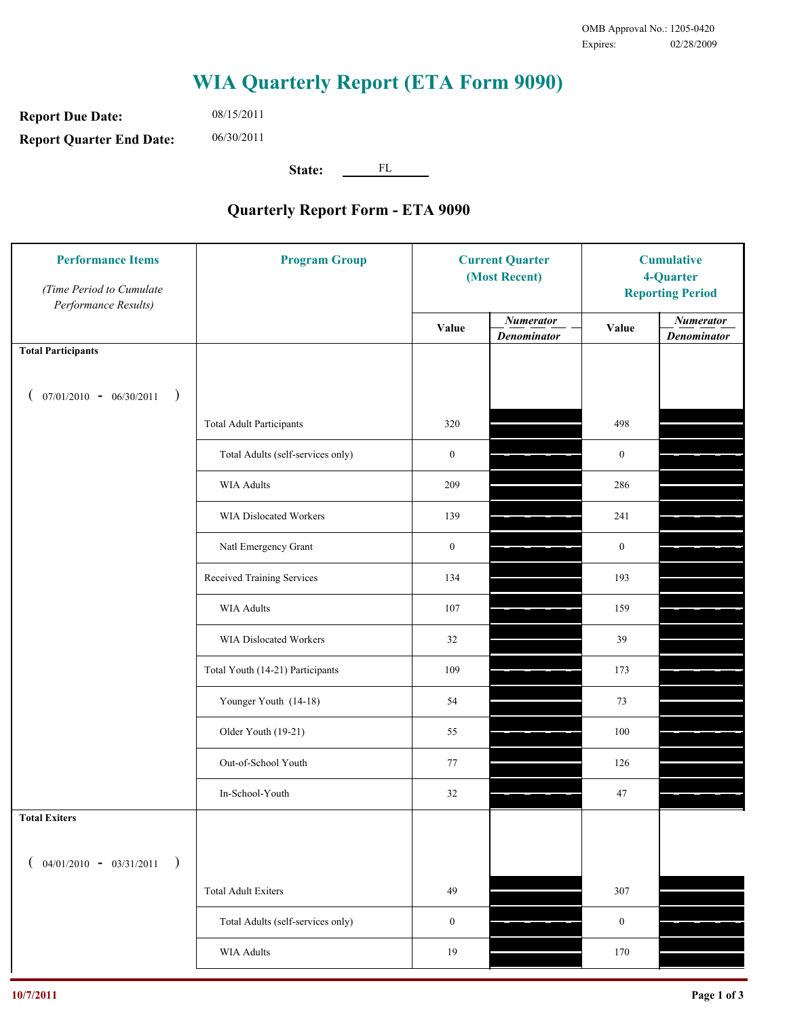**Report Due Date: Report Quarter End Date:** 08/15/2011 06/30/2011

**State:** FL

| <b>Performance Items</b><br>(Time Period to Cumulate<br>Performance Results) | <b>Program Group</b>              | <b>Current Quarter</b><br>(Most Recent) |                                        | <b>Cumulative</b><br>4-Quarter<br><b>Reporting Period</b> |                                        |
|------------------------------------------------------------------------------|-----------------------------------|-----------------------------------------|----------------------------------------|-----------------------------------------------------------|----------------------------------------|
|                                                                              |                                   | Value                                   | <b>Numerator</b><br><b>Denominator</b> | Value                                                     | <b>Numerator</b><br><b>Denominator</b> |
| <b>Total Participants</b>                                                    |                                   |                                         |                                        |                                                           |                                        |
| $07/01/2010 - 06/30/2011$ )                                                  |                                   |                                         |                                        |                                                           |                                        |
|                                                                              | <b>Total Adult Participants</b>   | 320                                     |                                        | 498                                                       |                                        |
|                                                                              | Total Adults (self-services only) | $\boldsymbol{0}$                        |                                        | $\boldsymbol{0}$                                          |                                        |
|                                                                              | WIA Adults                        | 209                                     |                                        | 286                                                       |                                        |
|                                                                              | WIA Dislocated Workers            | 139                                     |                                        | 241                                                       |                                        |
|                                                                              | Natl Emergency Grant              | $\boldsymbol{0}$                        |                                        | $\boldsymbol{0}$                                          |                                        |
|                                                                              | Received Training Services        | 134                                     |                                        | 193                                                       |                                        |
|                                                                              | <b>WIA Adults</b>                 | 107                                     |                                        | 159                                                       |                                        |
|                                                                              | WIA Dislocated Workers            | 32                                      |                                        | 39                                                        |                                        |
|                                                                              | Total Youth (14-21) Participants  | 109                                     |                                        | 173                                                       |                                        |
|                                                                              | Younger Youth (14-18)             | 54                                      |                                        | 73                                                        |                                        |
|                                                                              | Older Youth (19-21)               | 55                                      |                                        | 100                                                       |                                        |
|                                                                              | Out-of-School Youth               | 77                                      |                                        | 126                                                       |                                        |
|                                                                              | In-School-Youth                   | 32                                      |                                        | 47                                                        |                                        |
| <b>Total Exiters</b>                                                         |                                   |                                         |                                        |                                                           |                                        |
| $04/01/2010 - 03/31/2011$<br>$\rightarrow$                                   |                                   |                                         |                                        |                                                           |                                        |
|                                                                              | <b>Total Adult Exiters</b>        | 49                                      |                                        | 307                                                       |                                        |
|                                                                              | Total Adults (self-services only) | $\boldsymbol{0}$                        |                                        | $\boldsymbol{0}$                                          |                                        |
|                                                                              | <b>WIA Adults</b>                 | 19                                      |                                        | 170                                                       |                                        |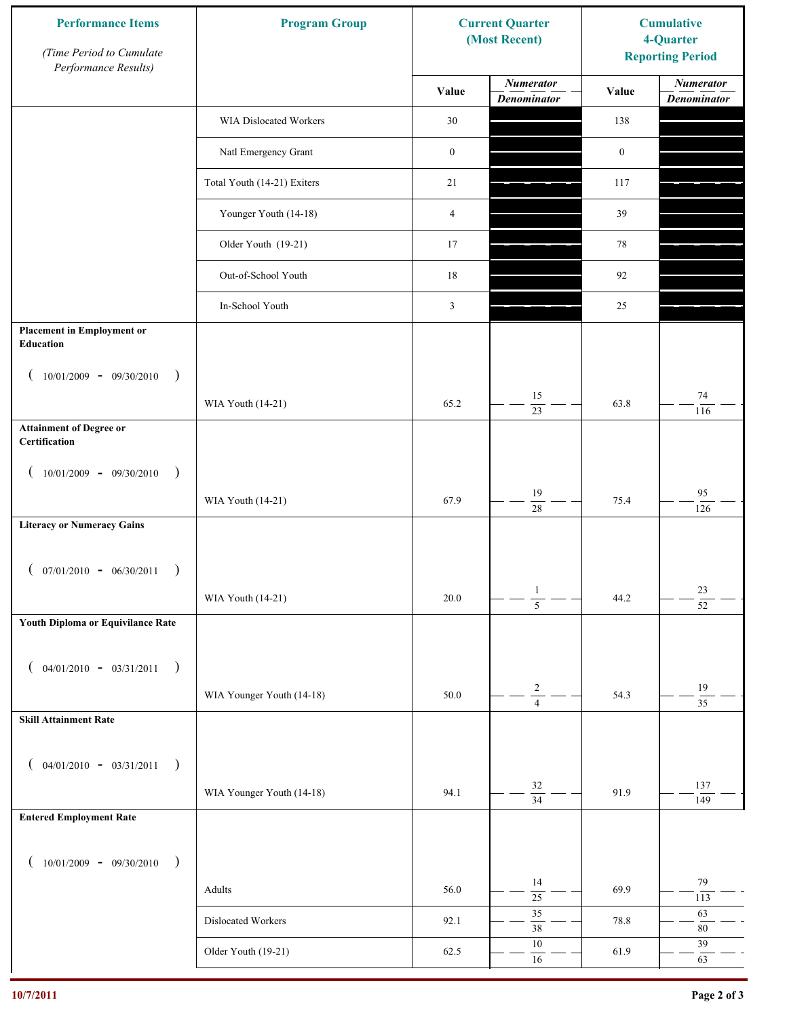| <b>Performance Items</b><br>(Time Period to Cumulate<br>Performance Results) | <b>Program Group</b>        |                  | <b>Current Quarter</b><br>(Most Recent) | <b>Cumulative</b><br>4-Quarter<br><b>Reporting Period</b> |                                        |
|------------------------------------------------------------------------------|-----------------------------|------------------|-----------------------------------------|-----------------------------------------------------------|----------------------------------------|
|                                                                              |                             | Value            | <b>Numerator</b><br><b>Denominator</b>  | Value                                                     | <b>Numerator</b><br><b>Denominator</b> |
|                                                                              | WIA Dislocated Workers      | 30               |                                         | 138                                                       |                                        |
|                                                                              | Natl Emergency Grant        | $\boldsymbol{0}$ |                                         | $\boldsymbol{0}$                                          |                                        |
|                                                                              | Total Youth (14-21) Exiters | 21               |                                         | 117                                                       |                                        |
|                                                                              | Younger Youth (14-18)       | $\overline{4}$   |                                         | 39                                                        |                                        |
|                                                                              | Older Youth (19-21)         | 17               |                                         | 78                                                        |                                        |
|                                                                              | Out-of-School Youth         | 18               |                                         | 92                                                        |                                        |
|                                                                              | In-School Youth             | 3                |                                         | 25                                                        |                                        |
| <b>Placement in Employment or</b><br><b>Education</b>                        |                             |                  |                                         |                                                           |                                        |
| $10/01/2009 - 09/30/2010$<br>$\rightarrow$                                   |                             |                  |                                         |                                                           |                                        |
|                                                                              | WIA Youth (14-21)           | 65.2             | 15<br>$\overline{23}$                   | 63.8                                                      | $74\,$<br>116                          |
| <b>Attainment of Degree or</b><br>Certification                              |                             |                  |                                         |                                                           |                                        |
| $10/01/2009 - 09/30/2010$<br>$\big)$<br>$\left($                             |                             |                  |                                         |                                                           |                                        |
|                                                                              | WIA Youth (14-21)           | 67.9             | 19<br>$\overline{28}$                   | 75.4                                                      | 95<br>126                              |
| <b>Literacy or Numeracy Gains</b>                                            |                             |                  |                                         |                                                           |                                        |
| $($ 07/01/2010 - 06/30/2011                                                  |                             |                  |                                         |                                                           |                                        |
|                                                                              | WIA Youth (14-21)           | $20.0\,$         | $\mathbf{1}$<br>$\overline{5}$          | 44.2                                                      | 23<br>$\overline{52}$                  |
| Youth Diploma or Equivilance Rate                                            |                             |                  |                                         |                                                           |                                        |
| $04/01/2010 - 03/31/2011$<br>$\rightarrow$<br>€                              |                             |                  |                                         |                                                           |                                        |
|                                                                              | WIA Younger Youth (14-18)   | 50.0             | $\sqrt{2}$<br>$\overline{4}$            | 54.3                                                      | $19\,$<br>$\overline{35}$              |
| <b>Skill Attainment Rate</b>                                                 |                             |                  |                                         |                                                           |                                        |
|                                                                              |                             |                  |                                         |                                                           |                                        |
| $04/01/2010 - 03/31/2011$<br>$\rightarrow$<br>$\overline{ }$                 | WIA Younger Youth (14-18)   | 94.1             | $32\,$                                  | 91.9                                                      | 137                                    |
| <b>Entered Employment Rate</b>                                               |                             |                  | $\overline{34}$                         |                                                           | 149                                    |
|                                                                              |                             |                  |                                         |                                                           |                                        |
| $10/01/2009 - 09/30/2010$<br>$\rightarrow$                                   |                             |                  | 14                                      |                                                           | 79                                     |
|                                                                              | Adults                      | 56.0             | $\overline{25}$<br>35                   | 69.9                                                      | 113<br>63                              |
|                                                                              | Dislocated Workers          | 92.1             | $\overline{38}$                         | 78.8                                                      | $80\,$                                 |
|                                                                              | Older Youth (19-21)         | 62.5             | $10\,$<br>$16\,$                        | 61.9                                                      | 39<br>63                               |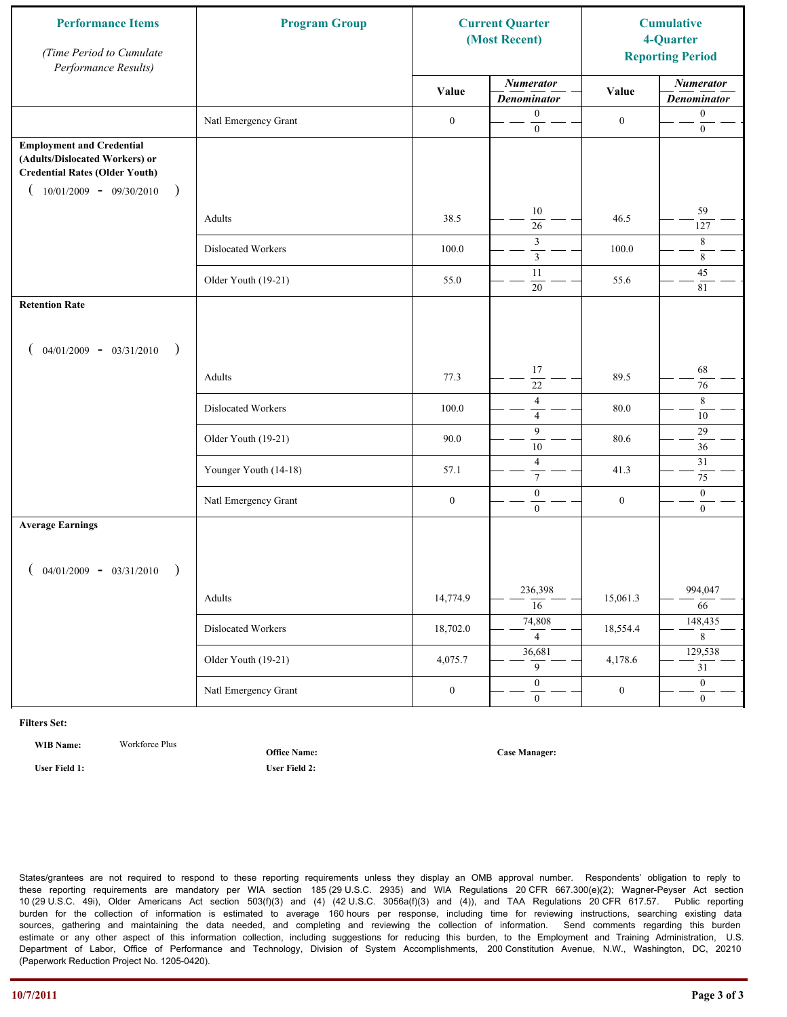| <b>Performance Items</b><br>(Time Period to Cumulate<br>Performance Results)                                                                              | <b>Program Group</b>  | <b>Current Quarter</b><br>(Most Recent) |                                        | <b>Cumulative</b><br>4-Quarter<br><b>Reporting Period</b> |                                        |
|-----------------------------------------------------------------------------------------------------------------------------------------------------------|-----------------------|-----------------------------------------|----------------------------------------|-----------------------------------------------------------|----------------------------------------|
|                                                                                                                                                           |                       | Value                                   | <b>Numerator</b><br><b>Denominator</b> | Value                                                     | <b>Numerator</b><br><b>Denominator</b> |
|                                                                                                                                                           | Natl Emergency Grant  | $\boldsymbol{0}$                        | $\mathbf{0}$<br>$\boldsymbol{0}$       | $\boldsymbol{0}$                                          | $\boldsymbol{0}$<br>$\boldsymbol{0}$   |
| <b>Employment and Credential</b><br>(Adults/Dislocated Workers) or<br><b>Credential Rates (Older Youth)</b><br>$10/01/2009$ - 09/30/2010<br>$\rightarrow$ |                       |                                         |                                        |                                                           |                                        |
|                                                                                                                                                           | Adults                | 38.5                                    | 10<br>26                               | 46.5                                                      | 59<br>127                              |
|                                                                                                                                                           | Dislocated Workers    | 100.0                                   | 3<br>$\overline{\mathbf{3}}$           | 100.0                                                     | 8<br>$\,8\,$                           |
|                                                                                                                                                           | Older Youth (19-21)   | 55.0                                    | 11<br>20                               | 55.6                                                      | 45<br>81                               |
| <b>Retention Rate</b>                                                                                                                                     |                       |                                         |                                        |                                                           |                                        |
| $04/01/2009 - 03/31/2010$<br>$\rightarrow$                                                                                                                |                       |                                         |                                        |                                                           |                                        |
|                                                                                                                                                           | Adults                | 77.3                                    | 17<br>22                               | 89.5                                                      | 68<br>76                               |
|                                                                                                                                                           | Dislocated Workers    | 100.0                                   | $\overline{4}$<br>$\overline{4}$       | 80.0                                                      | 8<br>10                                |
|                                                                                                                                                           | Older Youth (19-21)   | 90.0                                    | 9<br>10                                | 80.6                                                      | $29\,$<br>36                           |
|                                                                                                                                                           | Younger Youth (14-18) | 57.1                                    | $\overline{4}$<br>$\tau$               | 41.3                                                      | 31<br>75                               |
|                                                                                                                                                           | Natl Emergency Grant  | $\boldsymbol{0}$                        | $\boldsymbol{0}$<br>$\mathbf{0}$       | $\boldsymbol{0}$                                          | $\mathbf{0}$<br>$\overline{0}$         |
| <b>Average Earnings</b>                                                                                                                                   |                       |                                         |                                        |                                                           |                                        |
| $04/01/2009 - 03/31/2010$<br>$\rightarrow$                                                                                                                |                       |                                         |                                        |                                                           |                                        |
|                                                                                                                                                           | Adults                | 14,774.9                                | 236,398<br>$\overline{16}$             | 15,061.3                                                  | 994,047<br>$\overline{66}$             |
|                                                                                                                                                           | Dislocated Workers    | 18,702.0                                | 74,808<br>$\overline{4}$               | 18,554.4                                                  | 148,435<br>$\overline{8}$              |
|                                                                                                                                                           | Older Youth (19-21)   | 4,075.7                                 | 36,681<br>9                            | 4,178.6                                                   | 129,538<br>$\overline{31}$             |
|                                                                                                                                                           | Natl Emergency Grant  | $\boldsymbol{0}$                        | $\overline{0}$<br>$\mathbf{0}$         | $\boldsymbol{0}$                                          | $\overline{0}$<br>$\overline{0}$       |

**WIB Name:** Workforce Plus

**Office Name:**

**User Field 1: User Field 2:**

**Case Manager:**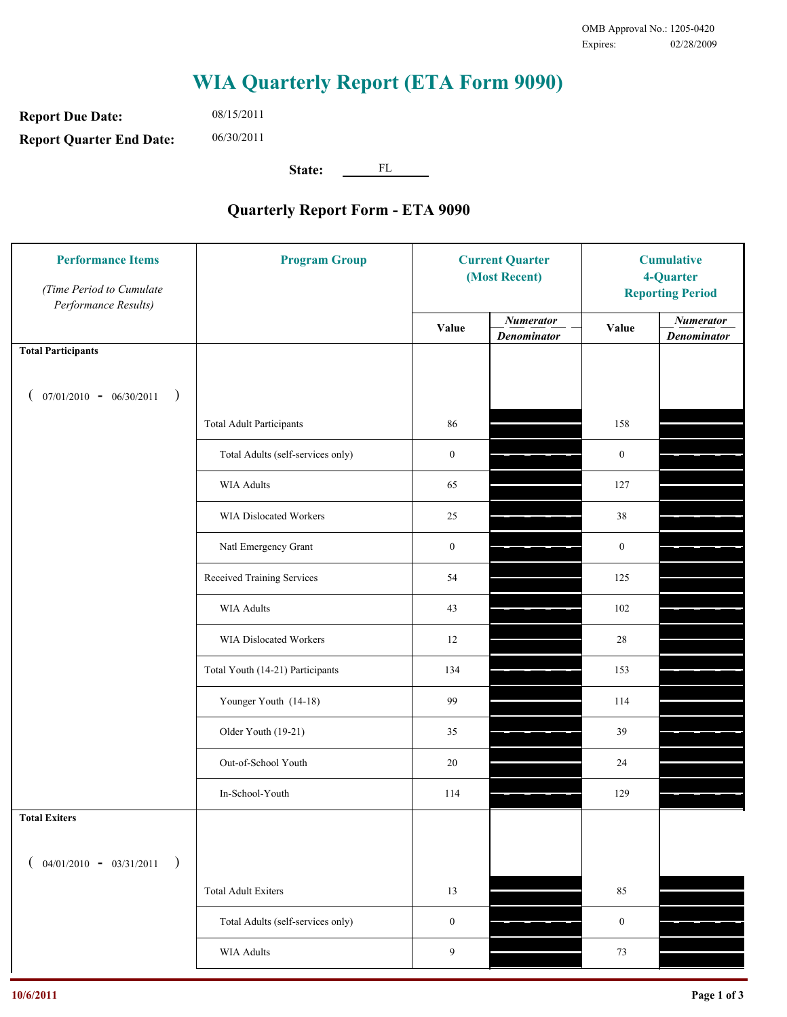**Report Due Date: Report Quarter End Date:** 08/15/2011 06/30/2011

**State:** FL

| <b>Performance Items</b><br>(Time Period to Cumulate<br>Performance Results) | <b>Program Group</b>              | <b>Current Quarter</b><br>(Most Recent) |                                        | <b>Cumulative</b><br>4-Quarter<br><b>Reporting Period</b> |                                        |
|------------------------------------------------------------------------------|-----------------------------------|-----------------------------------------|----------------------------------------|-----------------------------------------------------------|----------------------------------------|
|                                                                              |                                   | Value                                   | <b>Numerator</b><br><b>Denominator</b> | Value                                                     | <b>Numerator</b><br><b>Denominator</b> |
| <b>Total Participants</b>                                                    |                                   |                                         |                                        |                                                           |                                        |
| $07/01/2010 - 06/30/2011$ )                                                  |                                   |                                         |                                        |                                                           |                                        |
|                                                                              | <b>Total Adult Participants</b>   | 86                                      |                                        | 158                                                       |                                        |
|                                                                              | Total Adults (self-services only) | $\boldsymbol{0}$                        |                                        | $\boldsymbol{0}$                                          |                                        |
|                                                                              | WIA Adults                        | 65                                      |                                        | 127                                                       |                                        |
|                                                                              | WIA Dislocated Workers            | 25                                      |                                        | 38                                                        |                                        |
|                                                                              | Natl Emergency Grant              | $\boldsymbol{0}$                        |                                        | $\boldsymbol{0}$                                          |                                        |
|                                                                              | Received Training Services        | 54                                      |                                        | 125                                                       |                                        |
|                                                                              | <b>WIA Adults</b>                 | 43                                      |                                        | 102                                                       |                                        |
|                                                                              | WIA Dislocated Workers            | 12                                      |                                        | 28                                                        |                                        |
|                                                                              | Total Youth (14-21) Participants  | 134                                     |                                        | 153                                                       |                                        |
|                                                                              | Younger Youth (14-18)             | 99                                      |                                        | 114                                                       |                                        |
|                                                                              | Older Youth (19-21)               | 35                                      |                                        | 39                                                        |                                        |
|                                                                              | Out-of-School Youth               | 20                                      |                                        | 24                                                        |                                        |
|                                                                              | In-School-Youth                   | 114                                     |                                        | 129                                                       |                                        |
| <b>Total Exiters</b>                                                         |                                   |                                         |                                        |                                                           |                                        |
| $($ 04/01/2010 - 03/31/2011<br>$\rightarrow$                                 |                                   |                                         |                                        |                                                           |                                        |
|                                                                              | <b>Total Adult Exiters</b>        | 13                                      |                                        | 85                                                        |                                        |
|                                                                              | Total Adults (self-services only) | $\boldsymbol{0}$                        |                                        | $\boldsymbol{0}$                                          |                                        |
|                                                                              | <b>WIA Adults</b>                 | 9                                       |                                        | $73\,$                                                    |                                        |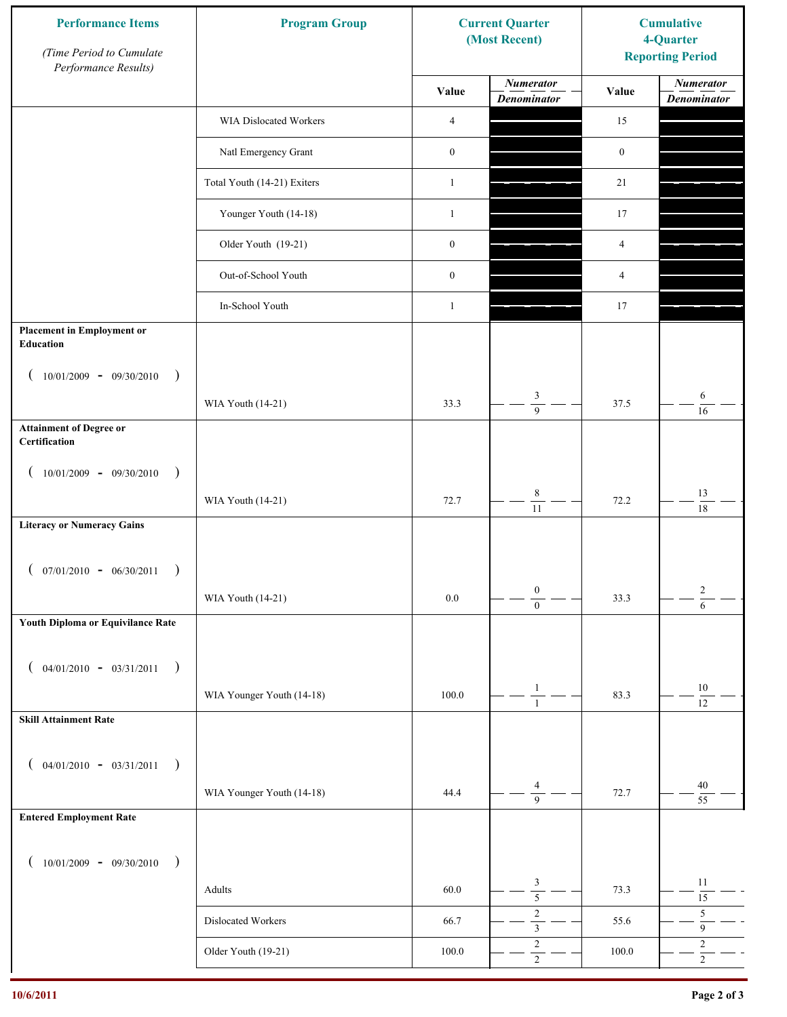| <b>Performance Items</b><br>(Time Period to Cumulate<br>Performance Results) | <b>Program Group</b>        |                  | <b>Current Quarter</b><br>(Most Recent) | <b>Cumulative</b><br>4-Quarter<br><b>Reporting Period</b> |                                        |
|------------------------------------------------------------------------------|-----------------------------|------------------|-----------------------------------------|-----------------------------------------------------------|----------------------------------------|
|                                                                              |                             | Value            | <b>Numerator</b><br><b>Denominator</b>  | Value                                                     | <b>Numerator</b><br><b>Denominator</b> |
|                                                                              | WIA Dislocated Workers      | 4                |                                         | 15                                                        |                                        |
|                                                                              | Natl Emergency Grant        | $\boldsymbol{0}$ |                                         | $\boldsymbol{0}$                                          |                                        |
|                                                                              | Total Youth (14-21) Exiters | $\mathbf{1}$     |                                         | 21                                                        |                                        |
|                                                                              | Younger Youth (14-18)       | $\mathbf{1}$     |                                         | 17                                                        |                                        |
|                                                                              | Older Youth (19-21)         | $\boldsymbol{0}$ |                                         | 4                                                         |                                        |
|                                                                              | Out-of-School Youth         | $\boldsymbol{0}$ |                                         | 4                                                         |                                        |
|                                                                              | In-School Youth             | $\mathbf{1}$     |                                         | 17                                                        |                                        |
| <b>Placement in Employment or</b><br><b>Education</b>                        |                             |                  |                                         |                                                           |                                        |
| $10/01/2009 - 09/30/2010$<br>$\rightarrow$                                   | WIA Youth (14-21)           | 33.3             | 3<br>$\overline{9}$                     | 37.5                                                      | 6                                      |
| <b>Attainment of Degree or</b><br>Certification                              |                             |                  |                                         |                                                           | 16                                     |
| $(10/01/2009 - 09/30/2010)$<br>$\rightarrow$                                 |                             |                  |                                         |                                                           |                                        |
|                                                                              | WIA Youth (14-21)           | 72.7             | $\,$ $\,$<br>$\overline{11}$            | 72.2                                                      | 13<br>18                               |
| <b>Literacy or Numeracy Gains</b>                                            |                             |                  |                                         |                                                           |                                        |
| $07/01/2010 - 06/30/2011$                                                    |                             |                  |                                         |                                                           |                                        |
|                                                                              | WIA Youth (14-21)           | $0.0\,$          | $\boldsymbol{0}$<br>$\overline{0}$      | 33.3                                                      | $\overline{c}$<br>$\overline{6}$       |
| Youth Diploma or Equivilance Rate                                            |                             |                  |                                         |                                                           |                                        |
| $04/01/2010 - 03/31/2011$<br>$\rightarrow$                                   |                             |                  |                                         |                                                           |                                        |
|                                                                              | WIA Younger Youth (14-18)   | 100.0            | $\mathbf{1}$<br>$\mathbf{1}$            | 83.3                                                      | $10\,$<br>$\overline{12}$              |
| <b>Skill Attainment Rate</b>                                                 |                             |                  |                                         |                                                           |                                        |
| $04/01/2010 - 03/31/2011$<br>$\rightarrow$                                   |                             |                  |                                         |                                                           |                                        |
|                                                                              | WIA Younger Youth (14-18)   | 44.4             | 4<br>$\overline{9}$                     | 72.7                                                      | 40<br>55                               |
| <b>Entered Employment Rate</b>                                               |                             |                  |                                         |                                                           |                                        |
| $10/01/2009 - 09/30/2010$<br>$\rightarrow$                                   |                             |                  |                                         |                                                           |                                        |
|                                                                              | Adults                      | 60.0             | 3<br>$\overline{5}$                     | 73.3                                                      | 11<br>$\overline{15}$                  |
|                                                                              | Dislocated Workers          | 66.7             | $\sqrt{2}$                              | 55.6                                                      | $\sqrt{5}$<br>9                        |
|                                                                              | Older Youth (19-21)         | $100.0\,$        | $\sqrt{2}$<br>$\overline{2}$            | 100.0                                                     | $\sqrt{2}$<br>$\overline{2}$           |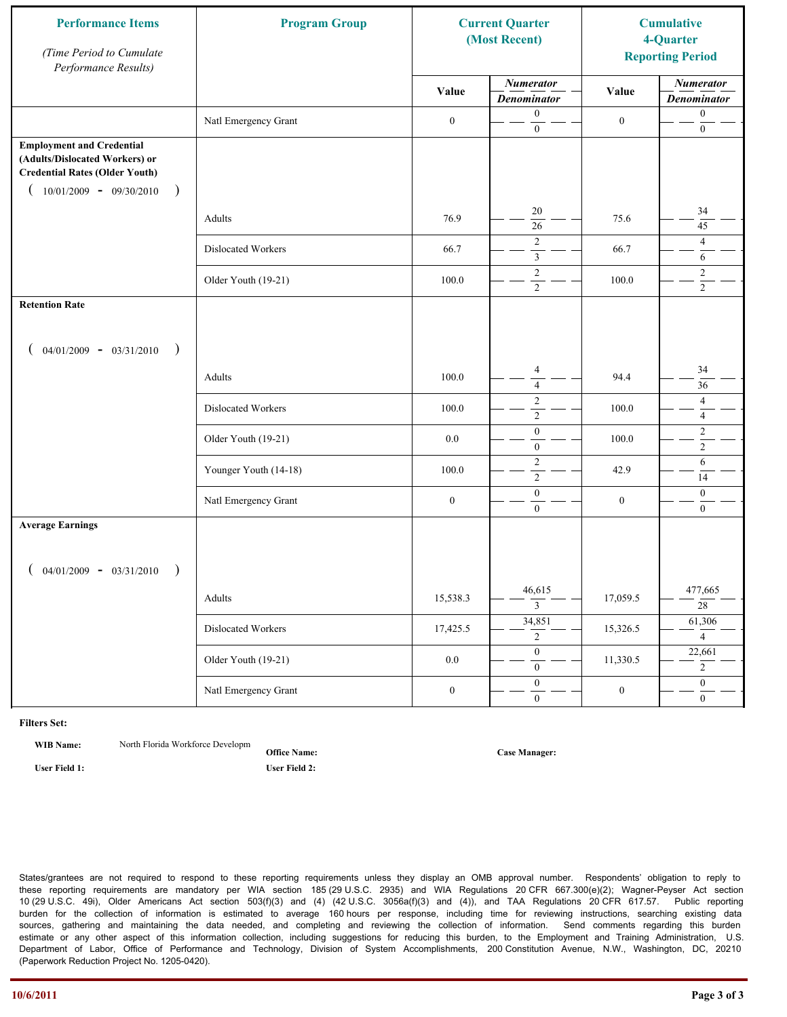| <b>Performance Items</b><br>(Time Period to Cumulate<br>Performance Results)                                                                              | <b>Program Group</b>  | <b>Current Quarter</b><br>(Most Recent) |                                           | <b>Cumulative</b><br>4-Quarter<br><b>Reporting Period</b> |                                        |
|-----------------------------------------------------------------------------------------------------------------------------------------------------------|-----------------------|-----------------------------------------|-------------------------------------------|-----------------------------------------------------------|----------------------------------------|
|                                                                                                                                                           |                       | Value                                   | <b>Numerator</b><br><b>Denominator</b>    | Value                                                     | <b>Numerator</b><br><b>Denominator</b> |
|                                                                                                                                                           | Natl Emergency Grant  | $\boldsymbol{0}$                        | $\boldsymbol{0}$<br>$\mathbf{0}$          | $\boldsymbol{0}$                                          | $\boldsymbol{0}$<br>$\boldsymbol{0}$   |
| <b>Employment and Credential</b><br>(Adults/Dislocated Workers) or<br><b>Credential Rates (Older Youth)</b><br>$10/01/2009$ - 09/30/2010<br>$\rightarrow$ |                       |                                         |                                           |                                                           |                                        |
|                                                                                                                                                           | Adults                | 76.9                                    | 20<br>$\overline{26}$                     | 75.6                                                      | 34<br>45                               |
|                                                                                                                                                           | Dislocated Workers    | 66.7                                    | $\overline{c}$<br>$\overline{\mathbf{3}}$ | 66.7                                                      | $\overline{4}$<br>6                    |
|                                                                                                                                                           | Older Youth (19-21)   | 100.0                                   | $\overline{c}$<br>$\overline{2}$          | 100.0                                                     | 2<br>$\overline{2}$                    |
| <b>Retention Rate</b>                                                                                                                                     |                       |                                         |                                           |                                                           |                                        |
| $04/01/2009 - 03/31/2010$<br>$\rightarrow$                                                                                                                |                       |                                         |                                           |                                                           |                                        |
|                                                                                                                                                           | Adults                | 100.0                                   | $\overline{4}$<br>$\overline{4}$          | 94.4                                                      | 34<br>36                               |
|                                                                                                                                                           | Dislocated Workers    | 100.0                                   | $\sqrt{2}$<br>$\overline{2}$              | 100.0                                                     | $\overline{4}$<br>$\overline{4}$       |
|                                                                                                                                                           | Older Youth (19-21)   | 0.0                                     | $\boldsymbol{0}$<br>$\mathbf{0}$          | 100.0                                                     | $\sqrt{2}$<br>$\overline{2}$           |
|                                                                                                                                                           | Younger Youth (14-18) | 100.0                                   | $\sqrt{2}$<br>$\overline{2}$              | 42.9                                                      | 6<br>14                                |
|                                                                                                                                                           | Natl Emergency Grant  | $\boldsymbol{0}$                        | $\boldsymbol{0}$<br>$\overline{0}$        | $\boldsymbol{0}$                                          | $\boldsymbol{0}$<br>$\boldsymbol{0}$   |
| <b>Average Earnings</b>                                                                                                                                   |                       |                                         |                                           |                                                           |                                        |
| $04/01/2009 - 03/31/2010$<br>$\rightarrow$                                                                                                                |                       |                                         |                                           |                                                           |                                        |
|                                                                                                                                                           | Adults                | 15,538.3                                | 46,615<br>$\overline{3}$                  | 17,059.5                                                  | 477,665<br>$\overline{28}$             |
|                                                                                                                                                           | Dislocated Workers    | 17,425.5                                | 34,851<br>$\overline{2}$                  | 15,326.5                                                  | 61,306<br>$\overline{4}$               |
|                                                                                                                                                           | Older Youth (19-21)   | $0.0\,$                                 | $\theta$<br>$\overline{0}$                | 11,330.5                                                  | 22,661<br>$\overline{2}$               |
|                                                                                                                                                           | Natl Emergency Grant  | $\boldsymbol{0}$                        | $\overline{0}$<br>$\mathbf{0}$            | $\boldsymbol{0}$                                          | $\mathbf{0}$<br>$\mathbf{0}$           |

**WIB Name:** North Florida Workforce Developm

**Office Name: User Field 1: User Field 2:**

**Case Manager:**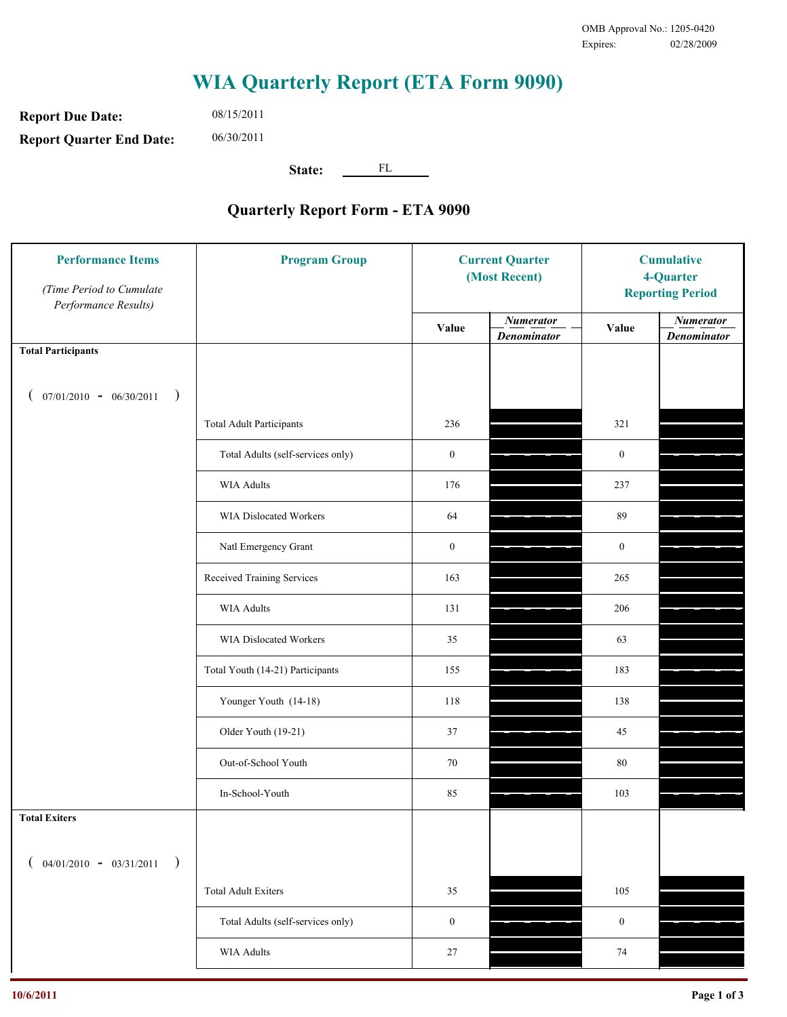**Report Due Date: Report Quarter End Date:** 08/15/2011 06/30/2011

**State:** FL

| <b>Performance Items</b><br>(Time Period to Cumulate<br>Performance Results) | <b>Program Group</b>              | <b>Current Quarter</b><br>(Most Recent) |                                        | <b>Cumulative</b><br>4-Quarter<br><b>Reporting Period</b> |                                        |
|------------------------------------------------------------------------------|-----------------------------------|-----------------------------------------|----------------------------------------|-----------------------------------------------------------|----------------------------------------|
|                                                                              |                                   | Value                                   | <b>Numerator</b><br><b>Denominator</b> | Value                                                     | <b>Numerator</b><br><b>Denominator</b> |
| <b>Total Participants</b>                                                    |                                   |                                         |                                        |                                                           |                                        |
| $07/01/2010 - 06/30/2011$ )                                                  |                                   |                                         |                                        |                                                           |                                        |
|                                                                              | <b>Total Adult Participants</b>   | 236                                     |                                        | 321                                                       |                                        |
|                                                                              | Total Adults (self-services only) | $\boldsymbol{0}$                        |                                        | $\boldsymbol{0}$                                          |                                        |
|                                                                              | WIA Adults                        | 176                                     |                                        | 237                                                       |                                        |
|                                                                              | WIA Dislocated Workers            | 64                                      |                                        | 89                                                        |                                        |
|                                                                              | Natl Emergency Grant              | $\boldsymbol{0}$                        |                                        | $\boldsymbol{0}$                                          |                                        |
|                                                                              | Received Training Services        | 163                                     |                                        | 265                                                       |                                        |
|                                                                              | WIA Adults                        | 131                                     |                                        | 206                                                       |                                        |
|                                                                              | WIA Dislocated Workers            | 35                                      |                                        | 63                                                        |                                        |
|                                                                              | Total Youth (14-21) Participants  | 155                                     |                                        | 183                                                       |                                        |
|                                                                              | Younger Youth (14-18)             | 118                                     |                                        | 138                                                       |                                        |
|                                                                              | Older Youth (19-21)               | 37                                      |                                        | 45                                                        |                                        |
|                                                                              | Out-of-School Youth               | 70                                      |                                        | $80\,$                                                    |                                        |
|                                                                              | In-School-Youth                   | 85                                      |                                        | 103                                                       |                                        |
| <b>Total Exiters</b>                                                         |                                   |                                         |                                        |                                                           |                                        |
| $($ 04/01/2010 - 03/31/2011<br>$\rightarrow$                                 |                                   |                                         |                                        |                                                           |                                        |
|                                                                              | <b>Total Adult Exiters</b>        | 35                                      |                                        | 105                                                       |                                        |
|                                                                              | Total Adults (self-services only) | $\boldsymbol{0}$                        |                                        | $\boldsymbol{0}$                                          |                                        |
|                                                                              | <b>WIA Adults</b>                 | $27\,$                                  |                                        | $74\,$                                                    |                                        |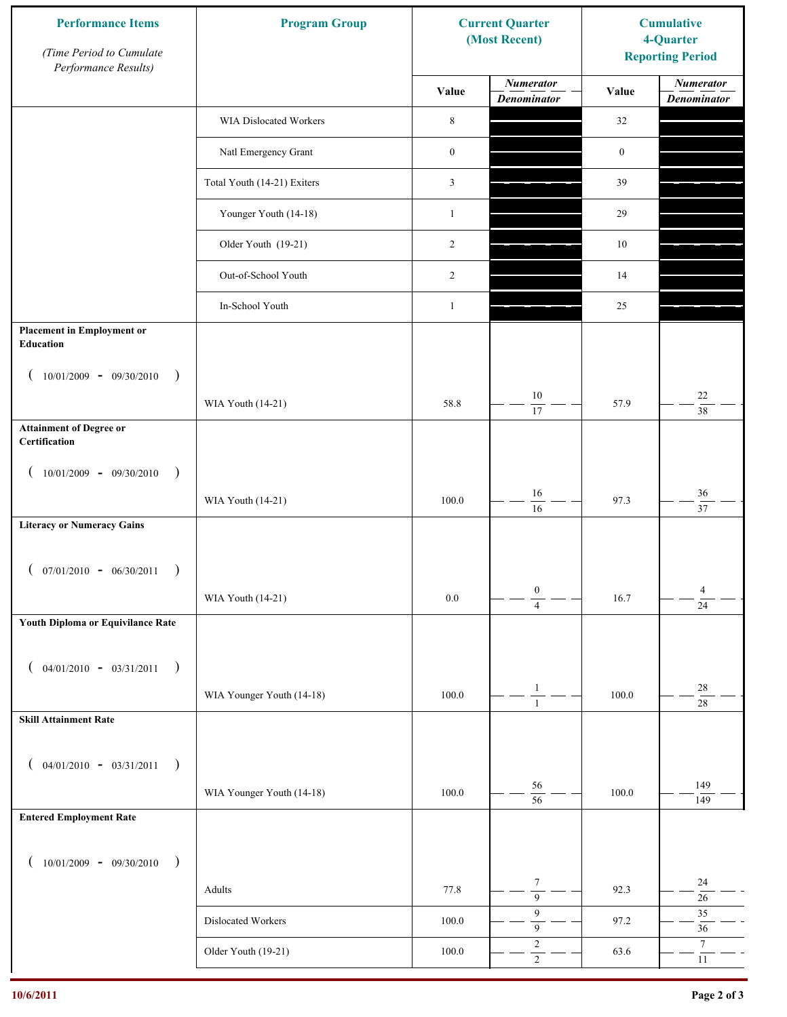| <b>Performance Items</b><br>(Time Period to Cumulate<br>Performance Results) | <b>Program Group</b>        |                  | <b>Current Quarter</b><br>(Most Recent) | <b>Cumulative</b><br>4-Quarter<br><b>Reporting Period</b> |                                        |
|------------------------------------------------------------------------------|-----------------------------|------------------|-----------------------------------------|-----------------------------------------------------------|----------------------------------------|
|                                                                              |                             | Value            | <b>Numerator</b><br><b>Denominator</b>  | Value                                                     | <b>Numerator</b><br><b>Denominator</b> |
|                                                                              | WIA Dislocated Workers      | $\,$ 8 $\,$      |                                         | 32                                                        |                                        |
|                                                                              | Natl Emergency Grant        | $\boldsymbol{0}$ |                                         | $\boldsymbol{0}$                                          |                                        |
|                                                                              | Total Youth (14-21) Exiters | 3                |                                         | 39                                                        |                                        |
|                                                                              | Younger Youth (14-18)       | $\mathbf{1}$     |                                         | 29                                                        |                                        |
|                                                                              | Older Youth (19-21)         | $\overline{2}$   |                                         | $10\,$                                                    |                                        |
|                                                                              | Out-of-School Youth         | $\overline{2}$   |                                         | 14                                                        |                                        |
|                                                                              | In-School Youth             | $\mathbf{1}$     |                                         | 25                                                        |                                        |
| <b>Placement in Employment or</b><br><b>Education</b>                        |                             |                  |                                         |                                                           |                                        |
| $10/01/2009 - 09/30/2010$<br>$\rightarrow$                                   | WIA Youth (14-21)           | 58.8             | 10                                      | 57.9                                                      | $22\,$                                 |
| <b>Attainment of Degree or</b>                                               |                             |                  | 17                                      |                                                           | $\overline{38}$                        |
| Certification                                                                |                             |                  |                                         |                                                           |                                        |
| $(10/01/2009 - 09/30/2010)$<br>$\rightarrow$                                 |                             |                  |                                         |                                                           |                                        |
|                                                                              | WIA Youth (14-21)           | 100.0            | 16<br>16                                | 97.3                                                      | $36\,$<br>$\overline{37}$              |
| <b>Literacy or Numeracy Gains</b>                                            |                             |                  |                                         |                                                           |                                        |
| $07/01/2010 - 06/30/2011$                                                    |                             |                  |                                         |                                                           |                                        |
|                                                                              | WIA Youth (14-21)           | $0.0\,$          | $\boldsymbol{0}$<br>$\overline{4}$      | 16.7                                                      | $\overline{4}$<br>$\overline{24}$      |
| Youth Diploma or Equivilance Rate                                            |                             |                  |                                         |                                                           |                                        |
|                                                                              |                             |                  |                                         |                                                           |                                        |
| $04/01/2010 - 03/31/2011$<br>$\rightarrow$                                   | WIA Younger Youth (14-18)   | 100.0            | $\mathbf{1}$                            | 100.0                                                     | $28\,$                                 |
| <b>Skill Attainment Rate</b>                                                 |                             |                  | $\mathbf{1}$                            |                                                           | $\overline{28}$                        |
|                                                                              |                             |                  |                                         |                                                           |                                        |
| $04/01/2010 - 03/31/2011$<br>$\rightarrow$                                   |                             |                  |                                         |                                                           |                                        |
|                                                                              | WIA Younger Youth (14-18)   | 100.0            | 56<br>$\overline{56}$                   | 100.0                                                     | 149<br>149                             |
| <b>Entered Employment Rate</b>                                               |                             |                  |                                         |                                                           |                                        |
| $10/01/2009 - 09/30/2010$<br>$\rightarrow$                                   |                             |                  |                                         |                                                           |                                        |
|                                                                              | Adults                      | 77.8             | $\tau$<br>$\overline{9}$                | 92.3                                                      | $24\,$<br>$26\,$                       |
|                                                                              | Dislocated Workers          | 100.0            | 9<br>$\overline{9}$                     | 97.2                                                      | 35<br>36                               |
|                                                                              | Older Youth (19-21)         | $100.0\,$        | $\sqrt{2}$<br>$\overline{2}$            | 63.6                                                      | $\boldsymbol{7}$<br>$11\,$             |
|                                                                              |                             |                  |                                         |                                                           |                                        |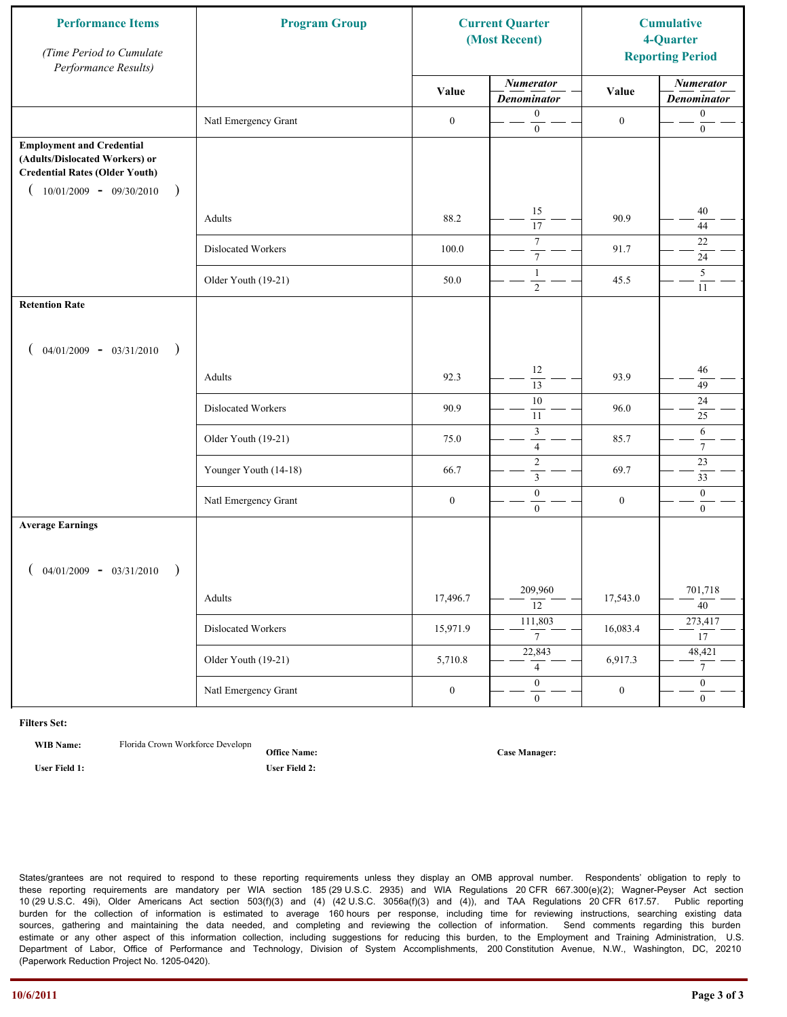| <b>Performance Items</b><br>(Time Period to Cumulate<br>Performance Results)                                                                              | <b>Program Group</b>  | <b>Current Quarter</b><br>(Most Recent) |                                        | <b>Cumulative</b><br>4-Quarter<br><b>Reporting Period</b> |                                        |
|-----------------------------------------------------------------------------------------------------------------------------------------------------------|-----------------------|-----------------------------------------|----------------------------------------|-----------------------------------------------------------|----------------------------------------|
|                                                                                                                                                           |                       | Value                                   | <b>Numerator</b><br><b>Denominator</b> | Value                                                     | <b>Numerator</b><br><b>Denominator</b> |
|                                                                                                                                                           | Natl Emergency Grant  | $\boldsymbol{0}$                        | $\boldsymbol{0}$<br>$\mathbf{0}$       | $\boldsymbol{0}$                                          | $\boldsymbol{0}$<br>$\boldsymbol{0}$   |
| <b>Employment and Credential</b><br>(Adults/Dislocated Workers) or<br><b>Credential Rates (Older Youth)</b><br>$10/01/2009$ - 09/30/2010<br>$\rightarrow$ |                       |                                         |                                        |                                                           |                                        |
|                                                                                                                                                           | Adults                | 88.2                                    | 15<br>$\overline{17}$                  | 90.9                                                      | 40<br>44                               |
|                                                                                                                                                           | Dislocated Workers    | 100.0                                   | $\tau$<br>$\boldsymbol{7}$             | 91.7                                                      | 22<br>24                               |
|                                                                                                                                                           | Older Youth (19-21)   | 50.0                                    | $\mathbf{1}$<br>$\overline{2}$         | 45.5                                                      | 5<br>11                                |
| <b>Retention Rate</b>                                                                                                                                     |                       |                                         |                                        |                                                           |                                        |
| $04/01/2009 - 03/31/2010$<br>$\rightarrow$                                                                                                                |                       |                                         |                                        |                                                           |                                        |
|                                                                                                                                                           | Adults                | 92.3                                    | 12<br>$\overline{13}$                  | 93.9                                                      | 46<br>49                               |
|                                                                                                                                                           | Dislocated Workers    | 90.9                                    | $\overline{10}$<br>11                  | 96.0                                                      | $24\,$<br>25                           |
|                                                                                                                                                           | Older Youth (19-21)   | 75.0                                    | $\mathfrak{Z}$<br>$\overline{4}$       | 85.7                                                      | 6<br>$\overline{7}$                    |
|                                                                                                                                                           | Younger Youth (14-18) | 66.7                                    | $\sqrt{2}$<br>$\mathfrak{Z}$           | 69.7                                                      | 23<br>33                               |
|                                                                                                                                                           | Natl Emergency Grant  | $\boldsymbol{0}$                        | $\boldsymbol{0}$<br>$\overline{0}$     | $\boldsymbol{0}$                                          | $\mathbf{0}$<br>$\mathbf{0}$           |
| <b>Average Earnings</b>                                                                                                                                   |                       |                                         |                                        |                                                           |                                        |
| $04/01/2009 - 03/31/2010$<br>$\rightarrow$                                                                                                                |                       |                                         |                                        |                                                           |                                        |
|                                                                                                                                                           | Adults                | 17,496.7                                | 209,960<br>$\overline{12}$             | 17,543.0                                                  | 701,718<br>$\overline{40}$             |
|                                                                                                                                                           | Dislocated Workers    | 15,971.9                                | 111,803<br>$7^{-}$                     | 16,083.4                                                  | 273,417<br>$\overline{17}$             |
|                                                                                                                                                           | Older Youth (19-21)   | 5,710.8                                 | 22,843<br>$\overline{4}$               | 6,917.3                                                   | 48,421<br>7 <sup>7</sup>               |
|                                                                                                                                                           | Natl Emergency Grant  | $\boldsymbol{0}$                        | $\overline{0}$<br>$\mathbf{0}$         | $\boldsymbol{0}$                                          | $\overline{0}$<br>$\mathbf{0}$         |

WIB Name: Florida Crown Workforce Developn

**Office Name: User Field 1: User Field 2:**

**Case Manager:**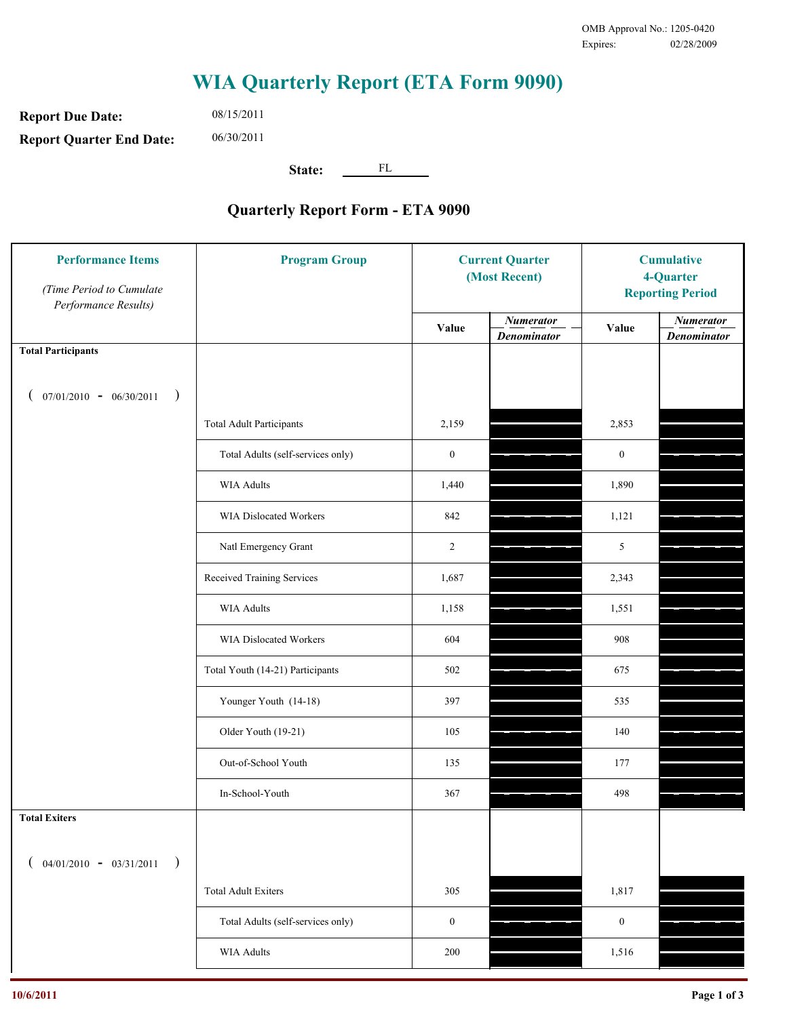**Report Due Date: Report Quarter End Date:** 08/15/2011 06/30/2011

**State:** FL

| <b>Performance Items</b><br>(Time Period to Cumulate<br>Performance Results) | <b>Program Group</b>              | <b>Current Quarter</b><br>(Most Recent) |                                        | <b>Cumulative</b><br>4-Quarter<br><b>Reporting Period</b> |                                        |
|------------------------------------------------------------------------------|-----------------------------------|-----------------------------------------|----------------------------------------|-----------------------------------------------------------|----------------------------------------|
|                                                                              |                                   | Value                                   | <b>Numerator</b><br><b>Denominator</b> | Value                                                     | <b>Numerator</b><br><b>Denominator</b> |
| <b>Total Participants</b>                                                    |                                   |                                         |                                        |                                                           |                                        |
| $07/01/2010 - 06/30/2011$<br>$\rightarrow$                                   |                                   |                                         |                                        |                                                           |                                        |
|                                                                              | <b>Total Adult Participants</b>   | 2,159                                   |                                        | 2,853                                                     |                                        |
|                                                                              | Total Adults (self-services only) | $\boldsymbol{0}$                        |                                        | $\boldsymbol{0}$                                          |                                        |
|                                                                              | <b>WIA Adults</b>                 | 1,440                                   |                                        | 1,890                                                     |                                        |
|                                                                              | WIA Dislocated Workers            | 842                                     |                                        | 1,121                                                     |                                        |
|                                                                              | Natl Emergency Grant              | $\overline{c}$                          |                                        | 5                                                         |                                        |
|                                                                              | Received Training Services        | 1,687                                   |                                        | 2,343                                                     |                                        |
|                                                                              | <b>WIA Adults</b>                 | 1,158                                   |                                        | 1,551                                                     |                                        |
|                                                                              | WIA Dislocated Workers            | 604                                     |                                        | 908                                                       |                                        |
|                                                                              | Total Youth (14-21) Participants  | 502                                     |                                        | 675                                                       |                                        |
|                                                                              | Younger Youth (14-18)             | 397                                     |                                        | 535                                                       |                                        |
|                                                                              | Older Youth (19-21)               | 105                                     |                                        | 140                                                       |                                        |
|                                                                              | Out-of-School Youth               | 135                                     |                                        | 177                                                       |                                        |
|                                                                              | In-School-Youth                   | 367                                     |                                        | 498                                                       |                                        |
| <b>Total Exiters</b>                                                         |                                   |                                         |                                        |                                                           |                                        |
| $($ 04/01/2010 - 03/31/2011<br>$\rightarrow$                                 |                                   |                                         |                                        |                                                           |                                        |
|                                                                              | <b>Total Adult Exiters</b>        | 305                                     |                                        | 1,817                                                     |                                        |
|                                                                              | Total Adults (self-services only) | $\boldsymbol{0}$                        |                                        | $\boldsymbol{0}$                                          |                                        |
|                                                                              | WIA Adults                        | 200                                     |                                        | 1,516                                                     |                                        |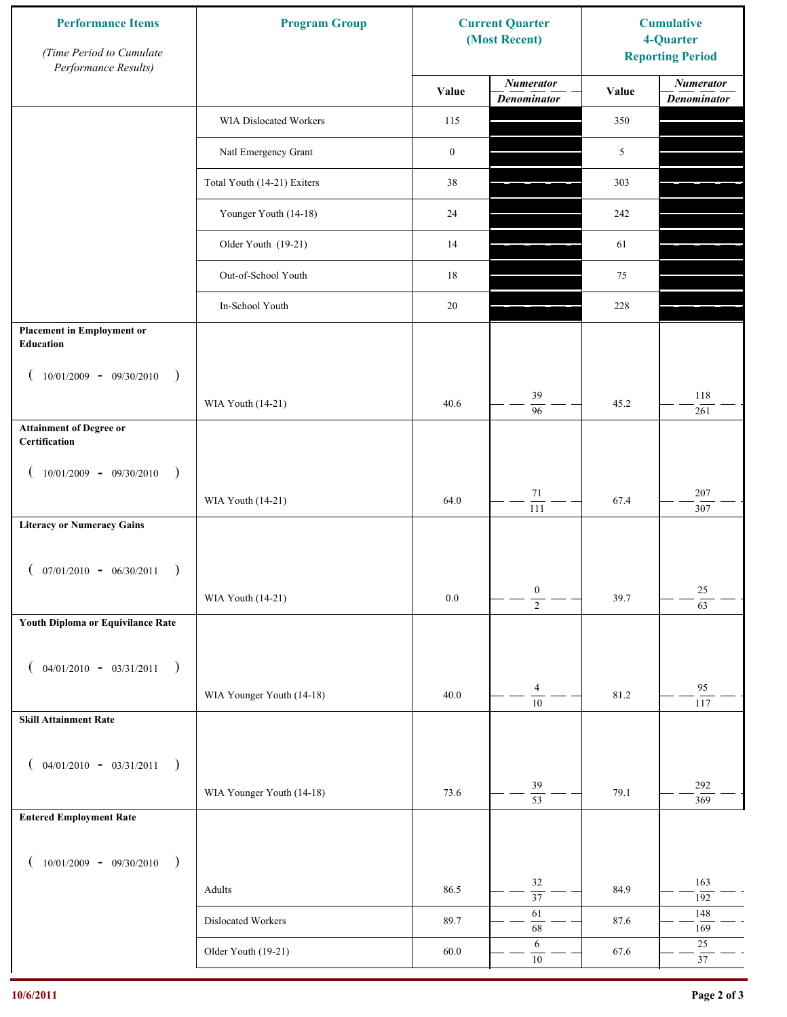| <b>Performance Items</b><br>(Time Period to Cumulate<br>Performance Results) | <b>Program Group</b>        |                  | <b>Current Quarter</b><br>(Most Recent) |       | <b>Cumulative</b><br>4-Quarter<br><b>Reporting Period</b> |
|------------------------------------------------------------------------------|-----------------------------|------------------|-----------------------------------------|-------|-----------------------------------------------------------|
|                                                                              |                             | Value            | <b>Numerator</b><br><b>Denominator</b>  | Value | <b>Numerator</b><br><b>Denominator</b>                    |
|                                                                              | WIA Dislocated Workers      | 115              |                                         | 350   |                                                           |
|                                                                              | Natl Emergency Grant        | $\boldsymbol{0}$ |                                         | 5     |                                                           |
|                                                                              | Total Youth (14-21) Exiters | 38               |                                         | 303   |                                                           |
|                                                                              | Younger Youth (14-18)       | 24               |                                         | 242   |                                                           |
|                                                                              | Older Youth (19-21)         | 14               |                                         | 61    |                                                           |
|                                                                              | Out-of-School Youth         | 18               |                                         | 75    |                                                           |
|                                                                              | In-School Youth             | 20               |                                         | 228   |                                                           |
| <b>Placement in Employment or</b><br>Education                               |                             |                  |                                         |       |                                                           |
| $10/01/2009 - 09/30/2010$<br>$\rightarrow$                                   |                             |                  |                                         |       |                                                           |
|                                                                              | WIA Youth (14-21)           | 40.6             | 39<br>$\overline{96}$                   | 45.2  | 118<br>261                                                |
| <b>Attainment of Degree or</b><br>Certification                              |                             |                  |                                         |       |                                                           |
| $10/01/2009 - 09/30/2010$<br>$\big)$<br>$\left($                             |                             |                  |                                         |       |                                                           |
|                                                                              | WIA Youth (14-21)           | 64.0             | $71\,$<br>$\overline{111}$              | 67.4  | 207<br>307                                                |
| <b>Literacy or Numeracy Gains</b>                                            |                             |                  |                                         |       |                                                           |
| $(07/01/2010 - 06/30/2011)$                                                  |                             |                  |                                         |       |                                                           |
|                                                                              | WIA Youth (14-21)           | 0.0              | $\boldsymbol{0}$<br>$\overline{2}$      | 39.7  | $25\,$<br>$\overline{63}$                                 |
| Youth Diploma or Equivilance Rate                                            |                             |                  |                                         |       |                                                           |
| $04/01/2010 - 03/31/2011$<br>$\rightarrow$<br>€                              |                             |                  |                                         |       |                                                           |
|                                                                              | WIA Younger Youth (14-18)   | 40.0             | 4                                       | 81.2  | 95                                                        |
| <b>Skill Attainment Rate</b>                                                 |                             |                  | $\overline{10}$                         |       | 117                                                       |
|                                                                              |                             |                  |                                         |       |                                                           |
| $04/01/2010 - 03/31/2011$<br>$\rightarrow$<br>€                              |                             |                  | 39                                      |       | 292                                                       |
| <b>Entered Employment Rate</b>                                               | WIA Younger Youth (14-18)   | 73.6             | $\overline{53}$                         | 79.1  | 369                                                       |
|                                                                              |                             |                  |                                         |       |                                                           |
| $10/01/2009 - 09/30/2010$<br>$\rightarrow$                                   |                             |                  |                                         |       |                                                           |
|                                                                              | Adults                      | 86.5             | 32<br>$\overline{37}$                   | 84.9  | 163<br>192                                                |
|                                                                              | Dislocated Workers          | 89.7             | 61<br>68                                | 87.6  | 148<br>169                                                |
|                                                                              | Older Youth (19-21)         | 60.0             | 6<br>$10\,$                             | 67.6  | $25\,$<br>$37\,$                                          |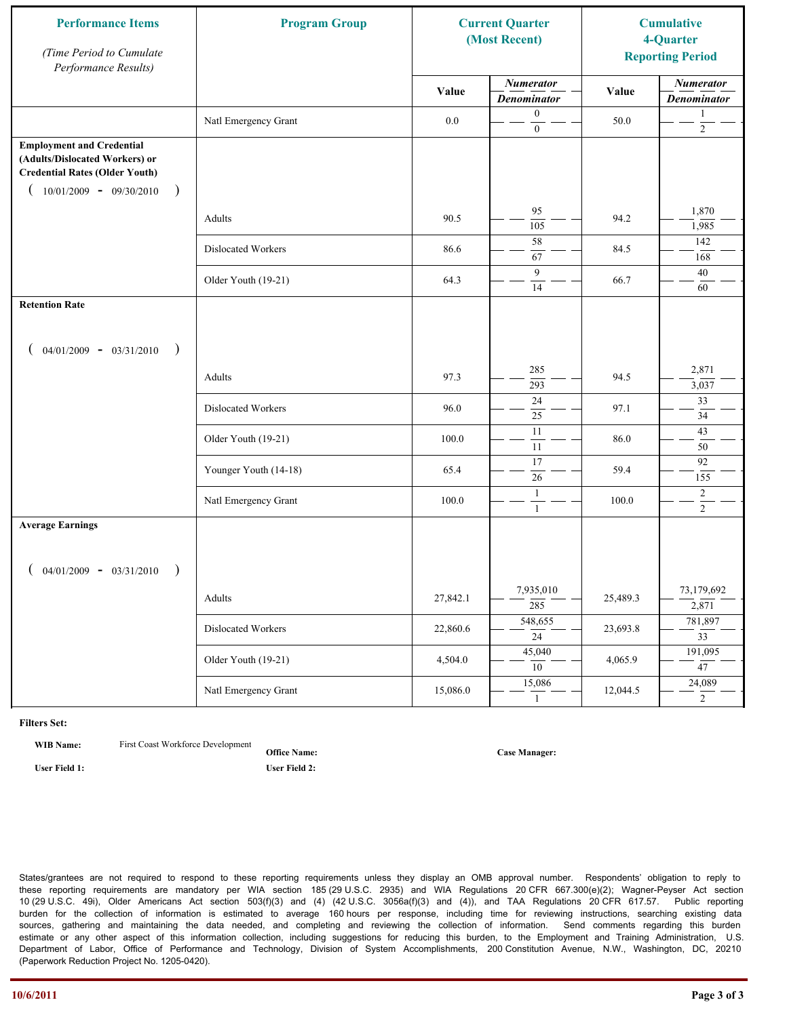| <b>Performance Items</b><br>(Time Period to Cumulate<br>Performance Results)                                                                              | <b>Program Group</b>  |          | <b>Current Quarter</b><br>(Most Recent) |          | <b>Cumulative</b><br>4-Quarter<br><b>Reporting Period</b> |
|-----------------------------------------------------------------------------------------------------------------------------------------------------------|-----------------------|----------|-----------------------------------------|----------|-----------------------------------------------------------|
|                                                                                                                                                           |                       | Value    | <b>Numerator</b><br><b>Denominator</b>  | Value    | <b>Numerator</b><br><b>Denominator</b>                    |
|                                                                                                                                                           | Natl Emergency Grant  | $0.0\,$  | $\boldsymbol{0}$<br>$\boldsymbol{0}$    | 50.0     | 1<br>$\overline{c}$                                       |
| <b>Employment and Credential</b><br>(Adults/Dislocated Workers) or<br><b>Credential Rates (Older Youth)</b><br>$10/01/2009$ - 09/30/2010<br>$\rightarrow$ |                       |          |                                         |          |                                                           |
|                                                                                                                                                           | Adults                | 90.5     | 95<br>105                               | 94.2     | 1,870<br>1,985                                            |
|                                                                                                                                                           | Dislocated Workers    | 86.6     | 58<br>67                                | 84.5     | 142<br>168                                                |
|                                                                                                                                                           | Older Youth (19-21)   | 64.3     | 9<br>14                                 | 66.7     | 40<br>60                                                  |
| <b>Retention Rate</b>                                                                                                                                     |                       |          |                                         |          |                                                           |
| $04/01/2009 - 03/31/2010$<br>$\rightarrow$                                                                                                                |                       |          |                                         |          |                                                           |
|                                                                                                                                                           | Adults                | 97.3     | 285<br>293                              | 94.5     | 2,871<br>3,037                                            |
|                                                                                                                                                           | Dislocated Workers    | 96.0     | 24<br>25                                | 97.1     | 33<br>34                                                  |
|                                                                                                                                                           | Older Youth (19-21)   | 100.0    | $\overline{11}$<br>11                   | 86.0     | 43<br>50                                                  |
|                                                                                                                                                           | Younger Youth (14-18) | 65.4     | 17<br>26                                | 59.4     | 92<br>155                                                 |
|                                                                                                                                                           | Natl Emergency Grant  | 100.0    | 1<br>$\mathbf{1}$                       | 100.0    | $\overline{c}$<br>$\overline{2}$                          |
| <b>Average Earnings</b>                                                                                                                                   |                       |          |                                         |          |                                                           |
| $04/01/2009 - 03/31/2010$<br>$\rightarrow$                                                                                                                | Adults                | 27,842.1 | 7,935,010<br>$\frac{285}{ }$            | 25,489.3 | 73,179,692<br>2,871                                       |
|                                                                                                                                                           | Dislocated Workers    | 22,860.6 | 548,655<br>$\overline{24}$              | 23,693.8 | 781,897<br>$\overline{33}$                                |
|                                                                                                                                                           | Older Youth (19-21)   | 4,504.0  | 45,040<br>10                            | 4,065.9  | 191,095<br>$\overline{47}$                                |
|                                                                                                                                                           | Natl Emergency Grant  | 15,086.0 | 15,086<br>1                             | 12,044.5 | 24,089<br>$\overline{2}$                                  |

**WIB Name:** First Coast Workforce Development

**Office Name: User Field 1: User Field 2:**

**Case Manager:**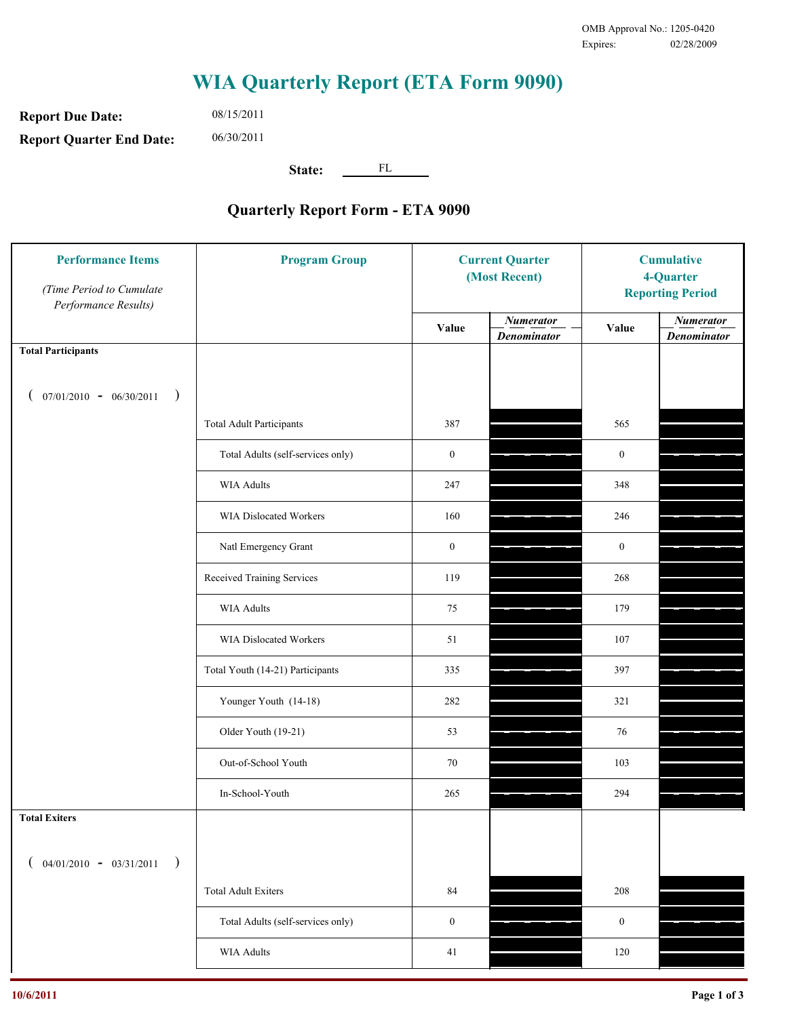**Report Due Date: Report Quarter End Date:** 08/15/2011 06/30/2011

**State:** FL

| <b>Performance Items</b><br>(Time Period to Cumulate<br>Performance Results) | <b>Program Group</b>              | <b>Current Quarter</b><br>(Most Recent) |                                        | <b>Cumulative</b><br>4-Quarter<br><b>Reporting Period</b> |                                        |
|------------------------------------------------------------------------------|-----------------------------------|-----------------------------------------|----------------------------------------|-----------------------------------------------------------|----------------------------------------|
|                                                                              |                                   | Value                                   | <b>Numerator</b><br><b>Denominator</b> | Value                                                     | <b>Numerator</b><br><b>Denominator</b> |
| <b>Total Participants</b>                                                    |                                   |                                         |                                        |                                                           |                                        |
| $07/01/2010 - 06/30/2011$ )                                                  |                                   |                                         |                                        |                                                           |                                        |
|                                                                              | <b>Total Adult Participants</b>   | 387                                     |                                        | 565                                                       |                                        |
|                                                                              | Total Adults (self-services only) | $\boldsymbol{0}$                        |                                        | $\boldsymbol{0}$                                          |                                        |
|                                                                              | WIA Adults                        | 247                                     |                                        | 348                                                       |                                        |
|                                                                              | <b>WIA Dislocated Workers</b>     | 160                                     |                                        | 246                                                       |                                        |
|                                                                              | Natl Emergency Grant              | $\boldsymbol{0}$                        |                                        | $\boldsymbol{0}$                                          |                                        |
|                                                                              | Received Training Services        | 119                                     |                                        | 268                                                       |                                        |
|                                                                              | WIA Adults                        | 75                                      |                                        | 179                                                       |                                        |
|                                                                              | WIA Dislocated Workers            | 51                                      |                                        | 107                                                       |                                        |
|                                                                              | Total Youth (14-21) Participants  | 335                                     |                                        | 397                                                       |                                        |
|                                                                              | Younger Youth (14-18)             | 282                                     |                                        | 321                                                       |                                        |
|                                                                              | Older Youth (19-21)               | 53                                      |                                        | 76                                                        |                                        |
|                                                                              | Out-of-School Youth               | 70                                      |                                        | 103                                                       |                                        |
|                                                                              | In-School-Youth                   | 265                                     |                                        | 294                                                       |                                        |
| <b>Total Exiters</b>                                                         |                                   |                                         |                                        |                                                           |                                        |
| $04/01/2010 - 03/31/2011$<br>$\rightarrow$                                   |                                   |                                         |                                        |                                                           |                                        |
|                                                                              | <b>Total Adult Exiters</b>        | 84                                      |                                        | 208                                                       |                                        |
|                                                                              | Total Adults (self-services only) | $\boldsymbol{0}$                        |                                        | $\boldsymbol{0}$                                          |                                        |
|                                                                              | <b>WIA Adults</b>                 | $41\,$                                  |                                        | 120                                                       |                                        |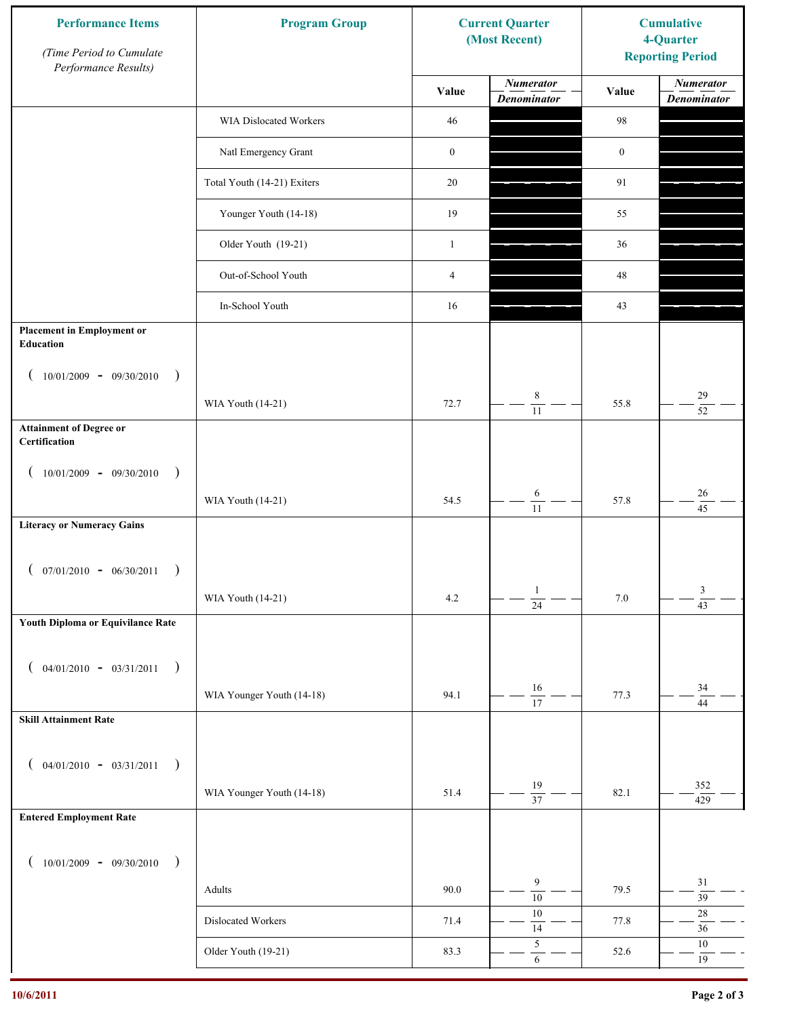| <b>Performance Items</b><br>(Time Period to Cumulate<br>Performance Results) | <b>Program Group</b>        | <b>Current Quarter</b><br>(Most Recent) |                                        | <b>Cumulative</b><br>4-Quarter<br><b>Reporting Period</b> |                                        |
|------------------------------------------------------------------------------|-----------------------------|-----------------------------------------|----------------------------------------|-----------------------------------------------------------|----------------------------------------|
|                                                                              |                             | Value                                   | <b>Numerator</b><br><b>Denominator</b> | Value                                                     | <b>Numerator</b><br><b>Denominator</b> |
|                                                                              | WIA Dislocated Workers      | 46                                      |                                        | 98                                                        |                                        |
|                                                                              | Natl Emergency Grant        | $\boldsymbol{0}$                        |                                        | $\boldsymbol{0}$                                          |                                        |
|                                                                              | Total Youth (14-21) Exiters | 20                                      |                                        | 91                                                        |                                        |
|                                                                              | Younger Youth (14-18)       | 19                                      |                                        | 55                                                        |                                        |
|                                                                              | Older Youth (19-21)         | $\mathbf{1}$                            |                                        | 36                                                        |                                        |
|                                                                              | Out-of-School Youth         | $\overline{4}$                          |                                        | $48\,$                                                    |                                        |
|                                                                              | In-School Youth             | 16                                      |                                        | 43                                                        |                                        |
| <b>Placement in Employment or</b><br>Education                               |                             |                                         |                                        |                                                           |                                        |
| $10/01/2009 - 09/30/2010$<br>$\rightarrow$                                   |                             |                                         |                                        |                                                           |                                        |
|                                                                              | WIA Youth (14-21)           | 72.7                                    | $\,8\,$<br>$\overline{11}$             | 55.8                                                      | 29<br>$\overline{52}$                  |
| <b>Attainment of Degree or</b><br>Certification                              |                             |                                         |                                        |                                                           |                                        |
| $10/01/2009 - 09/30/2010$<br>$\big)$<br>$\overline{ }$                       |                             |                                         |                                        |                                                           |                                        |
|                                                                              | WIA Youth (14-21)           | 54.5                                    | $\sqrt{6}$<br>$\overline{11}$          | 57.8                                                      | $26\,$<br>$\overline{45}$              |
| <b>Literacy or Numeracy Gains</b>                                            |                             |                                         |                                        |                                                           |                                        |
| $($ 07/01/2010 - 06/30/2011                                                  |                             |                                         |                                        |                                                           |                                        |
|                                                                              | WIA Youth (14-21)           | 4.2                                     | $\mathbf{1}$<br>$\overline{24}$        | $7.0\,$                                                   | 3<br>$\overline{43}$                   |
| Youth Diploma or Equivilance Rate                                            |                             |                                         |                                        |                                                           |                                        |
|                                                                              |                             |                                         |                                        |                                                           |                                        |
| $04/01/2010 - 03/31/2011$<br>$\rightarrow$<br>€                              |                             |                                         | $16\,$                                 |                                                           | 34                                     |
| <b>Skill Attainment Rate</b>                                                 | WIA Younger Youth (14-18)   | 94.1                                    | 17                                     | 77.3                                                      | 44                                     |
|                                                                              |                             |                                         |                                        |                                                           |                                        |
| $04/01/2010 - 03/31/2011$<br>$\rightarrow$<br>$\overline{ }$                 |                             |                                         |                                        |                                                           |                                        |
|                                                                              | WIA Younger Youth (14-18)   | 51.4                                    | 19<br>$\overline{37}$                  | 82.1                                                      | 352<br>429                             |
| <b>Entered Employment Rate</b>                                               |                             |                                         |                                        |                                                           |                                        |
| $10/01/2009 - 09/30/2010$<br>$\rightarrow$                                   |                             |                                         |                                        |                                                           |                                        |
|                                                                              | Adults                      | 90.0                                    | 9<br>$\overline{10}$                   | 79.5                                                      | $31\,$<br>$\overline{39}$              |
|                                                                              | Dislocated Workers          | 71.4                                    | $10\,$<br>14                           | 77.8                                                      | $28\,$<br>$36\,$                       |
|                                                                              | Older Youth (19-21)         | 83.3                                    | $\sqrt{5}$<br>$\sqrt{6}$               | 52.6                                                      | $10\,$<br>$19\,$                       |
|                                                                              |                             |                                         |                                        |                                                           |                                        |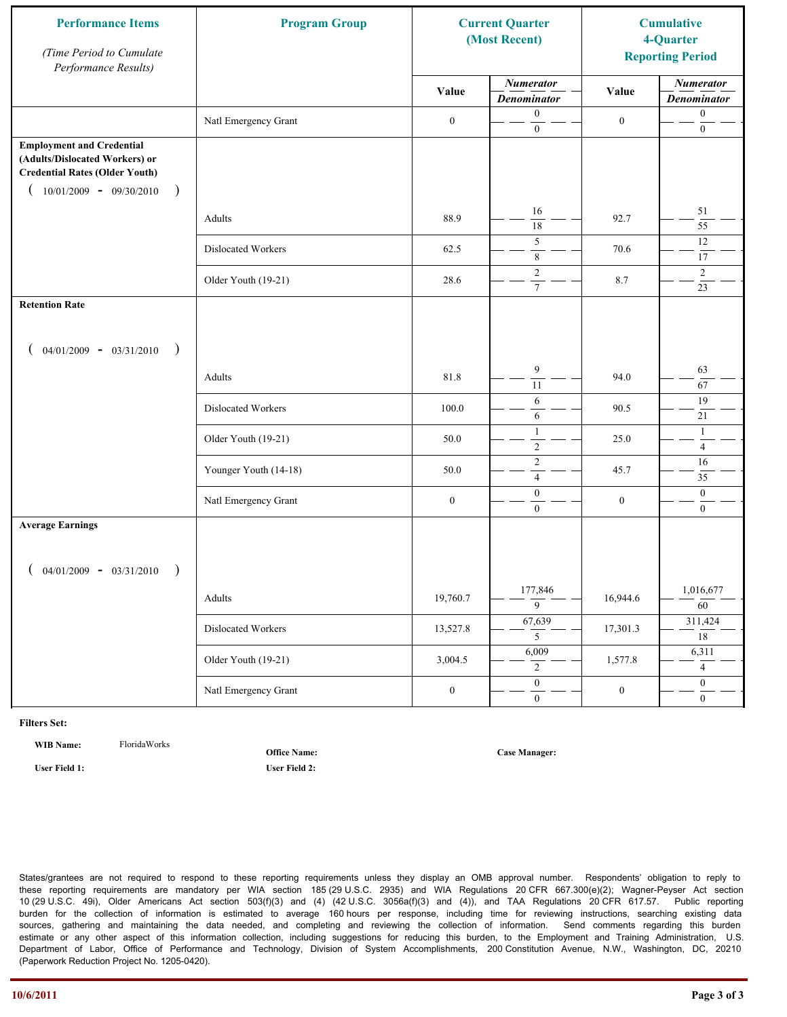| <b>Performance Items</b><br>(Time Period to Cumulate<br>Performance Results)                                                                              | <b>Program Group</b>  |                  | <b>Current Quarter</b><br>(Most Recent) |                  | <b>Cumulative</b><br>4-Quarter<br><b>Reporting Period</b> |
|-----------------------------------------------------------------------------------------------------------------------------------------------------------|-----------------------|------------------|-----------------------------------------|------------------|-----------------------------------------------------------|
|                                                                                                                                                           |                       | Value            | <b>Numerator</b><br><b>Denominator</b>  | Value            | <b>Numerator</b><br><b>Denominator</b>                    |
|                                                                                                                                                           | Natl Emergency Grant  | $\boldsymbol{0}$ | $\mathbf{0}$<br>$\boldsymbol{0}$        | $\boldsymbol{0}$ | $\boldsymbol{0}$<br>$\boldsymbol{0}$                      |
| <b>Employment and Credential</b><br>(Adults/Dislocated Workers) or<br><b>Credential Rates (Older Youth)</b><br>$10/01/2009$ - 09/30/2010<br>$\rightarrow$ |                       |                  |                                         |                  |                                                           |
|                                                                                                                                                           | Adults                | 88.9             | 16<br>$\overline{18}$                   | 92.7             | 51<br>55                                                  |
|                                                                                                                                                           | Dislocated Workers    | 62.5             | 5<br>$\,$ 8 $\,$                        | 70.6             | 12<br>17                                                  |
|                                                                                                                                                           | Older Youth (19-21)   | 28.6             | $\overline{2}$<br>$7\phantom{.0}$       | 8.7              | $\overline{2}$<br>23                                      |
| <b>Retention Rate</b>                                                                                                                                     |                       |                  |                                         |                  |                                                           |
| $04/01/2009 - 03/31/2010$<br>$\big)$                                                                                                                      |                       |                  |                                         |                  |                                                           |
|                                                                                                                                                           | Adults                | 81.8             | 9<br>11                                 | 94.0             | 63<br>67                                                  |
|                                                                                                                                                           | Dislocated Workers    | 100.0            | 6<br>6                                  | 90.5             | 19<br>21                                                  |
|                                                                                                                                                           | Older Youth (19-21)   | 50.0             | $\mathbf{1}$<br>$\overline{2}$          | 25.0             | $\mathbf{1}$<br>$\overline{4}$                            |
|                                                                                                                                                           | Younger Youth (14-18) | 50.0             | $\sqrt{2}$<br>$\overline{4}$            | 45.7             | 16<br>35                                                  |
|                                                                                                                                                           | Natl Emergency Grant  | $\boldsymbol{0}$ | $\boldsymbol{0}$<br>$\mathbf{0}$        | $\boldsymbol{0}$ | $\boldsymbol{0}$<br>$\overline{0}$                        |
| <b>Average Earnings</b>                                                                                                                                   |                       |                  |                                         |                  |                                                           |
| $04/01/2009 - 03/31/2010$<br>$\rightarrow$                                                                                                                |                       |                  |                                         |                  |                                                           |
|                                                                                                                                                           | Adults                | 19,760.7         | 177,846<br>$\overline{9}$               | 16,944.6         | 1,016,677<br>$\overline{60}$                              |
|                                                                                                                                                           | Dislocated Workers    | 13,527.8         | 67,639<br>5 <sup>5</sup>                | 17,301.3         | 311,424<br>18                                             |
|                                                                                                                                                           | Older Youth (19-21)   | 3,004.5          | 6,009<br>$\overline{2}$                 | 1,577.8          | 6,311<br>$\overline{4}$                                   |
|                                                                                                                                                           | Natl Emergency Grant  | $\boldsymbol{0}$ | $\overline{0}$<br>$\mathbf{0}$          | $\boldsymbol{0}$ | $\overline{0}$<br>$\overline{0}$                          |

**WIB Name:** FloridaWorks

**Office Name:**

**Case Manager:**

**User Field 1: User Field 2:**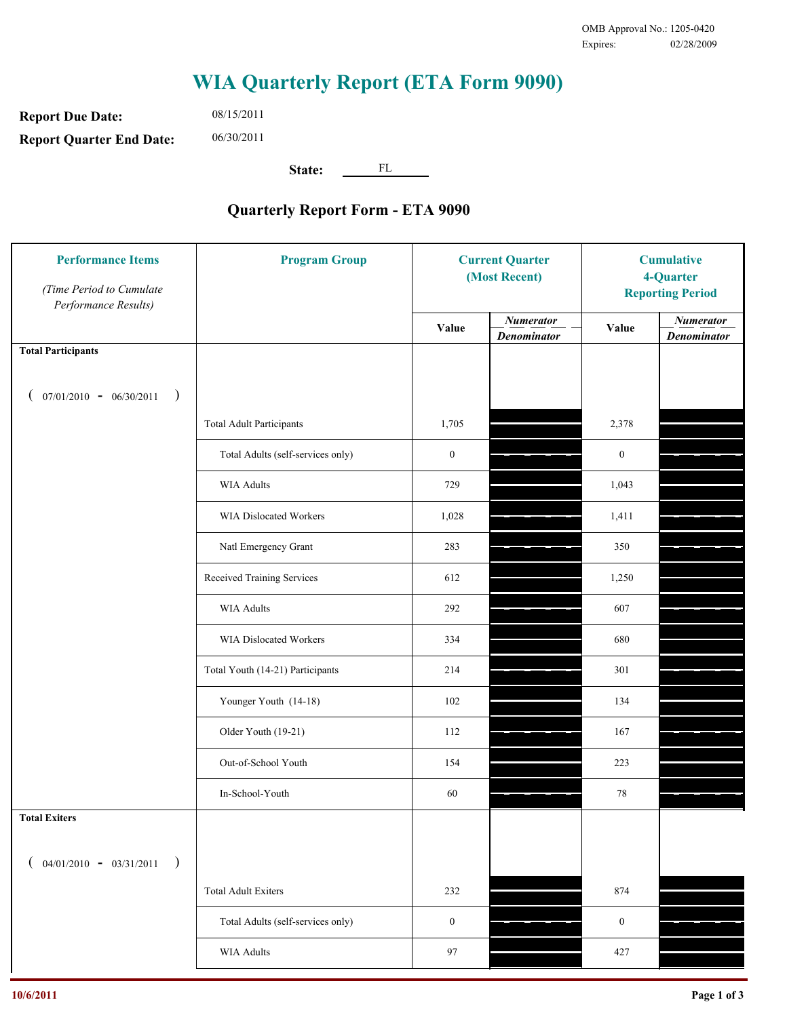**Report Due Date: Report Quarter End Date:** 08/15/2011 06/30/2011

**State:** FL

| <b>Performance Items</b><br>(Time Period to Cumulate<br>Performance Results) | <b>Program Group</b>              | <b>Current Quarter</b><br>(Most Recent) |                                        | <b>Cumulative</b><br>4-Quarter<br><b>Reporting Period</b> |                                        |
|------------------------------------------------------------------------------|-----------------------------------|-----------------------------------------|----------------------------------------|-----------------------------------------------------------|----------------------------------------|
|                                                                              |                                   | Value                                   | <b>Numerator</b><br><b>Denominator</b> | Value                                                     | <b>Numerator</b><br><b>Denominator</b> |
| <b>Total Participants</b>                                                    |                                   |                                         |                                        |                                                           |                                        |
| $07/01/2010 - 06/30/2011$<br>$\rightarrow$                                   |                                   |                                         |                                        |                                                           |                                        |
|                                                                              | <b>Total Adult Participants</b>   | 1,705                                   |                                        | 2,378                                                     |                                        |
|                                                                              | Total Adults (self-services only) | $\boldsymbol{0}$                        |                                        | $\boldsymbol{0}$                                          |                                        |
|                                                                              | WIA Adults                        | 729                                     |                                        | 1,043                                                     |                                        |
|                                                                              | WIA Dislocated Workers            | 1,028                                   |                                        | 1,411                                                     |                                        |
|                                                                              | Natl Emergency Grant              | 283                                     |                                        | 350                                                       |                                        |
|                                                                              | Received Training Services        | 612                                     |                                        | 1,250                                                     |                                        |
|                                                                              | WIA Adults                        | 292                                     |                                        | 607                                                       |                                        |
|                                                                              | WIA Dislocated Workers            | 334                                     |                                        | 680                                                       |                                        |
|                                                                              | Total Youth (14-21) Participants  | 214                                     |                                        | 301                                                       |                                        |
|                                                                              | Younger Youth (14-18)             | 102                                     |                                        | 134                                                       |                                        |
|                                                                              | Older Youth (19-21)               | 112                                     |                                        | 167                                                       |                                        |
|                                                                              | Out-of-School Youth               | 154                                     |                                        | 223                                                       |                                        |
|                                                                              | In-School-Youth                   | 60                                      |                                        | 78                                                        |                                        |
| <b>Total Exiters</b>                                                         |                                   |                                         |                                        |                                                           |                                        |
| $($ 04/01/2010 - 03/31/2011<br>$\rightarrow$                                 |                                   |                                         |                                        |                                                           |                                        |
|                                                                              | <b>Total Adult Exiters</b>        | 232                                     |                                        | 874                                                       |                                        |
|                                                                              | Total Adults (self-services only) | $\boldsymbol{0}$                        |                                        | $\boldsymbol{0}$                                          |                                        |
|                                                                              | <b>WIA Adults</b>                 | 97                                      |                                        | 427                                                       |                                        |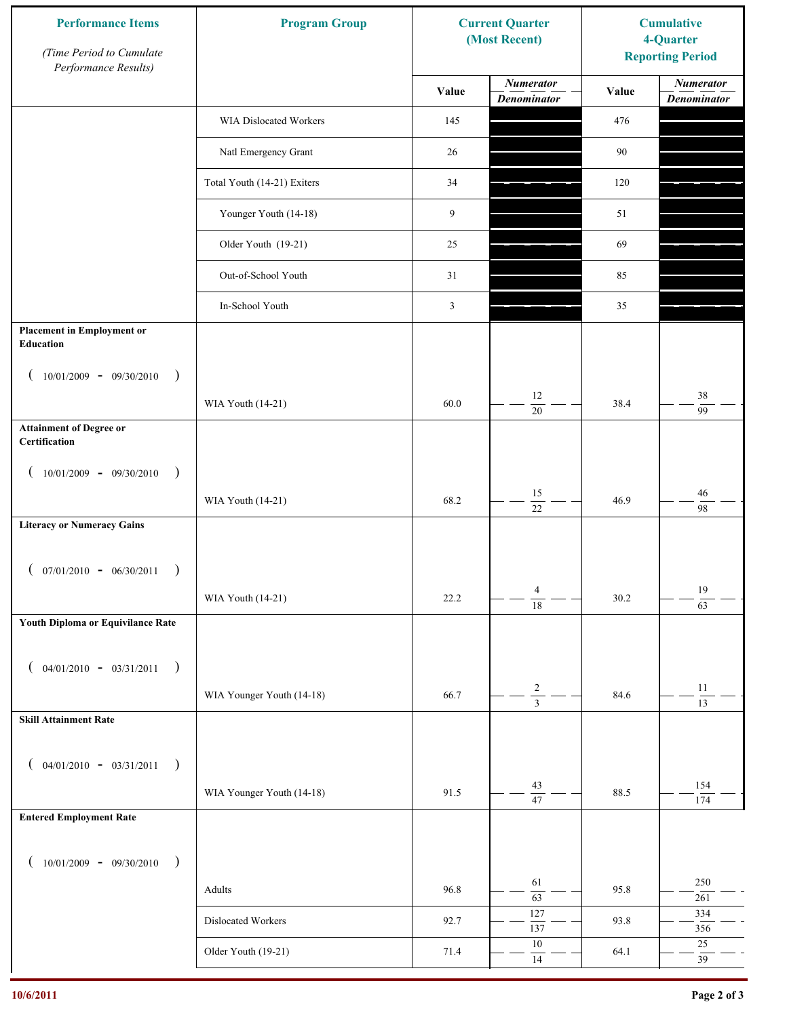| <b>Performance Items</b><br>(Time Period to Cumulate<br>Performance Results) | <b>Program Group</b>        | <b>Current Quarter</b><br>(Most Recent) |                                        | <b>Cumulative</b><br>4-Quarter<br><b>Reporting Period</b> |                                        |
|------------------------------------------------------------------------------|-----------------------------|-----------------------------------------|----------------------------------------|-----------------------------------------------------------|----------------------------------------|
|                                                                              |                             | Value                                   | <b>Numerator</b><br><b>Denominator</b> | Value                                                     | <b>Numerator</b><br><b>Denominator</b> |
|                                                                              | WIA Dislocated Workers      | 145                                     |                                        | 476                                                       |                                        |
|                                                                              | Natl Emergency Grant        | 26                                      |                                        | 90                                                        |                                        |
|                                                                              | Total Youth (14-21) Exiters | 34                                      |                                        | 120                                                       |                                        |
|                                                                              | Younger Youth (14-18)       | 9                                       |                                        | 51                                                        |                                        |
|                                                                              | Older Youth (19-21)         | 25                                      |                                        | 69                                                        |                                        |
|                                                                              | Out-of-School Youth         | 31                                      |                                        | 85                                                        |                                        |
|                                                                              | In-School Youth             | $\mathfrak{Z}$                          |                                        | 35                                                        |                                        |
| <b>Placement in Employment or</b><br><b>Education</b>                        |                             |                                         |                                        |                                                           |                                        |
| $10/01/2009 - 09/30/2010$<br>$\rightarrow$                                   |                             |                                         |                                        |                                                           |                                        |
|                                                                              | WIA Youth (14-21)           | 60.0                                    | 12<br>20                               | 38.4                                                      | 38<br>$\overline{99}$                  |
| <b>Attainment of Degree or</b><br>Certification                              |                             |                                         |                                        |                                                           |                                        |
| $10/01/2009 - 09/30/2010$<br>$\big)$<br>$\left($                             |                             |                                         |                                        |                                                           |                                        |
|                                                                              | WIA Youth (14-21)           | 68.2                                    | $15\,$<br>$\overline{22}$              | 46.9                                                      | 46<br>98                               |
| <b>Literacy or Numeracy Gains</b>                                            |                             |                                         |                                        |                                                           |                                        |
| $($ 07/01/2010 - 06/30/2011                                                  |                             |                                         |                                        |                                                           |                                        |
|                                                                              | WIA Youth (14-21)           | 22.2                                    | $\overline{4}$<br>$\overline{18}$      | 30.2                                                      | $19\,$<br>$\overline{63}$              |
| Youth Diploma or Equivilance Rate                                            |                             |                                         |                                        |                                                           |                                        |
| $04/01/2010 - 03/31/2011$<br>$\rightarrow$<br>€                              |                             |                                         |                                        |                                                           |                                        |
|                                                                              | WIA Younger Youth (14-18)   | 66.7                                    | $\overline{c}$                         | 84.6                                                      | $11\,$                                 |
| <b>Skill Attainment Rate</b>                                                 |                             |                                         | $\overline{3}$                         |                                                           | $\overline{13}$                        |
|                                                                              |                             |                                         |                                        |                                                           |                                        |
| $04/01/2010 - 03/31/2011$<br>$\rightarrow$<br>€                              | WIA Younger Youth (14-18)   | 91.5                                    | 43                                     | 88.5                                                      | 154                                    |
| <b>Entered Employment Rate</b>                                               |                             |                                         | $\overline{47}$                        |                                                           | 174                                    |
|                                                                              |                             |                                         |                                        |                                                           |                                        |
| $10/01/2009 - 09/30/2010$<br>$\rightarrow$                                   |                             |                                         | 61                                     |                                                           | 250                                    |
|                                                                              | Adults                      | 96.8                                    | 63                                     | 95.8                                                      | 261                                    |
|                                                                              | Dislocated Workers          | 92.7                                    | 127<br>137                             | 93.8                                                      | 334<br>356                             |
|                                                                              | Older Youth (19-21)         | 71.4                                    | $10\,$<br>14                           | 64.1                                                      | $25\,$<br>39                           |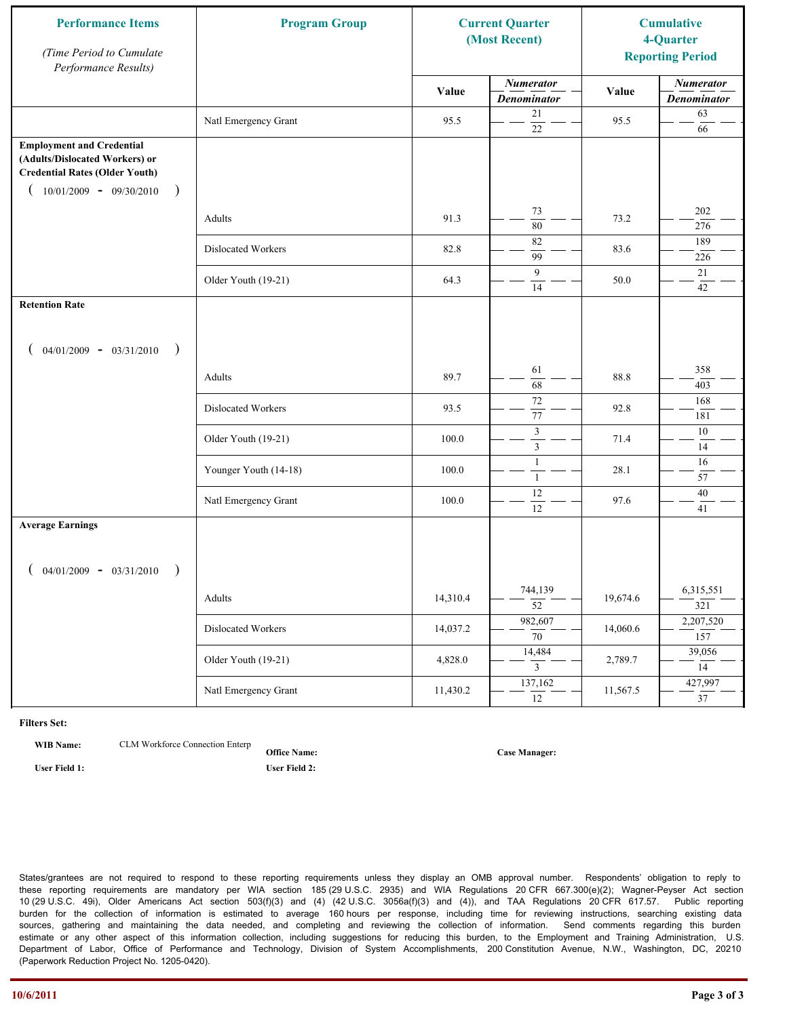| <b>Performance Items</b><br>(Time Period to Cumulate<br>Performance Results)                                                                              | <b>Program Group</b>  |          | <b>Current Quarter</b><br>(Most Recent) |          | <b>Cumulative</b><br>4-Quarter<br><b>Reporting Period</b> |
|-----------------------------------------------------------------------------------------------------------------------------------------------------------|-----------------------|----------|-----------------------------------------|----------|-----------------------------------------------------------|
|                                                                                                                                                           |                       | Value    | <b>Numerator</b><br><b>Denominator</b>  | Value    | <b>Numerator</b><br><b>Denominator</b>                    |
|                                                                                                                                                           | Natl Emergency Grant  | 95.5     | 21<br>22                                | 95.5     | 63<br>66                                                  |
| <b>Employment and Credential</b><br>(Adults/Dislocated Workers) or<br><b>Credential Rates (Older Youth)</b><br>$10/01/2009 - 09/30/2010$<br>$\rightarrow$ |                       |          |                                         |          |                                                           |
|                                                                                                                                                           | Adults                | 91.3     | 73<br>80                                | 73.2     | 202<br>276                                                |
|                                                                                                                                                           | Dislocated Workers    | 82.8     | 82<br>99                                | 83.6     | 189<br>226                                                |
|                                                                                                                                                           | Older Youth (19-21)   | 64.3     | 9<br>14                                 | 50.0     | 21<br>42                                                  |
| <b>Retention Rate</b>                                                                                                                                     |                       |          |                                         |          |                                                           |
| $04/01/2009 - 03/31/2010$<br>$\rightarrow$                                                                                                                |                       |          |                                         |          |                                                           |
|                                                                                                                                                           | Adults                | 89.7     | 61<br>68                                | 88.8     | 358<br>403                                                |
|                                                                                                                                                           | Dislocated Workers    | 93.5     | $72\,$<br>77                            | 92.8     | 168<br>181                                                |
|                                                                                                                                                           | Older Youth (19-21)   | 100.0    | $\mathfrak z$<br>$\mathfrak{Z}$         | 71.4     | 10<br>14                                                  |
|                                                                                                                                                           | Younger Youth (14-18) | 100.0    | $\mathbf{1}$<br>$\mathbf{1}$            | 28.1     | 16<br>57                                                  |
|                                                                                                                                                           | Natl Emergency Grant  | 100.0    | 12<br>12                                | 97.6     | $40\,$<br>41                                              |
| <b>Average Earnings</b>                                                                                                                                   |                       |          |                                         |          |                                                           |
| $04/01/2009 - 03/31/2010$<br>$\rightarrow$                                                                                                                |                       |          |                                         |          |                                                           |
|                                                                                                                                                           | Adults                | 14,310.4 | 744,139<br>$\overline{52}$              | 19,674.6 | 6,315,551<br>321                                          |
|                                                                                                                                                           | Dislocated Workers    | 14,037.2 | 982,607<br>$\overline{70}$              | 14,060.6 | 2,207,520<br>157                                          |
|                                                                                                                                                           | Older Youth (19-21)   | 4,828.0  | 14,484<br>$\mathbf{3}$                  | 2,789.7  | 39,056<br>14                                              |
|                                                                                                                                                           | Natl Emergency Grant  | 11,430.2 | 137,162<br>$\overline{12}$              | 11,567.5 | 427,997<br>$\overline{37}$                                |

**WIB Name:** CLM Workforce Connection Enterp

**Office Name: User Field 1: User Field 2:**

**Case Manager:**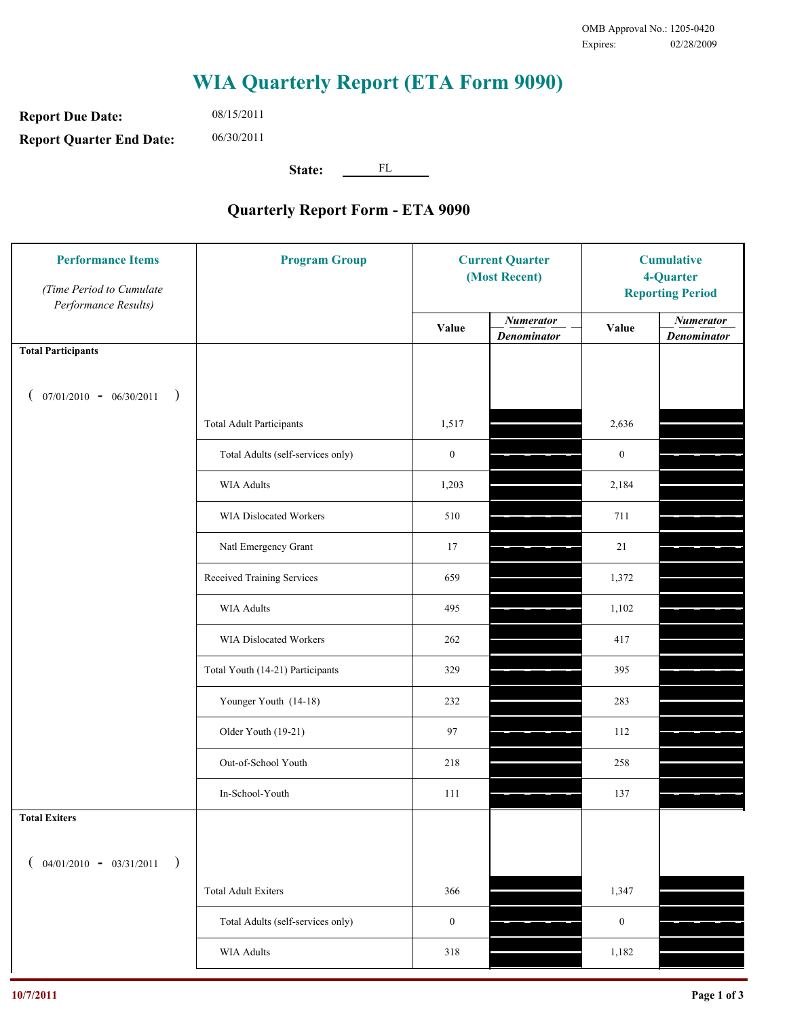**Report Due Date: Report Quarter End Date:** 08/15/2011 06/30/2011

**State:** FL

| <b>Performance Items</b><br>(Time Period to Cumulate<br>Performance Results) | <b>Program Group</b>              | <b>Current Quarter</b><br>(Most Recent) |                                        | <b>Cumulative</b><br>4-Quarter<br><b>Reporting Period</b> |                                        |
|------------------------------------------------------------------------------|-----------------------------------|-----------------------------------------|----------------------------------------|-----------------------------------------------------------|----------------------------------------|
|                                                                              |                                   | Value                                   | <b>Numerator</b><br><b>Denominator</b> | Value                                                     | <b>Numerator</b><br><b>Denominator</b> |
| <b>Total Participants</b>                                                    |                                   |                                         |                                        |                                                           |                                        |
| $07/01/2010 - 06/30/2011$ )                                                  |                                   |                                         |                                        |                                                           |                                        |
|                                                                              | <b>Total Adult Participants</b>   | 1,517                                   |                                        | 2,636                                                     |                                        |
|                                                                              | Total Adults (self-services only) | $\boldsymbol{0}$                        |                                        | $\boldsymbol{0}$                                          |                                        |
|                                                                              | WIA Adults                        | 1,203                                   |                                        | 2,184                                                     |                                        |
|                                                                              | WIA Dislocated Workers            | 510                                     |                                        | 711                                                       |                                        |
|                                                                              | Natl Emergency Grant              | 17                                      |                                        | 21                                                        |                                        |
|                                                                              | Received Training Services        | 659                                     |                                        | 1,372                                                     |                                        |
|                                                                              | WIA Adults                        | 495                                     |                                        | 1,102                                                     |                                        |
|                                                                              | WIA Dislocated Workers            | 262                                     |                                        | 417                                                       |                                        |
|                                                                              | Total Youth (14-21) Participants  | 329                                     |                                        | 395                                                       |                                        |
|                                                                              | Younger Youth (14-18)             | 232                                     |                                        | 283                                                       |                                        |
|                                                                              | Older Youth (19-21)               | 97                                      |                                        | 112                                                       |                                        |
|                                                                              | Out-of-School Youth               | 218                                     |                                        | 258                                                       |                                        |
|                                                                              | In-School-Youth                   | 111                                     |                                        | 137                                                       |                                        |
| <b>Total Exiters</b>                                                         |                                   |                                         |                                        |                                                           |                                        |
| $04/01/2010 - 03/31/2011$<br>$\rightarrow$                                   |                                   |                                         |                                        |                                                           |                                        |
|                                                                              | <b>Total Adult Exiters</b>        | 366                                     |                                        | 1,347                                                     |                                        |
|                                                                              | Total Adults (self-services only) | $\boldsymbol{0}$                        |                                        | $\boldsymbol{0}$                                          |                                        |
|                                                                              | <b>WIA Adults</b>                 | 318                                     |                                        | 1,182                                                     |                                        |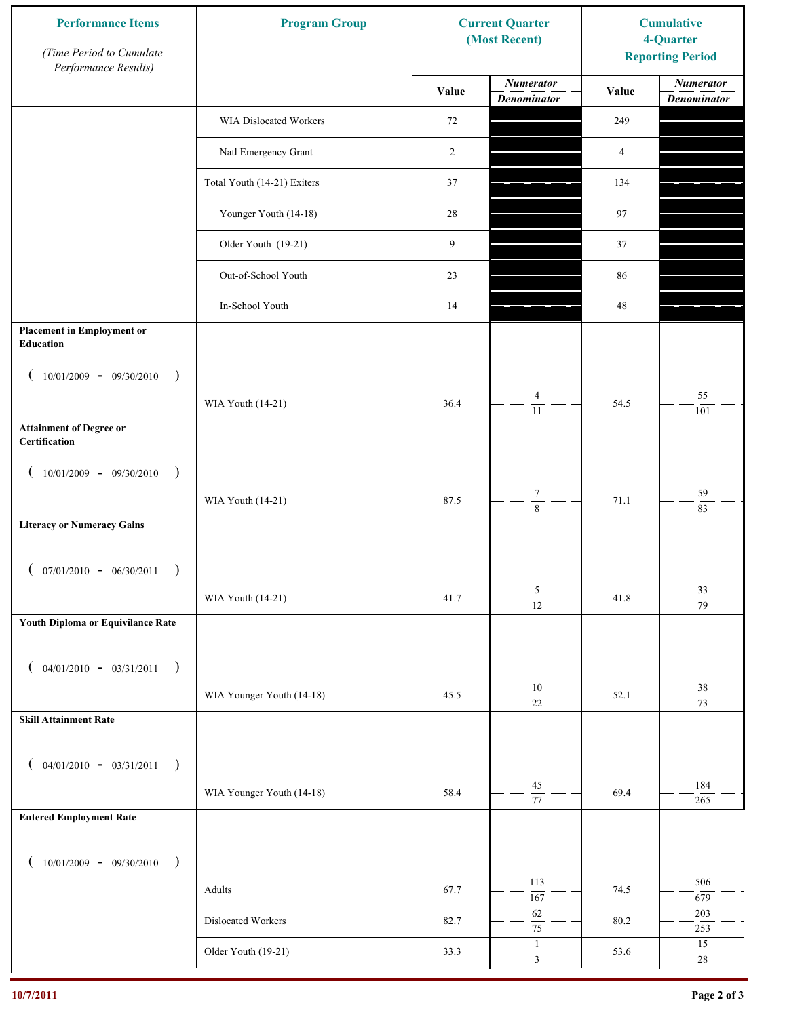| <b>Performance Items</b><br>(Time Period to Cumulate<br>Performance Results) | <b>Program Group</b>        | <b>Current Quarter</b><br>(Most Recent) |                                        | <b>Cumulative</b><br>4-Quarter<br><b>Reporting Period</b> |                                        |
|------------------------------------------------------------------------------|-----------------------------|-----------------------------------------|----------------------------------------|-----------------------------------------------------------|----------------------------------------|
|                                                                              |                             | Value                                   | <b>Numerator</b><br><b>Denominator</b> | Value                                                     | <b>Numerator</b><br><b>Denominator</b> |
|                                                                              | WIA Dislocated Workers      | 72                                      |                                        | 249                                                       |                                        |
|                                                                              | Natl Emergency Grant        | 2                                       |                                        | 4                                                         |                                        |
|                                                                              | Total Youth (14-21) Exiters | 37                                      |                                        | 134                                                       |                                        |
|                                                                              | Younger Youth (14-18)       | 28                                      |                                        | 97                                                        |                                        |
|                                                                              | Older Youth (19-21)         | 9                                       |                                        | 37                                                        |                                        |
|                                                                              | Out-of-School Youth         | 23                                      |                                        | 86                                                        |                                        |
|                                                                              | In-School Youth             | 14                                      |                                        | $48\,$                                                    |                                        |
| <b>Placement in Employment or</b><br>Education                               |                             |                                         |                                        |                                                           |                                        |
| $10/01/2009 - 09/30/2010$<br>$\rightarrow$                                   |                             |                                         |                                        |                                                           |                                        |
|                                                                              | WIA Youth (14-21)           | 36.4                                    | $\overline{4}$<br>$\overline{11}$      | 54.5                                                      | 55<br>101                              |
| <b>Attainment of Degree or</b><br>Certification                              |                             |                                         |                                        |                                                           |                                        |
| $10/01/2009 - 09/30/2010$<br>$\big)$<br>$\overline{ }$                       |                             |                                         |                                        |                                                           |                                        |
|                                                                              | WIA Youth (14-21)           | 87.5                                    | $\boldsymbol{7}$<br>$\overline{8}$     | 71.1                                                      | 59<br>83                               |
| <b>Literacy or Numeracy Gains</b>                                            |                             |                                         |                                        |                                                           |                                        |
| $($ 07/01/2010 - 06/30/2011                                                  |                             |                                         |                                        |                                                           |                                        |
|                                                                              | WIA Youth (14-21)           | 41.7                                    | 5<br>$\overline{12}$                   | 41.8                                                      | 33<br>$\overline{79}$                  |
| Youth Diploma or Equivilance Rate                                            |                             |                                         |                                        |                                                           |                                        |
| $04/01/2010 - 03/31/2011$<br>$\rightarrow$<br>€                              |                             |                                         |                                        |                                                           |                                        |
|                                                                              | WIA Younger Youth (14-18)   | 45.5                                    | $10\,$                                 | 52.1                                                      | $38\,$                                 |
| <b>Skill Attainment Rate</b>                                                 |                             |                                         | $\overline{22}$                        |                                                           | $\overline{73}$                        |
|                                                                              |                             |                                         |                                        |                                                           |                                        |
| $04/01/2010 - 03/31/2011$<br>$\rightarrow$<br>$\overline{ }$                 | WIA Younger Youth (14-18)   | 58.4                                    | $45\,$                                 | 69.4                                                      | 184                                    |
| <b>Entered Employment Rate</b>                                               |                             |                                         | $\overline{77}$                        |                                                           | 265                                    |
|                                                                              |                             |                                         |                                        |                                                           |                                        |
| $10/01/2009 - 09/30/2010$<br>$\rightarrow$                                   |                             |                                         | 113                                    |                                                           | 506                                    |
|                                                                              | Adults                      | 67.7                                    | 167<br>62                              | 74.5                                                      | 679<br>203                             |
|                                                                              | Dislocated Workers          | 82.7                                    | $\overline{75}$<br>$\mathbf{1}$        | 80.2                                                      | 253<br>$15\,$                          |
|                                                                              | Older Youth (19-21)         | 33.3                                    | $\overline{\mathbf{3}}$                | 53.6                                                      | $28\,$                                 |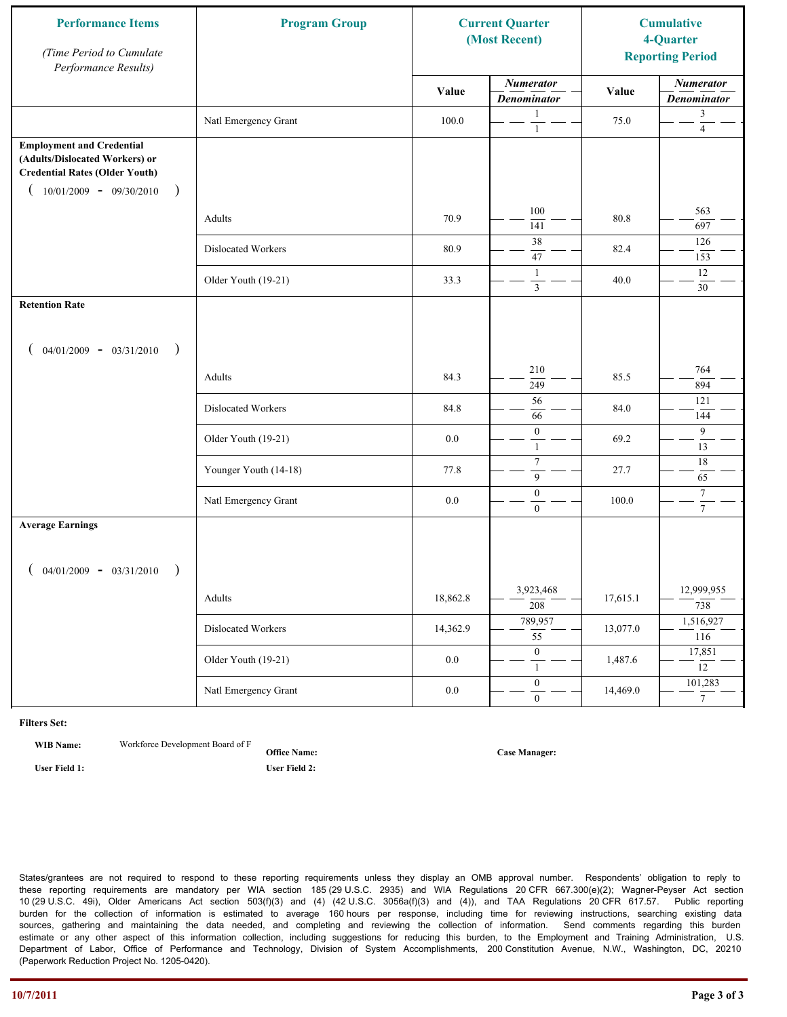| <b>Performance Items</b><br>(Time Period to Cumulate<br>Performance Results)                                                                               | <b>Program Group</b>  | <b>Current Quarter</b><br>(Most Recent) |                                         | <b>Cumulative</b><br>4-Quarter<br><b>Reporting Period</b> |                                        |
|------------------------------------------------------------------------------------------------------------------------------------------------------------|-----------------------|-----------------------------------------|-----------------------------------------|-----------------------------------------------------------|----------------------------------------|
|                                                                                                                                                            |                       | Value                                   | <b>Numerator</b><br><b>Denominator</b>  | Value                                                     | <b>Numerator</b><br><b>Denominator</b> |
|                                                                                                                                                            | Natl Emergency Grant  | 100.0                                   | $\mathbf{1}$<br>$\mathbf{1}$            | 75.0                                                      | 3<br>$\overline{4}$                    |
| <b>Employment and Credential</b><br>(Adults/Dislocated Workers) or<br><b>Credential Rates (Older Youth)</b><br>$10/01/2009$ - 09/30/2010<br>$\overline{)}$ |                       |                                         |                                         |                                                           |                                        |
|                                                                                                                                                            | Adults                | 70.9                                    | 100<br>141                              | 80.8                                                      | 563<br>697                             |
|                                                                                                                                                            | Dislocated Workers    | 80.9                                    | 38<br>$47\,$                            | 82.4                                                      | 126<br>153                             |
|                                                                                                                                                            | Older Youth (19-21)   | 33.3                                    | $\mathbf{1}$<br>$\overline{\mathbf{3}}$ | 40.0                                                      | 12<br>30                               |
| <b>Retention Rate</b>                                                                                                                                      |                       |                                         |                                         |                                                           |                                        |
| $04/01/2009 - 03/31/2010$<br>$\rightarrow$                                                                                                                 |                       |                                         |                                         |                                                           |                                        |
|                                                                                                                                                            | Adults                | 84.3                                    | 210<br>249                              | 85.5                                                      | 764<br>894                             |
|                                                                                                                                                            | Dislocated Workers    | 84.8                                    | 56<br>66                                | 84.0                                                      | 121<br>144                             |
|                                                                                                                                                            | Older Youth (19-21)   | 0.0                                     | $\boldsymbol{0}$<br>$\mathbf{1}$        | 69.2                                                      | 9<br>13                                |
|                                                                                                                                                            | Younger Youth (14-18) | 77.8                                    | $\boldsymbol{7}$<br>9                   | 27.7                                                      | 18<br>65                               |
|                                                                                                                                                            | Natl Emergency Grant  | 0.0                                     | $\boldsymbol{0}$<br>$\overline{0}$      | 100.0                                                     | $\boldsymbol{7}$<br>$\tau$             |
| <b>Average Earnings</b>                                                                                                                                    |                       |                                         |                                         |                                                           |                                        |
| $04/01/2009 - 03/31/2010$                                                                                                                                  |                       |                                         |                                         |                                                           |                                        |
|                                                                                                                                                            | Adults                | 18,862.8                                | 3,923,468<br>$\overline{208}$           | 17,615.1                                                  | 12,999,955<br>738                      |
|                                                                                                                                                            | Dislocated Workers    | 14,362.9                                | 789,957<br>$\overline{55}$              | 13,077.0                                                  | 1,516,927<br>116                       |
|                                                                                                                                                            | Older Youth (19-21)   | $0.0\,$                                 | $\mathbf{0}$<br>$\mathbf{1}$            | 1,487.6                                                   | 17,851<br>12                           |
|                                                                                                                                                            | Natl Emergency Grant  | $0.0\,$                                 | $\overline{0}$<br>$\overline{0}$        | 14,469.0                                                  | 101,283<br>$7\overline{ }$             |

**WIB Name:** Workforce Development Board of F

**Office Name: User Field 1: User Field 2:**

**Case Manager:**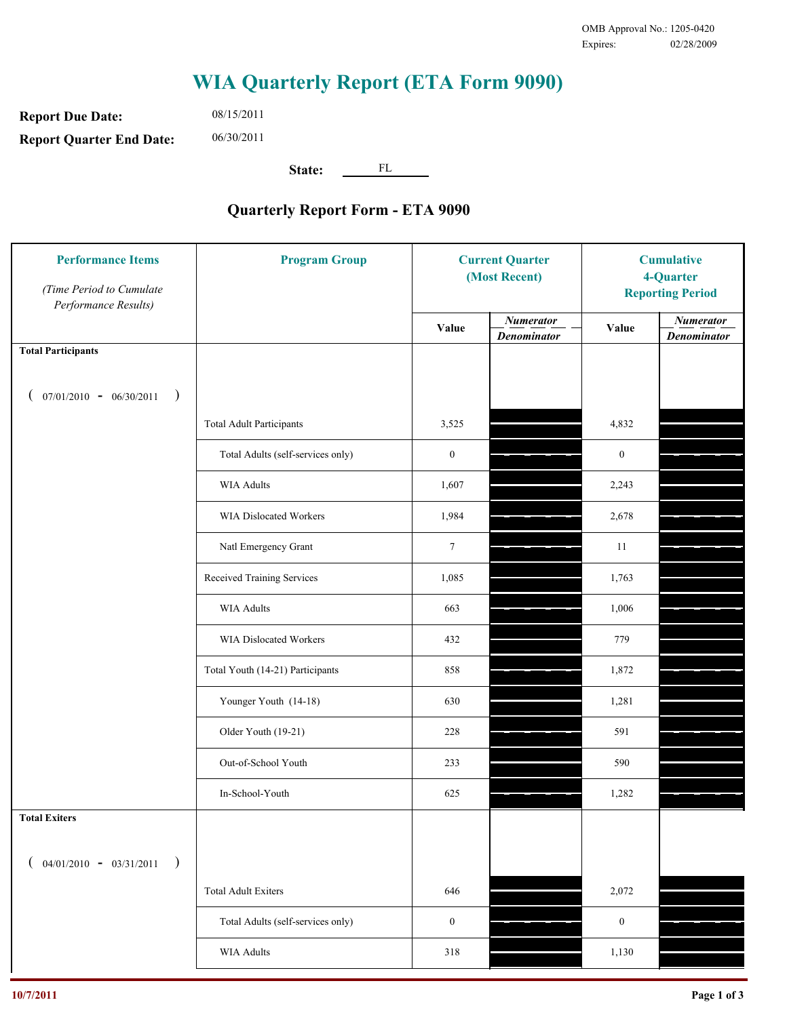**Report Due Date: Report Quarter End Date:** 08/15/2011 06/30/2011

**State:** FL

| <b>Performance Items</b><br>(Time Period to Cumulate<br>Performance Results) | <b>Program Group</b>              | <b>Current Quarter</b><br>(Most Recent) |                                        | <b>Cumulative</b><br>4-Quarter<br><b>Reporting Period</b> |                                        |
|------------------------------------------------------------------------------|-----------------------------------|-----------------------------------------|----------------------------------------|-----------------------------------------------------------|----------------------------------------|
|                                                                              |                                   | Value                                   | <b>Numerator</b><br><b>Denominator</b> | Value                                                     | <b>Numerator</b><br><b>Denominator</b> |
| <b>Total Participants</b>                                                    |                                   |                                         |                                        |                                                           |                                        |
| $07/01/2010 - 06/30/2011$ )                                                  |                                   |                                         |                                        |                                                           |                                        |
|                                                                              | <b>Total Adult Participants</b>   | 3,525                                   |                                        | 4,832                                                     |                                        |
|                                                                              | Total Adults (self-services only) | $\boldsymbol{0}$                        |                                        | $\boldsymbol{0}$                                          |                                        |
|                                                                              | WIA Adults                        | 1,607                                   |                                        | 2,243                                                     |                                        |
|                                                                              | WIA Dislocated Workers            | 1,984                                   |                                        | 2,678                                                     |                                        |
|                                                                              | Natl Emergency Grant              | $\tau$                                  |                                        | 11                                                        |                                        |
|                                                                              | Received Training Services        | 1,085                                   |                                        | 1,763                                                     |                                        |
|                                                                              | WIA Adults                        | 663                                     |                                        | 1,006                                                     |                                        |
|                                                                              | WIA Dislocated Workers            | 432                                     |                                        | 779                                                       |                                        |
|                                                                              | Total Youth (14-21) Participants  | 858                                     |                                        | 1,872                                                     |                                        |
|                                                                              | Younger Youth (14-18)             | 630                                     |                                        | 1,281                                                     |                                        |
|                                                                              | Older Youth (19-21)               | 228                                     |                                        | 591                                                       |                                        |
|                                                                              | Out-of-School Youth               | 233                                     |                                        | 590                                                       |                                        |
|                                                                              | In-School-Youth                   | 625                                     |                                        | 1,282                                                     |                                        |
| <b>Total Exiters</b>                                                         |                                   |                                         |                                        |                                                           |                                        |
| $04/01/2010 - 03/31/2011$<br>$\rightarrow$                                   |                                   |                                         |                                        |                                                           |                                        |
|                                                                              | <b>Total Adult Exiters</b>        | 646                                     |                                        | 2,072                                                     |                                        |
|                                                                              | Total Adults (self-services only) | $\boldsymbol{0}$                        |                                        | $\boldsymbol{0}$                                          |                                        |
|                                                                              | <b>WIA Adults</b>                 | 318                                     |                                        | 1,130                                                     |                                        |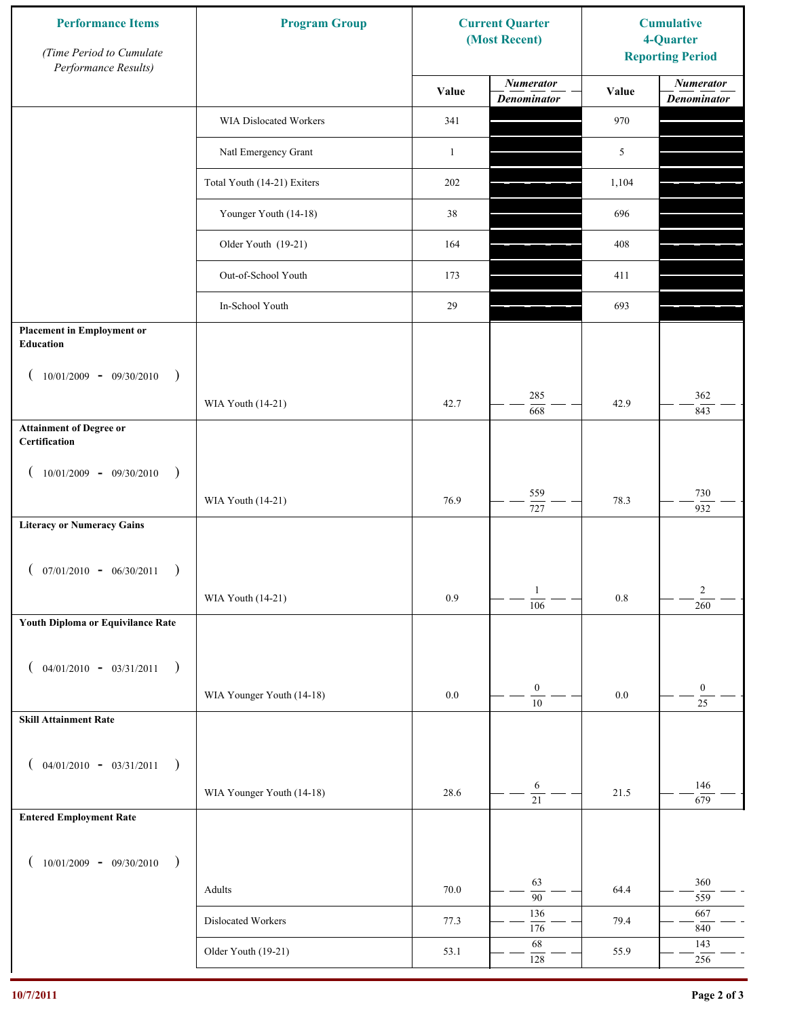| <b>Performance Items</b><br>(Time Period to Cumulate<br>Performance Results) | <b>Program Group</b>        | <b>Current Quarter</b><br>(Most Recent) |                                        | <b>Cumulative</b><br>4-Quarter<br><b>Reporting Period</b> |                                        |
|------------------------------------------------------------------------------|-----------------------------|-----------------------------------------|----------------------------------------|-----------------------------------------------------------|----------------------------------------|
|                                                                              |                             | Value                                   | <b>Numerator</b><br><b>Denominator</b> | Value                                                     | <b>Numerator</b><br><b>Denominator</b> |
|                                                                              | WIA Dislocated Workers      | 341                                     |                                        | 970                                                       |                                        |
|                                                                              | Natl Emergency Grant        | $\mathbf{1}$                            |                                        | 5                                                         |                                        |
|                                                                              | Total Youth (14-21) Exiters | 202                                     |                                        | 1,104                                                     |                                        |
|                                                                              | Younger Youth (14-18)       | 38                                      |                                        | 696                                                       |                                        |
|                                                                              | Older Youth (19-21)         | 164                                     |                                        | 408                                                       |                                        |
|                                                                              | Out-of-School Youth         | 173                                     |                                        | 411                                                       |                                        |
|                                                                              | In-School Youth             | 29                                      |                                        | 693                                                       |                                        |
| <b>Placement in Employment or</b><br>Education                               |                             |                                         |                                        |                                                           |                                        |
| $10/01/2009 - 09/30/2010$<br>$\rightarrow$                                   |                             |                                         |                                        |                                                           |                                        |
|                                                                              | WIA Youth (14-21)           | 42.7                                    | 285<br>668                             | 42.9                                                      | 362<br>843                             |
| <b>Attainment of Degree or</b><br>Certification                              |                             |                                         |                                        |                                                           |                                        |
| $10/01/2009 - 09/30/2010$<br>$\big)$<br>$\left($                             |                             |                                         |                                        |                                                           |                                        |
|                                                                              | WIA Youth (14-21)           | 76.9                                    | 559<br>$\overline{727}$                | 78.3                                                      | 730<br>932                             |
| <b>Literacy or Numeracy Gains</b>                                            |                             |                                         |                                        |                                                           |                                        |
| $($ 07/01/2010 - 06/30/2011<br>$\overline{\phantom{a}}$                      |                             |                                         |                                        |                                                           |                                        |
|                                                                              | WIA Youth (14-21)           | 0.9                                     | $\mathbf{1}$<br>$\overline{106}$       | $0.8\,$                                                   | $\overline{c}$<br>260                  |
| Youth Diploma or Equivilance Rate                                            |                             |                                         |                                        |                                                           |                                        |
| $04/01/2010 - 03/31/2011$<br>$\rightarrow$<br>€                              |                             |                                         |                                        |                                                           |                                        |
|                                                                              | WIA Younger Youth (14-18)   | $0.0\,$                                 | $\boldsymbol{0}$                       | $0.0\,$                                                   | $\boldsymbol{0}$                       |
| <b>Skill Attainment Rate</b>                                                 |                             |                                         | $\overline{10}$                        |                                                           | $\overline{25}$                        |
|                                                                              |                             |                                         |                                        |                                                           |                                        |
| $04/01/2010 - 03/31/2011$<br>$\overline{\phantom{a}}$                        |                             |                                         | 6                                      |                                                           | 146                                    |
| <b>Entered Employment Rate</b>                                               | WIA Younger Youth (14-18)   | 28.6                                    | $\overline{21}$                        | 21.5                                                      | 679                                    |
|                                                                              |                             |                                         |                                        |                                                           |                                        |
| $10/01/2009 - 09/30/2010$<br>$\rightarrow$                                   |                             |                                         |                                        |                                                           |                                        |
|                                                                              | Adults                      | 70.0                                    | 63<br>$\overline{90}$                  | 64.4                                                      | 360<br>559                             |
|                                                                              | Dislocated Workers          | 77.3                                    | 136<br>176                             | 79.4                                                      | 667<br>$840\,$                         |
|                                                                              | Older Youth (19-21)         | 53.1                                    | 68<br>128                              | 55.9                                                      | 143<br>256                             |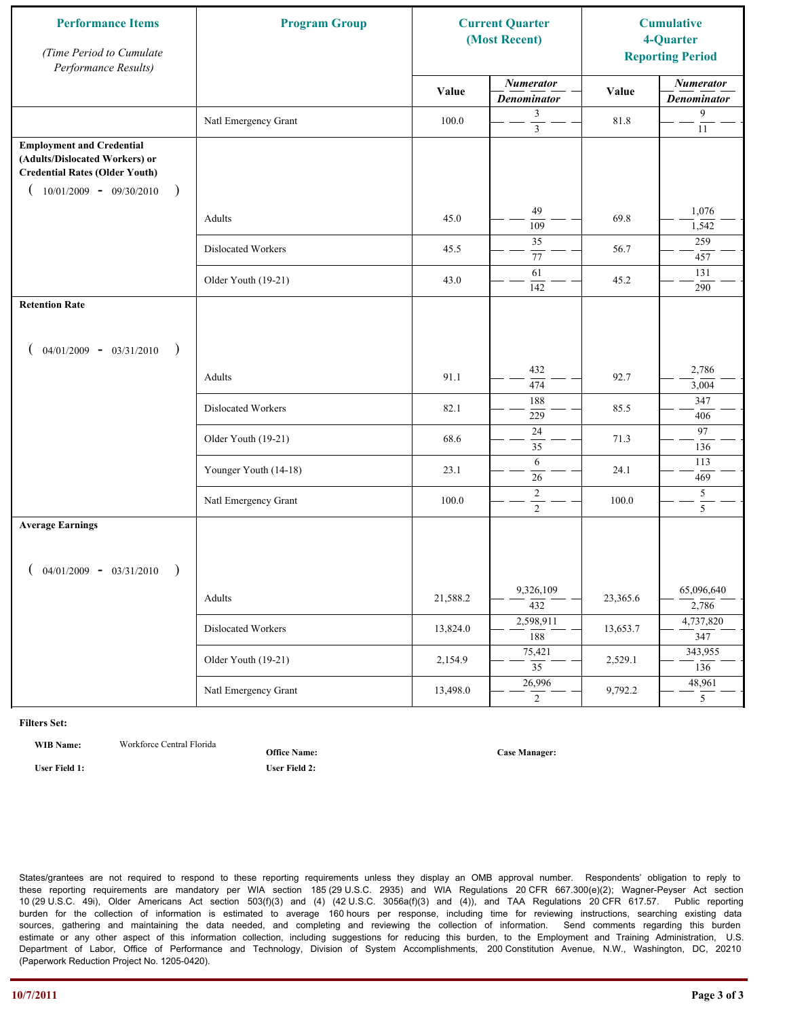| <b>Performance Items</b><br>(Time Period to Cumulate<br>Performance Results)                                                                               | <b>Program Group</b>  |          | <b>Current Quarter</b><br>(Most Recent) |          | <b>Cumulative</b><br>4-Quarter<br><b>Reporting Period</b> |
|------------------------------------------------------------------------------------------------------------------------------------------------------------|-----------------------|----------|-----------------------------------------|----------|-----------------------------------------------------------|
|                                                                                                                                                            |                       | Value    | <b>Numerator</b><br><b>Denominator</b>  | Value    | <b>Numerator</b><br><b>Denominator</b>                    |
|                                                                                                                                                            | Natl Emergency Grant  | 100.0    | 3<br>$\overline{\mathbf{3}}$            | 81.8     | 9<br>$11\,$                                               |
| <b>Employment and Credential</b><br>(Adults/Dislocated Workers) or<br><b>Credential Rates (Older Youth)</b><br>$10/01/2009$ - 09/30/2010<br>$\overline{)}$ |                       |          |                                         |          |                                                           |
|                                                                                                                                                            | Adults                | 45.0     | 49<br>109                               | 69.8     | 1,076<br>1,542                                            |
|                                                                                                                                                            | Dislocated Workers    | 45.5     | 35<br>77                                | 56.7     | 259<br>457                                                |
|                                                                                                                                                            | Older Youth (19-21)   | 43.0     | 61<br>142                               | 45.2     | 131<br>290                                                |
| <b>Retention Rate</b>                                                                                                                                      |                       |          |                                         |          |                                                           |
| $04/01/2009 - 03/31/2010$<br>$\rightarrow$                                                                                                                 |                       |          |                                         |          |                                                           |
|                                                                                                                                                            | Adults                | 91.1     | 432<br>474                              | 92.7     | 2,786<br>3,004                                            |
|                                                                                                                                                            | Dislocated Workers    | 82.1     | 188<br>229                              | 85.5     | 347<br>406                                                |
|                                                                                                                                                            | Older Youth (19-21)   | 68.6     | 24<br>35                                | 71.3     | 97<br>136                                                 |
|                                                                                                                                                            | Younger Youth (14-18) | 23.1     | 6<br>26                                 | 24.1     | 113<br>469                                                |
|                                                                                                                                                            | Natl Emergency Grant  | 100.0    | $\sqrt{2}$<br>$\overline{2}$            | 100.0    | $\mathfrak s$<br>$\overline{5}$                           |
| <b>Average Earnings</b><br>$04/01/2009 - 03/31/2010$                                                                                                       |                       |          |                                         |          |                                                           |
|                                                                                                                                                            | Adults                | 21,588.2 | 9,326,109<br>$\overline{432}$           | 23,365.6 | 65,096,640<br>2,786                                       |
|                                                                                                                                                            | Dislocated Workers    | 13,824.0 | 2,598,911<br>188                        | 13,653.7 | 4,737,820<br>347                                          |
|                                                                                                                                                            | Older Youth (19-21)   | 2,154.9  | 75,421<br>$\overline{35}$               | 2,529.1  | 343,955<br>136                                            |
|                                                                                                                                                            | Natl Emergency Grant  | 13,498.0 | 26,996<br>$\overline{2}$                | 9,792.2  | 48,961<br>5 <sup>5</sup>                                  |

**WIB Name:** Workforce Central Florida

**Office Name:**

**User Field 1: User Field 2:**

**Case Manager:**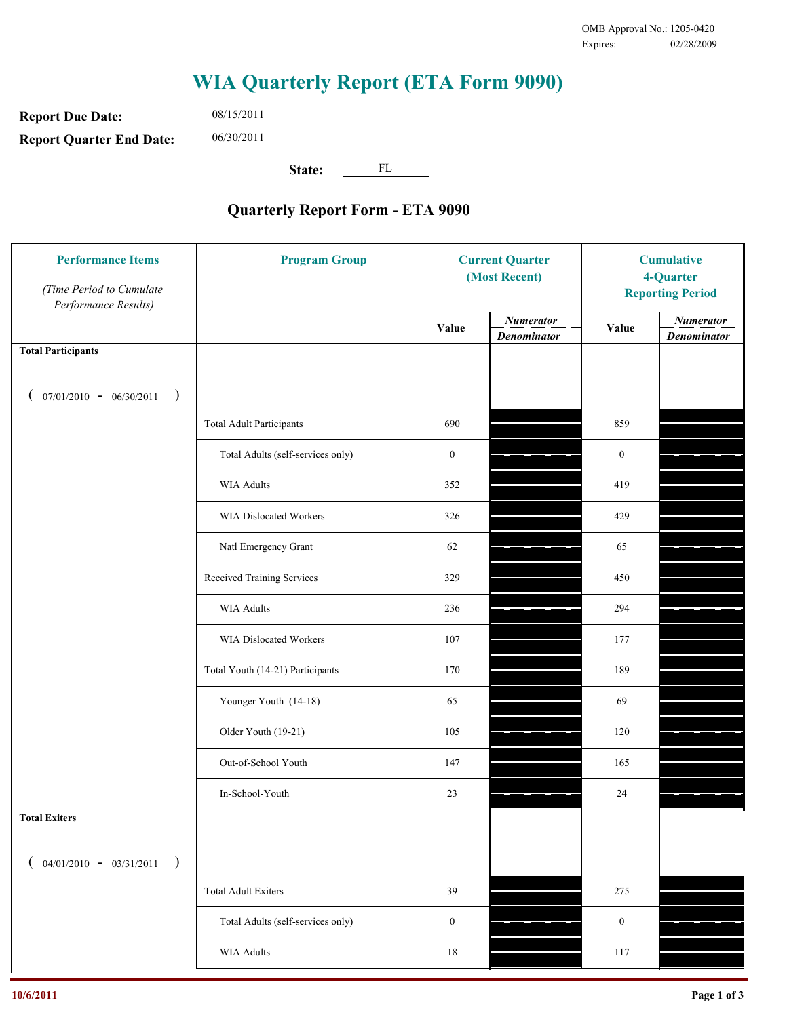**Report Due Date: Report Quarter End Date:** 08/15/2011 06/30/2011

**State:** FL

| <b>Performance Items</b><br>(Time Period to Cumulate<br>Performance Results) | <b>Program Group</b>              | <b>Current Quarter</b><br>(Most Recent) |                                        | <b>Cumulative</b><br>4-Quarter<br><b>Reporting Period</b> |                                        |
|------------------------------------------------------------------------------|-----------------------------------|-----------------------------------------|----------------------------------------|-----------------------------------------------------------|----------------------------------------|
|                                                                              |                                   | Value                                   | <b>Numerator</b><br><b>Denominator</b> | Value                                                     | <b>Numerator</b><br><b>Denominator</b> |
| <b>Total Participants</b>                                                    |                                   |                                         |                                        |                                                           |                                        |
| $07/01/2010 - 06/30/2011$ )                                                  |                                   |                                         |                                        |                                                           |                                        |
|                                                                              | <b>Total Adult Participants</b>   | 690                                     |                                        | 859                                                       |                                        |
|                                                                              | Total Adults (self-services only) | $\boldsymbol{0}$                        |                                        | $\boldsymbol{0}$                                          |                                        |
|                                                                              | WIA Adults                        | 352                                     |                                        | 419                                                       |                                        |
|                                                                              | WIA Dislocated Workers            | 326                                     |                                        | 429                                                       |                                        |
|                                                                              | Natl Emergency Grant              | 62                                      |                                        | 65                                                        |                                        |
|                                                                              | Received Training Services        | 329                                     |                                        | 450                                                       |                                        |
|                                                                              | WIA Adults                        | 236                                     |                                        | 294                                                       |                                        |
|                                                                              | WIA Dislocated Workers            | 107                                     |                                        | 177                                                       |                                        |
|                                                                              | Total Youth (14-21) Participants  | 170                                     |                                        | 189                                                       |                                        |
|                                                                              | Younger Youth (14-18)             | 65                                      |                                        | 69                                                        |                                        |
|                                                                              | Older Youth (19-21)               | 105                                     |                                        | 120                                                       |                                        |
|                                                                              | Out-of-School Youth               | 147                                     |                                        | 165                                                       |                                        |
|                                                                              | In-School-Youth                   | $23\,$                                  |                                        | 24                                                        |                                        |
| <b>Total Exiters</b>                                                         |                                   |                                         |                                        |                                                           |                                        |
| $($ 04/01/2010 - 03/31/2011<br>$\rightarrow$                                 |                                   |                                         |                                        |                                                           |                                        |
|                                                                              | <b>Total Adult Exiters</b>        | 39                                      |                                        | 275                                                       |                                        |
|                                                                              | Total Adults (self-services only) | $\boldsymbol{0}$                        |                                        | $\boldsymbol{0}$                                          |                                        |
|                                                                              | <b>WIA Adults</b>                 | $18\,$                                  |                                        | 117                                                       |                                        |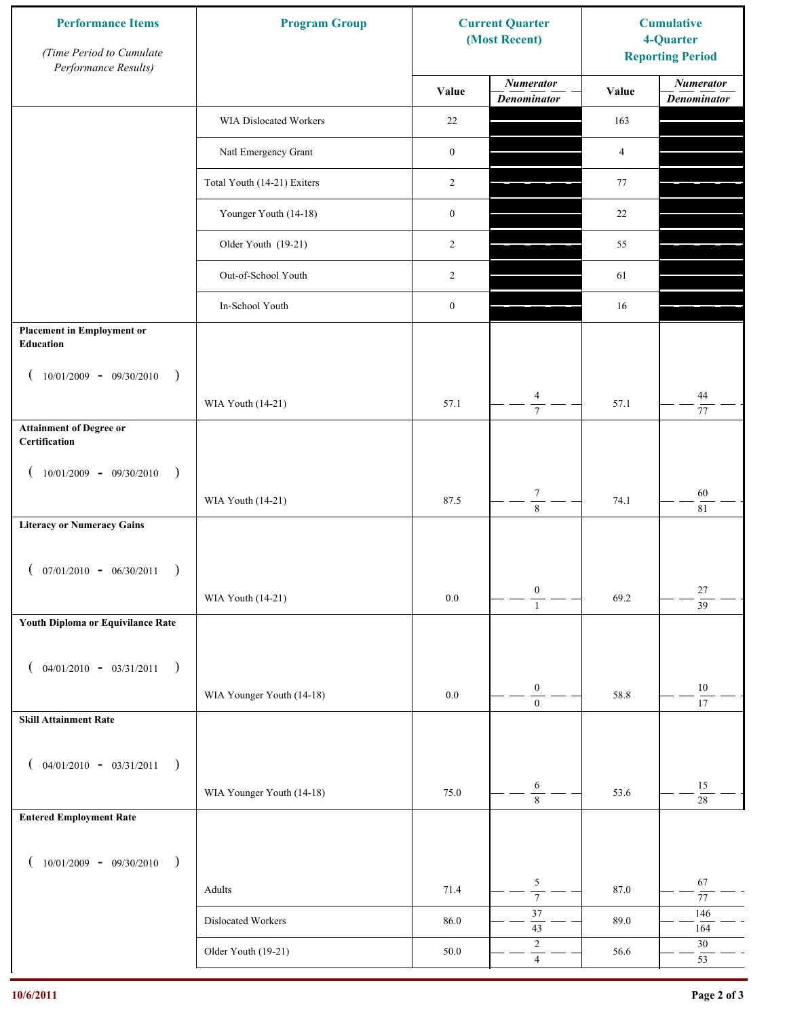| <b>Performance Items</b><br>(Time Period to Cumulate<br>Performance Results) | <b>Program Group</b>        |                  | <b>Current Quarter</b><br>(Most Recent) | <b>Cumulative</b><br>4-Quarter<br><b>Reporting Period</b> |                                        |
|------------------------------------------------------------------------------|-----------------------------|------------------|-----------------------------------------|-----------------------------------------------------------|----------------------------------------|
|                                                                              |                             | Value            | <b>Numerator</b><br><b>Denominator</b>  | Value                                                     | <b>Numerator</b><br><b>Denominator</b> |
|                                                                              | WIA Dislocated Workers      | 22               |                                         | 163                                                       |                                        |
|                                                                              | Natl Emergency Grant        | $\boldsymbol{0}$ |                                         | 4                                                         |                                        |
|                                                                              | Total Youth (14-21) Exiters | 2                |                                         | 77                                                        |                                        |
|                                                                              | Younger Youth (14-18)       | $\boldsymbol{0}$ |                                         | 22                                                        |                                        |
|                                                                              | Older Youth (19-21)         | 2                |                                         | 55                                                        |                                        |
|                                                                              | Out-of-School Youth         | 2                |                                         | 61                                                        |                                        |
|                                                                              | In-School Youth             | $\boldsymbol{0}$ |                                         | 16                                                        |                                        |
| <b>Placement in Employment or</b><br>Education                               |                             |                  |                                         |                                                           |                                        |
| $10/01/2009 - 09/30/2010$<br>$\rightarrow$                                   |                             |                  |                                         |                                                           |                                        |
|                                                                              | WIA Youth (14-21)           | 57.1             | $\overline{4}$<br>$\overline{7}$        | 57.1                                                      | 44<br>77                               |
| <b>Attainment of Degree or</b><br>Certification                              |                             |                  |                                         |                                                           |                                        |
| $10/01/2009 - 09/30/2010$<br>$\big)$<br>$\left($                             |                             |                  |                                         |                                                           |                                        |
|                                                                              | WIA Youth (14-21)           | 87.5             | $\boldsymbol{7}$<br>$\overline{8}$      | 74.1                                                      | $60\,$<br>81                           |
| <b>Literacy or Numeracy Gains</b>                                            |                             |                  |                                         |                                                           |                                        |
| $($ 07/01/2010 - 06/30/2011                                                  |                             |                  |                                         |                                                           |                                        |
|                                                                              | WIA Youth (14-21)           | 0.0              | $\boldsymbol{0}$<br>$\overline{1}$      | 69.2                                                      | $27\,$<br>$\overline{39}$              |
| Youth Diploma or Equivilance Rate                                            |                             |                  |                                         |                                                           |                                        |
| $04/01/2010 - 03/31/2011$<br>$\rightarrow$<br>€                              |                             |                  |                                         |                                                           |                                        |
|                                                                              | WIA Younger Youth (14-18)   | $0.0\,$          | $\boldsymbol{0}$                        | 58.8                                                      | $10\,$                                 |
| <b>Skill Attainment Rate</b>                                                 |                             |                  | $\boldsymbol{0}$                        |                                                           | 17                                     |
|                                                                              |                             |                  |                                         |                                                           |                                        |
| $04/01/2010 - 03/31/2011$<br>$\rightarrow$<br>€                              |                             | 75.0             | 6                                       | 53.6                                                      | 15                                     |
| <b>Entered Employment Rate</b>                                               | WIA Younger Youth (14-18)   |                  | $\overline{8}$                          |                                                           | $28\,$                                 |
|                                                                              |                             |                  |                                         |                                                           |                                        |
| $10/01/2009 - 09/30/2010$<br>$\rightarrow$                                   |                             |                  | $\sqrt{5}$                              |                                                           | 67                                     |
|                                                                              | Adults                      | 71.4             | $\overline{7}$                          | 87.0                                                      | $77\,$                                 |
|                                                                              | Dislocated Workers          | 86.0             | 37<br>$43\,$                            | 89.0                                                      | 146<br>164                             |
|                                                                              | Older Youth (19-21)         | 50.0             | $\sqrt{2}$<br>$\overline{4}$            | 56.6                                                      | $30\,$<br>53                           |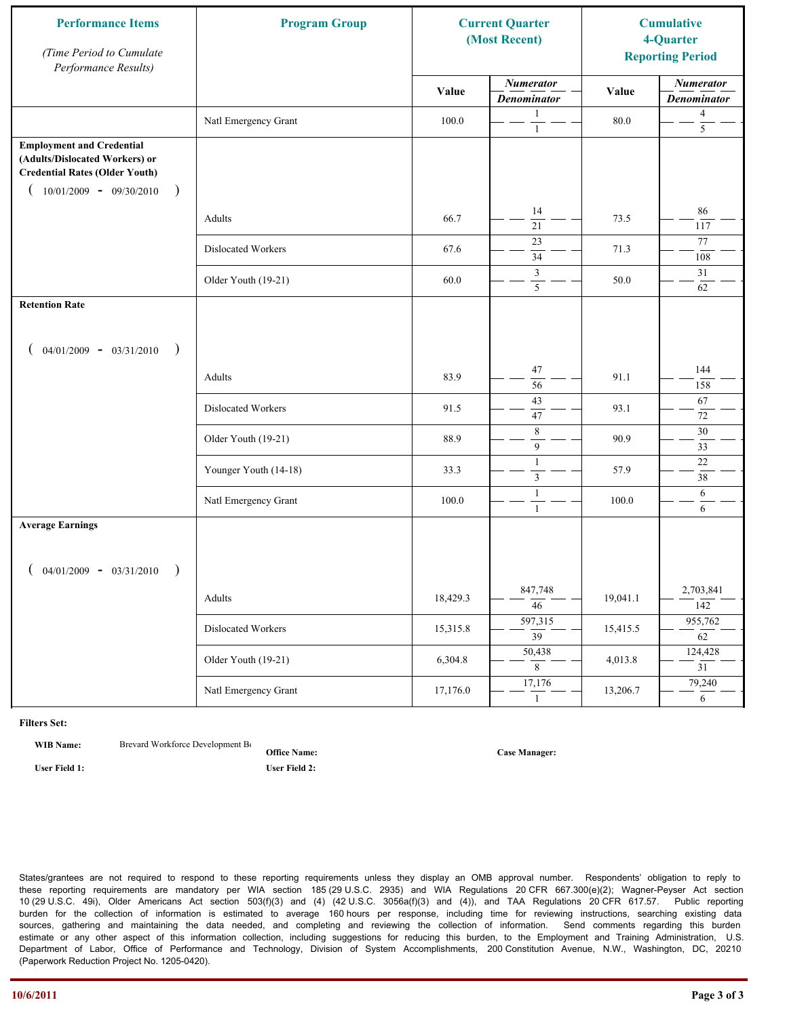| <b>Performance Items</b><br>(Time Period to Cumulate<br>Performance Results)                                                                              | <b>Program Group</b>  | <b>Current Quarter</b><br>(Most Recent) |                                        | <b>Cumulative</b><br>4-Quarter<br><b>Reporting Period</b> |                                        |
|-----------------------------------------------------------------------------------------------------------------------------------------------------------|-----------------------|-----------------------------------------|----------------------------------------|-----------------------------------------------------------|----------------------------------------|
|                                                                                                                                                           |                       | Value                                   | <b>Numerator</b><br><b>Denominator</b> | Value                                                     | <b>Numerator</b><br><b>Denominator</b> |
|                                                                                                                                                           | Natl Emergency Grant  | 100.0                                   | 1<br>$\mathbf{1}$                      | 80.0                                                      | $\overline{4}$<br>5                    |
| <b>Employment and Credential</b><br>(Adults/Dislocated Workers) or<br><b>Credential Rates (Older Youth)</b><br>$10/01/2009$ - 09/30/2010<br>$\rightarrow$ |                       |                                         |                                        |                                                           |                                        |
|                                                                                                                                                           | Adults                | 66.7                                    | 14<br>$\overline{21}$                  | 73.5                                                      | 86<br>117                              |
|                                                                                                                                                           | Dislocated Workers    | 67.6                                    | 23<br>$\overline{34}$                  | 71.3                                                      | 77<br>108                              |
|                                                                                                                                                           | Older Youth (19-21)   | 60.0                                    | 3<br>5                                 | 50.0                                                      | 31<br>62                               |
| <b>Retention Rate</b>                                                                                                                                     |                       |                                         |                                        |                                                           |                                        |
| $04/01/2009 - 03/31/2010$<br>$\rightarrow$                                                                                                                |                       |                                         |                                        |                                                           |                                        |
|                                                                                                                                                           | Adults                | 83.9                                    | 47<br>56                               | 91.1                                                      | 144<br>158                             |
|                                                                                                                                                           | Dislocated Workers    | 91.5                                    | 43<br>47                               | 93.1                                                      | 67<br>72                               |
|                                                                                                                                                           | Older Youth (19-21)   | 88.9                                    | $\,$ 8 $\,$<br>9                       | 90.9                                                      | 30<br>33                               |
|                                                                                                                                                           | Younger Youth (14-18) | 33.3                                    | $\mathbf{1}$<br>$\mathfrak{Z}$         | 57.9                                                      | $22\,$<br>38                           |
|                                                                                                                                                           | Natl Emergency Grant  | 100.0                                   | $\mathbf{1}$<br>$\mathbf{1}$           | 100.0                                                     | 6<br>6                                 |
| <b>Average Earnings</b>                                                                                                                                   |                       |                                         |                                        |                                                           |                                        |
| $04/01/2009 - 03/31/2010$<br>$\rightarrow$                                                                                                                |                       |                                         |                                        |                                                           |                                        |
|                                                                                                                                                           | Adults                | 18,429.3                                | 847,748<br>$\overline{46}$             | 19,041.1                                                  | 2,703,841<br>142                       |
|                                                                                                                                                           | Dislocated Workers    | 15,315.8                                | 597,315<br>$\overline{39}$             | 15,415.5                                                  | 955,762<br>$\overline{62}$             |
|                                                                                                                                                           | Older Youth (19-21)   | 6,304.8                                 | 50,438<br>8                            | 4,013.8                                                   | 124,428<br>$\overline{31}$             |
|                                                                                                                                                           | Natl Emergency Grant  | 17,176.0                                | 17,176<br>$\mathbf{1}$                 | 13,206.7                                                  | 79,240<br>6                            |

**WIB Name:** Brevard Workforce Development Board Inc.

**Office Name:**

**User Field 1: User Field 2:**

**Case Manager:**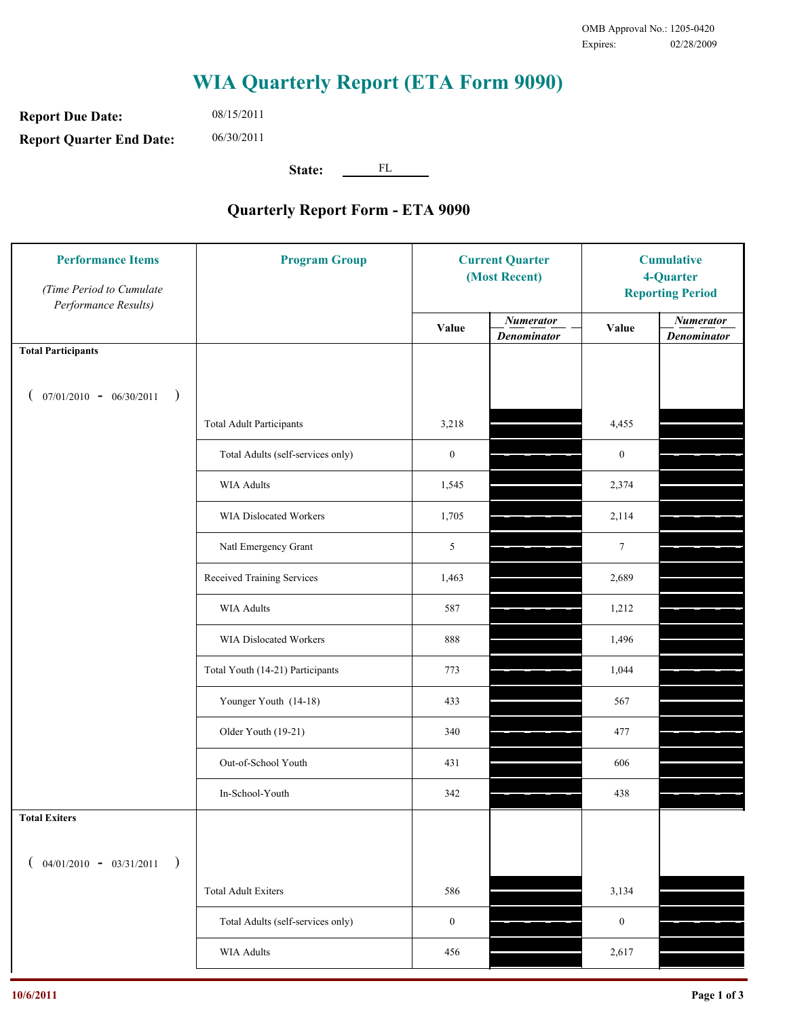**Report Due Date: Report Quarter End Date:** 06/30/2011

08/15/2011

**State:** FL

| <b>Performance Items</b><br>(Time Period to Cumulate<br>Performance Results) | <b>Program Group</b>              | <b>Current Quarter</b><br>(Most Recent) |                                        | <b>Cumulative</b><br>4-Quarter<br><b>Reporting Period</b> |                                        |
|------------------------------------------------------------------------------|-----------------------------------|-----------------------------------------|----------------------------------------|-----------------------------------------------------------|----------------------------------------|
|                                                                              |                                   | Value                                   | <b>Numerator</b><br><b>Denominator</b> | Value                                                     | <b>Numerator</b><br><b>Denominator</b> |
| <b>Total Participants</b>                                                    |                                   |                                         |                                        |                                                           |                                        |
| $07/01/2010 - 06/30/2011$<br>$\rightarrow$                                   |                                   |                                         |                                        |                                                           |                                        |
|                                                                              | <b>Total Adult Participants</b>   | 3,218                                   |                                        | 4,455                                                     |                                        |
|                                                                              | Total Adults (self-services only) | $\boldsymbol{0}$                        |                                        | $\boldsymbol{0}$                                          |                                        |
|                                                                              | WIA Adults                        | 1,545                                   |                                        | 2,374                                                     |                                        |
|                                                                              | WIA Dislocated Workers            | 1,705                                   |                                        | 2,114                                                     |                                        |
|                                                                              | Natl Emergency Grant              | 5                                       |                                        | $\tau$                                                    |                                        |
|                                                                              | Received Training Services        | 1,463                                   |                                        | 2,689                                                     |                                        |
|                                                                              | WIA Adults                        | 587                                     |                                        | 1,212                                                     |                                        |
|                                                                              | WIA Dislocated Workers            | 888                                     |                                        | 1,496                                                     |                                        |
|                                                                              | Total Youth (14-21) Participants  | 773                                     |                                        | 1,044                                                     |                                        |
|                                                                              | Younger Youth (14-18)             | 433                                     |                                        | 567                                                       |                                        |
|                                                                              | Older Youth (19-21)               | 340                                     |                                        | 477                                                       |                                        |
|                                                                              | Out-of-School Youth               | 431                                     |                                        | 606                                                       |                                        |
|                                                                              | In-School-Youth                   | 342                                     |                                        | 438                                                       |                                        |
| <b>Total Exiters</b>                                                         |                                   |                                         |                                        |                                                           |                                        |
| $($ 04/01/2010 - 03/31/2011<br>$\rightarrow$                                 |                                   |                                         |                                        |                                                           |                                        |
|                                                                              | <b>Total Adult Exiters</b>        | 586                                     |                                        | 3,134                                                     |                                        |
|                                                                              | Total Adults (self-services only) | $\boldsymbol{0}$                        |                                        | $\boldsymbol{0}$                                          |                                        |
|                                                                              | <b>WIA Adults</b>                 | 456                                     |                                        | 2,617                                                     |                                        |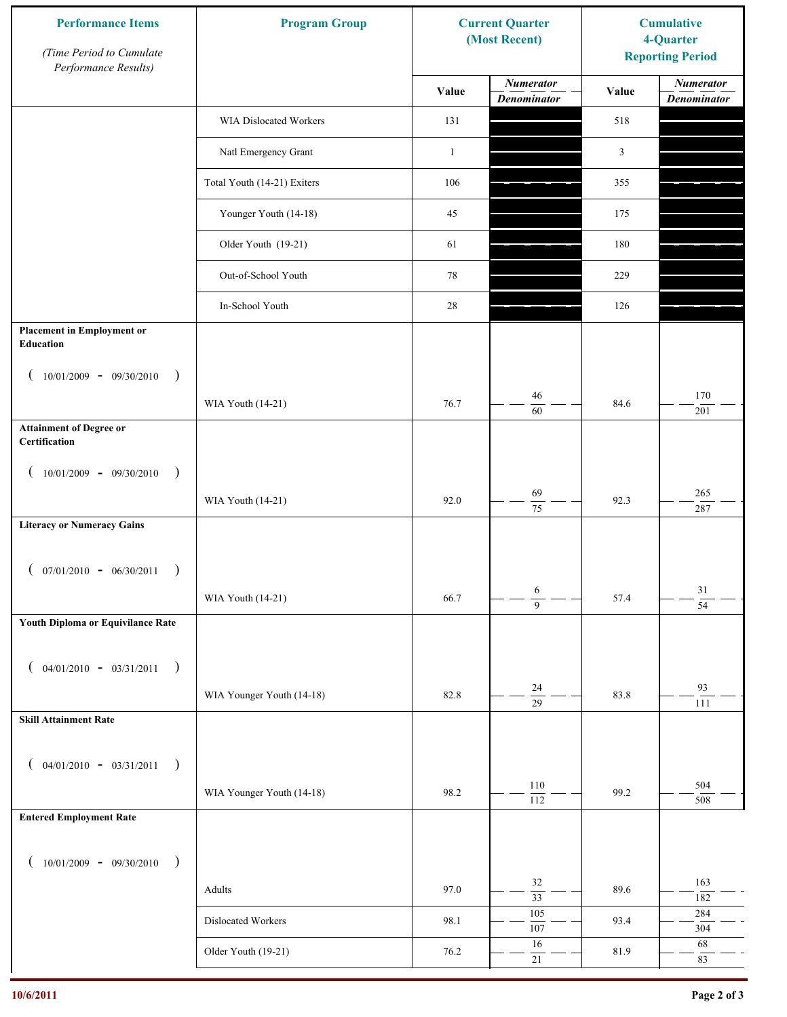| <b>Performance Items</b><br>(Time Period to Cumulate<br>Performance Results) | <b>Program Group</b>        | <b>Current Quarter</b><br>(Most Recent) |                                        | <b>Cumulative</b><br>4-Quarter<br><b>Reporting Period</b> |                                        |
|------------------------------------------------------------------------------|-----------------------------|-----------------------------------------|----------------------------------------|-----------------------------------------------------------|----------------------------------------|
|                                                                              |                             | Value                                   | <b>Numerator</b><br><b>Denominator</b> | Value                                                     | <b>Numerator</b><br><b>Denominator</b> |
|                                                                              | WIA Dislocated Workers      | 131                                     |                                        | 518                                                       |                                        |
|                                                                              | Natl Emergency Grant        | $\mathbf{1}$                            |                                        | $\mathfrak{Z}$                                            |                                        |
|                                                                              | Total Youth (14-21) Exiters | 106                                     |                                        | 355                                                       |                                        |
|                                                                              | Younger Youth (14-18)       | 45                                      |                                        | 175                                                       |                                        |
|                                                                              | Older Youth (19-21)         | 61                                      |                                        | 180                                                       |                                        |
|                                                                              | Out-of-School Youth         | 78                                      |                                        | 229                                                       |                                        |
|                                                                              | In-School Youth             | 28                                      |                                        | 126                                                       |                                        |
| <b>Placement in Employment or</b><br><b>Education</b>                        |                             |                                         |                                        |                                                           |                                        |
| $10/01/2009 - 09/30/2010$<br>$\rightarrow$                                   |                             |                                         |                                        |                                                           |                                        |
|                                                                              | WIA Youth (14-21)           | 76.7                                    | 46<br>60                               | 84.6                                                      | 170<br>201                             |
| <b>Attainment of Degree or</b><br>Certification                              |                             |                                         |                                        |                                                           |                                        |
| $10/01/2009 - 09/30/2010$<br>$\rightarrow$<br>$\left($                       |                             |                                         |                                        |                                                           |                                        |
|                                                                              | WIA Youth (14-21)           | 92.0                                    | 69<br>$\overline{75}$                  | 92.3                                                      | 265<br>287                             |
| <b>Literacy or Numeracy Gains</b>                                            |                             |                                         |                                        |                                                           |                                        |
| $($ 07/01/2010 - 06/30/2011                                                  |                             |                                         |                                        |                                                           |                                        |
|                                                                              | WIA Youth (14-21)           | 66.7                                    | 6<br>$\overline{9}$                    | 57.4                                                      | $31\,$<br>$\overline{54}$              |
| Youth Diploma or Equivilance Rate                                            |                             |                                         |                                        |                                                           |                                        |
| $04/01/2010 - 03/31/2011$<br>$\rightarrow$                                   |                             |                                         |                                        |                                                           |                                        |
| €                                                                            | WIA Younger Youth (14-18)   | 82.8                                    | $24\,$                                 | 83.8                                                      | 93                                     |
| <b>Skill Attainment Rate</b>                                                 |                             |                                         | $\overline{29}$                        |                                                           | 111                                    |
|                                                                              |                             |                                         |                                        |                                                           |                                        |
| $04/01/2010 - 03/31/2011$<br>$\rightarrow$                                   |                             |                                         | 110                                    |                                                           | 504                                    |
| <b>Entered Employment Rate</b>                                               | WIA Younger Youth (14-18)   | 98.2                                    | 112                                    | 99.2                                                      | 508                                    |
|                                                                              |                             |                                         |                                        |                                                           |                                        |
| $10/01/2009 - 09/30/2010$<br>$\rightarrow$                                   |                             |                                         |                                        |                                                           |                                        |
|                                                                              | Adults                      | 97.0                                    | 32<br>$\overline{33}$                  | 89.6                                                      | 163<br>182                             |
|                                                                              | Dislocated Workers          | 98.1                                    | 105<br>107                             | 93.4                                                      | 284<br>304                             |
|                                                                              | Older Youth (19-21)         | 76.2                                    | 16<br>$21\,$                           | 81.9                                                      | 68<br>83                               |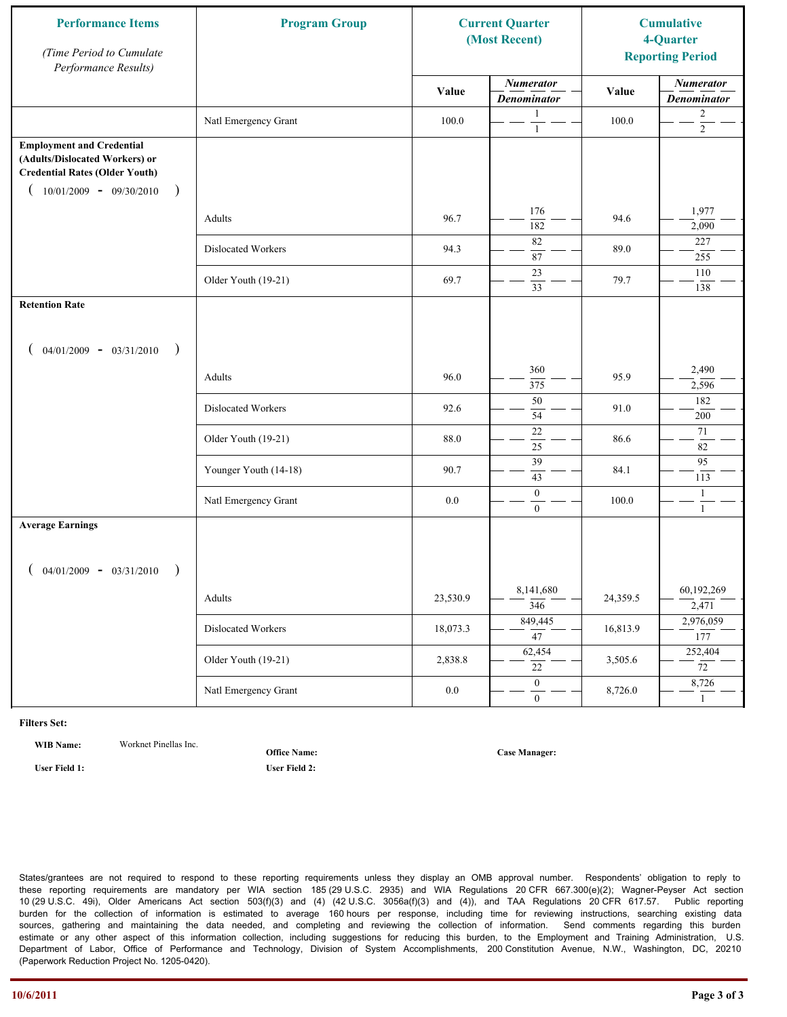| <b>Performance Items</b><br>(Time Period to Cumulate<br>Performance Results)                                                                              | <b>Program Group</b>  | <b>Current Quarter</b><br>(Most Recent) |                                        | <b>Cumulative</b><br>4-Quarter<br><b>Reporting Period</b> |                                        |
|-----------------------------------------------------------------------------------------------------------------------------------------------------------|-----------------------|-----------------------------------------|----------------------------------------|-----------------------------------------------------------|----------------------------------------|
|                                                                                                                                                           |                       | Value                                   | <b>Numerator</b><br><b>Denominator</b> | Value                                                     | <b>Numerator</b><br><b>Denominator</b> |
|                                                                                                                                                           | Natl Emergency Grant  | 100.0                                   | 1<br>$\mathbf{1}$                      | 100.0                                                     | $\overline{c}$<br>$\overline{2}$       |
| <b>Employment and Credential</b><br>(Adults/Dislocated Workers) or<br><b>Credential Rates (Older Youth)</b><br>$10/01/2009$ - 09/30/2010<br>$\rightarrow$ |                       |                                         |                                        |                                                           |                                        |
|                                                                                                                                                           | Adults                | 96.7                                    | 176<br>182                             | 94.6                                                      | 1,977<br>2,090                         |
|                                                                                                                                                           | Dislocated Workers    | 94.3                                    | 82<br>87                               | 89.0                                                      | 227<br>255                             |
|                                                                                                                                                           | Older Youth (19-21)   | 69.7                                    | 23<br>33                               | 79.7                                                      | 110<br>138                             |
| <b>Retention Rate</b>                                                                                                                                     |                       |                                         |                                        |                                                           |                                        |
| $04/01/2009 - 03/31/2010$<br>$\rightarrow$                                                                                                                |                       |                                         |                                        |                                                           |                                        |
|                                                                                                                                                           | Adults                | 96.0                                    | 360<br>375                             | 95.9                                                      | 2,490<br>2,596                         |
|                                                                                                                                                           | Dislocated Workers    | 92.6                                    | $50\,$<br>54                           | 91.0                                                      | 182<br>200                             |
|                                                                                                                                                           | Older Youth (19-21)   | 88.0                                    | $\overline{22}$<br>25                  | 86.6                                                      | 71<br>82                               |
|                                                                                                                                                           | Younger Youth (14-18) | 90.7                                    | 39<br>43                               | 84.1                                                      | 95<br>113                              |
|                                                                                                                                                           | Natl Emergency Grant  | 0.0                                     | $\mathbf{0}$<br>$\overline{0}$         | 100.0                                                     | $\mathbf{1}$<br>$\mathbf{1}$           |
| <b>Average Earnings</b>                                                                                                                                   |                       |                                         |                                        |                                                           |                                        |
| $04/01/2009 - 03/31/2010$<br>$\rightarrow$                                                                                                                |                       |                                         |                                        |                                                           |                                        |
|                                                                                                                                                           | Adults                | 23,530.9                                | 8,141,680<br>$\overline{346}$          | 24,359.5                                                  | 60,192,269<br>2,471                    |
|                                                                                                                                                           | Dislocated Workers    | 18,073.3                                | 849,445<br>$\overline{47}$             | 16,813.9                                                  | 2,976,059<br>177                       |
|                                                                                                                                                           | Older Youth (19-21)   | 2,838.8                                 | 62,454<br>22                           | 3,505.6                                                   | 252,404<br>$\overline{72}$             |
|                                                                                                                                                           | Natl Emergency Grant  | $0.0\,$                                 | $\overline{0}$<br>$\mathbf{0}$         | 8,726.0                                                   | 8,726<br>$\mathbf{1}$                  |

**WIB Name:** Worknet Pinellas Inc.

**Office Name:**

**User Field 1: User Field 2:**

**Case Manager:**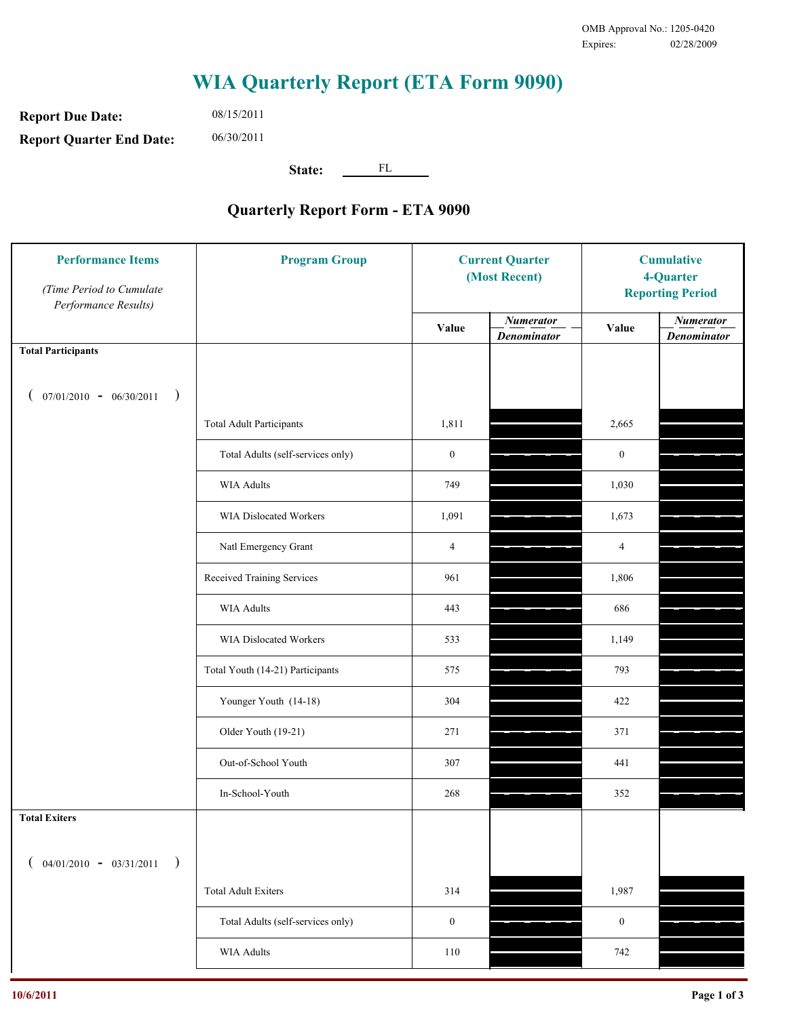**Report Due Date: Report Quarter End Date:** 08/15/2011 06/30/2011

**State:** FL

| <b>Performance Items</b><br>(Time Period to Cumulate<br>Performance Results) | <b>Program Group</b>              | <b>Current Quarter</b><br>(Most Recent) |                                        | <b>Cumulative</b><br>4-Quarter<br><b>Reporting Period</b> |                                        |
|------------------------------------------------------------------------------|-----------------------------------|-----------------------------------------|----------------------------------------|-----------------------------------------------------------|----------------------------------------|
|                                                                              |                                   | <b>Value</b>                            | <b>Numerator</b><br><b>Denominator</b> | Value                                                     | <b>Numerator</b><br><b>Denominator</b> |
| <b>Total Participants</b>                                                    |                                   |                                         |                                        |                                                           |                                        |
| $07/01/2010 - 06/30/2011$<br>$\rightarrow$                                   |                                   |                                         |                                        |                                                           |                                        |
|                                                                              | <b>Total Adult Participants</b>   | 1,811                                   |                                        | 2,665                                                     |                                        |
|                                                                              | Total Adults (self-services only) | $\boldsymbol{0}$                        |                                        | $\boldsymbol{0}$                                          |                                        |
|                                                                              | <b>WIA Adults</b>                 | 749                                     |                                        | 1,030                                                     |                                        |
|                                                                              | WIA Dislocated Workers            | 1,091                                   |                                        | 1,673                                                     |                                        |
|                                                                              | Natl Emergency Grant              | $\overline{4}$                          |                                        | $\overline{4}$                                            |                                        |
|                                                                              | Received Training Services        | 961                                     |                                        | 1,806                                                     |                                        |
|                                                                              | <b>WIA Adults</b>                 | 443                                     |                                        | 686                                                       |                                        |
|                                                                              | WIA Dislocated Workers            | 533                                     |                                        | 1,149                                                     |                                        |
|                                                                              | Total Youth (14-21) Participants  | 575                                     |                                        | 793                                                       |                                        |
|                                                                              | Younger Youth (14-18)             | 304                                     |                                        | 422                                                       |                                        |
|                                                                              | Older Youth (19-21)               | 271                                     |                                        | 371                                                       |                                        |
|                                                                              | Out-of-School Youth               | 307                                     |                                        | 441                                                       |                                        |
|                                                                              | In-School-Youth                   | 268                                     |                                        | 352                                                       |                                        |
| <b>Total Exiters</b>                                                         |                                   |                                         |                                        |                                                           |                                        |
| $($ 04/01/2010 - 03/31/2011<br>$\rightarrow$                                 |                                   |                                         |                                        |                                                           |                                        |
|                                                                              | <b>Total Adult Exiters</b>        | 314                                     |                                        | 1,987                                                     |                                        |
|                                                                              | Total Adults (self-services only) | $\boldsymbol{0}$                        |                                        | $\boldsymbol{0}$                                          |                                        |
|                                                                              | WIA Adults                        | 110                                     |                                        | 742                                                       |                                        |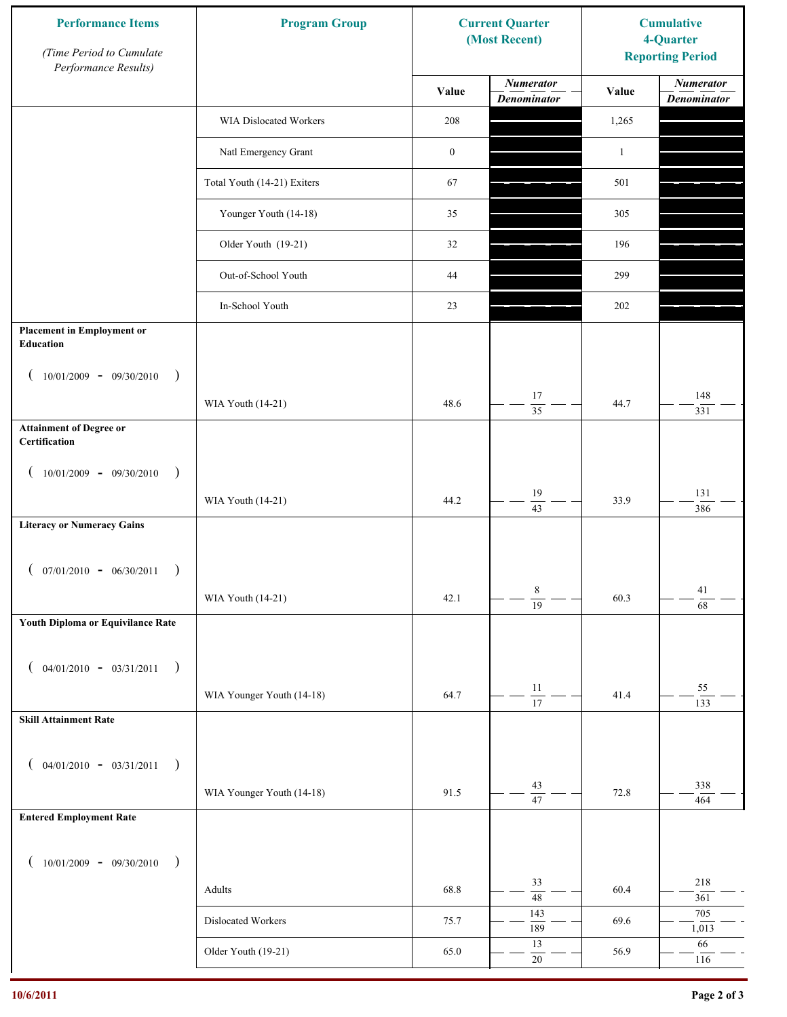| <b>Performance Items</b><br>(Time Period to Cumulate<br>Performance Results) | <b>Program Group</b>        | <b>Current Quarter</b><br>(Most Recent) |                                        | <b>Cumulative</b><br>4-Quarter<br><b>Reporting Period</b> |                                        |
|------------------------------------------------------------------------------|-----------------------------|-----------------------------------------|----------------------------------------|-----------------------------------------------------------|----------------------------------------|
|                                                                              |                             | Value                                   | <b>Numerator</b><br><b>Denominator</b> | Value                                                     | <b>Numerator</b><br><b>Denominator</b> |
|                                                                              | WIA Dislocated Workers      | 208                                     |                                        | 1,265                                                     |                                        |
|                                                                              | Natl Emergency Grant        | $\boldsymbol{0}$                        |                                        | $\mathbf{1}$                                              |                                        |
|                                                                              | Total Youth (14-21) Exiters | 67                                      |                                        | 501                                                       |                                        |
|                                                                              | Younger Youth (14-18)       | 35                                      |                                        | 305                                                       |                                        |
|                                                                              | Older Youth (19-21)         | 32                                      |                                        | 196                                                       |                                        |
|                                                                              | Out-of-School Youth         | 44                                      |                                        | 299                                                       |                                        |
|                                                                              | In-School Youth             | 23                                      |                                        | 202                                                       |                                        |
| <b>Placement in Employment or</b><br>Education                               |                             |                                         |                                        |                                                           |                                        |
| $10/01/2009 - 09/30/2010$<br>$\rightarrow$                                   |                             |                                         |                                        |                                                           |                                        |
|                                                                              | WIA Youth (14-21)           | 48.6                                    | 17<br>$\overline{35}$                  | 44.7                                                      | 148<br>331                             |
| <b>Attainment of Degree or</b><br>Certification                              |                             |                                         |                                        |                                                           |                                        |
| $10/01/2009 - 09/30/2010$<br>$\big)$<br>$\left($                             |                             |                                         |                                        |                                                           |                                        |
|                                                                              | WIA Youth (14-21)           | 44.2                                    | 19<br>$\overline{43}$                  | 33.9                                                      | 131<br>386                             |
| <b>Literacy or Numeracy Gains</b>                                            |                             |                                         |                                        |                                                           |                                        |
| $($ 07/01/2010 - 06/30/2011                                                  |                             |                                         |                                        |                                                           |                                        |
|                                                                              | WIA Youth (14-21)           | 42.1                                    | 8<br>$\overline{19}$                   | 60.3                                                      | 41                                     |
| Youth Diploma or Equivilance Rate                                            |                             |                                         |                                        |                                                           | $\overline{68}$                        |
|                                                                              |                             |                                         |                                        |                                                           |                                        |
| $04/01/2010 - 03/31/2011$<br>$\rightarrow$<br>€                              |                             |                                         | $11\,$                                 |                                                           | 55                                     |
| <b>Skill Attainment Rate</b>                                                 | WIA Younger Youth (14-18)   | 64.7                                    | 17                                     | 41.4                                                      | 133                                    |
|                                                                              |                             |                                         |                                        |                                                           |                                        |
| $04/01/2010 - 03/31/2011$<br>$\rightarrow$<br>€                              |                             |                                         |                                        |                                                           |                                        |
|                                                                              | WIA Younger Youth (14-18)   | 91.5                                    | 43<br>$\overline{47}$                  | 72.8                                                      | 338<br>464                             |
| <b>Entered Employment Rate</b>                                               |                             |                                         |                                        |                                                           |                                        |
| $10/01/2009 - 09/30/2010$<br>$\rightarrow$                                   |                             |                                         |                                        |                                                           |                                        |
|                                                                              | Adults                      | 68.8                                    | 33<br>$\overline{48}$                  | 60.4                                                      | 218<br>361                             |
|                                                                              | Dislocated Workers          | 75.7                                    | 143                                    | 69.6                                                      | 705                                    |
|                                                                              | Older Youth (19-21)         | 65.0                                    | 189<br>13                              | 56.9                                                      | 1,013<br>66                            |
|                                                                              |                             |                                         | $20\,$                                 |                                                           | 116                                    |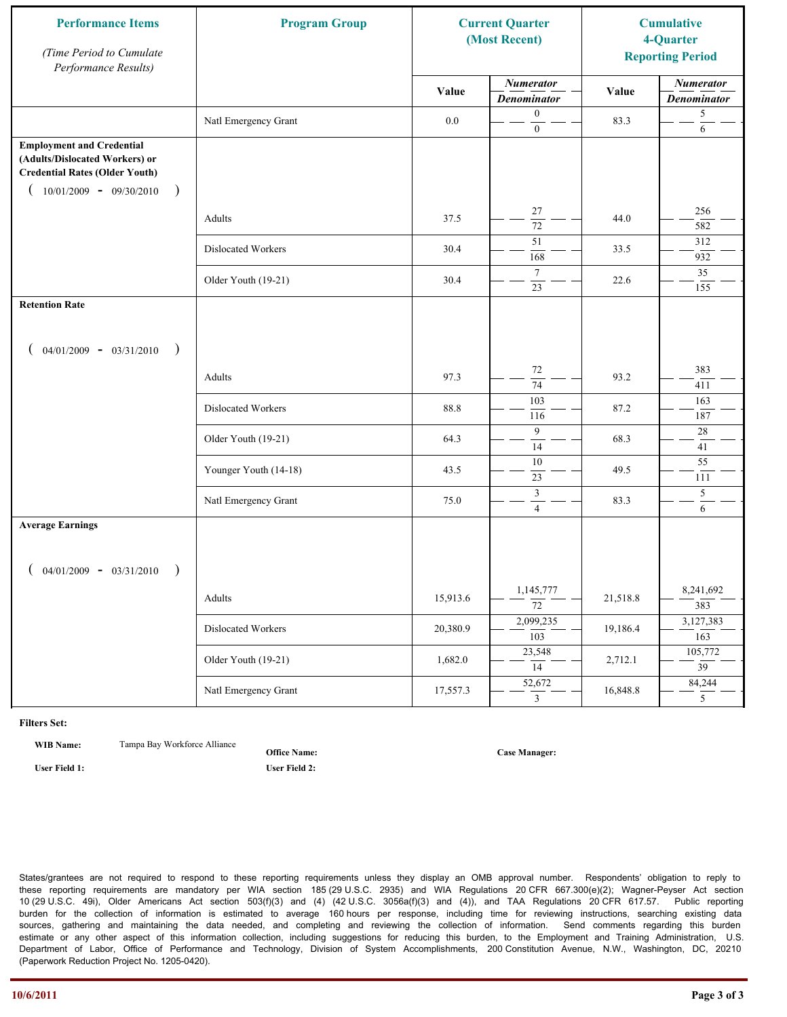| <b>Performance Items</b><br>(Time Period to Cumulate<br>Performance Results)                                                                               | <b>Program Group</b>  | <b>Current Quarter</b><br>(Most Recent) |                                               | <b>Cumulative</b><br>4-Quarter<br><b>Reporting Period</b> |                                        |
|------------------------------------------------------------------------------------------------------------------------------------------------------------|-----------------------|-----------------------------------------|-----------------------------------------------|-----------------------------------------------------------|----------------------------------------|
|                                                                                                                                                            |                       | Value                                   | <b>Numerator</b><br><b>Denominator</b>        | Value                                                     | <b>Numerator</b><br><b>Denominator</b> |
|                                                                                                                                                            | Natl Emergency Grant  | 0.0                                     | $\boldsymbol{0}$<br>$\overline{0}$            | 83.3                                                      | $\sqrt{5}$<br>6                        |
| <b>Employment and Credential</b><br>(Adults/Dislocated Workers) or<br><b>Credential Rates (Older Youth)</b><br>$10/01/2009$ - 09/30/2010<br>$\overline{ }$ |                       |                                         |                                               |                                                           |                                        |
|                                                                                                                                                            | Adults                | 37.5                                    | 27<br>$\overline{72}$                         | 44.0                                                      | 256<br>582                             |
|                                                                                                                                                            | Dislocated Workers    | 30.4                                    | 51<br>168                                     | 33.5                                                      | 312<br>932                             |
|                                                                                                                                                            | Older Youth (19-21)   | 30.4                                    | $7\phantom{.0}$<br>23                         | 22.6                                                      | 35<br>155                              |
| <b>Retention Rate</b>                                                                                                                                      |                       |                                         |                                               |                                                           |                                        |
| $04/01/2009 - 03/31/2010$<br>$\rightarrow$                                                                                                                 |                       |                                         |                                               |                                                           |                                        |
|                                                                                                                                                            | Adults                | 97.3                                    | 72<br>74                                      | 93.2                                                      | 383<br>411                             |
|                                                                                                                                                            | Dislocated Workers    | 88.8                                    | 103<br>116                                    | 87.2                                                      | 163<br>187                             |
|                                                                                                                                                            | Older Youth (19-21)   | 64.3                                    | 9<br>14                                       | 68.3                                                      | $28\,$<br>41                           |
|                                                                                                                                                            | Younger Youth (14-18) | 43.5                                    | $10\,$<br>23                                  | 49.5                                                      | 55<br>111                              |
|                                                                                                                                                            | Natl Emergency Grant  | 75.0                                    | $\ensuremath{\mathfrak{Z}}$<br>$\overline{4}$ | 83.3                                                      | $\overline{\mathbf{5}}$<br>6           |
| <b>Average Earnings</b>                                                                                                                                    |                       |                                         |                                               |                                                           |                                        |
| $04/01/2009 - 03/31/2010$                                                                                                                                  |                       |                                         |                                               |                                                           |                                        |
|                                                                                                                                                            | Adults                | 15,913.6                                | 1,145,777<br>$\overline{72}$                  | 21,518.8                                                  | 8,241,692<br>383                       |
|                                                                                                                                                            | Dislocated Workers    | 20,380.9                                | 2,099,235<br>$\overline{103}$                 | 19,186.4                                                  | 3,127,383<br>163                       |
|                                                                                                                                                            | Older Youth (19-21)   | 1,682.0                                 | 23,548<br>14                                  | 2,712.1                                                   | 105,772<br>$\overline{39}$             |
|                                                                                                                                                            | Natl Emergency Grant  | 17,557.3                                | 52,672<br>3                                   | 16,848.8                                                  | 84,244<br>5 <sup>5</sup>               |

**WIB Name:** Tampa Bay Workforce Alliance

**Office Name:**

**User Field 1: User Field 2:**

**Case Manager:**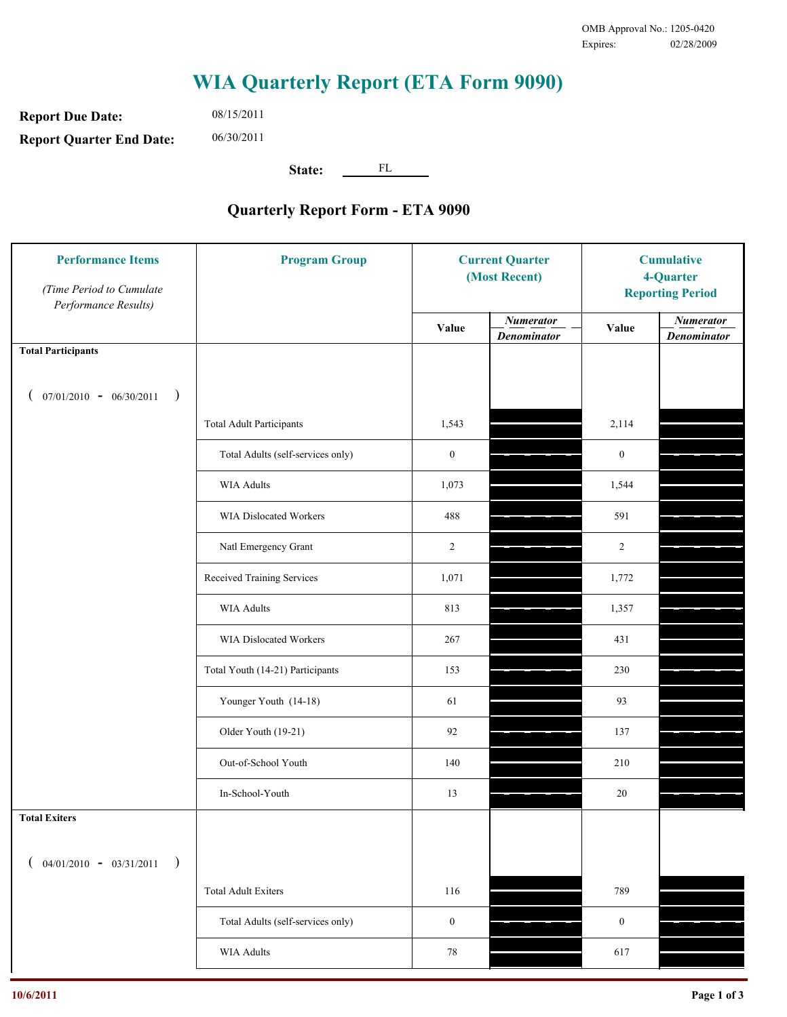**Report Due Date: Report Quarter End Date:** 08/15/2011 06/30/2011

**State:** FL

| <b>Performance Items</b><br>(Time Period to Cumulate<br>Performance Results) | <b>Program Group</b>              | <b>Current Quarter</b><br>(Most Recent) |                                        | <b>Cumulative</b><br>4-Quarter<br><b>Reporting Period</b> |                                        |
|------------------------------------------------------------------------------|-----------------------------------|-----------------------------------------|----------------------------------------|-----------------------------------------------------------|----------------------------------------|
|                                                                              |                                   | Value                                   | <b>Numerator</b><br><b>Denominator</b> | Value                                                     | <b>Numerator</b><br><b>Denominator</b> |
| <b>Total Participants</b>                                                    |                                   |                                         |                                        |                                                           |                                        |
| $07/01/2010 - 06/30/2011$ )                                                  |                                   |                                         |                                        |                                                           |                                        |
|                                                                              | <b>Total Adult Participants</b>   | 1,543                                   |                                        | 2,114                                                     |                                        |
|                                                                              | Total Adults (self-services only) | $\boldsymbol{0}$                        |                                        | $\boldsymbol{0}$                                          |                                        |
|                                                                              | WIA Adults                        | 1,073                                   |                                        | 1,544                                                     |                                        |
|                                                                              | <b>WIA Dislocated Workers</b>     | 488                                     |                                        | 591                                                       |                                        |
|                                                                              | Natl Emergency Grant              | $\overline{c}$                          |                                        | $\overline{c}$                                            |                                        |
|                                                                              | Received Training Services        | 1,071                                   |                                        | 1,772                                                     |                                        |
|                                                                              | <b>WIA Adults</b>                 | 813                                     |                                        | 1,357                                                     |                                        |
|                                                                              | WIA Dislocated Workers            | 267                                     |                                        | 431                                                       |                                        |
|                                                                              | Total Youth (14-21) Participants  | 153                                     |                                        | 230                                                       |                                        |
|                                                                              | Younger Youth (14-18)             | 61                                      |                                        | 93                                                        |                                        |
|                                                                              | Older Youth (19-21)               | 92                                      |                                        | 137                                                       |                                        |
|                                                                              | Out-of-School Youth               | 140                                     |                                        | 210                                                       |                                        |
|                                                                              | In-School-Youth                   | 13                                      |                                        | 20                                                        |                                        |
| <b>Total Exiters</b>                                                         |                                   |                                         |                                        |                                                           |                                        |
| $04/01/2010 - 03/31/2011$<br>$\rightarrow$                                   |                                   |                                         |                                        |                                                           |                                        |
|                                                                              | <b>Total Adult Exiters</b>        | 116                                     |                                        | 789                                                       |                                        |
|                                                                              | Total Adults (self-services only) | $\boldsymbol{0}$                        |                                        | $\boldsymbol{0}$                                          |                                        |
|                                                                              | <b>WIA Adults</b>                 | $78\,$                                  |                                        | 617                                                       |                                        |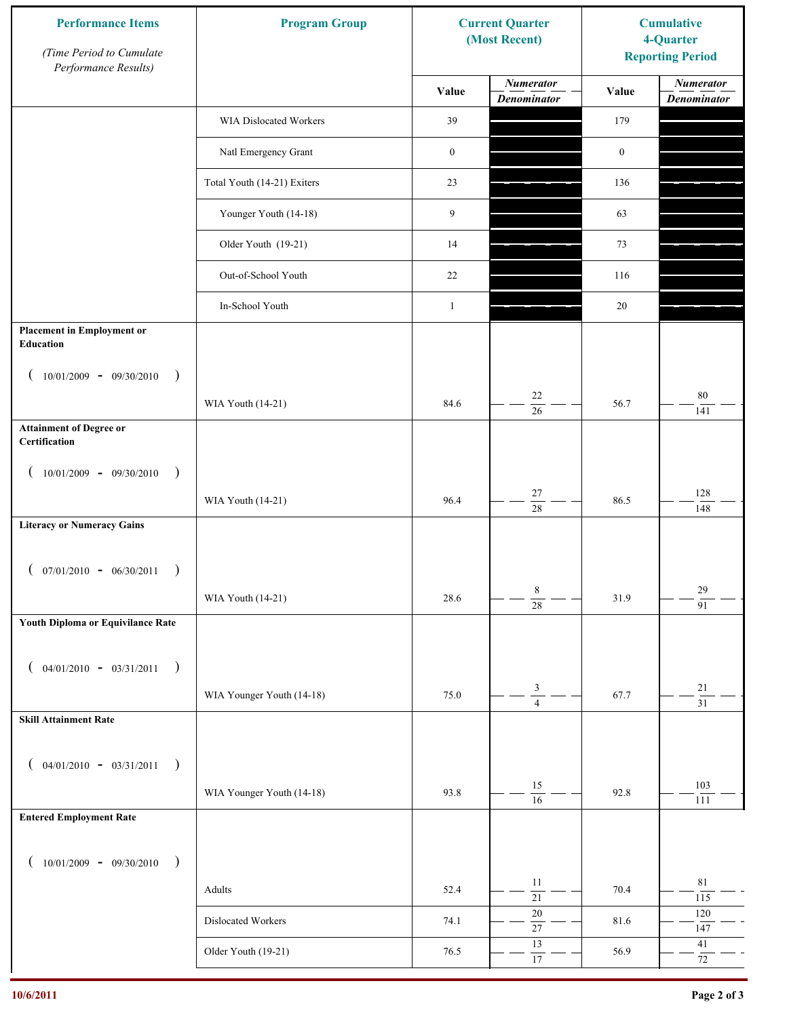| <b>Performance Items</b><br>(Time Period to Cumulate<br>Performance Results) | <b>Program Group</b>        |                  | <b>Current Quarter</b><br>(Most Recent) | <b>Cumulative</b><br>4-Quarter<br><b>Reporting Period</b> |                                        |
|------------------------------------------------------------------------------|-----------------------------|------------------|-----------------------------------------|-----------------------------------------------------------|----------------------------------------|
|                                                                              |                             | Value            | <b>Numerator</b><br><b>Denominator</b>  | Value                                                     | <b>Numerator</b><br><b>Denominator</b> |
|                                                                              | WIA Dislocated Workers      | 39               |                                         | 179                                                       |                                        |
|                                                                              | Natl Emergency Grant        | $\boldsymbol{0}$ |                                         | $\boldsymbol{0}$                                          |                                        |
|                                                                              | Total Youth (14-21) Exiters | 23               |                                         | 136                                                       |                                        |
|                                                                              | Younger Youth (14-18)       | 9                |                                         | 63                                                        |                                        |
|                                                                              | Older Youth (19-21)         | 14               |                                         | 73                                                        |                                        |
|                                                                              | Out-of-School Youth         | 22               |                                         | 116                                                       |                                        |
|                                                                              | In-School Youth             | $\mathbf{1}$     |                                         | $20\,$                                                    |                                        |
| <b>Placement in Employment or</b><br>Education                               |                             |                  |                                         |                                                           |                                        |
| $10/01/2009 - 09/30/2010$<br>$\rightarrow$                                   |                             |                  |                                         |                                                           |                                        |
|                                                                              | WIA Youth (14-21)           | 84.6             | 22<br>$\overline{26}$                   | 56.7                                                      | $80\,$<br>141                          |
| <b>Attainment of Degree or</b><br>Certification                              |                             |                  |                                         |                                                           |                                        |
| $10/01/2009 - 09/30/2010$<br>$\rightarrow$<br>$\left($                       |                             |                  |                                         |                                                           |                                        |
|                                                                              | WIA Youth (14-21)           | 96.4             | $27\,$<br>$\overline{28}$               | 86.5                                                      | 128<br>148                             |
| <b>Literacy or Numeracy Gains</b>                                            |                             |                  |                                         |                                                           |                                        |
| $($ 07/01/2010 - 06/30/2011                                                  |                             |                  |                                         |                                                           |                                        |
|                                                                              | WIA Youth (14-21)           | 28.6             | 8<br>$\overline{28}$                    | 31.9                                                      | $29\,$<br>$\overline{91}$              |
| Youth Diploma or Equivilance Rate                                            |                             |                  |                                         |                                                           |                                        |
| $04/01/2010 - 03/31/2011$<br>$\rightarrow$<br>€                              |                             |                  |                                         |                                                           |                                        |
|                                                                              | WIA Younger Youth (14-18)   | 75.0             | $\mathfrak{Z}$                          | 67.7                                                      | $21\,$                                 |
| <b>Skill Attainment Rate</b>                                                 |                             |                  | $\overline{4}$                          |                                                           | $\overline{31}$                        |
|                                                                              |                             |                  |                                         |                                                           |                                        |
| $04/01/2010 - 03/31/2011$<br>$\rightarrow$<br>€                              | WIA Younger Youth (14-18)   | 93.8             | 15                                      | 92.8                                                      | 103                                    |
| <b>Entered Employment Rate</b>                                               |                             |                  | $\overline{16}$                         |                                                           | 111                                    |
|                                                                              |                             |                  |                                         |                                                           |                                        |
| $10/01/2009 - 09/30/2010$<br>$\rightarrow$                                   |                             |                  | 11                                      |                                                           | $8\sqrt{1}$                            |
|                                                                              | Adults                      | 52.4             | $\overline{21}$                         | 70.4                                                      | 115                                    |
|                                                                              | Dislocated Workers          | 74.1             | $20\,$<br>$\overline{27}$               | 81.6                                                      | $120\,$<br>147                         |
|                                                                              | Older Youth (19-21)         | 76.5             | 13<br>$\overline{17}$                   | 56.9                                                      | 41<br>$72\,$                           |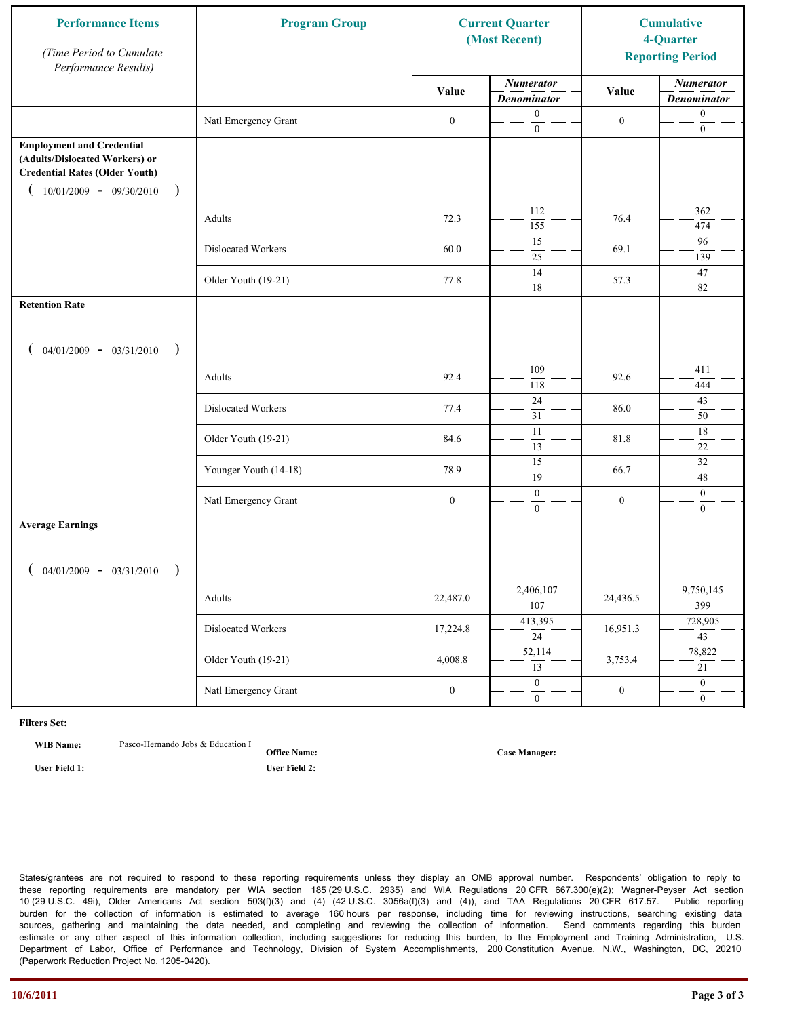| <b>Performance Items</b><br>(Time Period to Cumulate<br>Performance Results)                                                                              | <b>Program Group</b>  | <b>Current Quarter</b><br>(Most Recent) |                                        | <b>Cumulative</b><br>4-Quarter<br><b>Reporting Period</b> |                                        |
|-----------------------------------------------------------------------------------------------------------------------------------------------------------|-----------------------|-----------------------------------------|----------------------------------------|-----------------------------------------------------------|----------------------------------------|
|                                                                                                                                                           |                       | Value                                   | <b>Numerator</b><br><b>Denominator</b> | Value                                                     | <b>Numerator</b><br><b>Denominator</b> |
|                                                                                                                                                           | Natl Emergency Grant  | $\boldsymbol{0}$                        | $\mathbf{0}$<br>$\mathbf{0}$           | $\boldsymbol{0}$                                          | $\boldsymbol{0}$<br>$\boldsymbol{0}$   |
| <b>Employment and Credential</b><br>(Adults/Dislocated Workers) or<br><b>Credential Rates (Older Youth)</b><br>$10/01/2009 - 09/30/2010$<br>$\rightarrow$ |                       |                                         |                                        |                                                           |                                        |
|                                                                                                                                                           | Adults                | 72.3                                    | 112<br>155                             | 76.4                                                      | 362<br>474                             |
|                                                                                                                                                           | Dislocated Workers    | 60.0                                    | 15<br>25                               | 69.1                                                      | 96<br>139                              |
|                                                                                                                                                           | Older Youth (19-21)   | 77.8                                    | 14<br>18                               | 57.3                                                      | 47<br>82                               |
| <b>Retention Rate</b>                                                                                                                                     |                       |                                         |                                        |                                                           |                                        |
| $04/01/2009 - 03/31/2010$<br>$\rightarrow$                                                                                                                |                       |                                         |                                        |                                                           |                                        |
|                                                                                                                                                           | Adults                | 92.4                                    | 109<br>118                             | 92.6                                                      | 411<br>444                             |
|                                                                                                                                                           | Dislocated Workers    | 77.4                                    | 24<br>31                               | 86.0                                                      | 43<br>50                               |
|                                                                                                                                                           | Older Youth (19-21)   | 84.6                                    | $\overline{11}$<br>$\overline{13}$     | 81.8                                                      | $18\,$<br>$22\,$                       |
|                                                                                                                                                           | Younger Youth (14-18) | 78.9                                    | $\overline{15}$<br>$\overline{19}$     | 66.7                                                      | $\overline{32}$<br>48                  |
|                                                                                                                                                           | Natl Emergency Grant  | $\boldsymbol{0}$                        | $\boldsymbol{0}$<br>$\overline{0}$     | $\boldsymbol{0}$                                          | $\mathbf{0}$<br>$\overline{0}$         |
| <b>Average Earnings</b>                                                                                                                                   |                       |                                         |                                        |                                                           |                                        |
| $04/01/2009 - 03/31/2010$<br>$\rightarrow$                                                                                                                |                       |                                         |                                        |                                                           |                                        |
|                                                                                                                                                           | Adults                | 22,487.0                                | 2,406,107<br>$\overline{107}$          | 24,436.5                                                  | 9,750,145<br>399                       |
|                                                                                                                                                           | Dislocated Workers    | 17,224.8                                | 413,395<br>$\overline{24}$             | 16,951.3                                                  | 728,905<br>$\overline{43}$             |
|                                                                                                                                                           | Older Youth (19-21)   | 4,008.8                                 | 52,114<br>13                           | 3,753.4                                                   | 78,822<br>21                           |
|                                                                                                                                                           | Natl Emergency Grant  | $\boldsymbol{0}$                        | $\overline{0}$<br>$\mathbf{0}$         | $\boldsymbol{0}$                                          | $\overline{0}$<br>$\overline{0}$       |

**WIB Name:** Pasco-Hernando Jobs & Education I

**Office Name: User Field 1: User Field 2:**

**Case Manager:**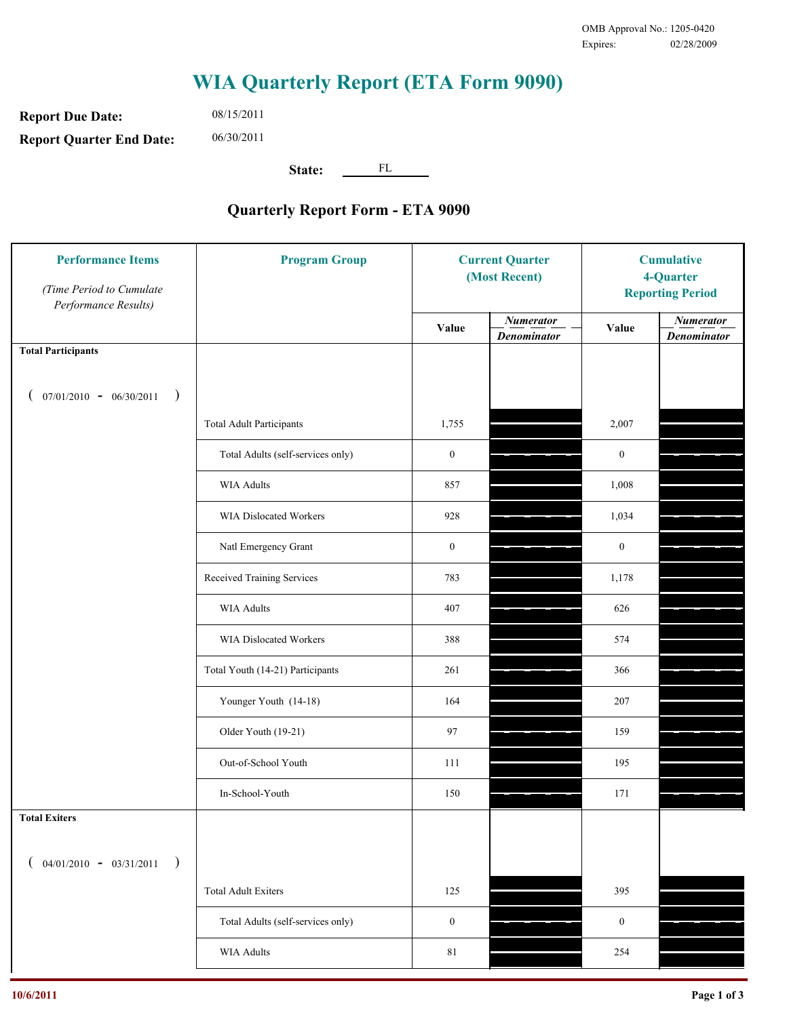**Report Due Date: Report Quarter End Date:** 08/15/2011 06/30/2011

**State:** FL

| <b>Performance Items</b><br>(Time Period to Cumulate<br>Performance Results) | <b>Program Group</b>              | <b>Current Quarter</b><br>(Most Recent) |                                        | <b>Cumulative</b><br>4-Quarter<br><b>Reporting Period</b> |                                        |
|------------------------------------------------------------------------------|-----------------------------------|-----------------------------------------|----------------------------------------|-----------------------------------------------------------|----------------------------------------|
|                                                                              |                                   | Value                                   | <b>Numerator</b><br><b>Denominator</b> | Value                                                     | <b>Numerator</b><br><b>Denominator</b> |
| <b>Total Participants</b>                                                    |                                   |                                         |                                        |                                                           |                                        |
| $07/01/2010 - 06/30/2011$ )                                                  |                                   |                                         |                                        |                                                           |                                        |
|                                                                              | <b>Total Adult Participants</b>   | 1,755                                   |                                        | 2,007                                                     |                                        |
|                                                                              | Total Adults (self-services only) | $\boldsymbol{0}$                        |                                        | $\boldsymbol{0}$                                          |                                        |
|                                                                              | WIA Adults                        | 857                                     |                                        | 1,008                                                     |                                        |
|                                                                              | WIA Dislocated Workers            | 928                                     |                                        | 1,034                                                     |                                        |
|                                                                              | Natl Emergency Grant              | $\boldsymbol{0}$                        |                                        | $\boldsymbol{0}$                                          |                                        |
|                                                                              | Received Training Services        | 783                                     |                                        | 1,178                                                     |                                        |
|                                                                              | WIA Adults                        | 407                                     |                                        | 626                                                       |                                        |
|                                                                              | WIA Dislocated Workers            | 388                                     |                                        | 574                                                       |                                        |
|                                                                              | Total Youth (14-21) Participants  | 261                                     |                                        | 366                                                       |                                        |
|                                                                              | Younger Youth (14-18)             | 164                                     |                                        | 207                                                       |                                        |
|                                                                              | Older Youth (19-21)               | 97                                      |                                        | 159                                                       |                                        |
|                                                                              | Out-of-School Youth               | 111                                     |                                        | 195                                                       |                                        |
|                                                                              | In-School-Youth                   | 150                                     |                                        | 171                                                       |                                        |
| <b>Total Exiters</b>                                                         |                                   |                                         |                                        |                                                           |                                        |
| $04/01/2010 - 03/31/2011$<br>$\rightarrow$                                   |                                   |                                         |                                        |                                                           |                                        |
|                                                                              | <b>Total Adult Exiters</b>        | 125                                     |                                        | 395                                                       |                                        |
|                                                                              | Total Adults (self-services only) | $\boldsymbol{0}$                        |                                        | $\boldsymbol{0}$                                          |                                        |
|                                                                              | <b>WIA Adults</b>                 | $8\sqrt{1}$                             |                                        | 254                                                       |                                        |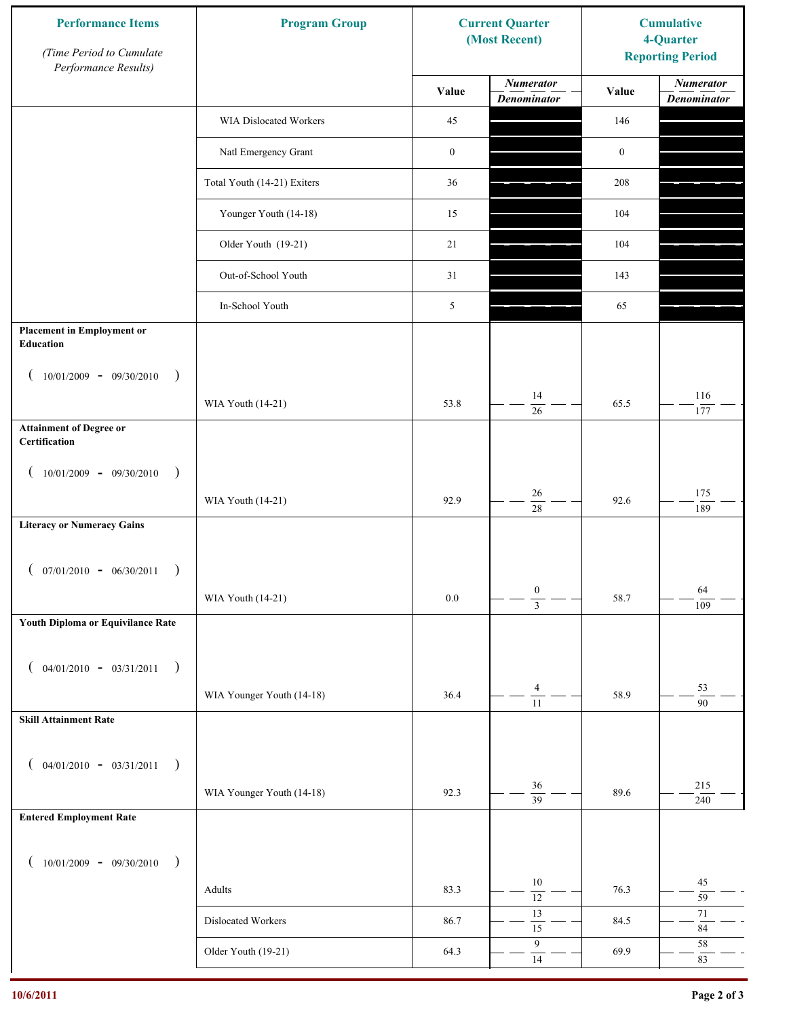| <b>Performance Items</b><br>(Time Period to Cumulate<br>Performance Results) | <b>Program Group</b>        | <b>Current Quarter</b><br>(Most Recent) |                                        | <b>Cumulative</b><br>4-Quarter<br><b>Reporting Period</b> |                                        |
|------------------------------------------------------------------------------|-----------------------------|-----------------------------------------|----------------------------------------|-----------------------------------------------------------|----------------------------------------|
|                                                                              |                             | Value                                   | <b>Numerator</b><br><b>Denominator</b> | Value                                                     | <b>Numerator</b><br><b>Denominator</b> |
|                                                                              | WIA Dislocated Workers      | 45                                      |                                        | 146                                                       |                                        |
|                                                                              | Natl Emergency Grant        | $\boldsymbol{0}$                        |                                        | $\boldsymbol{0}$                                          |                                        |
|                                                                              | Total Youth (14-21) Exiters | 36                                      |                                        | 208                                                       |                                        |
|                                                                              | Younger Youth (14-18)       | 15                                      |                                        | 104                                                       |                                        |
|                                                                              | Older Youth (19-21)         | 21                                      |                                        | 104                                                       |                                        |
|                                                                              | Out-of-School Youth         | 31                                      |                                        | 143                                                       |                                        |
|                                                                              | In-School Youth             | 5                                       |                                        | 65                                                        |                                        |
| <b>Placement in Employment or</b><br>Education                               |                             |                                         |                                        |                                                           |                                        |
| $10/01/2009 - 09/30/2010$<br>$\rightarrow$                                   |                             |                                         |                                        |                                                           |                                        |
|                                                                              | WIA Youth (14-21)           | 53.8                                    | 14<br>26                               | 65.5                                                      | 116<br>177                             |
| <b>Attainment of Degree or</b><br>Certification                              |                             |                                         |                                        |                                                           |                                        |
| $10/01/2009 - 09/30/2010$<br>$\big)$<br>$\left($                             |                             |                                         |                                        |                                                           |                                        |
|                                                                              | WIA Youth (14-21)           | 92.9                                    | 26<br>$\overline{28}$                  | 92.6                                                      | 175<br>189                             |
| <b>Literacy or Numeracy Gains</b>                                            |                             |                                         |                                        |                                                           |                                        |
| $($ 07/01/2010 - 06/30/2011                                                  |                             |                                         |                                        |                                                           |                                        |
|                                                                              | WIA Youth (14-21)           | $0.0\,$                                 | $\boldsymbol{0}$<br>$\overline{3}$     | 58.7                                                      | 64<br>109                              |
| Youth Diploma or Equivilance Rate                                            |                             |                                         |                                        |                                                           |                                        |
| $04/01/2010 - 03/31/2011$                                                    |                             |                                         |                                        |                                                           |                                        |
| $\rightarrow$<br>€                                                           | WIA Younger Youth (14-18)   | 36.4                                    | $\overline{4}$                         | 58.9                                                      | 53                                     |
| <b>Skill Attainment Rate</b>                                                 |                             |                                         | $\overline{11}$                        |                                                           | 90                                     |
|                                                                              |                             |                                         |                                        |                                                           |                                        |
| $04/01/2010 - 03/31/2011$<br>$\rightarrow$<br>€                              |                             |                                         | 36                                     |                                                           | 215                                    |
|                                                                              | WIA Younger Youth (14-18)   | 92.3                                    | $\overline{39}$                        | 89.6                                                      | 240                                    |
| <b>Entered Employment Rate</b>                                               |                             |                                         |                                        |                                                           |                                        |
| $10/01/2009 - 09/30/2010$<br>$\rightarrow$                                   |                             |                                         |                                        |                                                           |                                        |
|                                                                              | Adults                      | 83.3                                    | $10\,$<br>$\overline{12}$              | 76.3                                                      | 45<br>59                               |
|                                                                              | Dislocated Workers          | 86.7                                    | 13<br>$\overline{15}$                  | 84.5                                                      | 71<br>$\bf 84$                         |
|                                                                              | Older Youth (19-21)         | 64.3                                    | $\boldsymbol{9}$<br>14                 | 69.9                                                      | 58<br>83                               |
|                                                                              |                             |                                         |                                        |                                                           |                                        |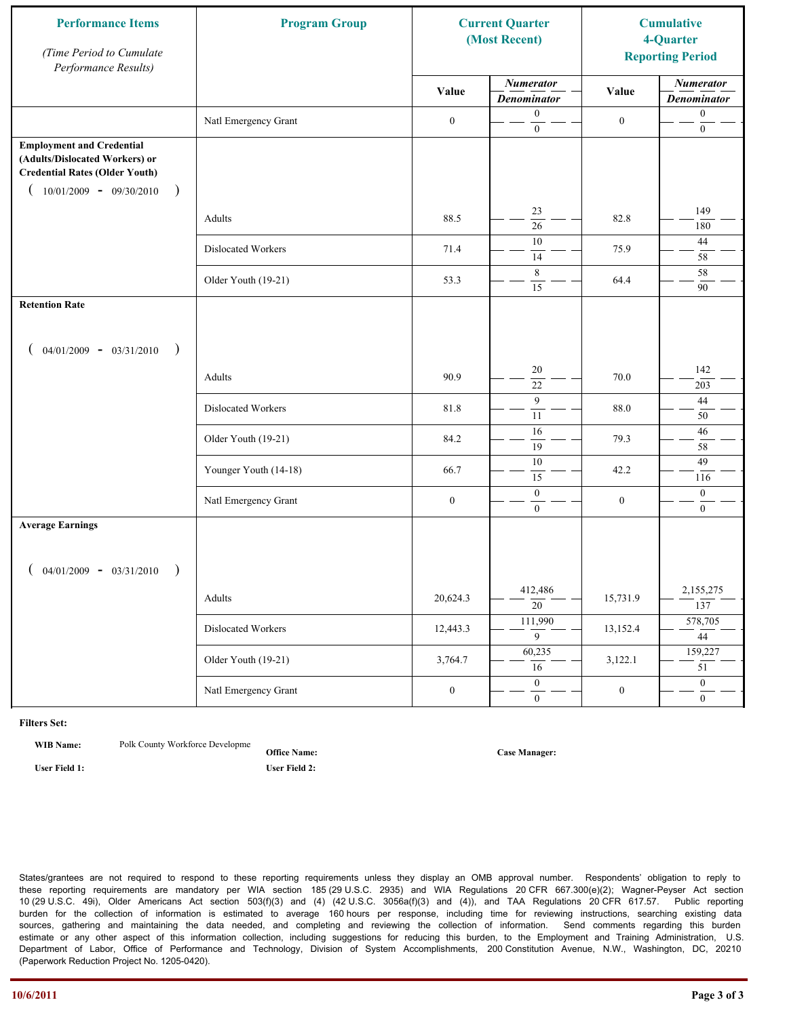| <b>Performance Items</b><br>(Time Period to Cumulate<br>Performance Results)                                                                              | <b>Program Group</b>  | <b>Current Quarter</b><br>(Most Recent) |                                        | <b>Cumulative</b><br>4-Quarter<br><b>Reporting Period</b> |                                        |
|-----------------------------------------------------------------------------------------------------------------------------------------------------------|-----------------------|-----------------------------------------|----------------------------------------|-----------------------------------------------------------|----------------------------------------|
|                                                                                                                                                           |                       | Value                                   | <b>Numerator</b><br><b>Denominator</b> | Value                                                     | <b>Numerator</b><br><b>Denominator</b> |
|                                                                                                                                                           | Natl Emergency Grant  | $\boldsymbol{0}$                        | $\boldsymbol{0}$<br>$\mathbf{0}$       | $\boldsymbol{0}$                                          | $\boldsymbol{0}$<br>$\boldsymbol{0}$   |
| <b>Employment and Credential</b><br>(Adults/Dislocated Workers) or<br><b>Credential Rates (Older Youth)</b><br>$10/01/2009 - 09/30/2010$<br>$\rightarrow$ |                       |                                         |                                        |                                                           |                                        |
|                                                                                                                                                           | Adults                | 88.5                                    | 23<br>$\overline{26}$                  | 82.8                                                      | 149<br>180                             |
|                                                                                                                                                           | Dislocated Workers    | 71.4                                    | 10<br>14                               | 75.9                                                      | 44<br>$58\,$                           |
|                                                                                                                                                           | Older Youth (19-21)   | 53.3                                    | 8<br>15                                | 64.4                                                      | 58<br>90                               |
| <b>Retention Rate</b>                                                                                                                                     |                       |                                         |                                        |                                                           |                                        |
| $04/01/2009 - 03/31/2010$<br>$\rightarrow$                                                                                                                |                       |                                         |                                        |                                                           |                                        |
|                                                                                                                                                           | Adults                | 90.9                                    | 20<br>22                               | 70.0                                                      | 142<br>203                             |
|                                                                                                                                                           | Dislocated Workers    | 81.8                                    | 9<br>$\overline{11}$                   | 88.0                                                      | $44\,$<br>50                           |
|                                                                                                                                                           | Older Youth (19-21)   | 84.2                                    | 16<br>19                               | 79.3                                                      | 46<br>58                               |
|                                                                                                                                                           | Younger Youth (14-18) | 66.7                                    | 10<br>15                               | 42.2                                                      | 49<br>116                              |
|                                                                                                                                                           | Natl Emergency Grant  | $\boldsymbol{0}$                        | $\mathbf{0}$<br>$\overline{0}$         | $\boldsymbol{0}$                                          | $\boldsymbol{0}$<br>$\mathbf{0}$       |
| <b>Average Earnings</b>                                                                                                                                   |                       |                                         |                                        |                                                           |                                        |
| $04/01/2009 - 03/31/2010$<br>$\rightarrow$                                                                                                                |                       |                                         |                                        |                                                           |                                        |
|                                                                                                                                                           | Adults                | 20,624.3                                | 412,486<br>$\overline{20}$             | 15,731.9                                                  | 2,155,275<br>137                       |
|                                                                                                                                                           | Dislocated Workers    | 12,443.3                                | 111,990<br>$\overline{9}$              | 13,152.4                                                  | 578,705<br>$\overline{44}$             |
|                                                                                                                                                           | Older Youth (19-21)   | 3,764.7                                 | 60,235<br>$\overline{16}$              | 3,122.1                                                   | 159,227<br>51                          |
|                                                                                                                                                           | Natl Emergency Grant  | $\boldsymbol{0}$                        | $\overline{0}$<br>$\mathbf{0}$         | $\boldsymbol{0}$                                          | $\overline{0}$<br>$\overline{0}$       |

**WIB Name:** Polk County Workforce Developme

**Office Name: User Field 1: User Field 2:**

**Case Manager:**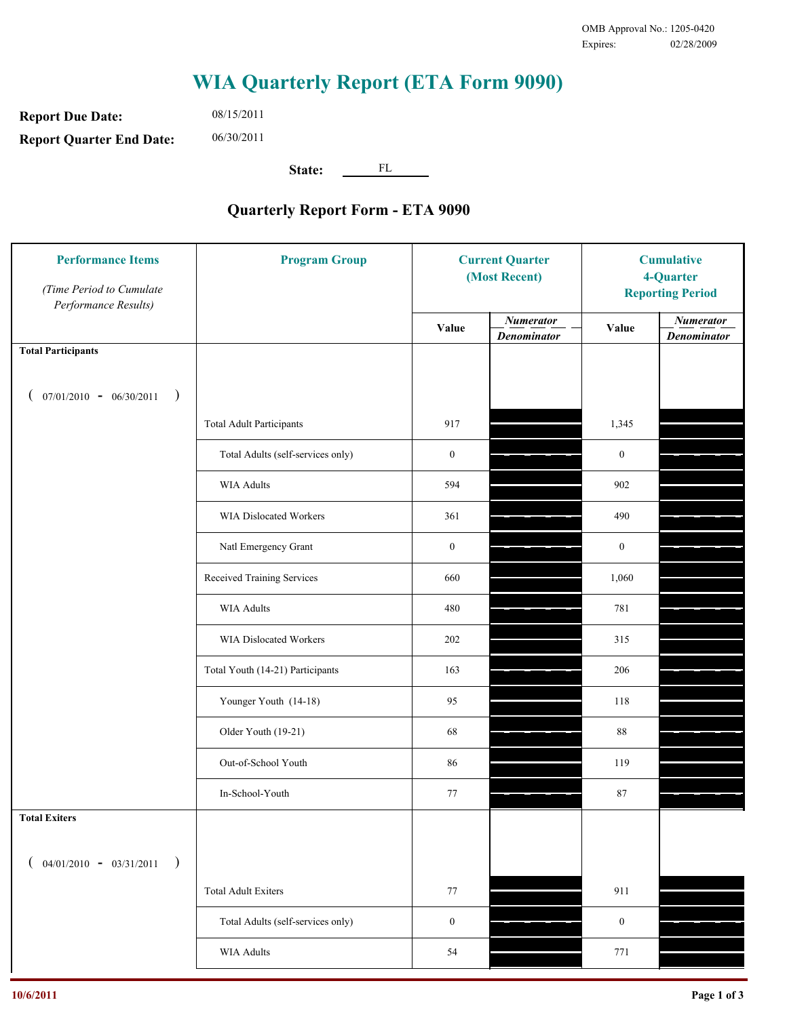**Report Due Date: Report Quarter End Date:** 08/15/2011 06/30/2011

**State:** FL

| <b>Performance Items</b><br>(Time Period to Cumulate<br>Performance Results) | <b>Program Group</b>              |                  | <b>Current Quarter</b><br>(Most Recent) |                  | <b>Cumulative</b><br>4-Quarter<br><b>Reporting Period</b> |  |
|------------------------------------------------------------------------------|-----------------------------------|------------------|-----------------------------------------|------------------|-----------------------------------------------------------|--|
|                                                                              |                                   | Value            | <b>Numerator</b><br><b>Denominator</b>  | Value            | <b>Numerator</b><br><b>Denominator</b>                    |  |
| <b>Total Participants</b>                                                    |                                   |                  |                                         |                  |                                                           |  |
| $07/01/2010 - 06/30/2011$<br>$\rightarrow$                                   |                                   |                  |                                         |                  |                                                           |  |
|                                                                              | <b>Total Adult Participants</b>   | 917              |                                         | 1,345            |                                                           |  |
|                                                                              | Total Adults (self-services only) | $\boldsymbol{0}$ |                                         | $\boldsymbol{0}$ |                                                           |  |
|                                                                              | <b>WIA Adults</b>                 | 594              |                                         | 902              |                                                           |  |
|                                                                              | WIA Dislocated Workers            | 361              |                                         | 490              |                                                           |  |
|                                                                              | Natl Emergency Grant              | $\boldsymbol{0}$ |                                         | $\boldsymbol{0}$ |                                                           |  |
|                                                                              | Received Training Services        | 660              |                                         | 1,060            |                                                           |  |
|                                                                              | <b>WIA Adults</b>                 | 480              |                                         | 781              |                                                           |  |
|                                                                              | WIA Dislocated Workers            | 202              |                                         | 315              |                                                           |  |
|                                                                              | Total Youth (14-21) Participants  | 163              |                                         | 206              |                                                           |  |
|                                                                              | Younger Youth (14-18)             | 95               |                                         | 118              |                                                           |  |
|                                                                              | Older Youth (19-21)               | 68               |                                         | 88               |                                                           |  |
|                                                                              | Out-of-School Youth               | 86               |                                         | 119              |                                                           |  |
|                                                                              | In-School-Youth                   | 77               |                                         | 87               |                                                           |  |
| <b>Total Exiters</b>                                                         |                                   |                  |                                         |                  |                                                           |  |
| $($ 04/01/2010 - 03/31/2011<br>$\rightarrow$                                 |                                   |                  |                                         |                  |                                                           |  |
|                                                                              | <b>Total Adult Exiters</b>        | 77               |                                         | 911              |                                                           |  |
|                                                                              | Total Adults (self-services only) | $\boldsymbol{0}$ |                                         | $\boldsymbol{0}$ |                                                           |  |
|                                                                              | WIA Adults                        | 54               |                                         | 771              |                                                           |  |
|                                                                              |                                   |                  |                                         |                  |                                                           |  |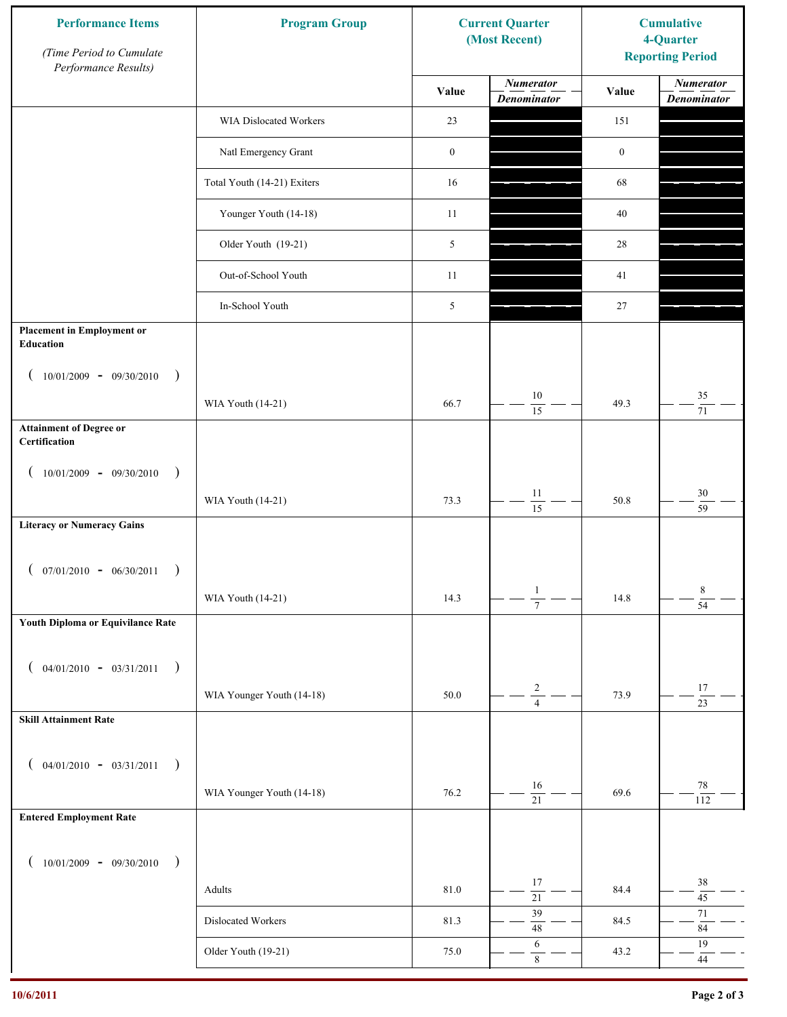| <b>Performance Items</b><br>(Time Period to Cumulate<br>Performance Results) | <b>Program Group</b>        |                  | <b>Current Quarter</b><br>(Most Recent) | <b>Cumulative</b><br>4-Quarter<br><b>Reporting Period</b> |                                        |
|------------------------------------------------------------------------------|-----------------------------|------------------|-----------------------------------------|-----------------------------------------------------------|----------------------------------------|
|                                                                              |                             | Value            | <b>Numerator</b><br><b>Denominator</b>  | Value                                                     | <b>Numerator</b><br><b>Denominator</b> |
|                                                                              | WIA Dislocated Workers      | 23               |                                         | 151                                                       |                                        |
|                                                                              | Natl Emergency Grant        | $\boldsymbol{0}$ |                                         | $\boldsymbol{0}$                                          |                                        |
|                                                                              | Total Youth (14-21) Exiters | 16               |                                         | 68                                                        |                                        |
|                                                                              | Younger Youth (14-18)       | 11               |                                         | 40                                                        |                                        |
|                                                                              | Older Youth (19-21)         | 5                |                                         | 28                                                        |                                        |
|                                                                              | Out-of-School Youth         | 11               |                                         | 41                                                        |                                        |
|                                                                              | In-School Youth             | 5                |                                         | $27\,$                                                    |                                        |
| <b>Placement in Employment or</b><br><b>Education</b>                        |                             |                  |                                         |                                                           |                                        |
| $10/01/2009 - 09/30/2010$<br>$\rightarrow$                                   |                             | 66.7             | $10\,$                                  | 49.3                                                      | 35                                     |
| <b>Attainment of Degree or</b>                                               | WIA Youth (14-21)           |                  | 15                                      |                                                           | $71\,$                                 |
| Certification                                                                |                             |                  |                                         |                                                           |                                        |
| $(10/01/2009 - 09/30/2010$<br>$\rightarrow$                                  |                             |                  |                                         |                                                           |                                        |
|                                                                              | WIA Youth (14-21)           | 73.3             | $11\,$<br>$\overline{15}$               | 50.8                                                      | $30\,$<br>$\overline{59}$              |
| <b>Literacy or Numeracy Gains</b>                                            |                             |                  |                                         |                                                           |                                        |
| $07/01/2010 - 06/30/2011$                                                    |                             |                  |                                         |                                                           |                                        |
|                                                                              | WIA Youth (14-21)           | 14.3             | $\mathbf{1}$<br>$\overline{7}$          | 14.8                                                      | 8<br>$\overline{54}$                   |
| Youth Diploma or Equivilance Rate                                            |                             |                  |                                         |                                                           |                                        |
| $04/01/2010 - 03/31/2011$<br>$\rightarrow$                                   |                             |                  |                                         |                                                           |                                        |
|                                                                              | WIA Younger Youth (14-18)   | 50.0             | $\sqrt{2}$                              | 73.9                                                      | $17\,$                                 |
| <b>Skill Attainment Rate</b>                                                 |                             |                  | $\overline{4}$                          |                                                           | $\overline{23}$                        |
|                                                                              |                             |                  |                                         |                                                           |                                        |
| $04/01/2010 - 03/31/2011$<br>$\rightarrow$                                   |                             |                  | 16                                      |                                                           | 78                                     |
|                                                                              | WIA Younger Youth (14-18)   | 76.2             | $\overline{21}$                         | 69.6                                                      | 112                                    |
| <b>Entered Employment Rate</b>                                               |                             |                  |                                         |                                                           |                                        |
| $10/01/2009 - 09/30/2010$<br>$\rightarrow$                                   |                             |                  |                                         |                                                           |                                        |
|                                                                              | Adults                      | 81.0             | 17<br>$\overline{21}$                   | 84.4                                                      | $38\,$<br>$45\,$                       |
|                                                                              | Dislocated Workers          | 81.3             | 39<br>$48\,$                            | 84.5                                                      | $71\,$<br>$\bf 84$                     |
|                                                                              | Older Youth (19-21)         | 75.0             | 6<br>$\,8\,$                            | 43.2                                                      | 19<br>$44\,$                           |
|                                                                              |                             |                  |                                         |                                                           |                                        |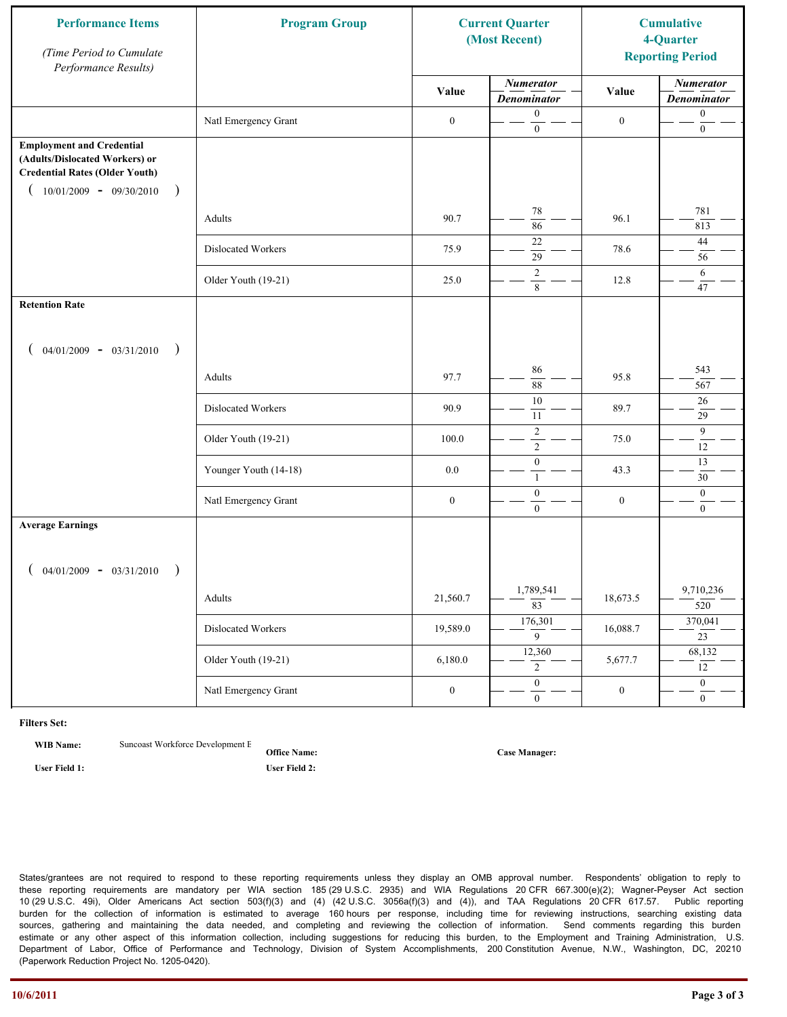| <b>Performance Items</b><br>(Time Period to Cumulate<br>Performance Results)                                                                              | <b>Program Group</b>  |                  | <b>Current Quarter</b><br>(Most Recent) |                  | <b>Cumulative</b><br>4-Quarter<br><b>Reporting Period</b> |
|-----------------------------------------------------------------------------------------------------------------------------------------------------------|-----------------------|------------------|-----------------------------------------|------------------|-----------------------------------------------------------|
|                                                                                                                                                           |                       | Value            | <b>Numerator</b><br><b>Denominator</b>  | Value            | <b>Numerator</b><br><b>Denominator</b>                    |
|                                                                                                                                                           | Natl Emergency Grant  | $\boldsymbol{0}$ | $\boldsymbol{0}$<br>$\mathbf{0}$        | $\boldsymbol{0}$ | $\boldsymbol{0}$<br>$\boldsymbol{0}$                      |
| <b>Employment and Credential</b><br>(Adults/Dislocated Workers) or<br><b>Credential Rates (Older Youth)</b><br>$10/01/2009$ - 09/30/2010<br>$\rightarrow$ |                       |                  |                                         |                  |                                                           |
|                                                                                                                                                           | Adults                | 90.7             | 78<br>86                                | 96.1             | 781<br>813                                                |
|                                                                                                                                                           | Dislocated Workers    | 75.9             | 22<br>$\overline{29}$                   | 78.6             | 44<br>56                                                  |
|                                                                                                                                                           | Older Youth (19-21)   | 25.0             | $\overline{2}$<br>$\,8\,$               | 12.8             | 6<br>47                                                   |
| <b>Retention Rate</b>                                                                                                                                     |                       |                  |                                         |                  |                                                           |
| $04/01/2009 - 03/31/2010$<br>$\rightarrow$                                                                                                                |                       |                  |                                         |                  |                                                           |
|                                                                                                                                                           | Adults                | 97.7             | 86<br>88                                | 95.8             | 543<br>567                                                |
|                                                                                                                                                           | Dislocated Workers    | 90.9             | $\overline{10}$<br>11                   | 89.7             | 26<br>29                                                  |
|                                                                                                                                                           | Older Youth (19-21)   | 100.0            | $\sqrt{2}$<br>$\overline{2}$            | 75.0             | 9<br>12                                                   |
|                                                                                                                                                           | Younger Youth (14-18) | 0.0              | $\boldsymbol{0}$<br>$\mathbf{1}$        | 43.3             | 13<br>30                                                  |
|                                                                                                                                                           | Natl Emergency Grant  | $\boldsymbol{0}$ | $\boldsymbol{0}$<br>$\overline{0}$      | $\boldsymbol{0}$ | $\mathbf{0}$<br>$\mathbf{0}$                              |
| <b>Average Earnings</b>                                                                                                                                   |                       |                  |                                         |                  |                                                           |
| $04/01/2009 - 03/31/2010$<br>$\rightarrow$                                                                                                                |                       |                  |                                         |                  |                                                           |
|                                                                                                                                                           | Adults                | 21,560.7         | 1,789,541<br>$\overline{83}$            | 18,673.5         | 9,710,236<br>520                                          |
|                                                                                                                                                           | Dislocated Workers    | 19,589.0         | 176,301<br>$\overline{9}$               | 16,088.7         | 370,041<br>23                                             |
|                                                                                                                                                           | Older Youth (19-21)   | 6,180.0          | 12,360<br>$\overline{2}$                | 5,677.7          | 68,132<br>12                                              |
|                                                                                                                                                           | Natl Emergency Grant  | $\boldsymbol{0}$ | $\overline{0}$<br>$\mathbf{0}$          | $\boldsymbol{0}$ | $\overline{0}$<br>$\overline{0}$                          |

**WIB Name:** Suncoast Workforce Development E

**Office Name: User Field 1: User Field 2:**

**Case Manager:**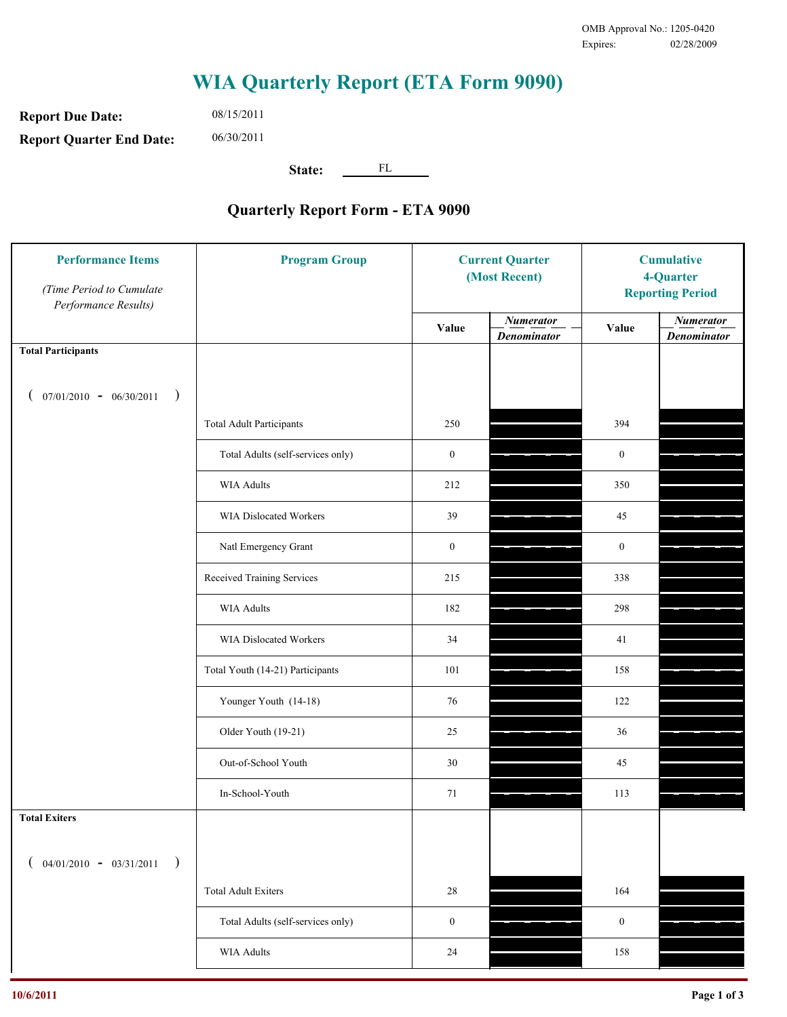**Report Due Date: Report Quarter End Date:** 08/15/2011 06/30/2011

**State:** FL

| <b>Performance Items</b><br>(Time Period to Cumulate<br>Performance Results) | <b>Program Group</b>              | <b>Current Quarter</b><br>(Most Recent) |                                        | <b>Cumulative</b><br>4-Quarter<br><b>Reporting Period</b> |                                        |
|------------------------------------------------------------------------------|-----------------------------------|-----------------------------------------|----------------------------------------|-----------------------------------------------------------|----------------------------------------|
|                                                                              |                                   | Value                                   | <b>Numerator</b><br><b>Denominator</b> | Value                                                     | <b>Numerator</b><br><b>Denominator</b> |
| <b>Total Participants</b>                                                    |                                   |                                         |                                        |                                                           |                                        |
| $07/01/2010 - 06/30/2011$ )                                                  |                                   |                                         |                                        |                                                           |                                        |
|                                                                              | <b>Total Adult Participants</b>   | 250                                     |                                        | 394                                                       |                                        |
|                                                                              | Total Adults (self-services only) | $\boldsymbol{0}$                        |                                        | $\boldsymbol{0}$                                          |                                        |
|                                                                              | WIA Adults                        | 212                                     |                                        | 350                                                       |                                        |
|                                                                              | WIA Dislocated Workers            | 39                                      |                                        | 45                                                        |                                        |
|                                                                              | Natl Emergency Grant              | $\boldsymbol{0}$                        |                                        | $\boldsymbol{0}$                                          |                                        |
|                                                                              | Received Training Services        | 215                                     |                                        | 338                                                       |                                        |
|                                                                              | <b>WIA Adults</b>                 | 182                                     |                                        | 298                                                       |                                        |
|                                                                              | WIA Dislocated Workers            | 34                                      |                                        | 41                                                        |                                        |
|                                                                              | Total Youth (14-21) Participants  | 101                                     |                                        | 158                                                       |                                        |
|                                                                              | Younger Youth (14-18)             | 76                                      |                                        | 122                                                       |                                        |
|                                                                              | Older Youth (19-21)               | 25                                      |                                        | 36                                                        |                                        |
|                                                                              | Out-of-School Youth               | 30                                      |                                        | 45                                                        |                                        |
|                                                                              | In-School-Youth                   | 71                                      |                                        | 113                                                       |                                        |
| <b>Total Exiters</b>                                                         |                                   |                                         |                                        |                                                           |                                        |
| $04/01/2010 - 03/31/2011$<br>$\rightarrow$                                   |                                   |                                         |                                        |                                                           |                                        |
|                                                                              | <b>Total Adult Exiters</b>        | 28                                      |                                        | 164                                                       |                                        |
|                                                                              | Total Adults (self-services only) | $\boldsymbol{0}$                        |                                        | $\boldsymbol{0}$                                          |                                        |
|                                                                              | <b>WIA Adults</b>                 | $24\,$                                  |                                        | 158                                                       |                                        |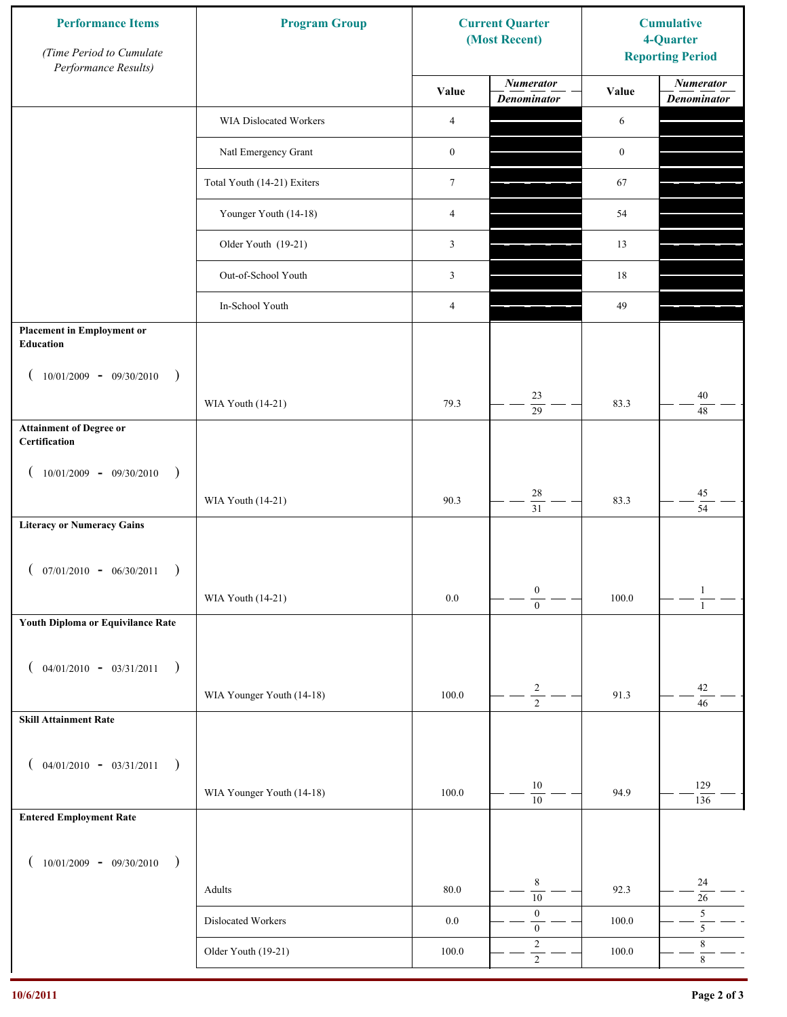| <b>Performance Items</b><br>(Time Period to Cumulate<br>Performance Results) | <b>Program Group</b>        |                  | <b>Current Quarter</b><br>(Most Recent) | <b>Cumulative</b><br>4-Quarter<br><b>Reporting Period</b> |                                        |
|------------------------------------------------------------------------------|-----------------------------|------------------|-----------------------------------------|-----------------------------------------------------------|----------------------------------------|
|                                                                              |                             | Value            | <b>Numerator</b><br><b>Denominator</b>  | Value                                                     | <b>Numerator</b><br><b>Denominator</b> |
|                                                                              | WIA Dislocated Workers      | $\overline{4}$   |                                         | 6                                                         |                                        |
|                                                                              | Natl Emergency Grant        | $\boldsymbol{0}$ |                                         | $\boldsymbol{0}$                                          |                                        |
|                                                                              | Total Youth (14-21) Exiters | $\boldsymbol{7}$ |                                         | 67                                                        |                                        |
|                                                                              | Younger Youth (14-18)       | $\overline{4}$   |                                         | 54                                                        |                                        |
|                                                                              | Older Youth (19-21)         | 3                |                                         | 13                                                        |                                        |
|                                                                              | Out-of-School Youth         | 3                |                                         | 18                                                        |                                        |
|                                                                              | In-School Youth             | 4                |                                         | 49                                                        |                                        |
| <b>Placement in Employment or</b><br>Education                               |                             |                  |                                         |                                                           |                                        |
| $10/01/2009 - 09/30/2010$<br>$\rightarrow$                                   |                             |                  |                                         |                                                           |                                        |
|                                                                              | WIA Youth (14-21)           | 79.3             | 23<br>$\overline{29}$                   | 83.3                                                      | 40<br>48                               |
| <b>Attainment of Degree or</b><br>Certification                              |                             |                  |                                         |                                                           |                                        |
| $10/01/2009 - 09/30/2010$<br>$\big)$<br>$\left($                             |                             |                  |                                         |                                                           |                                        |
|                                                                              | WIA Youth (14-21)           | 90.3             | $28\,$<br>$\overline{31}$               | 83.3                                                      | $45\,$<br>$\overline{54}$              |
| <b>Literacy or Numeracy Gains</b>                                            |                             |                  |                                         |                                                           |                                        |
| $($ 07/01/2010 - 06/30/2011                                                  |                             |                  |                                         |                                                           |                                        |
|                                                                              | WIA Youth (14-21)           | $0.0\,$          | $\boldsymbol{0}$<br>$\overline{0}$      | 100.0                                                     | $\mathbf{1}$<br>$\overline{1}$         |
| Youth Diploma or Equivilance Rate                                            |                             |                  |                                         |                                                           |                                        |
| $04/01/2010 - 03/31/2011$<br>$\rightarrow$                                   |                             |                  |                                         |                                                           |                                        |
| €                                                                            | WIA Younger Youth (14-18)   | 100.0            | $\overline{\mathbf{c}}$                 | 91.3                                                      | $42\,$                                 |
| <b>Skill Attainment Rate</b>                                                 |                             |                  | $\overline{2}$                          |                                                           | 46                                     |
|                                                                              |                             |                  |                                         |                                                           |                                        |
| $04/01/2010 - 03/31/2011$<br>$\rightarrow$<br>$\overline{ }$                 |                             |                  | $10\,$                                  |                                                           | 129                                    |
| <b>Entered Employment Rate</b>                                               | WIA Younger Youth (14-18)   | 100.0            | $\overline{10}$                         | 94.9                                                      | 136                                    |
|                                                                              |                             |                  |                                         |                                                           |                                        |
| $10/01/2009 - 09/30/2010$<br>$\rightarrow$                                   |                             |                  |                                         |                                                           |                                        |
|                                                                              | Adults                      | $80.0\,$         | $\,8\,$<br>$\overline{10}$              | 92.3                                                      | 24<br>$26\,$                           |
|                                                                              | Dislocated Workers          | $0.0\,$          | $\boldsymbol{0}$<br>$\boldsymbol{0}$    | 100.0                                                     | $\mathfrak s$<br>5                     |
|                                                                              | Older Youth (19-21)         | $100.0\,$        | $\sqrt{2}$<br>$\overline{2}$            | 100.0                                                     | $\,$ $\,$<br>$\overline{8}$            |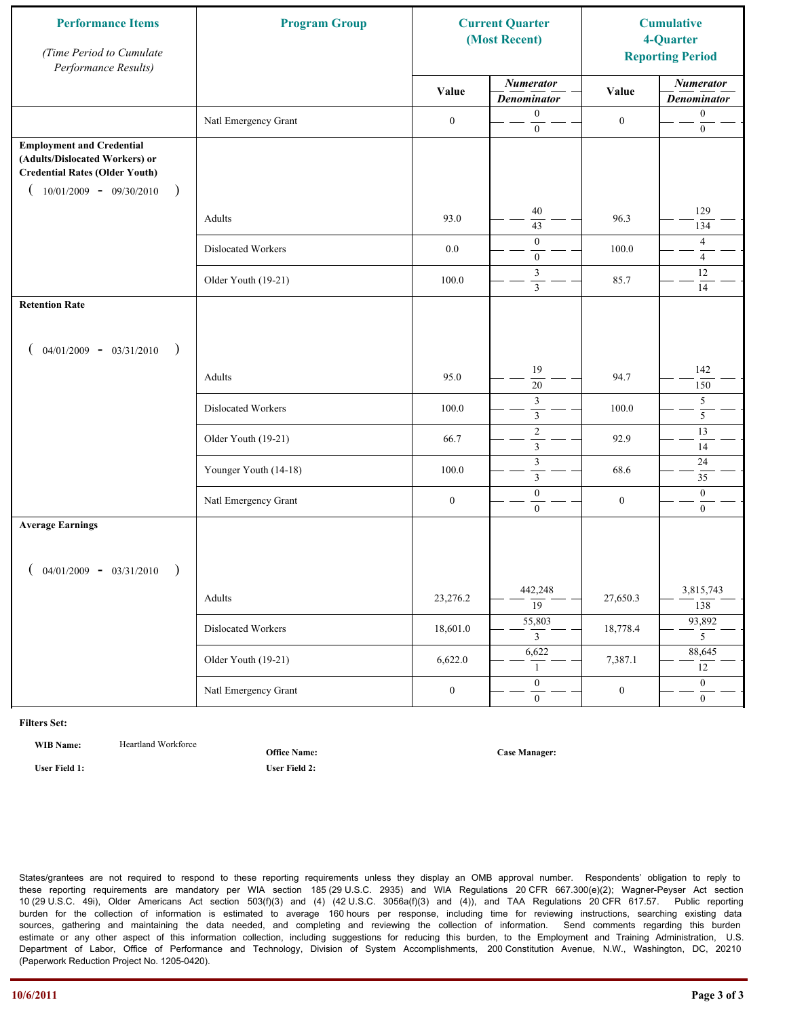| <b>Performance Items</b><br>(Time Period to Cumulate<br>Performance Results)                                                                               | <b>Program Group</b>  |                  | <b>Current Quarter</b><br>(Most Recent)       |                  | <b>Cumulative</b><br>4-Quarter<br><b>Reporting Period</b> |
|------------------------------------------------------------------------------------------------------------------------------------------------------------|-----------------------|------------------|-----------------------------------------------|------------------|-----------------------------------------------------------|
|                                                                                                                                                            |                       | Value            | <b>Numerator</b><br><b>Denominator</b>        | Value            | <b>Numerator</b><br><b>Denominator</b>                    |
|                                                                                                                                                            | Natl Emergency Grant  | $\boldsymbol{0}$ | $\boldsymbol{0}$<br>$\overline{0}$            | $\boldsymbol{0}$ | $\boldsymbol{0}$<br>$\boldsymbol{0}$                      |
| <b>Employment and Credential</b><br>(Adults/Dislocated Workers) or<br><b>Credential Rates (Older Youth)</b><br>$10/01/2009$ - 09/30/2010<br>$\overline{)}$ |                       |                  |                                               |                  |                                                           |
|                                                                                                                                                            | Adults                | 93.0             | 40<br>43                                      | 96.3             | 129<br>134                                                |
|                                                                                                                                                            | Dislocated Workers    | $0.0\,$          | $\boldsymbol{0}$<br>$\boldsymbol{0}$          | 100.0            | $\overline{4}$<br>$\overline{4}$                          |
|                                                                                                                                                            | Older Youth (19-21)   | 100.0            | $\mathfrak{Z}$<br>$\overline{\mathbf{3}}$     | 85.7             | 12<br>14                                                  |
| <b>Retention Rate</b>                                                                                                                                      |                       |                  |                                               |                  |                                                           |
| $04/01/2009 - 03/31/2010$<br>$\rightarrow$                                                                                                                 |                       |                  |                                               |                  |                                                           |
|                                                                                                                                                            | Adults                | 95.0             | 19<br>$20\,$                                  | 94.7             | 142<br>150                                                |
|                                                                                                                                                            | Dislocated Workers    | 100.0            | $\mathfrak z$<br>$\overline{\mathbf{3}}$      | 100.0            | $\overline{5}$<br>$\overline{5}$                          |
|                                                                                                                                                            | Older Youth (19-21)   | 66.7             | $\overline{2}$<br>$\overline{3}$              | 92.9             | 13<br>14                                                  |
|                                                                                                                                                            | Younger Youth (14-18) | 100.0            | $\ensuremath{\mathfrak{Z}}$<br>$\overline{3}$ | 68.6             | 24<br>35                                                  |
|                                                                                                                                                            | Natl Emergency Grant  | $\boldsymbol{0}$ | $\boldsymbol{0}$<br>$\overline{0}$            | $\boldsymbol{0}$ | $\boldsymbol{0}$<br>$\boldsymbol{0}$                      |
| <b>Average Earnings</b>                                                                                                                                    |                       |                  |                                               |                  |                                                           |
| $04/01/2009 - 03/31/2010$                                                                                                                                  |                       |                  |                                               |                  |                                                           |
|                                                                                                                                                            | Adults                | 23,276.2         | 442,248<br>$\overline{19}$                    | 27,650.3         | 3,815,743<br>138                                          |
|                                                                                                                                                            | Dislocated Workers    | 18,601.0         | 55,803<br>$\mathfrak{Z}$                      | 18,778.4         | 93,892<br>5 <sup>5</sup>                                  |
|                                                                                                                                                            | Older Youth (19-21)   | 6,622.0          | 6,622<br>1                                    | 7,387.1          | 88,645<br>12                                              |
|                                                                                                                                                            | Natl Emergency Grant  | $\boldsymbol{0}$ | $\overline{0}$<br>$\boldsymbol{0}$            | $\boldsymbol{0}$ | $\overline{0}$<br>$\overline{0}$                          |

WIB Name: **Heartland Workforce** 

**Office Name:**

**User Field 1: User Field 2:**

**Case Manager:**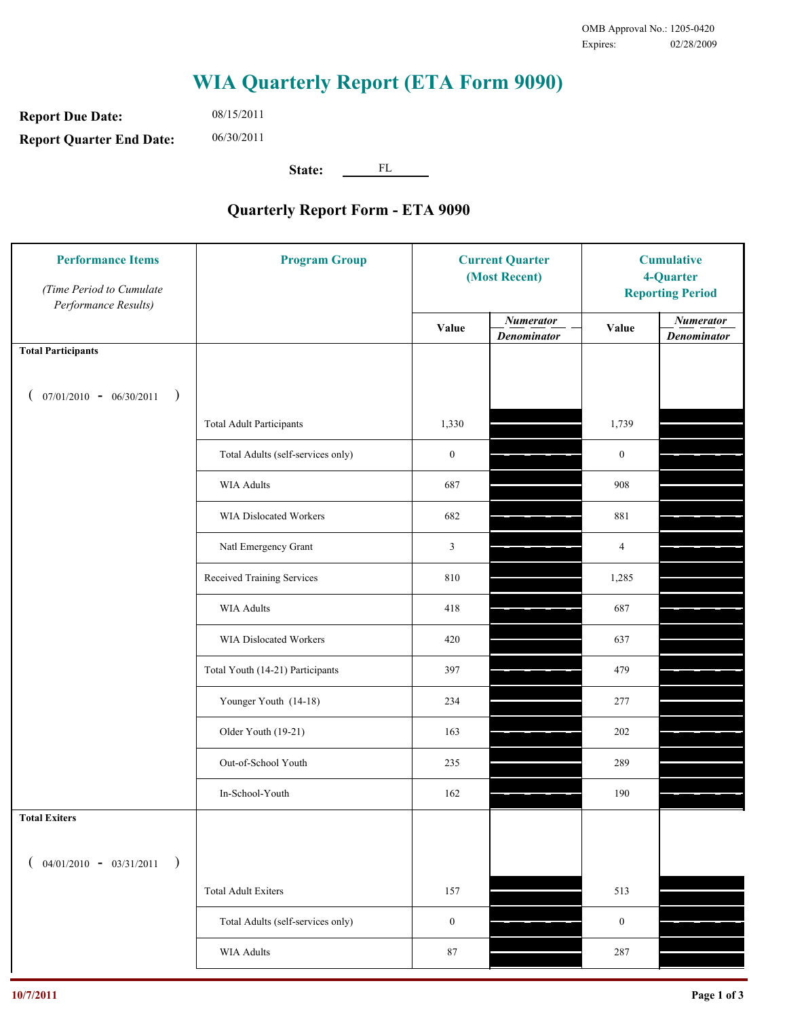**Report Due Date: Report Quarter End Date:** 08/15/2011 06/30/2011

**State:** FL

| <b>Performance Items</b><br>(Time Period to Cumulate<br>Performance Results) | <b>Program Group</b>              |                  | <b>Current Quarter</b><br>(Most Recent) |                  | <b>Cumulative</b><br>4-Quarter<br><b>Reporting Period</b> |  |
|------------------------------------------------------------------------------|-----------------------------------|------------------|-----------------------------------------|------------------|-----------------------------------------------------------|--|
|                                                                              |                                   | Value            | <b>Numerator</b><br><b>Denominator</b>  | Value            | <b>Numerator</b><br><b>Denominator</b>                    |  |
| <b>Total Participants</b>                                                    |                                   |                  |                                         |                  |                                                           |  |
| $07/01/2010 - 06/30/2011$ )                                                  |                                   |                  |                                         |                  |                                                           |  |
|                                                                              | <b>Total Adult Participants</b>   | 1,330            |                                         | 1,739            |                                                           |  |
|                                                                              | Total Adults (self-services only) | $\boldsymbol{0}$ |                                         | $\boldsymbol{0}$ |                                                           |  |
|                                                                              | WIA Adults                        | 687              |                                         | 908              |                                                           |  |
|                                                                              | WIA Dislocated Workers            | 682              |                                         | 881              |                                                           |  |
|                                                                              | Natl Emergency Grant              | 3                |                                         | 4                |                                                           |  |
|                                                                              | Received Training Services        | 810              |                                         | 1,285            |                                                           |  |
|                                                                              | WIA Adults                        | 418              |                                         | 687              |                                                           |  |
|                                                                              | WIA Dislocated Workers            | 420              |                                         | 637              |                                                           |  |
|                                                                              | Total Youth (14-21) Participants  | 397              |                                         | 479              |                                                           |  |
|                                                                              | Younger Youth (14-18)             | 234              |                                         | 277              |                                                           |  |
|                                                                              | Older Youth (19-21)               | 163              |                                         | 202              |                                                           |  |
|                                                                              | Out-of-School Youth               | 235              |                                         | 289              |                                                           |  |
|                                                                              | In-School-Youth                   | 162              |                                         | 190              |                                                           |  |
| <b>Total Exiters</b>                                                         |                                   |                  |                                         |                  |                                                           |  |
| $($ 04/01/2010 - 03/31/2011<br>$\rightarrow$                                 |                                   |                  |                                         |                  |                                                           |  |
|                                                                              | <b>Total Adult Exiters</b>        | 157              |                                         | 513              |                                                           |  |
|                                                                              | Total Adults (self-services only) | $\boldsymbol{0}$ |                                         | $\boldsymbol{0}$ |                                                           |  |
|                                                                              | <b>WIA Adults</b>                 | $87\,$           |                                         | 287              |                                                           |  |
|                                                                              |                                   |                  |                                         |                  |                                                           |  |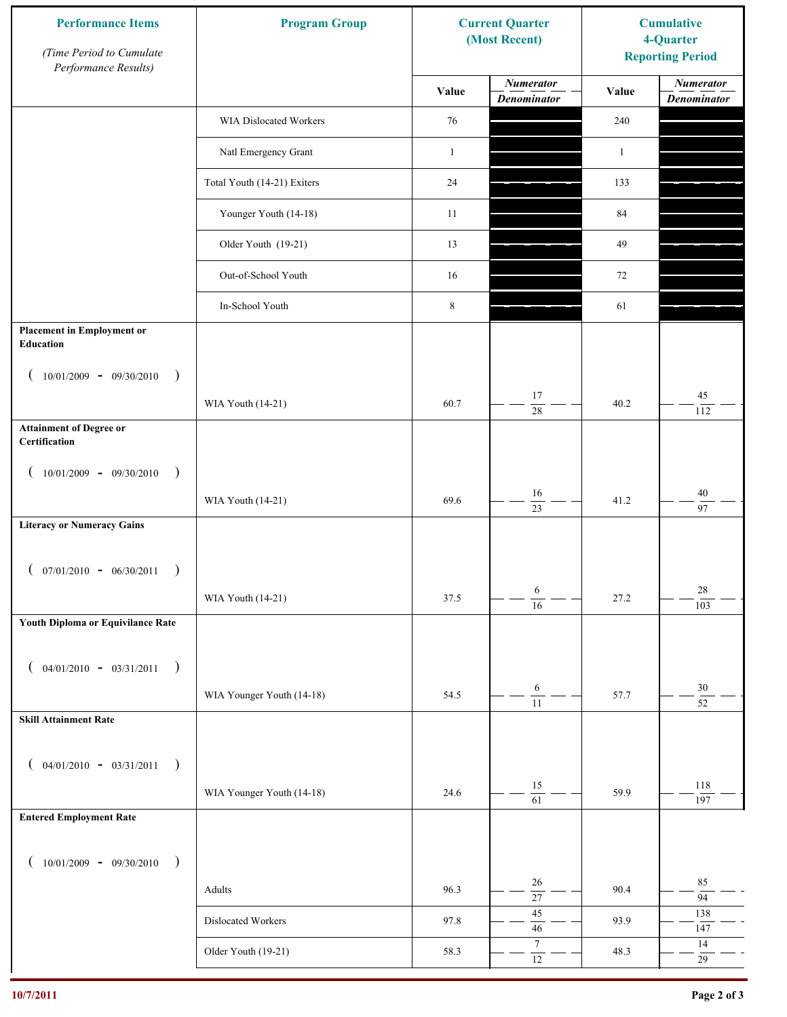| <b>Performance Items</b><br>(Time Period to Cumulate<br>Performance Results) | <b>Program Group</b>        |              | <b>Current Quarter</b><br>(Most Recent) | <b>Cumulative</b><br>4-Quarter<br><b>Reporting Period</b> |                                        |
|------------------------------------------------------------------------------|-----------------------------|--------------|-----------------------------------------|-----------------------------------------------------------|----------------------------------------|
|                                                                              |                             | Value        | <b>Numerator</b><br><b>Denominator</b>  | Value                                                     | <b>Numerator</b><br><b>Denominator</b> |
|                                                                              | WIA Dislocated Workers      | 76           |                                         | 240                                                       |                                        |
|                                                                              | Natl Emergency Grant        | $\mathbf{1}$ |                                         | $\mathbf{1}$                                              |                                        |
|                                                                              | Total Youth (14-21) Exiters | 24           |                                         | 133                                                       |                                        |
|                                                                              | Younger Youth (14-18)       | 11           |                                         | 84                                                        |                                        |
|                                                                              | Older Youth (19-21)         | 13           |                                         | 49                                                        |                                        |
|                                                                              | Out-of-School Youth         | 16           |                                         | 72                                                        |                                        |
|                                                                              | In-School Youth             | $\,$ 8 $\,$  |                                         | 61                                                        |                                        |
| <b>Placement in Employment or</b><br>Education                               |                             |              |                                         |                                                           |                                        |
| $10/01/2009 - 09/30/2010$<br>$\rightarrow$                                   |                             |              |                                         |                                                           |                                        |
|                                                                              | WIA Youth (14-21)           | 60.7         | 17<br>28                                | 40.2                                                      | 45<br>112                              |
| <b>Attainment of Degree or</b><br>Certification                              |                             |              |                                         |                                                           |                                        |
| $10/01/2009 - 09/30/2010$<br>$\rightarrow$<br>$\left($                       |                             |              |                                         |                                                           |                                        |
|                                                                              | WIA Youth (14-21)           | 69.6         | 16<br>$\overline{23}$                   | 41.2                                                      | $40\,$<br>97                           |
| <b>Literacy or Numeracy Gains</b>                                            |                             |              |                                         |                                                           |                                        |
| $($ 07/01/2010 - 06/30/2011                                                  |                             |              |                                         |                                                           |                                        |
|                                                                              | WIA Youth (14-21)           | 37.5         | 6<br>$\overline{16}$                    | 27.2                                                      | 28<br>103                              |
| Youth Diploma or Equivilance Rate                                            |                             |              |                                         |                                                           |                                        |
|                                                                              |                             |              |                                         |                                                           |                                        |
| $04/01/2010 - 03/31/2011$<br>$\rightarrow$<br>€                              | WIA Younger Youth (14-18)   |              | $\sqrt{6}$                              |                                                           | $30\,$                                 |
| <b>Skill Attainment Rate</b>                                                 |                             | 54.5         | $\overline{11}$                         | 57.7                                                      | $\overline{52}$                        |
|                                                                              |                             |              |                                         |                                                           |                                        |
| $04/01/2010 - 03/31/2011$<br>$\rightarrow$<br>€                              |                             |              |                                         |                                                           |                                        |
|                                                                              | WIA Younger Youth (14-18)   | 24.6         | 15<br>$\overline{61}$                   | 59.9                                                      | 118<br>197                             |
| <b>Entered Employment Rate</b>                                               |                             |              |                                         |                                                           |                                        |
| $10/01/2009 - 09/30/2010$<br>$\rightarrow$                                   |                             |              |                                         |                                                           |                                        |
|                                                                              | Adults                      | 96.3         | 26<br>$\overline{27}$                   | 90.4                                                      | 85<br>94                               |
|                                                                              | Dislocated Workers          | 97.8         | 45<br>$46\,$                            | 93.9                                                      | 138<br>147                             |
|                                                                              | Older Youth (19-21)         | 58.3         | $\boldsymbol{7}$<br>$\overline{12}$     | 48.3                                                      | 14<br>$29\,$                           |
|                                                                              |                             |              |                                         |                                                           |                                        |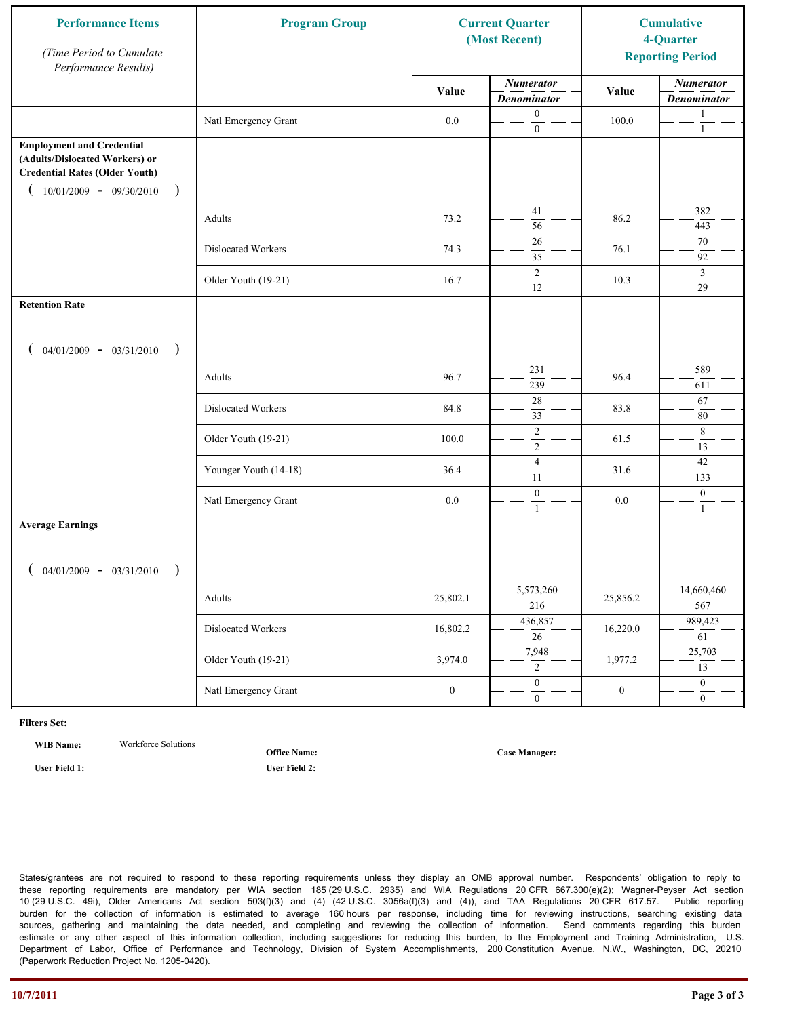| <b>Performance Items</b><br>(Time Period to Cumulate<br>Performance Results)                                                                                         | <b>Program Group</b>  | <b>Current Quarter</b><br>(Most Recent) |                                        | <b>Cumulative</b><br>4-Quarter<br><b>Reporting Period</b> |                                        |
|----------------------------------------------------------------------------------------------------------------------------------------------------------------------|-----------------------|-----------------------------------------|----------------------------------------|-----------------------------------------------------------|----------------------------------------|
|                                                                                                                                                                      |                       | Value                                   | <b>Numerator</b><br><b>Denominator</b> | Value                                                     | <b>Numerator</b><br><b>Denominator</b> |
|                                                                                                                                                                      | Natl Emergency Grant  | $0.0\,$                                 | $\boldsymbol{0}$<br>$\mathbf{0}$       | 100.0                                                     | $\mathbf{1}$<br>$\mathbf{1}$           |
| <b>Employment and Credential</b><br>(Adults/Dislocated Workers) or<br><b>Credential Rates (Older Youth)</b><br>$10/01/2009$ - 09/30/2010<br>$\overline{\phantom{a}}$ |                       |                                         |                                        |                                                           |                                        |
|                                                                                                                                                                      | Adults                | 73.2                                    | 41<br>$\overline{56}$                  | 86.2                                                      | 382<br>443                             |
|                                                                                                                                                                      | Dislocated Workers    | 74.3                                    | 26<br>35                               | 76.1                                                      | 70<br>92                               |
|                                                                                                                                                                      | Older Youth (19-21)   | 16.7                                    | $\overline{2}$<br>12                   | 10.3                                                      | $\mathfrak{Z}$<br>$\overline{29}$      |
| <b>Retention Rate</b>                                                                                                                                                |                       |                                         |                                        |                                                           |                                        |
| $04/01/2009 - 03/31/2010$<br>$\rightarrow$                                                                                                                           |                       |                                         |                                        |                                                           |                                        |
|                                                                                                                                                                      | Adults                | 96.7                                    | 231<br>239                             | 96.4                                                      | 589<br>611                             |
|                                                                                                                                                                      | Dislocated Workers    | 84.8                                    | $28\,$<br>33                           | 83.8                                                      | 67<br>80                               |
|                                                                                                                                                                      | Older Youth (19-21)   | 100.0                                   | $\sqrt{2}$<br>$\overline{2}$           | 61.5                                                      | 8<br>13                                |
|                                                                                                                                                                      | Younger Youth (14-18) | 36.4                                    | $\overline{4}$<br>11                   | 31.6                                                      | $42\,$<br>133                          |
|                                                                                                                                                                      | Natl Emergency Grant  | 0.0                                     | $\boldsymbol{0}$<br>$\mathbf{1}$       | 0.0                                                       | $\boldsymbol{0}$<br>$\mathbf{1}$       |
| <b>Average Earnings</b>                                                                                                                                              |                       |                                         |                                        |                                                           |                                        |
| $04/01/2009 - 03/31/2010$<br>$\rightarrow$                                                                                                                           |                       |                                         |                                        |                                                           |                                        |
|                                                                                                                                                                      | Adults                | 25,802.1                                | 5,573,260<br>$\frac{216}{ }$           | 25,856.2                                                  | 14,660,460<br>567                      |
|                                                                                                                                                                      | Dislocated Workers    | 16,802.2                                | 436,857<br>$\overline{26}$             | 16,220.0                                                  | 989,423<br>61                          |
|                                                                                                                                                                      | Older Youth (19-21)   | 3,974.0                                 | 7,948<br>$\overline{2}$                | 1,977.2                                                   | 25,703<br>13                           |
|                                                                                                                                                                      | Natl Emergency Grant  | $\boldsymbol{0}$                        | $\overline{0}$<br>$\mathbf{0}$         | $\boldsymbol{0}$                                          | $\overline{0}$<br>$\boldsymbol{0}$     |

**WIB Name:** Workforce Solutions

**Office Name:**

**User Field 1: User Field 2:**

**Case Manager:**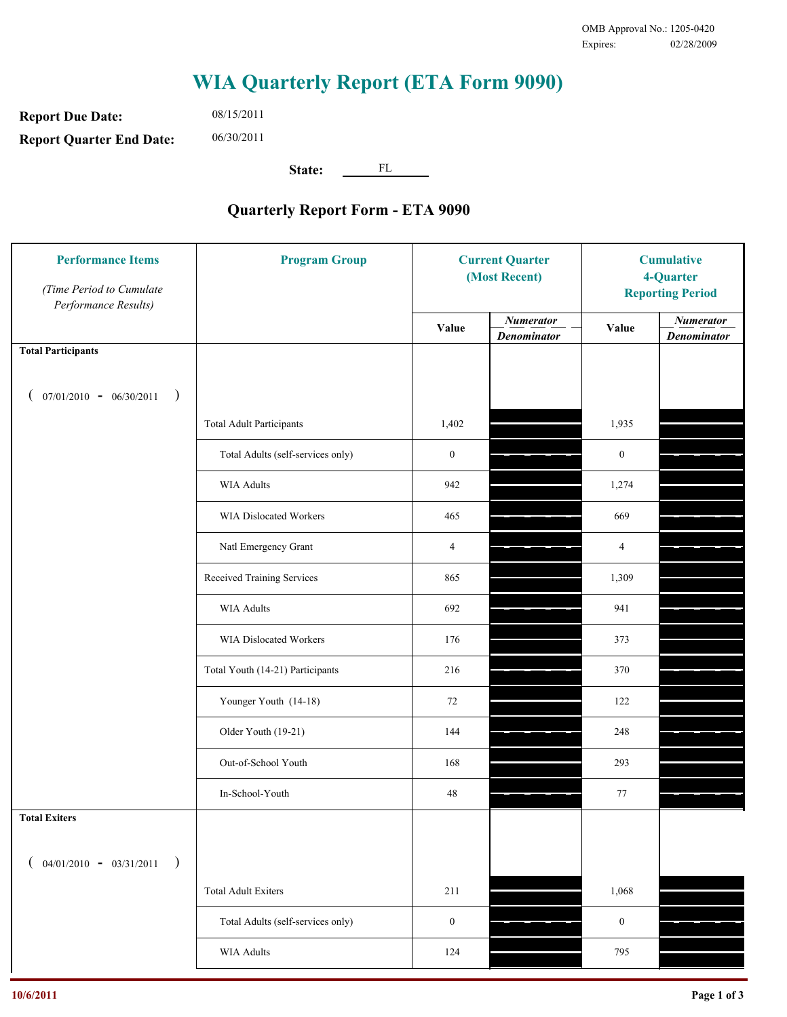**Report Due Date: Report Quarter End Date:** 08/15/2011 06/30/2011

**State:** FL

| <b>Performance Items</b><br>(Time Period to Cumulate<br>Performance Results) | <b>Program Group</b>              | <b>Current Quarter</b><br>(Most Recent) |                                        | <b>Cumulative</b><br>4-Quarter<br><b>Reporting Period</b> |                                        |
|------------------------------------------------------------------------------|-----------------------------------|-----------------------------------------|----------------------------------------|-----------------------------------------------------------|----------------------------------------|
|                                                                              |                                   | Value                                   | <b>Numerator</b><br><b>Denominator</b> | Value                                                     | <b>Numerator</b><br><b>Denominator</b> |
| <b>Total Participants</b>                                                    |                                   |                                         |                                        |                                                           |                                        |
| $07/01/2010 - 06/30/2011$<br>$\rightarrow$                                   |                                   |                                         |                                        |                                                           |                                        |
|                                                                              | <b>Total Adult Participants</b>   | 1,402                                   |                                        | 1,935                                                     |                                        |
|                                                                              | Total Adults (self-services only) | $\boldsymbol{0}$                        |                                        | $\boldsymbol{0}$                                          |                                        |
|                                                                              | <b>WIA Adults</b>                 | 942                                     |                                        | 1,274                                                     |                                        |
|                                                                              | <b>WIA Dislocated Workers</b>     | 465                                     |                                        | 669                                                       |                                        |
|                                                                              | Natl Emergency Grant              | $\overline{4}$                          |                                        | $\overline{4}$                                            |                                        |
|                                                                              | Received Training Services        | 865                                     |                                        | 1,309                                                     |                                        |
|                                                                              | <b>WIA Adults</b>                 | 692                                     |                                        | 941                                                       |                                        |
|                                                                              | WIA Dislocated Workers            | 176                                     |                                        | 373                                                       |                                        |
|                                                                              | Total Youth (14-21) Participants  | 216                                     |                                        | 370                                                       |                                        |
|                                                                              | Younger Youth (14-18)             | 72                                      |                                        | 122                                                       |                                        |
|                                                                              | Older Youth (19-21)               | 144                                     |                                        | 248                                                       |                                        |
|                                                                              | Out-of-School Youth               | 168                                     |                                        | 293                                                       |                                        |
|                                                                              | In-School-Youth                   | $48\,$                                  |                                        | 77                                                        |                                        |
| <b>Total Exiters</b>                                                         |                                   |                                         |                                        |                                                           |                                        |
| $04/01/2010 - 03/31/2011$<br>$\rightarrow$                                   |                                   |                                         |                                        |                                                           |                                        |
|                                                                              | <b>Total Adult Exiters</b>        | 211                                     |                                        | 1,068                                                     |                                        |
|                                                                              | Total Adults (self-services only) | $\boldsymbol{0}$                        |                                        | $\boldsymbol{0}$                                          |                                        |
|                                                                              | <b>WIA Adults</b>                 | 124                                     |                                        | 795                                                       |                                        |
|                                                                              |                                   |                                         |                                        |                                                           |                                        |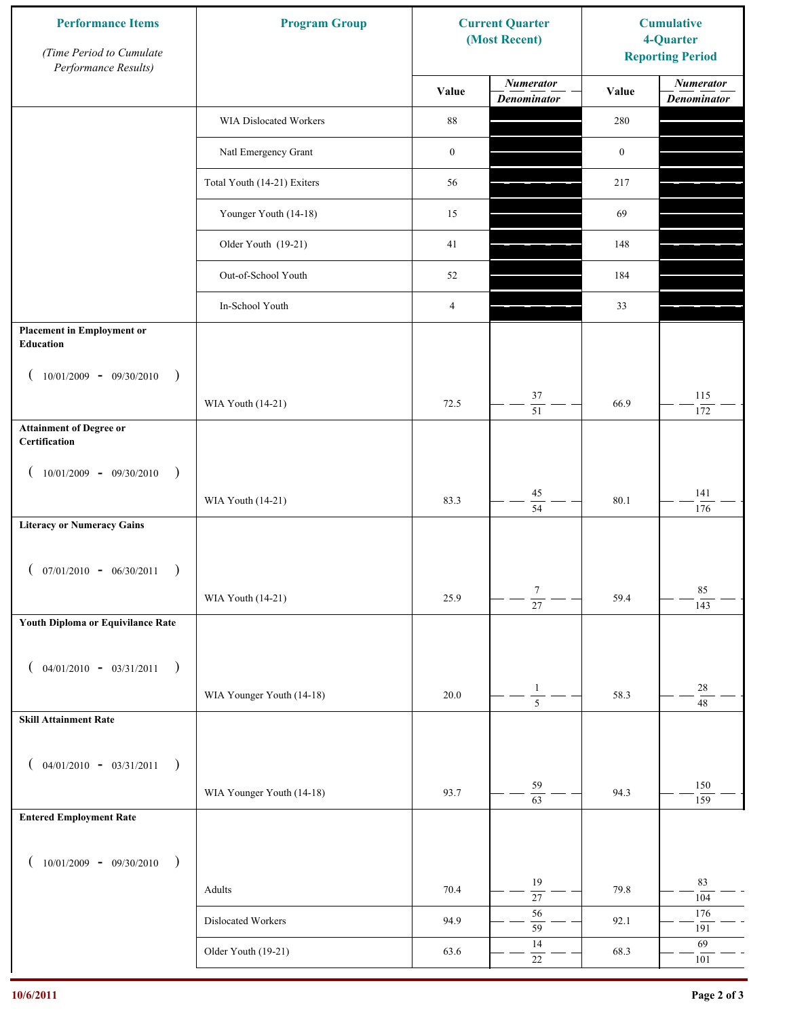| <b>Numerator</b><br><b>Numerator</b><br>Value<br>Value<br><b>Denominator</b><br><b>Denominator</b><br>$\bf 88$<br>WIA Dislocated Workers<br>280<br>Natl Emergency Grant<br>$\boldsymbol{0}$<br>$\boldsymbol{0}$<br>Total Youth (14-21) Exiters<br>56<br>217<br>Younger Youth (14-18)<br>15<br>69<br>Older Youth (19-21)<br>41<br>148<br>Out-of-School Youth<br>52<br>184<br>In-School Youth<br>$\overline{4}$<br>33<br><b>Placement in Employment or</b><br>Education<br>$10/01/2009 - 09/30/2010$<br>$\rightarrow$<br>37<br>115<br>72.5<br>66.9<br>WIA Youth (14-21)<br>$\overline{51}$<br>172<br><b>Attainment of Degree or</b><br>Certification<br>$10/01/2009 - 09/30/2010$<br>$\big)$<br>$\left($<br>141<br>$45\,$<br>83.3<br>80.1<br>WIA Youth (14-21)<br>$\overline{54}$<br>176<br><b>Literacy or Numeracy Gains</b><br>$($ 07/01/2010 - 06/30/2011<br>$\tau$<br>85<br>WIA Youth (14-21)<br>25.9<br>59.4<br>$\overline{27}$<br>143<br>Youth Diploma or Equivilance Rate<br>$04/01/2010 - 03/31/2011$<br>$\rightarrow$<br>€<br>$28\,$<br>$\mathbf{1}$<br>WIA Younger Youth (14-18)<br>58.3<br>20.0<br>$\overline{5}$<br>48<br><b>Skill Attainment Rate</b><br>$04/01/2010 - 03/31/2011$<br>$\rightarrow$<br>€<br>59<br>150<br>WIA Younger Youth (14-18)<br>93.7<br>94.3<br>$\overline{63}$<br>159<br><b>Entered Employment Rate</b><br>$10/01/2009 - 09/30/2010$<br>$\rightarrow$<br>83<br>19<br>70.4<br>79.8<br>Adults<br>$\overline{27}$<br>104<br>56<br>176<br>Dislocated Workers<br>94.9<br>92.1<br>59<br>191<br>14<br>69<br>Older Youth (19-21)<br>63.6<br>68.3<br>$22\,$<br>101 | <b>Performance Items</b><br>(Time Period to Cumulate<br>Performance Results) | <b>Program Group</b><br><b>Current Quarter</b><br>(Most Recent) |  | <b>Cumulative</b><br>4-Quarter<br><b>Reporting Period</b> |  |
|---------------------------------------------------------------------------------------------------------------------------------------------------------------------------------------------------------------------------------------------------------------------------------------------------------------------------------------------------------------------------------------------------------------------------------------------------------------------------------------------------------------------------------------------------------------------------------------------------------------------------------------------------------------------------------------------------------------------------------------------------------------------------------------------------------------------------------------------------------------------------------------------------------------------------------------------------------------------------------------------------------------------------------------------------------------------------------------------------------------------------------------------------------------------------------------------------------------------------------------------------------------------------------------------------------------------------------------------------------------------------------------------------------------------------------------------------------------------------------------------------------------------------------------------------------------------------------------------|------------------------------------------------------------------------------|-----------------------------------------------------------------|--|-----------------------------------------------------------|--|
|                                                                                                                                                                                                                                                                                                                                                                                                                                                                                                                                                                                                                                                                                                                                                                                                                                                                                                                                                                                                                                                                                                                                                                                                                                                                                                                                                                                                                                                                                                                                                                                             |                                                                              |                                                                 |  |                                                           |  |
|                                                                                                                                                                                                                                                                                                                                                                                                                                                                                                                                                                                                                                                                                                                                                                                                                                                                                                                                                                                                                                                                                                                                                                                                                                                                                                                                                                                                                                                                                                                                                                                             |                                                                              |                                                                 |  |                                                           |  |
|                                                                                                                                                                                                                                                                                                                                                                                                                                                                                                                                                                                                                                                                                                                                                                                                                                                                                                                                                                                                                                                                                                                                                                                                                                                                                                                                                                                                                                                                                                                                                                                             |                                                                              |                                                                 |  |                                                           |  |
|                                                                                                                                                                                                                                                                                                                                                                                                                                                                                                                                                                                                                                                                                                                                                                                                                                                                                                                                                                                                                                                                                                                                                                                                                                                                                                                                                                                                                                                                                                                                                                                             |                                                                              |                                                                 |  |                                                           |  |
|                                                                                                                                                                                                                                                                                                                                                                                                                                                                                                                                                                                                                                                                                                                                                                                                                                                                                                                                                                                                                                                                                                                                                                                                                                                                                                                                                                                                                                                                                                                                                                                             |                                                                              |                                                                 |  |                                                           |  |
|                                                                                                                                                                                                                                                                                                                                                                                                                                                                                                                                                                                                                                                                                                                                                                                                                                                                                                                                                                                                                                                                                                                                                                                                                                                                                                                                                                                                                                                                                                                                                                                             |                                                                              |                                                                 |  |                                                           |  |
|                                                                                                                                                                                                                                                                                                                                                                                                                                                                                                                                                                                                                                                                                                                                                                                                                                                                                                                                                                                                                                                                                                                                                                                                                                                                                                                                                                                                                                                                                                                                                                                             |                                                                              |                                                                 |  |                                                           |  |
|                                                                                                                                                                                                                                                                                                                                                                                                                                                                                                                                                                                                                                                                                                                                                                                                                                                                                                                                                                                                                                                                                                                                                                                                                                                                                                                                                                                                                                                                                                                                                                                             |                                                                              |                                                                 |  |                                                           |  |
|                                                                                                                                                                                                                                                                                                                                                                                                                                                                                                                                                                                                                                                                                                                                                                                                                                                                                                                                                                                                                                                                                                                                                                                                                                                                                                                                                                                                                                                                                                                                                                                             |                                                                              |                                                                 |  |                                                           |  |
|                                                                                                                                                                                                                                                                                                                                                                                                                                                                                                                                                                                                                                                                                                                                                                                                                                                                                                                                                                                                                                                                                                                                                                                                                                                                                                                                                                                                                                                                                                                                                                                             |                                                                              |                                                                 |  |                                                           |  |
|                                                                                                                                                                                                                                                                                                                                                                                                                                                                                                                                                                                                                                                                                                                                                                                                                                                                                                                                                                                                                                                                                                                                                                                                                                                                                                                                                                                                                                                                                                                                                                                             |                                                                              |                                                                 |  |                                                           |  |
|                                                                                                                                                                                                                                                                                                                                                                                                                                                                                                                                                                                                                                                                                                                                                                                                                                                                                                                                                                                                                                                                                                                                                                                                                                                                                                                                                                                                                                                                                                                                                                                             |                                                                              |                                                                 |  |                                                           |  |
|                                                                                                                                                                                                                                                                                                                                                                                                                                                                                                                                                                                                                                                                                                                                                                                                                                                                                                                                                                                                                                                                                                                                                                                                                                                                                                                                                                                                                                                                                                                                                                                             |                                                                              |                                                                 |  |                                                           |  |
|                                                                                                                                                                                                                                                                                                                                                                                                                                                                                                                                                                                                                                                                                                                                                                                                                                                                                                                                                                                                                                                                                                                                                                                                                                                                                                                                                                                                                                                                                                                                                                                             |                                                                              |                                                                 |  |                                                           |  |
|                                                                                                                                                                                                                                                                                                                                                                                                                                                                                                                                                                                                                                                                                                                                                                                                                                                                                                                                                                                                                                                                                                                                                                                                                                                                                                                                                                                                                                                                                                                                                                                             |                                                                              |                                                                 |  |                                                           |  |
|                                                                                                                                                                                                                                                                                                                                                                                                                                                                                                                                                                                                                                                                                                                                                                                                                                                                                                                                                                                                                                                                                                                                                                                                                                                                                                                                                                                                                                                                                                                                                                                             |                                                                              |                                                                 |  |                                                           |  |
|                                                                                                                                                                                                                                                                                                                                                                                                                                                                                                                                                                                                                                                                                                                                                                                                                                                                                                                                                                                                                                                                                                                                                                                                                                                                                                                                                                                                                                                                                                                                                                                             |                                                                              |                                                                 |  |                                                           |  |
|                                                                                                                                                                                                                                                                                                                                                                                                                                                                                                                                                                                                                                                                                                                                                                                                                                                                                                                                                                                                                                                                                                                                                                                                                                                                                                                                                                                                                                                                                                                                                                                             |                                                                              |                                                                 |  |                                                           |  |
|                                                                                                                                                                                                                                                                                                                                                                                                                                                                                                                                                                                                                                                                                                                                                                                                                                                                                                                                                                                                                                                                                                                                                                                                                                                                                                                                                                                                                                                                                                                                                                                             |                                                                              |                                                                 |  |                                                           |  |
|                                                                                                                                                                                                                                                                                                                                                                                                                                                                                                                                                                                                                                                                                                                                                                                                                                                                                                                                                                                                                                                                                                                                                                                                                                                                                                                                                                                                                                                                                                                                                                                             |                                                                              |                                                                 |  |                                                           |  |
|                                                                                                                                                                                                                                                                                                                                                                                                                                                                                                                                                                                                                                                                                                                                                                                                                                                                                                                                                                                                                                                                                                                                                                                                                                                                                                                                                                                                                                                                                                                                                                                             |                                                                              |                                                                 |  |                                                           |  |
|                                                                                                                                                                                                                                                                                                                                                                                                                                                                                                                                                                                                                                                                                                                                                                                                                                                                                                                                                                                                                                                                                                                                                                                                                                                                                                                                                                                                                                                                                                                                                                                             |                                                                              |                                                                 |  |                                                           |  |
|                                                                                                                                                                                                                                                                                                                                                                                                                                                                                                                                                                                                                                                                                                                                                                                                                                                                                                                                                                                                                                                                                                                                                                                                                                                                                                                                                                                                                                                                                                                                                                                             |                                                                              |                                                                 |  |                                                           |  |
|                                                                                                                                                                                                                                                                                                                                                                                                                                                                                                                                                                                                                                                                                                                                                                                                                                                                                                                                                                                                                                                                                                                                                                                                                                                                                                                                                                                                                                                                                                                                                                                             |                                                                              |                                                                 |  |                                                           |  |
|                                                                                                                                                                                                                                                                                                                                                                                                                                                                                                                                                                                                                                                                                                                                                                                                                                                                                                                                                                                                                                                                                                                                                                                                                                                                                                                                                                                                                                                                                                                                                                                             |                                                                              |                                                                 |  |                                                           |  |
|                                                                                                                                                                                                                                                                                                                                                                                                                                                                                                                                                                                                                                                                                                                                                                                                                                                                                                                                                                                                                                                                                                                                                                                                                                                                                                                                                                                                                                                                                                                                                                                             |                                                                              |                                                                 |  |                                                           |  |
|                                                                                                                                                                                                                                                                                                                                                                                                                                                                                                                                                                                                                                                                                                                                                                                                                                                                                                                                                                                                                                                                                                                                                                                                                                                                                                                                                                                                                                                                                                                                                                                             |                                                                              |                                                                 |  |                                                           |  |
|                                                                                                                                                                                                                                                                                                                                                                                                                                                                                                                                                                                                                                                                                                                                                                                                                                                                                                                                                                                                                                                                                                                                                                                                                                                                                                                                                                                                                                                                                                                                                                                             |                                                                              |                                                                 |  |                                                           |  |
|                                                                                                                                                                                                                                                                                                                                                                                                                                                                                                                                                                                                                                                                                                                                                                                                                                                                                                                                                                                                                                                                                                                                                                                                                                                                                                                                                                                                                                                                                                                                                                                             |                                                                              |                                                                 |  |                                                           |  |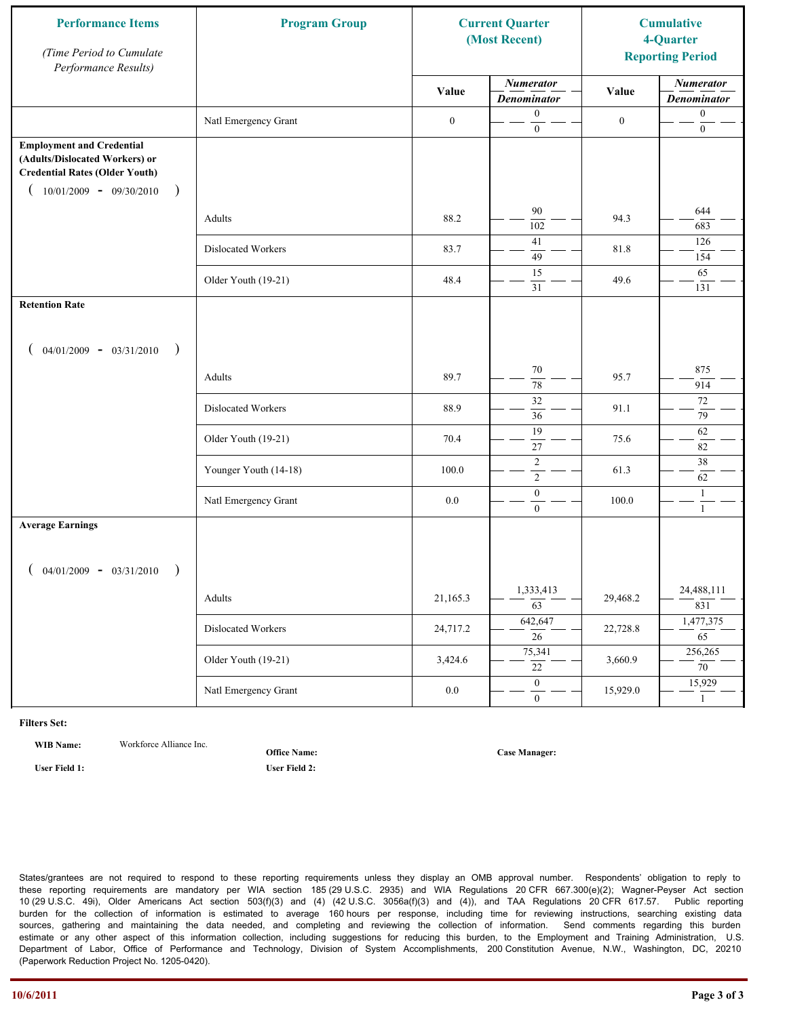| <b>Performance Items</b><br>(Time Period to Cumulate<br>Performance Results)                                                                              | <b>Program Group</b><br>(Most Recent) |                  | <b>Current Quarter</b>                 |                  | <b>Cumulative</b><br>4-Quarter<br><b>Reporting Period</b> |
|-----------------------------------------------------------------------------------------------------------------------------------------------------------|---------------------------------------|------------------|----------------------------------------|------------------|-----------------------------------------------------------|
|                                                                                                                                                           |                                       | Value            | <b>Numerator</b><br><b>Denominator</b> | Value            | <b>Numerator</b><br><b>Denominator</b>                    |
|                                                                                                                                                           | Natl Emergency Grant                  | $\boldsymbol{0}$ | $\mathbf{0}$<br>$\boldsymbol{0}$       | $\boldsymbol{0}$ | $\boldsymbol{0}$<br>$\boldsymbol{0}$                      |
| <b>Employment and Credential</b><br>(Adults/Dislocated Workers) or<br><b>Credential Rates (Older Youth)</b><br>$10/01/2009 - 09/30/2010$<br>$\rightarrow$ |                                       |                  |                                        |                  |                                                           |
|                                                                                                                                                           | Adults                                | 88.2             | 90<br>102                              | 94.3             | 644<br>683                                                |
|                                                                                                                                                           | Dislocated Workers                    | 83.7             | 41<br>49                               | 81.8             | 126<br>154                                                |
|                                                                                                                                                           | Older Youth (19-21)                   | 48.4             | 15<br>31                               | 49.6             | 65<br>131                                                 |
| <b>Retention Rate</b>                                                                                                                                     |                                       |                  |                                        |                  |                                                           |
| $04/01/2009 - 03/31/2010$<br>$\rightarrow$                                                                                                                |                                       |                  |                                        |                  |                                                           |
|                                                                                                                                                           | Adults                                | 89.7             | $70\,$<br>78                           | 95.7             | 875<br>914                                                |
|                                                                                                                                                           | Dislocated Workers                    | 88.9             | $\overline{32}$<br>$\overline{36}$     | 91.1             | 72<br>79                                                  |
|                                                                                                                                                           | Older Youth (19-21)                   | 70.4             | 19<br>$27\,$                           | 75.6             | $62\,$<br>82                                              |
|                                                                                                                                                           | Younger Youth (14-18)                 | 100.0            | $\sqrt{2}$<br>$\sqrt{2}$               | 61.3             | $38\,$<br>62                                              |
|                                                                                                                                                           | Natl Emergency Grant                  | 0.0              | $\boldsymbol{0}$<br>$\overline{0}$     | 100.0            | $\mathbf{1}$<br>$\mathbf{1}$                              |
| <b>Average Earnings</b>                                                                                                                                   |                                       |                  |                                        |                  |                                                           |
| $04/01/2009 - 03/31/2010$<br>$\rightarrow$                                                                                                                |                                       |                  |                                        |                  |                                                           |
|                                                                                                                                                           | Adults                                | 21,165.3         | 1,333,413<br>$\overline{63}$           | 29,468.2         | 24,488,111<br>831                                         |
|                                                                                                                                                           | Dislocated Workers                    | 24,717.2         | 642,647<br>$\overline{26}$             | 22,728.8         | 1,477,375<br>$\overline{65}$                              |
|                                                                                                                                                           | Older Youth (19-21)                   | 3,424.6          | 75,341<br>22                           | 3,660.9          | 256,265<br>$\overline{70}$                                |
|                                                                                                                                                           | Natl Emergency Grant                  | $0.0\,$          | $\overline{0}$<br>$\mathbf{0}$         | 15,929.0         | 15,929<br>$\mathbf{1}$                                    |

**WIB Name:** Workforce Alliance Inc.

**Office Name:**

**User Field 1: User Field 2:**

**Case Manager:**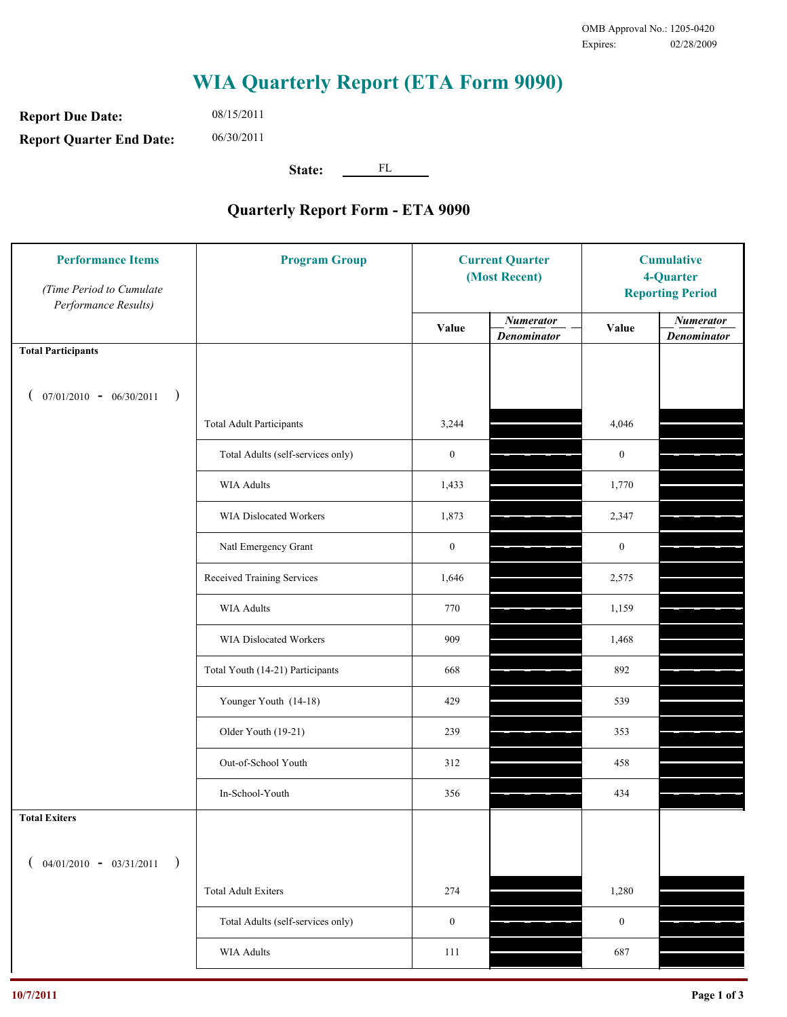**Report Due Date: Report Quarter End Date:** 08/15/2011 06/30/2011

**State:** FL

| (Time Period to Cumulate<br>Performance Results) |                                   | <b>Current Quarter</b><br>(Most Recent) |                                        | <b>Cumulative</b><br>4-Quarter<br><b>Reporting Period</b> |                                        |
|--------------------------------------------------|-----------------------------------|-----------------------------------------|----------------------------------------|-----------------------------------------------------------|----------------------------------------|
|                                                  |                                   | Value                                   | <b>Numerator</b><br><b>Denominator</b> | Value                                                     | <b>Numerator</b><br><b>Denominator</b> |
| <b>Total Participants</b>                        |                                   |                                         |                                        |                                                           |                                        |
| $07/01/2010 - 06/30/2011$ )                      |                                   |                                         |                                        |                                                           |                                        |
|                                                  | <b>Total Adult Participants</b>   | 3,244                                   |                                        | 4,046                                                     |                                        |
|                                                  | Total Adults (self-services only) | $\boldsymbol{0}$                        |                                        | $\boldsymbol{0}$                                          |                                        |
|                                                  | WIA Adults                        | 1,433                                   |                                        | 1,770                                                     |                                        |
|                                                  | WIA Dislocated Workers            | 1,873                                   |                                        | 2,347                                                     |                                        |
|                                                  | Natl Emergency Grant              | $\boldsymbol{0}$                        |                                        | $\boldsymbol{0}$                                          |                                        |
|                                                  | Received Training Services        | 1,646                                   |                                        | 2,575                                                     |                                        |
|                                                  | WIA Adults                        | 770                                     |                                        | 1,159                                                     |                                        |
|                                                  | WIA Dislocated Workers            | 909                                     |                                        | 1,468                                                     |                                        |
|                                                  | Total Youth (14-21) Participants  | 668                                     |                                        | 892                                                       |                                        |
|                                                  | Younger Youth (14-18)             | 429                                     |                                        | 539                                                       |                                        |
|                                                  | Older Youth (19-21)               | 239                                     |                                        | 353                                                       |                                        |
|                                                  | Out-of-School Youth               | 312                                     |                                        | 458                                                       |                                        |
|                                                  | In-School-Youth                   | 356                                     |                                        | 434                                                       |                                        |
| <b>Total Exiters</b>                             |                                   |                                         |                                        |                                                           |                                        |
| $04/01/2010 - 03/31/2011$<br>$\rightarrow$       |                                   |                                         |                                        |                                                           |                                        |
|                                                  | <b>Total Adult Exiters</b>        | 274                                     |                                        | 1,280                                                     |                                        |
|                                                  | Total Adults (self-services only) | $\boldsymbol{0}$                        |                                        | $\boldsymbol{0}$                                          |                                        |
|                                                  | <b>WIA Adults</b>                 | 111                                     |                                        | 687                                                       |                                        |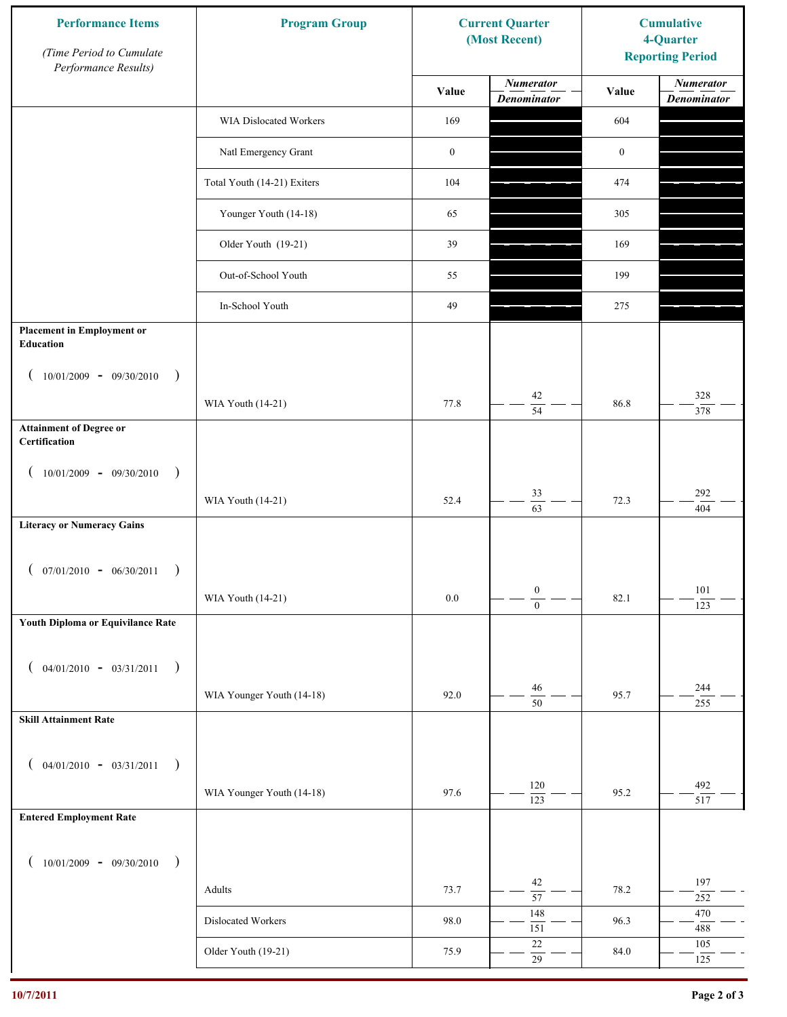| <b>Performance Items</b><br>(Time Period to Cumulate<br>Performance Results) | <b>Program Group</b><br><b>Current Quarter</b><br>(Most Recent) |                  | <b>Cumulative</b><br>4-Quarter<br><b>Reporting Period</b> |                  |                                        |
|------------------------------------------------------------------------------|-----------------------------------------------------------------|------------------|-----------------------------------------------------------|------------------|----------------------------------------|
|                                                                              |                                                                 | Value            | <b>Numerator</b><br><b>Denominator</b>                    | Value            | <b>Numerator</b><br><b>Denominator</b> |
|                                                                              | WIA Dislocated Workers                                          | 169              |                                                           | 604              |                                        |
|                                                                              | Natl Emergency Grant                                            | $\boldsymbol{0}$ |                                                           | $\boldsymbol{0}$ |                                        |
|                                                                              | Total Youth (14-21) Exiters                                     | 104              |                                                           | 474              |                                        |
|                                                                              | Younger Youth (14-18)                                           | 65               |                                                           | 305              |                                        |
|                                                                              | Older Youth (19-21)                                             | 39               |                                                           | 169              |                                        |
|                                                                              | Out-of-School Youth                                             | 55               |                                                           | 199              |                                        |
|                                                                              | In-School Youth                                                 | 49               |                                                           | 275              |                                        |
| <b>Placement in Employment or</b><br>Education                               |                                                                 |                  |                                                           |                  |                                        |
| $10/01/2009 - 09/30/2010$<br>$\rightarrow$                                   | WIA Youth (14-21)                                               | 77.8             | 42                                                        | 86.8             | 328                                    |
| <b>Attainment of Degree or</b>                                               |                                                                 |                  | $\overline{54}$                                           |                  | 378                                    |
| Certification                                                                |                                                                 |                  |                                                           |                  |                                        |
| $10/01/2009 - 09/30/2010$<br>$\big)$<br>$\left($                             |                                                                 |                  |                                                           |                  |                                        |
|                                                                              | WIA Youth (14-21)                                               | 52.4             | 33<br>$\overline{63}$                                     | 72.3             | 292<br>404                             |
| <b>Literacy or Numeracy Gains</b>                                            |                                                                 |                  |                                                           |                  |                                        |
| $($ 07/01/2010 - 06/30/2011                                                  |                                                                 |                  |                                                           |                  |                                        |
|                                                                              | WIA Youth (14-21)                                               | 0.0              | $\boldsymbol{0}$<br>$\overline{0}$                        | 82.1             | 101<br>123                             |
| Youth Diploma or Equivilance Rate                                            |                                                                 |                  |                                                           |                  |                                        |
|                                                                              |                                                                 |                  |                                                           |                  |                                        |
| $04/01/2010 - 03/31/2011$<br>$\rightarrow$<br>€                              |                                                                 |                  | 46                                                        |                  | 244                                    |
| <b>Skill Attainment Rate</b>                                                 | WIA Younger Youth (14-18)                                       | 92.0             | 50                                                        | 95.7             | 255                                    |
|                                                                              |                                                                 |                  |                                                           |                  |                                        |
| $04/01/2010 - 03/31/2011$<br>$\rightarrow$<br>€                              |                                                                 |                  |                                                           |                  |                                        |
|                                                                              | WIA Younger Youth (14-18)                                       | 97.6             | 120<br>123                                                | 95.2             | 492<br>517                             |
| <b>Entered Employment Rate</b>                                               |                                                                 |                  |                                                           |                  |                                        |
| $10/01/2009 - 09/30/2010$<br>$\rightarrow$                                   |                                                                 |                  |                                                           |                  |                                        |
|                                                                              | Adults                                                          | 73.7             | 42<br>$\overline{57}$                                     | 78.2             | 197<br>$252\,$                         |
|                                                                              | Dislocated Workers                                              | 98.0             | 148                                                       | 96.3             | 470                                    |
|                                                                              | Older Youth (19-21)                                             | 75.9             | 151<br>$22\,$                                             | 84.0             | 488<br>105                             |
|                                                                              |                                                                 |                  | $\overline{29}$                                           |                  | 125                                    |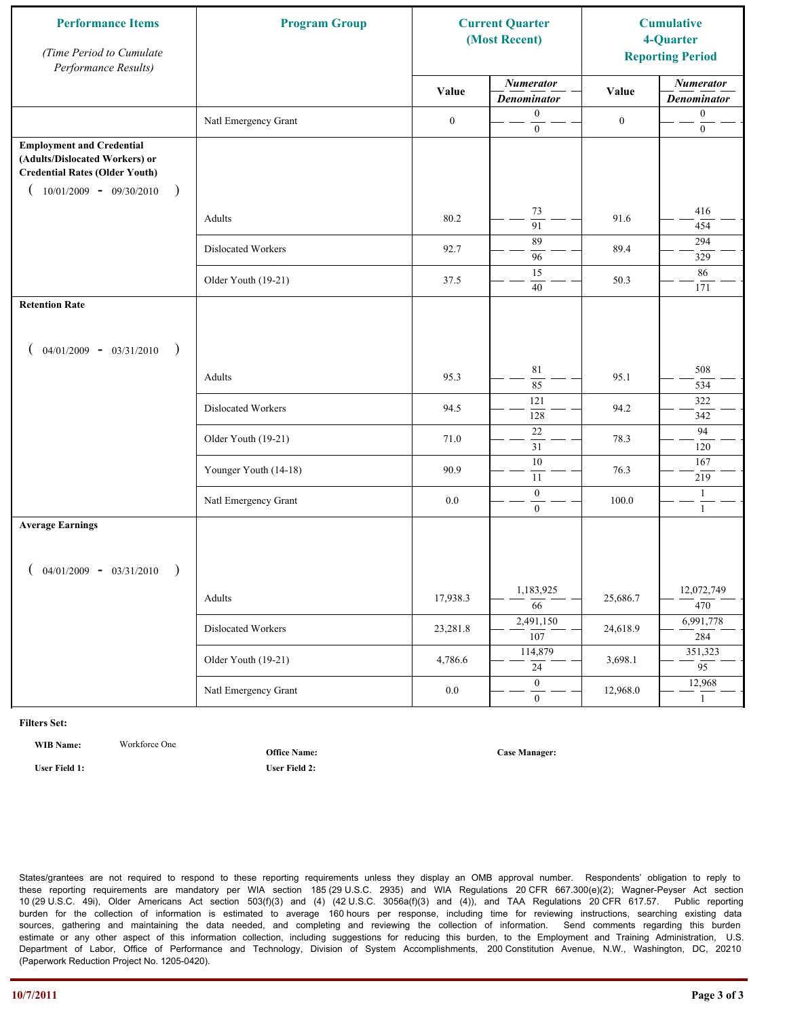| <b>Performance Items</b><br>(Time Period to Cumulate<br>Performance Results)                                                                              | <b>Program Group</b>  |                  | <b>Current Quarter</b><br>(Most Recent) |                  | <b>Cumulative</b><br>4-Quarter<br><b>Reporting Period</b> |
|-----------------------------------------------------------------------------------------------------------------------------------------------------------|-----------------------|------------------|-----------------------------------------|------------------|-----------------------------------------------------------|
|                                                                                                                                                           |                       | Value            | <b>Numerator</b><br><b>Denominator</b>  | Value            | <b>Numerator</b><br><b>Denominator</b>                    |
|                                                                                                                                                           | Natl Emergency Grant  | $\boldsymbol{0}$ | $\mathbf{0}$<br>$\mathbf{0}$            | $\boldsymbol{0}$ | $\boldsymbol{0}$<br>$\boldsymbol{0}$                      |
| <b>Employment and Credential</b><br>(Adults/Dislocated Workers) or<br><b>Credential Rates (Older Youth)</b><br>$10/01/2009 - 09/30/2010$<br>$\rightarrow$ |                       |                  |                                         |                  |                                                           |
|                                                                                                                                                           | Adults                | 80.2             | 73<br>$\overline{91}$                   | 91.6             | 416<br>454                                                |
|                                                                                                                                                           | Dislocated Workers    | 92.7             | 89<br>96                                | 89.4             | 294<br>329                                                |
|                                                                                                                                                           | Older Youth (19-21)   | 37.5             | 15<br>40                                | 50.3             | 86<br>171                                                 |
| <b>Retention Rate</b>                                                                                                                                     |                       |                  |                                         |                  |                                                           |
| $04/01/2009 - 03/31/2010$<br>$\rightarrow$                                                                                                                |                       |                  |                                         |                  |                                                           |
|                                                                                                                                                           | Adults                | 95.3             | $8\sqrt{1}$<br>85                       | 95.1             | 508<br>534                                                |
|                                                                                                                                                           | Dislocated Workers    | 94.5             | 121<br>128                              | 94.2             | 322<br>342                                                |
|                                                                                                                                                           | Older Youth (19-21)   | 71.0             | $22\,$<br>31                            | 78.3             | 94<br>120                                                 |
|                                                                                                                                                           | Younger Youth (14-18) | 90.9             | $\overline{10}$<br>11                   | 76.3             | 167<br>219                                                |
|                                                                                                                                                           | Natl Emergency Grant  | 0.0              | $\boldsymbol{0}$<br>$\overline{0}$      | 100.0            | $\mathbf{1}$<br>$\mathbf{1}$                              |
| <b>Average Earnings</b>                                                                                                                                   |                       |                  |                                         |                  |                                                           |
| $04/01/2009 - 03/31/2010$<br>$\rightarrow$                                                                                                                |                       |                  |                                         |                  |                                                           |
|                                                                                                                                                           | Adults                | 17,938.3         | 1,183,925<br>66                         | 25,686.7         | 12,072,749<br>470                                         |
|                                                                                                                                                           | Dislocated Workers    | 23,281.8         | 2,491,150<br>$\overline{107}$           | 24,618.9         | 6,991,778<br>284                                          |
|                                                                                                                                                           | Older Youth (19-21)   | 4,786.6          | 114,879<br>24                           | 3,698.1          | 351,323<br>$\overline{95}$                                |
|                                                                                                                                                           | Natl Emergency Grant  | $0.0\,$          | $\overline{0}$<br>$\overline{0}$        | 12,968.0         | 12,968<br>$\mathbf{1}$                                    |

**WIB Name:** Workforce One

**Office Name:**

**User Field 1: User Field 2:**

**Case Manager:**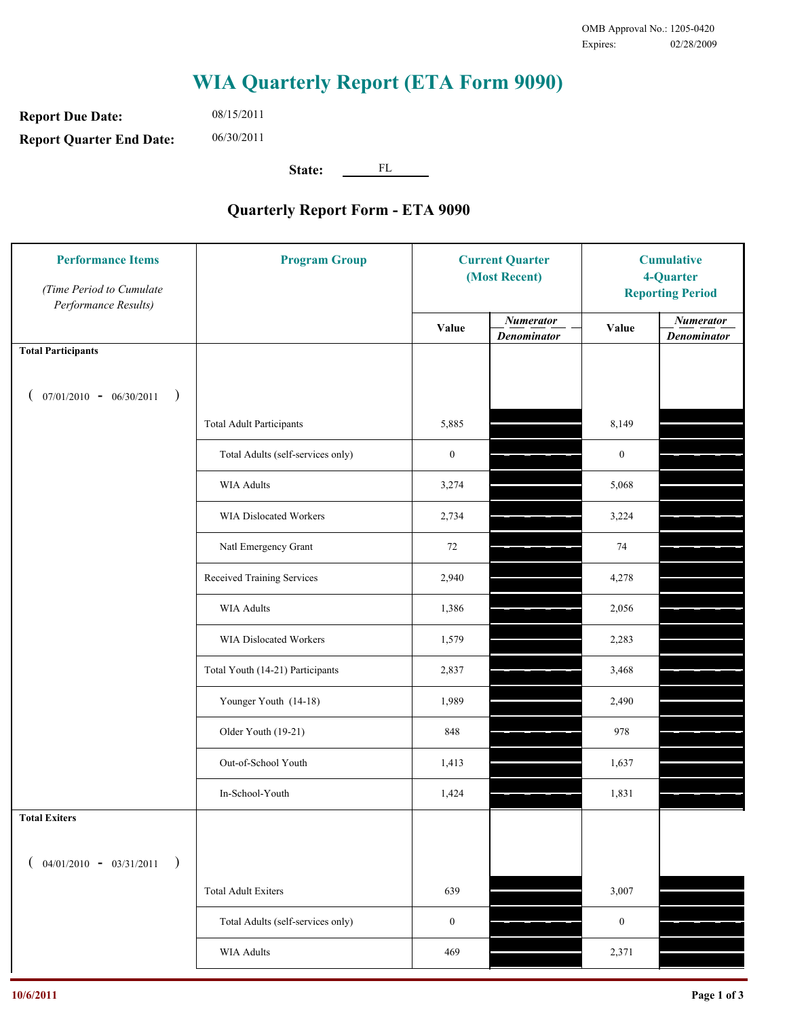**Report Due Date: Report Quarter End Date:** 08/15/2011 06/30/2011

**State:** FL

| <b>Performance Items</b><br>(Time Period to Cumulate<br>Performance Results) | <b>Program Group</b>              | <b>Current Quarter</b><br>(Most Recent) |                                        | <b>Cumulative</b><br>4-Quarter<br><b>Reporting Period</b> |                                        |
|------------------------------------------------------------------------------|-----------------------------------|-----------------------------------------|----------------------------------------|-----------------------------------------------------------|----------------------------------------|
|                                                                              |                                   | Value                                   | <b>Numerator</b><br><b>Denominator</b> | Value                                                     | <b>Numerator</b><br><b>Denominator</b> |
| <b>Total Participants</b>                                                    |                                   |                                         |                                        |                                                           |                                        |
| $07/01/2010 - 06/30/2011$<br>$\rightarrow$                                   |                                   |                                         |                                        |                                                           |                                        |
|                                                                              | <b>Total Adult Participants</b>   | 5,885                                   |                                        | 8,149                                                     |                                        |
|                                                                              | Total Adults (self-services only) | $\boldsymbol{0}$                        |                                        | $\boldsymbol{0}$                                          |                                        |
|                                                                              | WIA Adults                        | 3,274                                   |                                        | 5,068                                                     |                                        |
|                                                                              | <b>WIA Dislocated Workers</b>     | 2,734                                   |                                        | 3,224                                                     |                                        |
|                                                                              | Natl Emergency Grant              | 72                                      |                                        | 74                                                        |                                        |
|                                                                              | Received Training Services        | 2,940                                   |                                        | 4,278                                                     |                                        |
|                                                                              | <b>WIA Adults</b>                 | 1,386                                   |                                        | 2,056                                                     |                                        |
|                                                                              | WIA Dislocated Workers            | 1,579                                   |                                        | 2,283                                                     |                                        |
|                                                                              | Total Youth (14-21) Participants  | 2,837                                   |                                        | 3,468                                                     |                                        |
|                                                                              | Younger Youth (14-18)             | 1,989                                   |                                        | 2,490                                                     |                                        |
|                                                                              | Older Youth (19-21)               | 848                                     |                                        | 978                                                       |                                        |
|                                                                              | Out-of-School Youth               | 1,413                                   |                                        | 1,637                                                     |                                        |
|                                                                              | In-School-Youth                   | 1,424                                   |                                        | 1,831                                                     |                                        |
| <b>Total Exiters</b>                                                         |                                   |                                         |                                        |                                                           |                                        |
| $($ 04/01/2010 - 03/31/2011<br>$\rightarrow$                                 |                                   |                                         |                                        |                                                           |                                        |
|                                                                              | <b>Total Adult Exiters</b>        | 639                                     |                                        | 3,007                                                     |                                        |
|                                                                              | Total Adults (self-services only) | $\boldsymbol{0}$                        |                                        | $\boldsymbol{0}$                                          |                                        |
|                                                                              | <b>WIA Adults</b>                 | 469                                     |                                        | 2,371                                                     |                                        |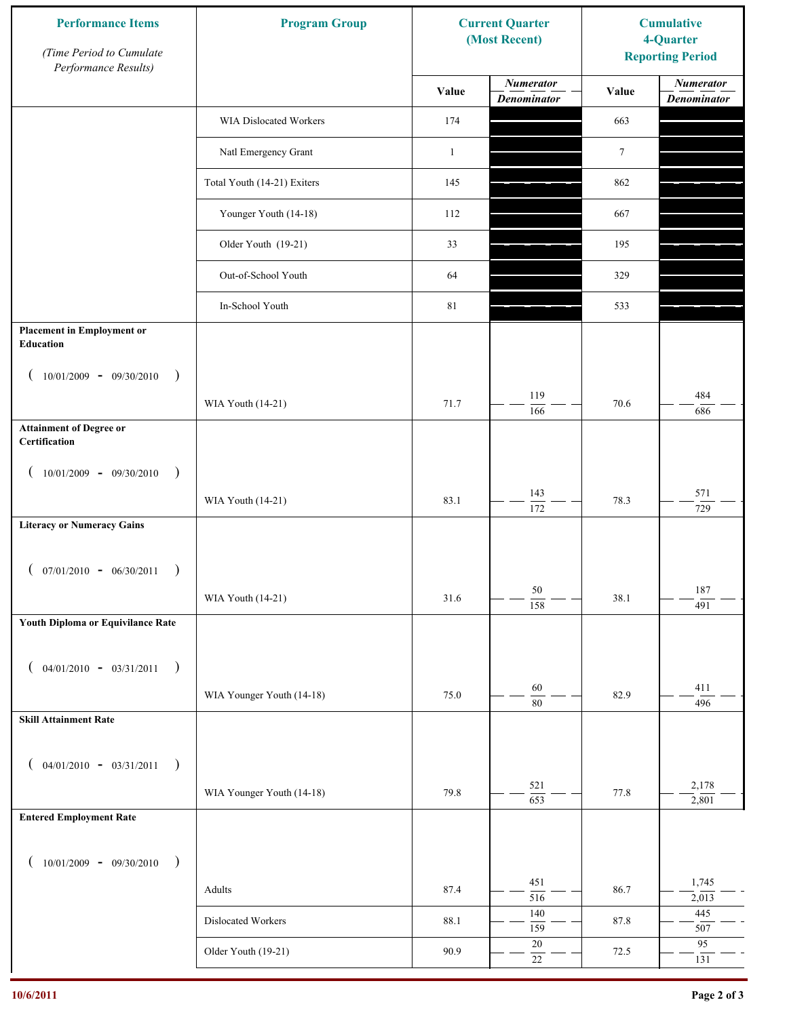| <b>Performance Items</b><br>(Time Period to Cumulate<br>Performance Results) | <b>Program Group</b><br><b>Current Quarter</b><br>(Most Recent) |              | <b>Cumulative</b><br>4-Quarter<br><b>Reporting Period</b> |                 |                                        |
|------------------------------------------------------------------------------|-----------------------------------------------------------------|--------------|-----------------------------------------------------------|-----------------|----------------------------------------|
|                                                                              |                                                                 | Value        | <b>Numerator</b><br><b>Denominator</b>                    | Value           | <b>Numerator</b><br><b>Denominator</b> |
|                                                                              | WIA Dislocated Workers                                          | 174          |                                                           | 663             |                                        |
|                                                                              | Natl Emergency Grant                                            | $\mathbf{1}$ |                                                           | $7\phantom{.0}$ |                                        |
|                                                                              | Total Youth (14-21) Exiters                                     | 145          |                                                           | 862             |                                        |
|                                                                              | Younger Youth (14-18)                                           | 112          |                                                           | 667             |                                        |
|                                                                              | Older Youth (19-21)                                             | 33           |                                                           | 195             |                                        |
|                                                                              | Out-of-School Youth                                             | 64           |                                                           | 329             |                                        |
|                                                                              | In-School Youth                                                 | $81\,$       |                                                           | 533             |                                        |
| <b>Placement in Employment or</b><br>Education                               |                                                                 |              |                                                           |                 |                                        |
| $10/01/2009 - 09/30/2010$<br>$\rightarrow$                                   |                                                                 |              |                                                           |                 |                                        |
|                                                                              | WIA Youth (14-21)                                               | 71.7         | 119<br>166                                                | 70.6            | 484<br>686                             |
| <b>Attainment of Degree or</b><br>Certification                              |                                                                 |              |                                                           |                 |                                        |
| $10/01/2009 - 09/30/2010$<br>$\rightarrow$<br>$\left($                       |                                                                 |              |                                                           |                 |                                        |
|                                                                              | WIA Youth (14-21)                                               | 83.1         | 143<br>$\overline{172}$                                   | 78.3            | 571<br>729                             |
| <b>Literacy or Numeracy Gains</b>                                            |                                                                 |              |                                                           |                 |                                        |
| $($ 07/01/2010 - 06/30/2011<br>$\overline{\phantom{a}}$                      |                                                                 |              |                                                           |                 |                                        |
|                                                                              | WIA Youth (14-21)                                               | 31.6         | $50\,$<br>158                                             | 38.1            | 187<br>491                             |
| Youth Diploma or Equivilance Rate                                            |                                                                 |              |                                                           |                 |                                        |
|                                                                              |                                                                 |              |                                                           |                 |                                        |
| $04/01/2010 - 03/31/2011$<br>$\rightarrow$<br>€                              | WIA Younger Youth (14-18)                                       | 75.0         | $60\,$                                                    | 82.9            | 411                                    |
| <b>Skill Attainment Rate</b>                                                 |                                                                 |              | 80                                                        |                 | 496                                    |
|                                                                              |                                                                 |              |                                                           |                 |                                        |
| $04/01/2010 - 03/31/2011$<br>$\rightarrow$                                   |                                                                 |              |                                                           |                 |                                        |
|                                                                              | WIA Younger Youth (14-18)                                       | 79.8         | 521<br>653                                                | 77.8            | 2,178<br>2,801                         |
| <b>Entered Employment Rate</b>                                               |                                                                 |              |                                                           |                 |                                        |
| $10/01/2009$ - 09/30/2010<br>$\rightarrow$                                   |                                                                 |              |                                                           |                 |                                        |
|                                                                              | Adults                                                          | 87.4         | 451<br>516                                                | 86.7            | 1,745<br>2,013                         |
|                                                                              | Dislocated Workers                                              | 88.1         | 140<br>159                                                | 87.8            | 445<br>507                             |
|                                                                              | Older Youth (19-21)                                             | 90.9         | $20\,$<br>$22\,$                                          | 72.5            | 95<br>131                              |
|                                                                              |                                                                 |              |                                                           |                 |                                        |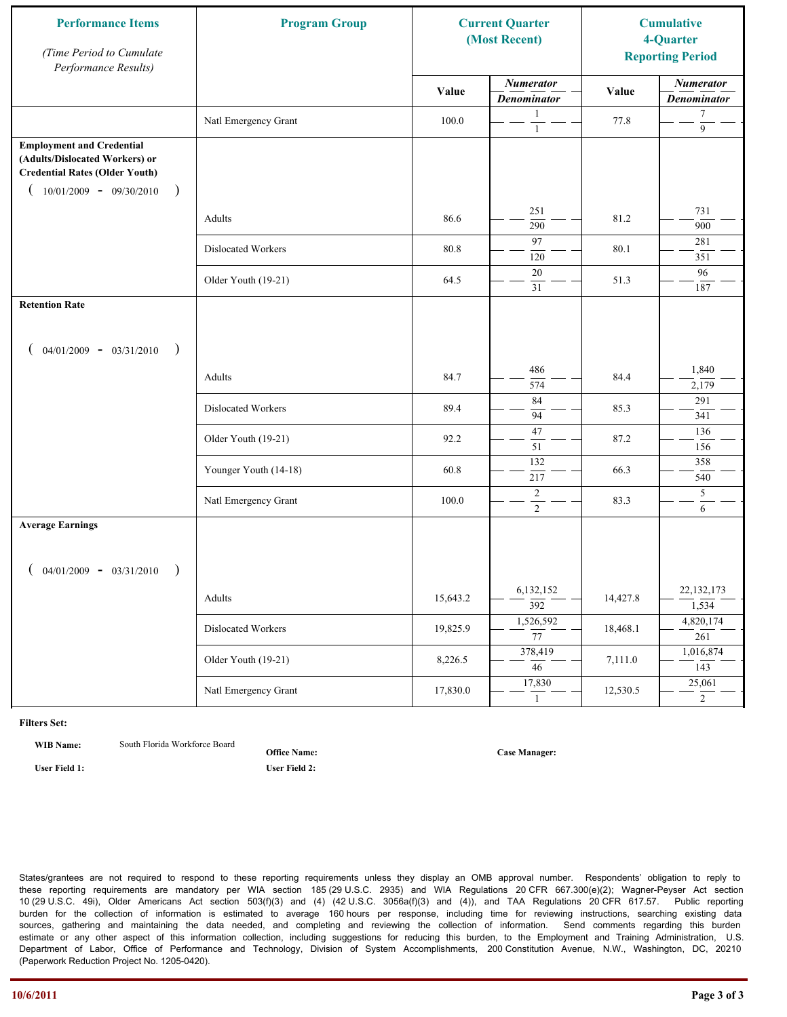| <b>Performance Items</b><br>(Time Period to Cumulate<br>Performance Results)                                                                              | <b>Program Group</b>  |          | <b>Current Quarter</b><br>(Most Recent) |          | <b>Cumulative</b><br>4-Quarter<br><b>Reporting Period</b> |
|-----------------------------------------------------------------------------------------------------------------------------------------------------------|-----------------------|----------|-----------------------------------------|----------|-----------------------------------------------------------|
|                                                                                                                                                           |                       | Value    | <b>Numerator</b><br><b>Denominator</b>  | Value    | <b>Numerator</b><br><b>Denominator</b>                    |
|                                                                                                                                                           | Natl Emergency Grant  | 100.0    | 1<br>$\mathbf{1}$                       | 77.8     | $\tau$<br>9                                               |
| <b>Employment and Credential</b><br>(Adults/Dislocated Workers) or<br><b>Credential Rates (Older Youth)</b><br>$10/01/2009 - 09/30/2010$<br>$\rightarrow$ |                       |          |                                         |          |                                                           |
|                                                                                                                                                           | Adults                | 86.6     | 251<br>290                              | 81.2     | 731<br>900                                                |
|                                                                                                                                                           | Dislocated Workers    | 80.8     | 97<br>120                               | 80.1     | 281<br>351                                                |
|                                                                                                                                                           | Older Youth (19-21)   | 64.5     | $20\,$<br>31                            | 51.3     | 96<br>187                                                 |
| <b>Retention Rate</b>                                                                                                                                     |                       |          |                                         |          |                                                           |
| $04/01/2009 - 03/31/2010$<br>$\rightarrow$                                                                                                                |                       |          |                                         |          |                                                           |
|                                                                                                                                                           | Adults                | 84.7     | 486<br>574                              | 84.4     | 1,840<br>2,179                                            |
|                                                                                                                                                           | Dislocated Workers    | 89.4     | 84<br>94                                | 85.3     | 291<br>341                                                |
|                                                                                                                                                           | Older Youth (19-21)   | 92.2     | 47<br>51                                | 87.2     | 136<br>156                                                |
|                                                                                                                                                           | Younger Youth (14-18) | 60.8     | 132<br>217                              | 66.3     | 358<br>540                                                |
|                                                                                                                                                           | Natl Emergency Grant  | 100.0    | $\overline{2}$<br>$\overline{2}$        | 83.3     | 5<br>6                                                    |
| <b>Average Earnings</b><br>$04/01/2009 - 03/31/2010$<br>$\rightarrow$                                                                                     |                       |          |                                         |          |                                                           |
|                                                                                                                                                           | Adults                | 15,643.2 | 6,132,152<br>$\overline{392}$           | 14,427.8 | 22,132,173<br>1,534                                       |
|                                                                                                                                                           | Dislocated Workers    | 19,825.9 | 1,526,592<br>$\overline{77}$            | 18,468.1 | 4,820,174<br>261                                          |
|                                                                                                                                                           | Older Youth (19-21)   | 8,226.5  | 378,419<br>$\overline{46}$              | 7,111.0  | 1,016,874<br>143                                          |
|                                                                                                                                                           | Natl Emergency Grant  | 17,830.0 | 17,830<br>$\mathbf{1}$                  | 12,530.5 | 25,061<br>$\overline{2}$                                  |

**WIB Name:** South Florida Workforce Board

**Office Name:**

**User Field 1: User Field 2:**

**Case Manager:**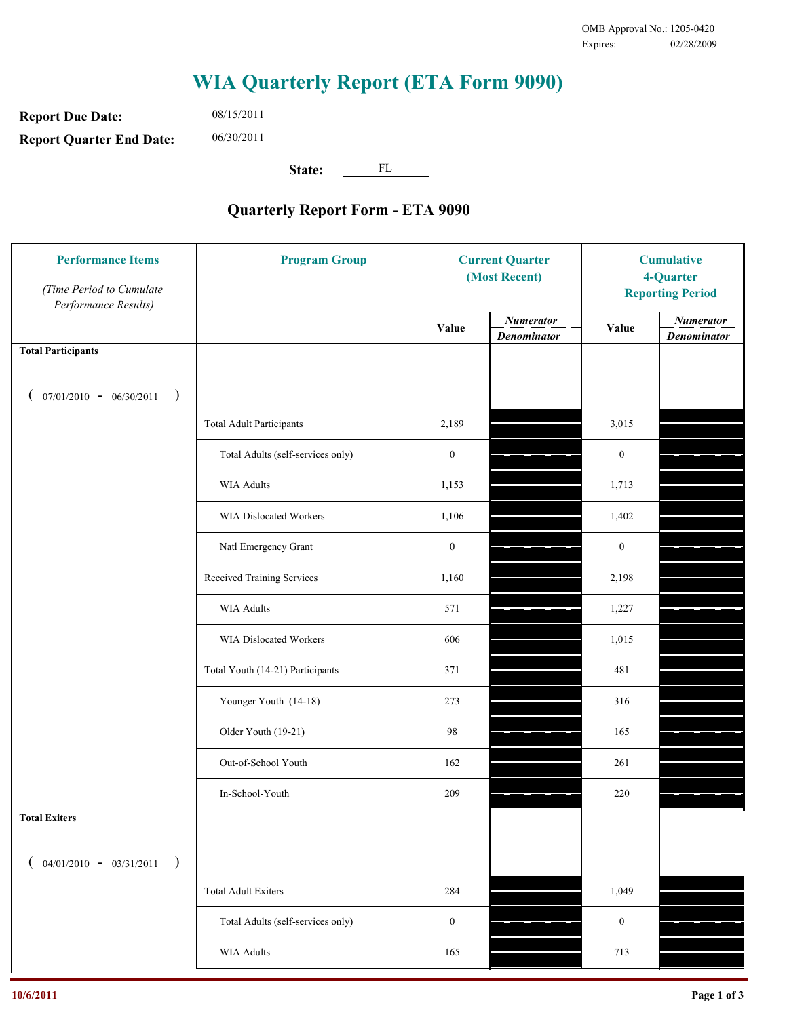**Report Due Date: Report Quarter End Date:** 08/15/2011 06/30/2011

**State:** FL

| <b>Performance Items</b><br>(Time Period to Cumulate<br>Performance Results) | <b>Program Group</b>              | <b>Current Quarter</b><br>(Most Recent) |                                        | <b>Cumulative</b><br>4-Quarter<br><b>Reporting Period</b> |                                        |
|------------------------------------------------------------------------------|-----------------------------------|-----------------------------------------|----------------------------------------|-----------------------------------------------------------|----------------------------------------|
|                                                                              |                                   | Value                                   | <b>Numerator</b><br><b>Denominator</b> | Value                                                     | <b>Numerator</b><br><b>Denominator</b> |
| <b>Total Participants</b>                                                    |                                   |                                         |                                        |                                                           |                                        |
| $07/01/2010 - 06/30/2011$<br>$\rightarrow$                                   |                                   |                                         |                                        |                                                           |                                        |
|                                                                              | <b>Total Adult Participants</b>   | 2,189                                   |                                        | 3,015                                                     |                                        |
|                                                                              | Total Adults (self-services only) | $\boldsymbol{0}$                        |                                        | $\boldsymbol{0}$                                          |                                        |
|                                                                              | <b>WIA Adults</b>                 | 1,153                                   |                                        | 1,713                                                     |                                        |
|                                                                              | WIA Dislocated Workers            | 1,106                                   |                                        | 1,402                                                     |                                        |
|                                                                              | Natl Emergency Grant              | $\boldsymbol{0}$                        |                                        | $\boldsymbol{0}$                                          |                                        |
|                                                                              | Received Training Services        | 1,160                                   |                                        | 2,198                                                     |                                        |
|                                                                              | <b>WIA Adults</b>                 | 571                                     |                                        | 1,227                                                     |                                        |
|                                                                              | WIA Dislocated Workers            | 606                                     |                                        | 1,015                                                     |                                        |
|                                                                              | Total Youth (14-21) Participants  | 371                                     |                                        | 481                                                       |                                        |
|                                                                              | Younger Youth (14-18)             | 273                                     |                                        | 316                                                       |                                        |
|                                                                              | Older Youth (19-21)               | 98                                      |                                        | 165                                                       |                                        |
|                                                                              | Out-of-School Youth               | 162                                     |                                        | 261                                                       |                                        |
|                                                                              | In-School-Youth                   | 209                                     |                                        | 220                                                       |                                        |
| <b>Total Exiters</b>                                                         |                                   |                                         |                                        |                                                           |                                        |
| $($ 04/01/2010 - 03/31/2011<br>$\rightarrow$                                 |                                   |                                         |                                        |                                                           |                                        |
|                                                                              | <b>Total Adult Exiters</b>        | 284                                     |                                        | 1,049                                                     |                                        |
|                                                                              | Total Adults (self-services only) | $\boldsymbol{0}$                        |                                        | $\bf{0}$                                                  |                                        |
|                                                                              | WIA Adults                        | 165                                     |                                        | 713                                                       |                                        |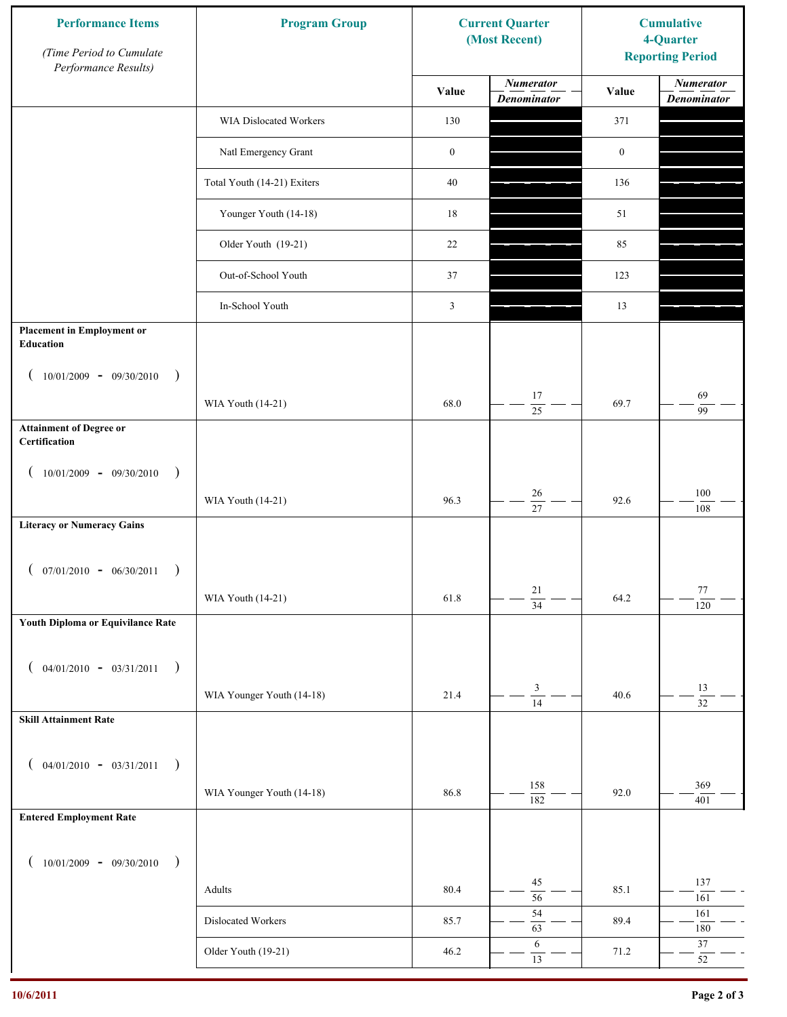| <b>Numerator</b><br><b>Numerator</b><br>Value<br>Value<br><b>Denominator</b><br><b>Denominator</b><br>WIA Dislocated Workers<br>130<br>371<br>Natl Emergency Grant<br>$\boldsymbol{0}$<br>$\boldsymbol{0}$<br>Total Youth (14-21) Exiters<br>$40\,$<br>136<br>Younger Youth (14-18)<br>18<br>51<br>Older Youth (19-21)<br>22<br>85<br>Out-of-School Youth<br>37<br>123<br>In-School Youth<br>$\mathfrak{Z}$<br>13<br><b>Placement in Employment or</b><br><b>Education</b><br>$10/01/2009 - 09/30/2010$<br>$\rightarrow$<br>69<br>17<br>68.0<br>69.7<br>WIA Youth (14-21)<br>25<br>99<br><b>Attainment of Degree or</b><br>Certification<br>$10/01/2009 - 09/30/2010$<br>$\big)$<br>$\left($<br>$100\,$<br>26<br>96.3<br>92.6<br>WIA Youth (14-21)<br>$\overline{27}$<br>108<br><b>Literacy or Numeracy Gains</b><br>$($ 07/01/2010 - 06/30/2011<br>21<br>77<br>WIA Youth (14-21)<br>61.8<br>64.2<br>$\overline{34}$<br>120<br>Youth Diploma or Equivilance Rate<br>$04/01/2010 - 03/31/2011$<br>$\rightarrow$<br>€<br>$\mathfrak{Z}$<br>13<br>WIA Younger Youth (14-18)<br>21.4<br>40.6<br>$\overline{14}$<br>$\overline{32}$<br><b>Skill Attainment Rate</b><br>$04/01/2010 - 03/31/2011$<br>$\rightarrow$<br>$\overline{ }$<br>158<br>369<br>WIA Younger Youth (14-18)<br>86.8<br>92.0<br>$\overline{182}$<br>401<br><b>Entered Employment Rate</b><br>$10/01/2009 - 09/30/2010$<br>$\rightarrow$<br>45<br>137<br>80.4<br>85.1<br>Adults<br>$\overline{56}$<br>161<br>54<br>161<br>Dislocated Workers<br>89.4<br>85.7<br>63<br>$180\,$<br>6<br>$37\,$<br>Older Youth (19-21)<br>46.2<br>71.2<br>13<br>52 | <b>Performance Items</b><br>(Time Period to Cumulate<br>Performance Results) | <b>Program Group</b><br><b>Current Quarter</b><br>(Most Recent) |  | <b>Cumulative</b><br>4-Quarter<br><b>Reporting Period</b> |  |
|-------------------------------------------------------------------------------------------------------------------------------------------------------------------------------------------------------------------------------------------------------------------------------------------------------------------------------------------------------------------------------------------------------------------------------------------------------------------------------------------------------------------------------------------------------------------------------------------------------------------------------------------------------------------------------------------------------------------------------------------------------------------------------------------------------------------------------------------------------------------------------------------------------------------------------------------------------------------------------------------------------------------------------------------------------------------------------------------------------------------------------------------------------------------------------------------------------------------------------------------------------------------------------------------------------------------------------------------------------------------------------------------------------------------------------------------------------------------------------------------------------------------------------------------------------------------------------------------------------------|------------------------------------------------------------------------------|-----------------------------------------------------------------|--|-----------------------------------------------------------|--|
|                                                                                                                                                                                                                                                                                                                                                                                                                                                                                                                                                                                                                                                                                                                                                                                                                                                                                                                                                                                                                                                                                                                                                                                                                                                                                                                                                                                                                                                                                                                                                                                                             |                                                                              |                                                                 |  |                                                           |  |
|                                                                                                                                                                                                                                                                                                                                                                                                                                                                                                                                                                                                                                                                                                                                                                                                                                                                                                                                                                                                                                                                                                                                                                                                                                                                                                                                                                                                                                                                                                                                                                                                             |                                                                              |                                                                 |  |                                                           |  |
|                                                                                                                                                                                                                                                                                                                                                                                                                                                                                                                                                                                                                                                                                                                                                                                                                                                                                                                                                                                                                                                                                                                                                                                                                                                                                                                                                                                                                                                                                                                                                                                                             |                                                                              |                                                                 |  |                                                           |  |
|                                                                                                                                                                                                                                                                                                                                                                                                                                                                                                                                                                                                                                                                                                                                                                                                                                                                                                                                                                                                                                                                                                                                                                                                                                                                                                                                                                                                                                                                                                                                                                                                             |                                                                              |                                                                 |  |                                                           |  |
|                                                                                                                                                                                                                                                                                                                                                                                                                                                                                                                                                                                                                                                                                                                                                                                                                                                                                                                                                                                                                                                                                                                                                                                                                                                                                                                                                                                                                                                                                                                                                                                                             |                                                                              |                                                                 |  |                                                           |  |
|                                                                                                                                                                                                                                                                                                                                                                                                                                                                                                                                                                                                                                                                                                                                                                                                                                                                                                                                                                                                                                                                                                                                                                                                                                                                                                                                                                                                                                                                                                                                                                                                             |                                                                              |                                                                 |  |                                                           |  |
|                                                                                                                                                                                                                                                                                                                                                                                                                                                                                                                                                                                                                                                                                                                                                                                                                                                                                                                                                                                                                                                                                                                                                                                                                                                                                                                                                                                                                                                                                                                                                                                                             |                                                                              |                                                                 |  |                                                           |  |
|                                                                                                                                                                                                                                                                                                                                                                                                                                                                                                                                                                                                                                                                                                                                                                                                                                                                                                                                                                                                                                                                                                                                                                                                                                                                                                                                                                                                                                                                                                                                                                                                             |                                                                              |                                                                 |  |                                                           |  |
|                                                                                                                                                                                                                                                                                                                                                                                                                                                                                                                                                                                                                                                                                                                                                                                                                                                                                                                                                                                                                                                                                                                                                                                                                                                                                                                                                                                                                                                                                                                                                                                                             |                                                                              |                                                                 |  |                                                           |  |
|                                                                                                                                                                                                                                                                                                                                                                                                                                                                                                                                                                                                                                                                                                                                                                                                                                                                                                                                                                                                                                                                                                                                                                                                                                                                                                                                                                                                                                                                                                                                                                                                             |                                                                              |                                                                 |  |                                                           |  |
|                                                                                                                                                                                                                                                                                                                                                                                                                                                                                                                                                                                                                                                                                                                                                                                                                                                                                                                                                                                                                                                                                                                                                                                                                                                                                                                                                                                                                                                                                                                                                                                                             |                                                                              |                                                                 |  |                                                           |  |
|                                                                                                                                                                                                                                                                                                                                                                                                                                                                                                                                                                                                                                                                                                                                                                                                                                                                                                                                                                                                                                                                                                                                                                                                                                                                                                                                                                                                                                                                                                                                                                                                             |                                                                              |                                                                 |  |                                                           |  |
|                                                                                                                                                                                                                                                                                                                                                                                                                                                                                                                                                                                                                                                                                                                                                                                                                                                                                                                                                                                                                                                                                                                                                                                                                                                                                                                                                                                                                                                                                                                                                                                                             |                                                                              |                                                                 |  |                                                           |  |
|                                                                                                                                                                                                                                                                                                                                                                                                                                                                                                                                                                                                                                                                                                                                                                                                                                                                                                                                                                                                                                                                                                                                                                                                                                                                                                                                                                                                                                                                                                                                                                                                             |                                                                              |                                                                 |  |                                                           |  |
|                                                                                                                                                                                                                                                                                                                                                                                                                                                                                                                                                                                                                                                                                                                                                                                                                                                                                                                                                                                                                                                                                                                                                                                                                                                                                                                                                                                                                                                                                                                                                                                                             |                                                                              |                                                                 |  |                                                           |  |
|                                                                                                                                                                                                                                                                                                                                                                                                                                                                                                                                                                                                                                                                                                                                                                                                                                                                                                                                                                                                                                                                                                                                                                                                                                                                                                                                                                                                                                                                                                                                                                                                             |                                                                              |                                                                 |  |                                                           |  |
|                                                                                                                                                                                                                                                                                                                                                                                                                                                                                                                                                                                                                                                                                                                                                                                                                                                                                                                                                                                                                                                                                                                                                                                                                                                                                                                                                                                                                                                                                                                                                                                                             |                                                                              |                                                                 |  |                                                           |  |
|                                                                                                                                                                                                                                                                                                                                                                                                                                                                                                                                                                                                                                                                                                                                                                                                                                                                                                                                                                                                                                                                                                                                                                                                                                                                                                                                                                                                                                                                                                                                                                                                             |                                                                              |                                                                 |  |                                                           |  |
|                                                                                                                                                                                                                                                                                                                                                                                                                                                                                                                                                                                                                                                                                                                                                                                                                                                                                                                                                                                                                                                                                                                                                                                                                                                                                                                                                                                                                                                                                                                                                                                                             |                                                                              |                                                                 |  |                                                           |  |
|                                                                                                                                                                                                                                                                                                                                                                                                                                                                                                                                                                                                                                                                                                                                                                                                                                                                                                                                                                                                                                                                                                                                                                                                                                                                                                                                                                                                                                                                                                                                                                                                             |                                                                              |                                                                 |  |                                                           |  |
|                                                                                                                                                                                                                                                                                                                                                                                                                                                                                                                                                                                                                                                                                                                                                                                                                                                                                                                                                                                                                                                                                                                                                                                                                                                                                                                                                                                                                                                                                                                                                                                                             |                                                                              |                                                                 |  |                                                           |  |
|                                                                                                                                                                                                                                                                                                                                                                                                                                                                                                                                                                                                                                                                                                                                                                                                                                                                                                                                                                                                                                                                                                                                                                                                                                                                                                                                                                                                                                                                                                                                                                                                             |                                                                              |                                                                 |  |                                                           |  |
|                                                                                                                                                                                                                                                                                                                                                                                                                                                                                                                                                                                                                                                                                                                                                                                                                                                                                                                                                                                                                                                                                                                                                                                                                                                                                                                                                                                                                                                                                                                                                                                                             |                                                                              |                                                                 |  |                                                           |  |
|                                                                                                                                                                                                                                                                                                                                                                                                                                                                                                                                                                                                                                                                                                                                                                                                                                                                                                                                                                                                                                                                                                                                                                                                                                                                                                                                                                                                                                                                                                                                                                                                             |                                                                              |                                                                 |  |                                                           |  |
|                                                                                                                                                                                                                                                                                                                                                                                                                                                                                                                                                                                                                                                                                                                                                                                                                                                                                                                                                                                                                                                                                                                                                                                                                                                                                                                                                                                                                                                                                                                                                                                                             |                                                                              |                                                                 |  |                                                           |  |
|                                                                                                                                                                                                                                                                                                                                                                                                                                                                                                                                                                                                                                                                                                                                                                                                                                                                                                                                                                                                                                                                                                                                                                                                                                                                                                                                                                                                                                                                                                                                                                                                             |                                                                              |                                                                 |  |                                                           |  |
|                                                                                                                                                                                                                                                                                                                                                                                                                                                                                                                                                                                                                                                                                                                                                                                                                                                                                                                                                                                                                                                                                                                                                                                                                                                                                                                                                                                                                                                                                                                                                                                                             |                                                                              |                                                                 |  |                                                           |  |
|                                                                                                                                                                                                                                                                                                                                                                                                                                                                                                                                                                                                                                                                                                                                                                                                                                                                                                                                                                                                                                                                                                                                                                                                                                                                                                                                                                                                                                                                                                                                                                                                             |                                                                              |                                                                 |  |                                                           |  |
|                                                                                                                                                                                                                                                                                                                                                                                                                                                                                                                                                                                                                                                                                                                                                                                                                                                                                                                                                                                                                                                                                                                                                                                                                                                                                                                                                                                                                                                                                                                                                                                                             |                                                                              |                                                                 |  |                                                           |  |